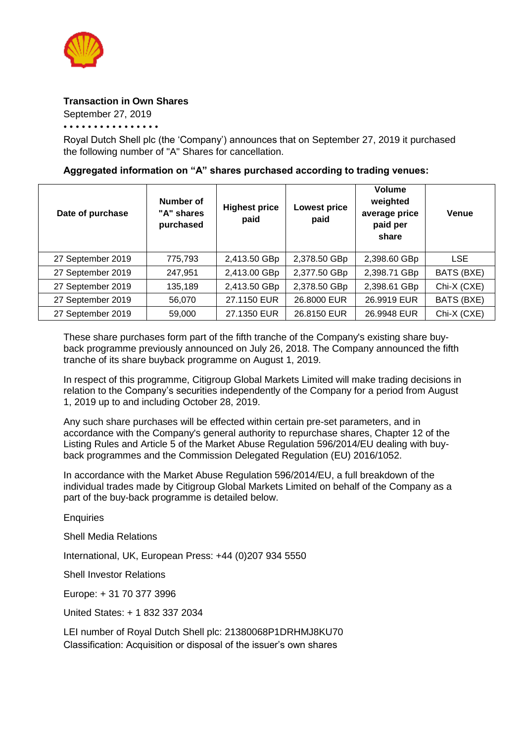

## **Transaction in Own Shares**

September 27, 2019

• • • • • • • • • • • • • • • •

Royal Dutch Shell plc (the 'Company') announces that on September 27, 2019 it purchased the following number of "A" Shares for cancellation.

## **Aggregated information on "A" shares purchased according to trading venues:**

| Date of purchase  | Number of<br>"A" shares<br>purchased | <b>Highest price</b><br>paid | <b>Lowest price</b><br>paid | Volume<br>weighted<br>average price<br>paid per<br>share | <b>Venue</b> |
|-------------------|--------------------------------------|------------------------------|-----------------------------|----------------------------------------------------------|--------------|
| 27 September 2019 | 775,793                              | 2,413.50 GBp                 | 2,378.50 GBp                | 2,398.60 GBp                                             | <b>LSE</b>   |
| 27 September 2019 | 247,951                              | 2,413.00 GBp                 | 2,377.50 GBp                | 2,398.71 GBp                                             | BATS (BXE)   |
| 27 September 2019 | 135,189                              | 2,413.50 GBp                 | 2,378.50 GBp                | 2,398.61 GBp                                             | Chi-X (CXE)  |
| 27 September 2019 | 56,070                               | 27.1150 EUR                  | 26.8000 EUR                 | 26.9919 EUR                                              | BATS (BXE)   |
| 27 September 2019 | 59,000                               | 27.1350 EUR                  | 26.8150 EUR                 | 26.9948 EUR                                              | Chi-X (CXE)  |

These share purchases form part of the fifth tranche of the Company's existing share buyback programme previously announced on July 26, 2018. The Company announced the fifth tranche of its share buyback programme on August 1, 2019.

In respect of this programme, Citigroup Global Markets Limited will make trading decisions in relation to the Company's securities independently of the Company for a period from August 1, 2019 up to and including October 28, 2019.

Any such share purchases will be effected within certain pre-set parameters, and in accordance with the Company's general authority to repurchase shares, Chapter 12 of the Listing Rules and Article 5 of the Market Abuse Regulation 596/2014/EU dealing with buyback programmes and the Commission Delegated Regulation (EU) 2016/1052.

In accordance with the Market Abuse Regulation 596/2014/EU, a full breakdown of the individual trades made by Citigroup Global Markets Limited on behalf of the Company as a part of the buy-back programme is detailed below.

**Enquiries** 

Shell Media Relations

International, UK, European Press: +44 (0)207 934 5550

Shell Investor Relations

Europe: + 31 70 377 3996

United States: + 1 832 337 2034

LEI number of Royal Dutch Shell plc: 21380068P1DRHMJ8KU70 Classification: Acquisition or disposal of the issuer's own shares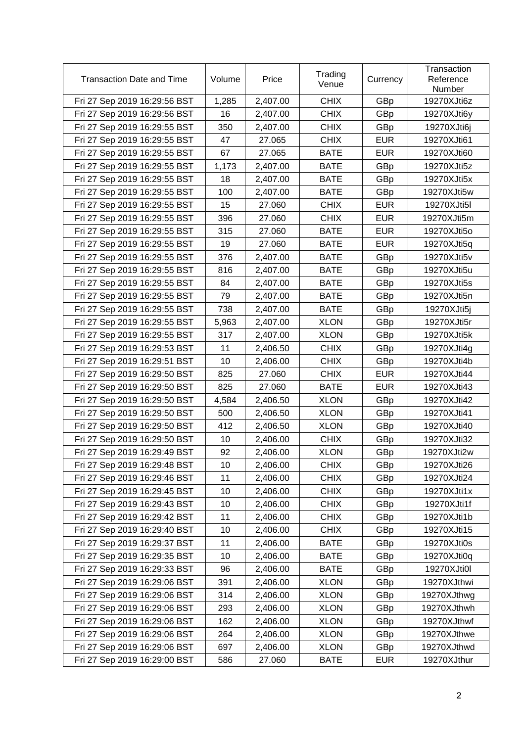| <b>Transaction Date and Time</b> | Volume | Price    | Trading<br>Venue | Currency   | Transaction<br>Reference<br>Number |
|----------------------------------|--------|----------|------------------|------------|------------------------------------|
| Fri 27 Sep 2019 16:29:56 BST     | 1,285  | 2,407.00 | <b>CHIX</b>      | GBp        | 19270XJti6z                        |
| Fri 27 Sep 2019 16:29:56 BST     | 16     | 2,407.00 | <b>CHIX</b>      | GBp        | 19270XJti6y                        |
| Fri 27 Sep 2019 16:29:55 BST     | 350    | 2,407.00 | <b>CHIX</b>      | GBp        | 19270XJti6j                        |
| Fri 27 Sep 2019 16:29:55 BST     | 47     | 27.065   | <b>CHIX</b>      | <b>EUR</b> | 19270XJti61                        |
| Fri 27 Sep 2019 16:29:55 BST     | 67     | 27.065   | <b>BATE</b>      | <b>EUR</b> | 19270XJti60                        |
| Fri 27 Sep 2019 16:29:55 BST     | 1,173  | 2,407.00 | <b>BATE</b>      | GBp        | 19270XJti5z                        |
| Fri 27 Sep 2019 16:29:55 BST     | 18     | 2,407.00 | <b>BATE</b>      | GBp        | 19270XJti5x                        |
| Fri 27 Sep 2019 16:29:55 BST     | 100    | 2,407.00 | <b>BATE</b>      | GBp        | 19270XJti5w                        |
| Fri 27 Sep 2019 16:29:55 BST     | 15     | 27.060   | <b>CHIX</b>      | <b>EUR</b> | 19270XJti5l                        |
| Fri 27 Sep 2019 16:29:55 BST     | 396    | 27.060   | <b>CHIX</b>      | <b>EUR</b> | 19270XJti5m                        |
| Fri 27 Sep 2019 16:29:55 BST     | 315    | 27.060   | <b>BATE</b>      | <b>EUR</b> | 19270XJti5o                        |
| Fri 27 Sep 2019 16:29:55 BST     | 19     | 27.060   | <b>BATE</b>      | <b>EUR</b> | 19270XJti5q                        |
| Fri 27 Sep 2019 16:29:55 BST     | 376    | 2,407.00 | <b>BATE</b>      | GBp        | 19270XJti5v                        |
| Fri 27 Sep 2019 16:29:55 BST     | 816    | 2,407.00 | <b>BATE</b>      | GBp        | 19270XJti5u                        |
| Fri 27 Sep 2019 16:29:55 BST     | 84     | 2,407.00 | <b>BATE</b>      | GBp        | 19270XJti5s                        |
| Fri 27 Sep 2019 16:29:55 BST     | 79     | 2,407.00 | <b>BATE</b>      | GBp        | 19270XJti5n                        |
| Fri 27 Sep 2019 16:29:55 BST     | 738    | 2,407.00 | <b>BATE</b>      | GBp        | 19270XJti5j                        |
| Fri 27 Sep 2019 16:29:55 BST     | 5,963  | 2,407.00 | <b>XLON</b>      | GBp        | 19270XJti5r                        |
| Fri 27 Sep 2019 16:29:55 BST     | 317    | 2,407.00 | <b>XLON</b>      | GBp        | 19270XJti5k                        |
| Fri 27 Sep 2019 16:29:53 BST     | 11     | 2,406.50 | <b>CHIX</b>      | GBp        | 19270XJti4g                        |
| Fri 27 Sep 2019 16:29:51 BST     | 10     | 2,406.00 | <b>CHIX</b>      | GBp        | 19270XJti4b                        |
| Fri 27 Sep 2019 16:29:50 BST     | 825    | 27.060   | <b>CHIX</b>      | <b>EUR</b> | 19270XJti44                        |
| Fri 27 Sep 2019 16:29:50 BST     | 825    | 27.060   | <b>BATE</b>      | <b>EUR</b> | 19270XJti43                        |
| Fri 27 Sep 2019 16:29:50 BST     | 4,584  | 2,406.50 | <b>XLON</b>      | GBp        | 19270XJti42                        |
| Fri 27 Sep 2019 16:29:50 BST     | 500    | 2,406.50 | <b>XLON</b>      | GBp        | 19270XJti41                        |
| Fri 27 Sep 2019 16:29:50 BST     | 412    | 2,406.50 | <b>XLON</b>      | GBp        | 19270XJti40                        |
| Fri 27 Sep 2019 16:29:50 BST     | 10     | 2,406.00 | <b>CHIX</b>      | GBp        | 19270XJti32                        |
| Fri 27 Sep 2019 16:29:49 BST     | 92     | 2,406.00 | <b>XLON</b>      | GBp        | 19270XJti2w                        |
| Fri 27 Sep 2019 16:29:48 BST     | 10     | 2,406.00 | <b>CHIX</b>      | GBp        | 19270XJti26                        |
| Fri 27 Sep 2019 16:29:46 BST     | 11     | 2,406.00 | <b>CHIX</b>      | GBp        | 19270XJti24                        |
| Fri 27 Sep 2019 16:29:45 BST     | 10     | 2,406.00 | <b>CHIX</b>      | GBp        | 19270XJti1x                        |
| Fri 27 Sep 2019 16:29:43 BST     | 10     | 2,406.00 | <b>CHIX</b>      | GBp        | 19270XJti1f                        |
| Fri 27 Sep 2019 16:29:42 BST     | 11     | 2,406.00 | <b>CHIX</b>      | GBp        | 19270XJti1b                        |
| Fri 27 Sep 2019 16:29:40 BST     | 10     | 2,406.00 | <b>CHIX</b>      | GBp        | 19270XJti15                        |
| Fri 27 Sep 2019 16:29:37 BST     | 11     | 2,406.00 | <b>BATE</b>      | GBp        | 19270XJti0s                        |
| Fri 27 Sep 2019 16:29:35 BST     | 10     | 2,406.00 | <b>BATE</b>      | GBp        | 19270XJti0q                        |
| Fri 27 Sep 2019 16:29:33 BST     | 96     | 2,406.00 | <b>BATE</b>      | GBp        | 19270XJti0I                        |
| Fri 27 Sep 2019 16:29:06 BST     | 391    | 2,406.00 | <b>XLON</b>      | GBp        | 19270XJthwi                        |
| Fri 27 Sep 2019 16:29:06 BST     | 314    | 2,406.00 | <b>XLON</b>      | GBp        | 19270XJthwg                        |
| Fri 27 Sep 2019 16:29:06 BST     | 293    | 2,406.00 | <b>XLON</b>      | GBp        | 19270XJthwh                        |
| Fri 27 Sep 2019 16:29:06 BST     | 162    | 2,406.00 | <b>XLON</b>      | GBp        | 19270XJthwf                        |
| Fri 27 Sep 2019 16:29:06 BST     | 264    | 2,406.00 | <b>XLON</b>      | GBp        | 19270XJthwe                        |
| Fri 27 Sep 2019 16:29:06 BST     | 697    | 2,406.00 | <b>XLON</b>      | GBp        | 19270XJthwd                        |
| Fri 27 Sep 2019 16:29:00 BST     | 586    | 27.060   | <b>BATE</b>      | <b>EUR</b> | 19270XJthur                        |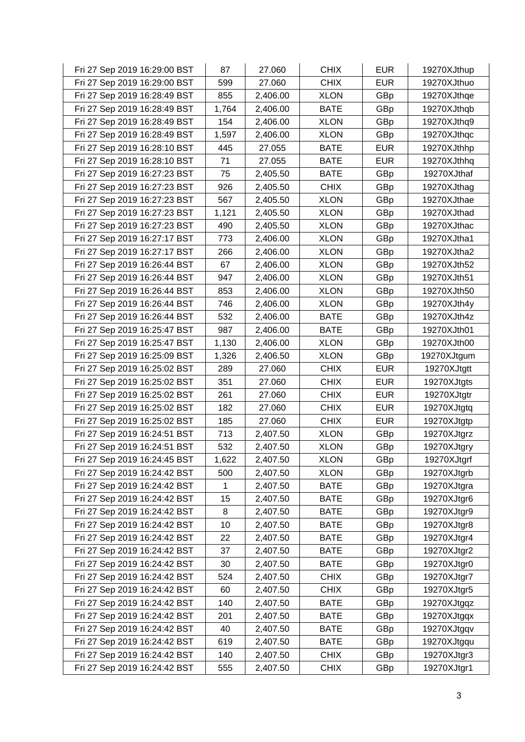| Fri 27 Sep 2019 16:29:00 BST | 87    | 27.060   | <b>CHIX</b> | <b>EUR</b> | 19270XJthup |
|------------------------------|-------|----------|-------------|------------|-------------|
| Fri 27 Sep 2019 16:29:00 BST | 599   | 27.060   | <b>CHIX</b> | <b>EUR</b> | 19270XJthuo |
| Fri 27 Sep 2019 16:28:49 BST | 855   | 2,406.00 | <b>XLON</b> | GBp        | 19270XJthqe |
| Fri 27 Sep 2019 16:28:49 BST | 1,764 | 2,406.00 | <b>BATE</b> | GBp        | 19270XJthqb |
| Fri 27 Sep 2019 16:28:49 BST | 154   | 2,406.00 | <b>XLON</b> | GBp        | 19270XJthq9 |
| Fri 27 Sep 2019 16:28:49 BST | 1,597 | 2,406.00 | <b>XLON</b> | GBp        | 19270XJthqc |
| Fri 27 Sep 2019 16:28:10 BST | 445   | 27.055   | <b>BATE</b> | <b>EUR</b> | 19270XJthhp |
| Fri 27 Sep 2019 16:28:10 BST | 71    | 27.055   | <b>BATE</b> | EUR        | 19270XJthhq |
| Fri 27 Sep 2019 16:27:23 BST | 75    | 2,405.50 | <b>BATE</b> | GBp        | 19270XJthaf |
| Fri 27 Sep 2019 16:27:23 BST | 926   | 2,405.50 | <b>CHIX</b> | GBp        | 19270XJthag |
| Fri 27 Sep 2019 16:27:23 BST | 567   | 2,405.50 | <b>XLON</b> | GBp        | 19270XJthae |
| Fri 27 Sep 2019 16:27:23 BST | 1,121 | 2,405.50 | <b>XLON</b> | GBp        | 19270XJthad |
| Fri 27 Sep 2019 16:27:23 BST | 490   | 2,405.50 | <b>XLON</b> | GBp        | 19270XJthac |
| Fri 27 Sep 2019 16:27:17 BST | 773   | 2,406.00 | <b>XLON</b> | GBp        | 19270XJtha1 |
| Fri 27 Sep 2019 16:27:17 BST | 266   | 2,406.00 | <b>XLON</b> | GBp        | 19270XJtha2 |
| Fri 27 Sep 2019 16:26:44 BST | 67    | 2,406.00 | <b>XLON</b> | GBp        | 19270XJth52 |
| Fri 27 Sep 2019 16:26:44 BST | 947   | 2,406.00 | <b>XLON</b> | GBp        | 19270XJth51 |
| Fri 27 Sep 2019 16:26:44 BST | 853   | 2,406.00 | <b>XLON</b> | GBp        | 19270XJth50 |
| Fri 27 Sep 2019 16:26:44 BST | 746   | 2,406.00 | <b>XLON</b> | GBp        | 19270XJth4y |
| Fri 27 Sep 2019 16:26:44 BST | 532   | 2,406.00 | <b>BATE</b> | GBp        | 19270XJth4z |
| Fri 27 Sep 2019 16:25:47 BST | 987   | 2,406.00 | <b>BATE</b> | GBp        | 19270XJth01 |
| Fri 27 Sep 2019 16:25:47 BST | 1,130 | 2,406.00 | <b>XLON</b> | GBp        | 19270XJth00 |
| Fri 27 Sep 2019 16:25:09 BST | 1,326 | 2,406.50 | <b>XLON</b> | GBp        | 19270XJtgum |
| Fri 27 Sep 2019 16:25:02 BST | 289   | 27.060   | <b>CHIX</b> | <b>EUR</b> | 19270XJtgtt |
| Fri 27 Sep 2019 16:25:02 BST | 351   | 27.060   | <b>CHIX</b> | <b>EUR</b> | 19270XJtgts |
| Fri 27 Sep 2019 16:25:02 BST | 261   | 27.060   | <b>CHIX</b> | <b>EUR</b> | 19270XJtgtr |
| Fri 27 Sep 2019 16:25:02 BST | 182   | 27.060   | <b>CHIX</b> | <b>EUR</b> | 19270XJtgtq |
| Fri 27 Sep 2019 16:25:02 BST | 185   | 27.060   | <b>CHIX</b> | <b>EUR</b> | 19270XJtgtp |
| Fri 27 Sep 2019 16:24:51 BST | 713   | 2,407.50 | <b>XLON</b> | GBp        | 19270XJtgrz |
| Fri 27 Sep 2019 16:24:51 BST | 532   | 2,407.50 | <b>XLON</b> | GBp        | 19270XJtgry |
| Fri 27 Sep 2019 16:24:45 BST | 1,622 | 2,407.50 | <b>XLON</b> | GBp        | 19270XJtgrf |
| Fri 27 Sep 2019 16:24:42 BST | 500   | 2,407.50 | <b>XLON</b> | GBp        | 19270XJtgrb |
| Fri 27 Sep 2019 16:24:42 BST | 1     | 2,407.50 | <b>BATE</b> | GBp        | 19270XJtgra |
| Fri 27 Sep 2019 16:24:42 BST | 15    | 2,407.50 | <b>BATE</b> | GBp        | 19270XJtgr6 |
| Fri 27 Sep 2019 16:24:42 BST | 8     | 2,407.50 | <b>BATE</b> | GBp        | 19270XJtgr9 |
| Fri 27 Sep 2019 16:24:42 BST | 10    | 2,407.50 | <b>BATE</b> | GBp        | 19270XJtgr8 |
| Fri 27 Sep 2019 16:24:42 BST | 22    | 2,407.50 | <b>BATE</b> | GBp        | 19270XJtgr4 |
| Fri 27 Sep 2019 16:24:42 BST | 37    | 2,407.50 | <b>BATE</b> | GBp        | 19270XJtgr2 |
| Fri 27 Sep 2019 16:24:42 BST | 30    | 2,407.50 | <b>BATE</b> | GBp        | 19270XJtgr0 |
| Fri 27 Sep 2019 16:24:42 BST | 524   | 2,407.50 | <b>CHIX</b> | GBp        | 19270XJtgr7 |
| Fri 27 Sep 2019 16:24:42 BST | 60    | 2,407.50 | <b>CHIX</b> | GBp        | 19270XJtgr5 |
| Fri 27 Sep 2019 16:24:42 BST | 140   | 2,407.50 | <b>BATE</b> | GBp        | 19270XJtgqz |
| Fri 27 Sep 2019 16:24:42 BST | 201   | 2,407.50 | <b>BATE</b> | GBp        | 19270XJtgqx |
| Fri 27 Sep 2019 16:24:42 BST | 40    | 2,407.50 | <b>BATE</b> | GBp        | 19270XJtgqv |
| Fri 27 Sep 2019 16:24:42 BST | 619   | 2,407.50 | <b>BATE</b> | GBp        | 19270XJtgqu |
| Fri 27 Sep 2019 16:24:42 BST | 140   | 2,407.50 | <b>CHIX</b> | GBp        | 19270XJtgr3 |
| Fri 27 Sep 2019 16:24:42 BST | 555   | 2,407.50 | <b>CHIX</b> | GBp        | 19270XJtgr1 |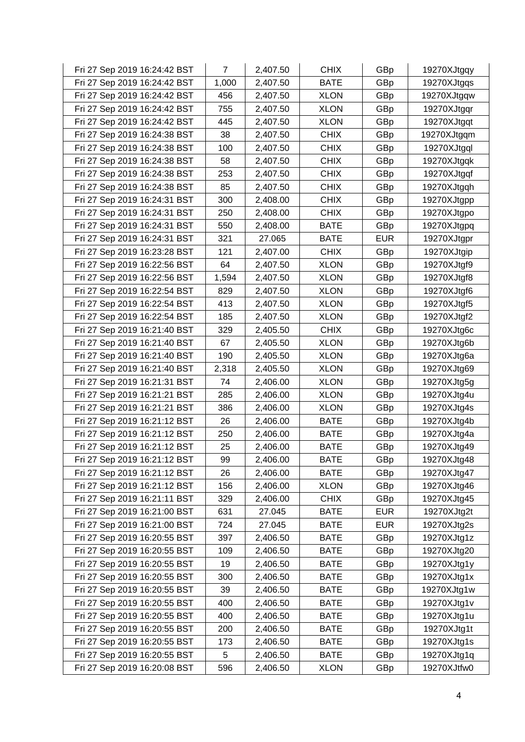| Fri 27 Sep 2019 16:24:42 BST | $\overline{7}$ | 2,407.50 | <b>CHIX</b> | GBp        | 19270XJtgqy |
|------------------------------|----------------|----------|-------------|------------|-------------|
| Fri 27 Sep 2019 16:24:42 BST | 1,000          | 2,407.50 | <b>BATE</b> | GBp        | 19270XJtgqs |
| Fri 27 Sep 2019 16:24:42 BST | 456            | 2,407.50 | <b>XLON</b> | GBp        | 19270XJtgqw |
| Fri 27 Sep 2019 16:24:42 BST | 755            | 2,407.50 | <b>XLON</b> | GBp        | 19270XJtgqr |
| Fri 27 Sep 2019 16:24:42 BST | 445            | 2,407.50 | <b>XLON</b> | GBp        | 19270XJtgqt |
| Fri 27 Sep 2019 16:24:38 BST | 38             | 2,407.50 | <b>CHIX</b> | GBp        | 19270XJtgqm |
| Fri 27 Sep 2019 16:24:38 BST | 100            | 2,407.50 | <b>CHIX</b> | GBp        | 19270XJtgql |
| Fri 27 Sep 2019 16:24:38 BST | 58             | 2,407.50 | <b>CHIX</b> | GBp        | 19270XJtgqk |
| Fri 27 Sep 2019 16:24:38 BST | 253            | 2,407.50 | <b>CHIX</b> | GBp        | 19270XJtgqf |
| Fri 27 Sep 2019 16:24:38 BST | 85             | 2,407.50 | <b>CHIX</b> | GBp        | 19270XJtgqh |
| Fri 27 Sep 2019 16:24:31 BST | 300            | 2,408.00 | <b>CHIX</b> | GBp        | 19270XJtgpp |
| Fri 27 Sep 2019 16:24:31 BST | 250            | 2,408.00 | <b>CHIX</b> | GBp        | 19270XJtgpo |
| Fri 27 Sep 2019 16:24:31 BST | 550            | 2,408.00 | <b>BATE</b> | GBp        | 19270XJtgpq |
| Fri 27 Sep 2019 16:24:31 BST | 321            | 27.065   | <b>BATE</b> | <b>EUR</b> | 19270XJtgpr |
| Fri 27 Sep 2019 16:23:28 BST | 121            | 2,407.00 | <b>CHIX</b> | GBp        | 19270XJtgip |
| Fri 27 Sep 2019 16:22:56 BST | 64             | 2,407.50 | <b>XLON</b> | GBp        | 19270XJtgf9 |
| Fri 27 Sep 2019 16:22:56 BST | 1,594          | 2,407.50 | <b>XLON</b> | GBp        | 19270XJtgf8 |
| Fri 27 Sep 2019 16:22:54 BST | 829            | 2,407.50 | <b>XLON</b> | GBp        | 19270XJtgf6 |
| Fri 27 Sep 2019 16:22:54 BST | 413            | 2,407.50 | <b>XLON</b> | GBp        | 19270XJtgf5 |
| Fri 27 Sep 2019 16:22:54 BST | 185            | 2,407.50 | <b>XLON</b> | GBp        | 19270XJtgf2 |
| Fri 27 Sep 2019 16:21:40 BST | 329            | 2,405.50 | <b>CHIX</b> | GBp        | 19270XJtg6c |
| Fri 27 Sep 2019 16:21:40 BST | 67             | 2,405.50 | <b>XLON</b> | GBp        | 19270XJtg6b |
| Fri 27 Sep 2019 16:21:40 BST | 190            | 2,405.50 | <b>XLON</b> | GBp        | 19270XJtg6a |
| Fri 27 Sep 2019 16:21:40 BST | 2,318          | 2,405.50 | <b>XLON</b> | GBp        | 19270XJtg69 |
| Fri 27 Sep 2019 16:21:31 BST | 74             | 2,406.00 | <b>XLON</b> | GBp        | 19270XJtg5g |
| Fri 27 Sep 2019 16:21:21 BST | 285            | 2,406.00 | <b>XLON</b> | GBp        | 19270XJtg4u |
| Fri 27 Sep 2019 16:21:21 BST | 386            | 2,406.00 | <b>XLON</b> | GBp        | 19270XJtg4s |
| Fri 27 Sep 2019 16:21:12 BST | 26             | 2,406.00 | <b>BATE</b> | GBp        | 19270XJtg4b |
| Fri 27 Sep 2019 16:21:12 BST | 250            | 2,406.00 | <b>BATE</b> | GBp        | 19270XJtg4a |
| Fri 27 Sep 2019 16:21:12 BST | 25             | 2,406.00 | <b>BATE</b> | GBp        | 19270XJtg49 |
| Fri 27 Sep 2019 16:21:12 BST | 99             | 2,406.00 | <b>BATE</b> | GBp        | 19270XJtg48 |
| Fri 27 Sep 2019 16:21:12 BST | 26             | 2,406.00 | <b>BATE</b> | GBp        | 19270XJtg47 |
| Fri 27 Sep 2019 16:21:12 BST | 156            | 2,406.00 | <b>XLON</b> | GBp        | 19270XJtg46 |
| Fri 27 Sep 2019 16:21:11 BST | 329            | 2,406.00 | <b>CHIX</b> | GBp        | 19270XJtg45 |
| Fri 27 Sep 2019 16:21:00 BST | 631            | 27.045   | <b>BATE</b> | <b>EUR</b> | 19270XJtg2t |
| Fri 27 Sep 2019 16:21:00 BST | 724            | 27.045   | <b>BATE</b> | <b>EUR</b> | 19270XJtg2s |
| Fri 27 Sep 2019 16:20:55 BST | 397            | 2,406.50 | <b>BATE</b> | GBp        | 19270XJtg1z |
| Fri 27 Sep 2019 16:20:55 BST | 109            | 2,406.50 | <b>BATE</b> | GBp        | 19270XJtg20 |
| Fri 27 Sep 2019 16:20:55 BST | 19             | 2,406.50 | <b>BATE</b> | GBp        | 19270XJtg1y |
| Fri 27 Sep 2019 16:20:55 BST | 300            | 2,406.50 | <b>BATE</b> | GBp        | 19270XJtg1x |
| Fri 27 Sep 2019 16:20:55 BST | 39             | 2,406.50 | <b>BATE</b> | GBp        | 19270XJtg1w |
| Fri 27 Sep 2019 16:20:55 BST | 400            | 2,406.50 | <b>BATE</b> | GBp        | 19270XJtg1v |
| Fri 27 Sep 2019 16:20:55 BST | 400            | 2,406.50 | <b>BATE</b> | GBp        | 19270XJtg1u |
| Fri 27 Sep 2019 16:20:55 BST | 200            | 2,406.50 | <b>BATE</b> | GBp        | 19270XJtg1t |
| Fri 27 Sep 2019 16:20:55 BST | 173            | 2,406.50 | <b>BATE</b> | GBp        | 19270XJtg1s |
| Fri 27 Sep 2019 16:20:55 BST | 5              | 2,406.50 | <b>BATE</b> | GBp        | 19270XJtg1q |
| Fri 27 Sep 2019 16:20:08 BST | 596            | 2,406.50 | <b>XLON</b> | GBp        | 19270XJtfw0 |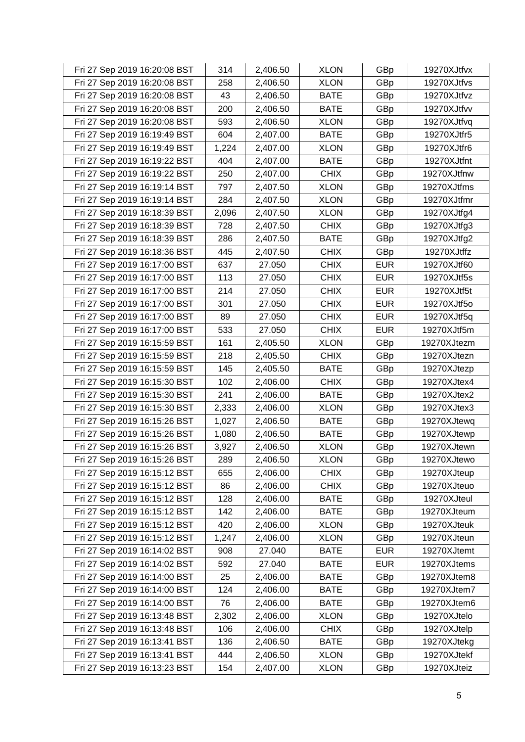| Fri 27 Sep 2019 16:20:08 BST | 314   | 2,406.50 | <b>XLON</b> | GBp        | 19270XJtfvx |
|------------------------------|-------|----------|-------------|------------|-------------|
| Fri 27 Sep 2019 16:20:08 BST | 258   | 2,406.50 | <b>XLON</b> | GBp        | 19270XJtfvs |
| Fri 27 Sep 2019 16:20:08 BST | 43    | 2,406.50 | <b>BATE</b> | GBp        | 19270XJtfvz |
| Fri 27 Sep 2019 16:20:08 BST | 200   | 2,406.50 | <b>BATE</b> | GBp        | 19270XJtfvv |
| Fri 27 Sep 2019 16:20:08 BST | 593   | 2,406.50 | <b>XLON</b> | GBp        | 19270XJtfvq |
| Fri 27 Sep 2019 16:19:49 BST | 604   | 2,407.00 | <b>BATE</b> | GBp        | 19270XJtfr5 |
| Fri 27 Sep 2019 16:19:49 BST | 1,224 | 2,407.00 | <b>XLON</b> | GBp        | 19270XJtfr6 |
| Fri 27 Sep 2019 16:19:22 BST | 404   | 2,407.00 | <b>BATE</b> | GBp        | 19270XJtfnt |
| Fri 27 Sep 2019 16:19:22 BST | 250   | 2,407.00 | <b>CHIX</b> | GBp        | 19270XJtfnw |
| Fri 27 Sep 2019 16:19:14 BST | 797   | 2,407.50 | <b>XLON</b> | GBp        | 19270XJtfms |
| Fri 27 Sep 2019 16:19:14 BST | 284   | 2,407.50 | <b>XLON</b> | GBp        | 19270XJtfmr |
| Fri 27 Sep 2019 16:18:39 BST | 2,096 | 2,407.50 | <b>XLON</b> | GBp        | 19270XJtfg4 |
| Fri 27 Sep 2019 16:18:39 BST | 728   | 2,407.50 | <b>CHIX</b> | GBp        | 19270XJtfg3 |
| Fri 27 Sep 2019 16:18:39 BST | 286   | 2,407.50 | <b>BATE</b> | GBp        | 19270XJtfg2 |
| Fri 27 Sep 2019 16:18:36 BST | 445   | 2,407.50 | <b>CHIX</b> | GBp        | 19270XJtffz |
| Fri 27 Sep 2019 16:17:00 BST | 637   | 27.050   | <b>CHIX</b> | <b>EUR</b> | 19270XJtf60 |
| Fri 27 Sep 2019 16:17:00 BST | 113   | 27.050   | <b>CHIX</b> | <b>EUR</b> | 19270XJtf5s |
| Fri 27 Sep 2019 16:17:00 BST | 214   | 27.050   | <b>CHIX</b> | <b>EUR</b> | 19270XJtf5t |
| Fri 27 Sep 2019 16:17:00 BST | 301   | 27.050   | <b>CHIX</b> | <b>EUR</b> | 19270XJtf5o |
| Fri 27 Sep 2019 16:17:00 BST | 89    | 27.050   | <b>CHIX</b> | <b>EUR</b> | 19270XJtf5q |
| Fri 27 Sep 2019 16:17:00 BST | 533   | 27.050   | <b>CHIX</b> | <b>EUR</b> | 19270XJtf5m |
| Fri 27 Sep 2019 16:15:59 BST | 161   | 2,405.50 | <b>XLON</b> | GBp        | 19270XJtezm |
| Fri 27 Sep 2019 16:15:59 BST | 218   | 2,405.50 | <b>CHIX</b> | GBp        | 19270XJtezn |
| Fri 27 Sep 2019 16:15:59 BST | 145   | 2,405.50 | <b>BATE</b> | GBp        | 19270XJtezp |
| Fri 27 Sep 2019 16:15:30 BST | 102   | 2,406.00 | <b>CHIX</b> | GBp        | 19270XJtex4 |
| Fri 27 Sep 2019 16:15:30 BST | 241   | 2,406.00 | <b>BATE</b> | GBp        | 19270XJtex2 |
| Fri 27 Sep 2019 16:15:30 BST | 2,333 | 2,406.00 | <b>XLON</b> | GBp        | 19270XJtex3 |
| Fri 27 Sep 2019 16:15:26 BST | 1,027 | 2,406.50 | <b>BATE</b> | GBp        | 19270XJtewq |
| Fri 27 Sep 2019 16:15:26 BST | 1,080 | 2,406.50 | <b>BATE</b> | GBp        | 19270XJtewp |
| Fri 27 Sep 2019 16:15:26 BST | 3,927 | 2,406.50 | <b>XLON</b> | GBp        | 19270XJtewn |
| Fri 27 Sep 2019 16:15:26 BST | 289   | 2,406.50 | <b>XLON</b> | GBp        | 19270XJtewo |
| Fri 27 Sep 2019 16:15:12 BST | 655   | 2,406.00 | <b>CHIX</b> | GBp        | 19270XJteup |
| Fri 27 Sep 2019 16:15:12 BST | 86    | 2,406.00 | <b>CHIX</b> | GBp        | 19270XJteuo |
| Fri 27 Sep 2019 16:15:12 BST | 128   | 2,406.00 | <b>BATE</b> | GBp        | 19270XJteul |
| Fri 27 Sep 2019 16:15:12 BST | 142   | 2,406.00 | <b>BATE</b> | GBp        | 19270XJteum |
| Fri 27 Sep 2019 16:15:12 BST | 420   | 2,406.00 | <b>XLON</b> | GBp        | 19270XJteuk |
| Fri 27 Sep 2019 16:15:12 BST | 1,247 | 2,406.00 | <b>XLON</b> | GBp        | 19270XJteun |
| Fri 27 Sep 2019 16:14:02 BST | 908   | 27.040   | <b>BATE</b> | <b>EUR</b> | 19270XJtemt |
| Fri 27 Sep 2019 16:14:02 BST | 592   | 27.040   | <b>BATE</b> | <b>EUR</b> | 19270XJtems |
| Fri 27 Sep 2019 16:14:00 BST | 25    | 2,406.00 | <b>BATE</b> | GBp        | 19270XJtem8 |
| Fri 27 Sep 2019 16:14:00 BST | 124   | 2,406.00 | <b>BATE</b> | GBp        | 19270XJtem7 |
| Fri 27 Sep 2019 16:14:00 BST | 76    | 2,406.00 | <b>BATE</b> | GBp        | 19270XJtem6 |
| Fri 27 Sep 2019 16:13:48 BST | 2,302 | 2,406.00 | <b>XLON</b> | GBp        | 19270XJtelo |
| Fri 27 Sep 2019 16:13:48 BST | 106   | 2,406.00 | <b>CHIX</b> | GBp        | 19270XJtelp |
| Fri 27 Sep 2019 16:13:41 BST | 136   | 2,406.50 | <b>BATE</b> | GBp        | 19270XJtekg |
| Fri 27 Sep 2019 16:13:41 BST | 444   | 2,406.50 | <b>XLON</b> | GBp        | 19270XJtekf |
| Fri 27 Sep 2019 16:13:23 BST | 154   | 2,407.00 | <b>XLON</b> | GBp        | 19270XJteiz |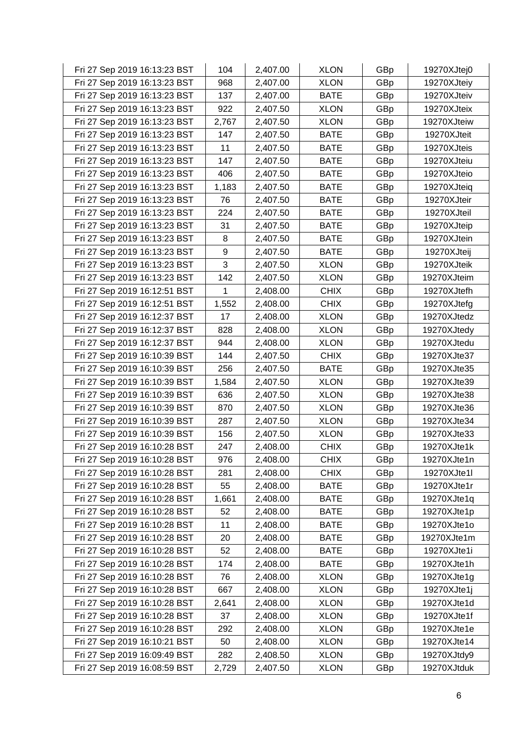| Fri 27 Sep 2019 16:13:23 BST | 104   | 2,407.00 | <b>XLON</b> | GBp | 19270XJtej0 |
|------------------------------|-------|----------|-------------|-----|-------------|
| Fri 27 Sep 2019 16:13:23 BST | 968   | 2,407.00 | <b>XLON</b> | GBp | 19270XJteiy |
| Fri 27 Sep 2019 16:13:23 BST | 137   | 2,407.00 | <b>BATE</b> | GBp | 19270XJteiv |
| Fri 27 Sep 2019 16:13:23 BST | 922   | 2,407.50 | <b>XLON</b> | GBp | 19270XJteix |
| Fri 27 Sep 2019 16:13:23 BST | 2,767 | 2,407.50 | <b>XLON</b> | GBp | 19270XJteiw |
| Fri 27 Sep 2019 16:13:23 BST | 147   | 2,407.50 | <b>BATE</b> | GBp | 19270XJteit |
| Fri 27 Sep 2019 16:13:23 BST | 11    | 2,407.50 | <b>BATE</b> | GBp | 19270XJteis |
| Fri 27 Sep 2019 16:13:23 BST | 147   | 2,407.50 | <b>BATE</b> | GBp | 19270XJteiu |
| Fri 27 Sep 2019 16:13:23 BST | 406   | 2,407.50 | <b>BATE</b> | GBp | 19270XJteio |
| Fri 27 Sep 2019 16:13:23 BST | 1,183 | 2,407.50 | <b>BATE</b> | GBp | 19270XJteiq |
| Fri 27 Sep 2019 16:13:23 BST | 76    | 2,407.50 | <b>BATE</b> | GBp | 19270XJteir |
| Fri 27 Sep 2019 16:13:23 BST | 224   | 2,407.50 | <b>BATE</b> | GBp | 19270XJteil |
| Fri 27 Sep 2019 16:13:23 BST | 31    | 2,407.50 | <b>BATE</b> | GBp | 19270XJteip |
| Fri 27 Sep 2019 16:13:23 BST | 8     | 2,407.50 | <b>BATE</b> | GBp | 19270XJtein |
| Fri 27 Sep 2019 16:13:23 BST | 9     | 2,407.50 | <b>BATE</b> | GBp | 19270XJteij |
| Fri 27 Sep 2019 16:13:23 BST | 3     | 2,407.50 | <b>XLON</b> | GBp | 19270XJteik |
| Fri 27 Sep 2019 16:13:23 BST | 142   | 2,407.50 | <b>XLON</b> | GBp | 19270XJteim |
| Fri 27 Sep 2019 16:12:51 BST | 1     | 2,408.00 | <b>CHIX</b> | GBp | 19270XJtefh |
| Fri 27 Sep 2019 16:12:51 BST | 1,552 | 2,408.00 | <b>CHIX</b> | GBp | 19270XJtefg |
| Fri 27 Sep 2019 16:12:37 BST | 17    | 2,408.00 | <b>XLON</b> | GBp | 19270XJtedz |
| Fri 27 Sep 2019 16:12:37 BST | 828   | 2,408.00 | <b>XLON</b> | GBp | 19270XJtedy |
| Fri 27 Sep 2019 16:12:37 BST | 944   | 2,408.00 | <b>XLON</b> | GBp | 19270XJtedu |
| Fri 27 Sep 2019 16:10:39 BST | 144   | 2,407.50 | <b>CHIX</b> | GBp | 19270XJte37 |
| Fri 27 Sep 2019 16:10:39 BST | 256   | 2,407.50 | <b>BATE</b> | GBp | 19270XJte35 |
| Fri 27 Sep 2019 16:10:39 BST | 1,584 | 2,407.50 | <b>XLON</b> | GBp | 19270XJte39 |
| Fri 27 Sep 2019 16:10:39 BST | 636   | 2,407.50 | <b>XLON</b> | GBp | 19270XJte38 |
| Fri 27 Sep 2019 16:10:39 BST | 870   | 2,407.50 | <b>XLON</b> | GBp | 19270XJte36 |
| Fri 27 Sep 2019 16:10:39 BST | 287   | 2,407.50 | <b>XLON</b> | GBp | 19270XJte34 |
| Fri 27 Sep 2019 16:10:39 BST | 156   | 2,407.50 | <b>XLON</b> | GBp | 19270XJte33 |
| Fri 27 Sep 2019 16:10:28 BST | 247   | 2,408.00 | <b>CHIX</b> | GBp | 19270XJte1k |
| Fri 27 Sep 2019 16:10:28 BST | 976   | 2,408.00 | <b>CHIX</b> | GBp | 19270XJte1n |
| Fri 27 Sep 2019 16:10:28 BST | 281   | 2,408.00 | <b>CHIX</b> | GBp | 19270XJte1l |
| Fri 27 Sep 2019 16:10:28 BST | 55    | 2,408.00 | <b>BATE</b> | GBp | 19270XJte1r |
| Fri 27 Sep 2019 16:10:28 BST | 1,661 | 2,408.00 | <b>BATE</b> | GBp | 19270XJte1q |
| Fri 27 Sep 2019 16:10:28 BST | 52    | 2,408.00 | <b>BATE</b> | GBp | 19270XJte1p |
| Fri 27 Sep 2019 16:10:28 BST | 11    | 2,408.00 | <b>BATE</b> | GBp | 19270XJte1o |
| Fri 27 Sep 2019 16:10:28 BST | 20    | 2,408.00 | <b>BATE</b> | GBp | 19270XJte1m |
| Fri 27 Sep 2019 16:10:28 BST | 52    | 2,408.00 | <b>BATE</b> | GBp | 19270XJte1i |
| Fri 27 Sep 2019 16:10:28 BST | 174   | 2,408.00 | <b>BATE</b> | GBp | 19270XJte1h |
| Fri 27 Sep 2019 16:10:28 BST | 76    | 2,408.00 | <b>XLON</b> | GBp | 19270XJte1g |
| Fri 27 Sep 2019 16:10:28 BST | 667   | 2,408.00 | <b>XLON</b> | GBp | 19270XJte1j |
| Fri 27 Sep 2019 16:10:28 BST | 2,641 | 2,408.00 | <b>XLON</b> | GBp | 19270XJte1d |
| Fri 27 Sep 2019 16:10:28 BST | 37    | 2,408.00 | <b>XLON</b> | GBp | 19270XJte1f |
| Fri 27 Sep 2019 16:10:28 BST | 292   | 2,408.00 | <b>XLON</b> | GBp | 19270XJte1e |
| Fri 27 Sep 2019 16:10:21 BST | 50    | 2,408.00 | <b>XLON</b> | GBp | 19270XJte14 |
| Fri 27 Sep 2019 16:09:49 BST | 282   | 2,408.50 | <b>XLON</b> | GBp | 19270XJtdy9 |
| Fri 27 Sep 2019 16:08:59 BST | 2,729 | 2,407.50 | <b>XLON</b> | GBp | 19270XJtduk |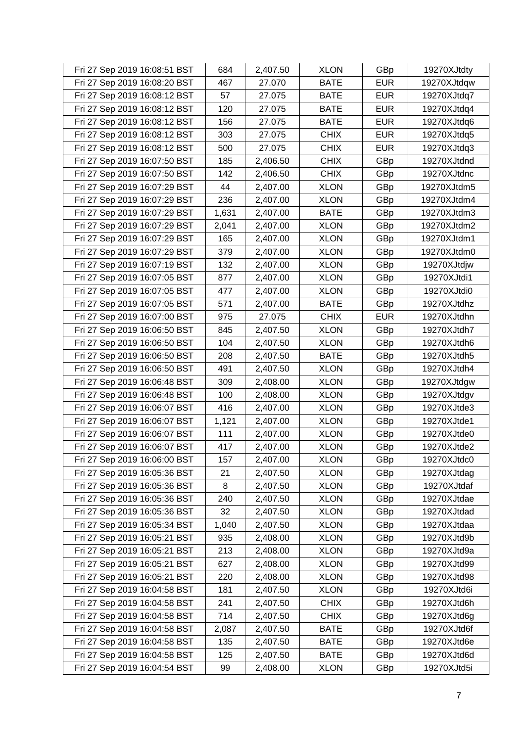| Fri 27 Sep 2019 16:08:51 BST | 684   | 2,407.50 | <b>XLON</b> | GBp        | 19270XJtdty |
|------------------------------|-------|----------|-------------|------------|-------------|
| Fri 27 Sep 2019 16:08:20 BST | 467   | 27.070   | <b>BATE</b> | <b>EUR</b> | 19270XJtdqw |
| Fri 27 Sep 2019 16:08:12 BST | 57    | 27.075   | <b>BATE</b> | <b>EUR</b> | 19270XJtdq7 |
| Fri 27 Sep 2019 16:08:12 BST | 120   | 27.075   | <b>BATE</b> | <b>EUR</b> | 19270XJtdq4 |
| Fri 27 Sep 2019 16:08:12 BST | 156   | 27.075   | <b>BATE</b> | <b>EUR</b> | 19270XJtdq6 |
| Fri 27 Sep 2019 16:08:12 BST | 303   | 27.075   | <b>CHIX</b> | <b>EUR</b> | 19270XJtdq5 |
| Fri 27 Sep 2019 16:08:12 BST | 500   | 27.075   | <b>CHIX</b> | <b>EUR</b> | 19270XJtdq3 |
| Fri 27 Sep 2019 16:07:50 BST | 185   | 2,406.50 | <b>CHIX</b> | GBp        | 19270XJtdnd |
| Fri 27 Sep 2019 16:07:50 BST | 142   | 2,406.50 | <b>CHIX</b> | GBp        | 19270XJtdnc |
| Fri 27 Sep 2019 16:07:29 BST | 44    | 2,407.00 | <b>XLON</b> | GBp        | 19270XJtdm5 |
| Fri 27 Sep 2019 16:07:29 BST | 236   | 2,407.00 | <b>XLON</b> | GBp        | 19270XJtdm4 |
| Fri 27 Sep 2019 16:07:29 BST | 1,631 | 2,407.00 | <b>BATE</b> | GBp        | 19270XJtdm3 |
| Fri 27 Sep 2019 16:07:29 BST | 2,041 | 2,407.00 | <b>XLON</b> | GBp        | 19270XJtdm2 |
| Fri 27 Sep 2019 16:07:29 BST | 165   | 2,407.00 | <b>XLON</b> | GBp        | 19270XJtdm1 |
| Fri 27 Sep 2019 16:07:29 BST | 379   | 2,407.00 | <b>XLON</b> | GBp        | 19270XJtdm0 |
| Fri 27 Sep 2019 16:07:19 BST | 132   | 2,407.00 | <b>XLON</b> | GBp        | 19270XJtdjw |
| Fri 27 Sep 2019 16:07:05 BST | 877   | 2,407.00 | <b>XLON</b> | GBp        | 19270XJtdi1 |
| Fri 27 Sep 2019 16:07:05 BST | 477   | 2,407.00 | <b>XLON</b> | GBp        | 19270XJtdi0 |
| Fri 27 Sep 2019 16:07:05 BST | 571   | 2,407.00 | <b>BATE</b> | GBp        | 19270XJtdhz |
| Fri 27 Sep 2019 16:07:00 BST | 975   | 27.075   | <b>CHIX</b> | <b>EUR</b> | 19270XJtdhn |
| Fri 27 Sep 2019 16:06:50 BST | 845   | 2,407.50 | <b>XLON</b> | GBp        | 19270XJtdh7 |
| Fri 27 Sep 2019 16:06:50 BST | 104   | 2,407.50 | <b>XLON</b> | GBp        | 19270XJtdh6 |
| Fri 27 Sep 2019 16:06:50 BST | 208   | 2,407.50 | <b>BATE</b> | GBp        | 19270XJtdh5 |
| Fri 27 Sep 2019 16:06:50 BST | 491   | 2,407.50 | <b>XLON</b> | GBp        | 19270XJtdh4 |
| Fri 27 Sep 2019 16:06:48 BST | 309   | 2,408.00 | <b>XLON</b> | GBp        | 19270XJtdgw |
| Fri 27 Sep 2019 16:06:48 BST | 100   | 2,408.00 | <b>XLON</b> | GBp        | 19270XJtdgv |
| Fri 27 Sep 2019 16:06:07 BST | 416   | 2,407.00 | <b>XLON</b> | GBp        | 19270XJtde3 |
| Fri 27 Sep 2019 16:06:07 BST | 1,121 | 2,407.00 | <b>XLON</b> | GBp        | 19270XJtde1 |
| Fri 27 Sep 2019 16:06:07 BST | 111   | 2,407.00 | <b>XLON</b> | GBp        | 19270XJtde0 |
| Fri 27 Sep 2019 16:06:07 BST | 417   | 2,407.00 | <b>XLON</b> | GBp        | 19270XJtde2 |
| Fri 27 Sep 2019 16:06:00 BST | 157   | 2,407.00 | <b>XLON</b> | GBp        | 19270XJtdc0 |
| Fri 27 Sep 2019 16:05:36 BST | 21    | 2,407.50 | <b>XLON</b> | GBp        | 19270XJtdag |
| Fri 27 Sep 2019 16:05:36 BST | 8     | 2,407.50 | <b>XLON</b> | GBp        | 19270XJtdaf |
| Fri 27 Sep 2019 16:05:36 BST | 240   | 2,407.50 | <b>XLON</b> | GBp        | 19270XJtdae |
| Fri 27 Sep 2019 16:05:36 BST | 32    | 2,407.50 | <b>XLON</b> | GBp        | 19270XJtdad |
| Fri 27 Sep 2019 16:05:34 BST | 1,040 | 2,407.50 | <b>XLON</b> | GBp        | 19270XJtdaa |
| Fri 27 Sep 2019 16:05:21 BST | 935   | 2,408.00 | <b>XLON</b> | GBp        | 19270XJtd9b |
| Fri 27 Sep 2019 16:05:21 BST | 213   | 2,408.00 | <b>XLON</b> | GBp        | 19270XJtd9a |
| Fri 27 Sep 2019 16:05:21 BST | 627   | 2,408.00 | <b>XLON</b> | GBp        | 19270XJtd99 |
| Fri 27 Sep 2019 16:05:21 BST | 220   | 2,408.00 | <b>XLON</b> | GBp        | 19270XJtd98 |
| Fri 27 Sep 2019 16:04:58 BST | 181   | 2,407.50 | <b>XLON</b> | GBp        | 19270XJtd6i |
| Fri 27 Sep 2019 16:04:58 BST | 241   | 2,407.50 | <b>CHIX</b> | GBp        | 19270XJtd6h |
| Fri 27 Sep 2019 16:04:58 BST | 714   | 2,407.50 | <b>CHIX</b> | GBp        | 19270XJtd6g |
| Fri 27 Sep 2019 16:04:58 BST | 2,087 | 2,407.50 | <b>BATE</b> | GBp        | 19270XJtd6f |
| Fri 27 Sep 2019 16:04:58 BST | 135   | 2,407.50 | <b>BATE</b> | GBp        | 19270XJtd6e |
| Fri 27 Sep 2019 16:04:58 BST | 125   | 2,407.50 | <b>BATE</b> | GBp        | 19270XJtd6d |
| Fri 27 Sep 2019 16:04:54 BST | 99    | 2,408.00 | <b>XLON</b> | GBp        | 19270XJtd5i |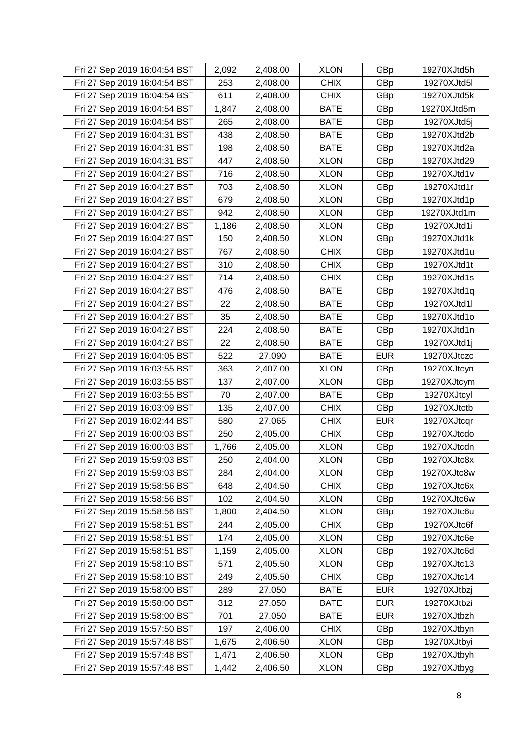| Fri 27 Sep 2019 16:04:54 BST | 2,092 | 2,408.00 | <b>XLON</b> | GBp        | 19270XJtd5h |
|------------------------------|-------|----------|-------------|------------|-------------|
| Fri 27 Sep 2019 16:04:54 BST | 253   | 2,408.00 | <b>CHIX</b> | GBp        | 19270XJtd5l |
| Fri 27 Sep 2019 16:04:54 BST | 611   | 2,408.00 | <b>CHIX</b> | GBp        | 19270XJtd5k |
| Fri 27 Sep 2019 16:04:54 BST | 1,847 | 2,408.00 | <b>BATE</b> | GBp        | 19270XJtd5m |
| Fri 27 Sep 2019 16:04:54 BST | 265   | 2,408.00 | <b>BATE</b> | GBp        | 19270XJtd5j |
| Fri 27 Sep 2019 16:04:31 BST | 438   | 2,408.50 | <b>BATE</b> | GBp        | 19270XJtd2b |
| Fri 27 Sep 2019 16:04:31 BST | 198   | 2,408.50 | <b>BATE</b> | GBp        | 19270XJtd2a |
| Fri 27 Sep 2019 16:04:31 BST | 447   | 2,408.50 | <b>XLON</b> | GBp        | 19270XJtd29 |
| Fri 27 Sep 2019 16:04:27 BST | 716   | 2,408.50 | <b>XLON</b> | GBp        | 19270XJtd1v |
| Fri 27 Sep 2019 16:04:27 BST | 703   | 2,408.50 | <b>XLON</b> | GBp        | 19270XJtd1r |
| Fri 27 Sep 2019 16:04:27 BST | 679   | 2,408.50 | <b>XLON</b> | GBp        | 19270XJtd1p |
| Fri 27 Sep 2019 16:04:27 BST | 942   | 2,408.50 | <b>XLON</b> | GBp        | 19270XJtd1m |
| Fri 27 Sep 2019 16:04:27 BST | 1,186 | 2,408.50 | <b>XLON</b> | GBp        | 19270XJtd1i |
| Fri 27 Sep 2019 16:04:27 BST | 150   | 2,408.50 | <b>XLON</b> | GBp        | 19270XJtd1k |
| Fri 27 Sep 2019 16:04:27 BST | 767   | 2,408.50 | <b>CHIX</b> | GBp        | 19270XJtd1u |
| Fri 27 Sep 2019 16:04:27 BST | 310   | 2,408.50 | <b>CHIX</b> | GBp        | 19270XJtd1t |
| Fri 27 Sep 2019 16:04:27 BST | 714   | 2,408.50 | <b>CHIX</b> | GBp        | 19270XJtd1s |
| Fri 27 Sep 2019 16:04:27 BST | 476   | 2,408.50 | <b>BATE</b> | GBp        | 19270XJtd1q |
| Fri 27 Sep 2019 16:04:27 BST | 22    | 2,408.50 | <b>BATE</b> | GBp        | 19270XJtd1l |
| Fri 27 Sep 2019 16:04:27 BST | 35    | 2,408.50 | <b>BATE</b> | GBp        | 19270XJtd1o |
| Fri 27 Sep 2019 16:04:27 BST | 224   | 2,408.50 | <b>BATE</b> | GBp        | 19270XJtd1n |
| Fri 27 Sep 2019 16:04:27 BST | 22    | 2,408.50 | <b>BATE</b> | GBp        | 19270XJtd1j |
| Fri 27 Sep 2019 16:04:05 BST | 522   | 27.090   | <b>BATE</b> | <b>EUR</b> | 19270XJtczc |
| Fri 27 Sep 2019 16:03:55 BST | 363   | 2,407.00 | <b>XLON</b> | GBp        | 19270XJtcyn |
| Fri 27 Sep 2019 16:03:55 BST | 137   | 2,407.00 | <b>XLON</b> | GBp        | 19270XJtcym |
| Fri 27 Sep 2019 16:03:55 BST | 70    | 2,407.00 | <b>BATE</b> | GBp        | 19270XJtcyl |
| Fri 27 Sep 2019 16:03:09 BST | 135   | 2,407.00 | <b>CHIX</b> | GBp        | 19270XJtctb |
| Fri 27 Sep 2019 16:02:44 BST | 580   | 27.065   | <b>CHIX</b> | <b>EUR</b> | 19270XJtcqr |
| Fri 27 Sep 2019 16:00:03 BST | 250   | 2,405.00 | <b>CHIX</b> | GBp        | 19270XJtcdo |
| Fri 27 Sep 2019 16:00:03 BST | 1,766 | 2,405.00 | <b>XLON</b> | GBp        | 19270XJtcdn |
| Fri 27 Sep 2019 15:59:03 BST | 250   | 2,404.00 | <b>XLON</b> | GBp        | 19270XJtc8x |
| Fri 27 Sep 2019 15:59:03 BST | 284   | 2,404.00 | <b>XLON</b> | GBp        | 19270XJtc8w |
| Fri 27 Sep 2019 15:58:56 BST | 648   | 2,404.50 | <b>CHIX</b> | GBp        | 19270XJtc6x |
| Fri 27 Sep 2019 15:58:56 BST | 102   | 2,404.50 | <b>XLON</b> | GBp        | 19270XJtc6w |
| Fri 27 Sep 2019 15:58:56 BST | 1,800 | 2,404.50 | <b>XLON</b> | GBp        | 19270XJtc6u |
| Fri 27 Sep 2019 15:58:51 BST | 244   | 2,405.00 | <b>CHIX</b> | GBp        | 19270XJtc6f |
| Fri 27 Sep 2019 15:58:51 BST | 174   | 2,405.00 | <b>XLON</b> | GBp        | 19270XJtc6e |
| Fri 27 Sep 2019 15:58:51 BST | 1,159 | 2,405.00 | <b>XLON</b> | GBp        | 19270XJtc6d |
| Fri 27 Sep 2019 15:58:10 BST | 571   | 2,405.50 | <b>XLON</b> | GBp        | 19270XJtc13 |
| Fri 27 Sep 2019 15:58:10 BST | 249   | 2,405.50 | <b>CHIX</b> | GBp        | 19270XJtc14 |
| Fri 27 Sep 2019 15:58:00 BST | 289   | 27.050   | <b>BATE</b> | <b>EUR</b> | 19270XJtbzj |
| Fri 27 Sep 2019 15:58:00 BST | 312   | 27.050   | <b>BATE</b> | <b>EUR</b> | 19270XJtbzi |
| Fri 27 Sep 2019 15:58:00 BST | 701   | 27.050   | <b>BATE</b> | <b>EUR</b> | 19270XJtbzh |
| Fri 27 Sep 2019 15:57:50 BST | 197   | 2,406.00 | <b>CHIX</b> | GBp        | 19270XJtbyn |
| Fri 27 Sep 2019 15:57:48 BST | 1,675 | 2,406.50 | <b>XLON</b> | GBp        | 19270XJtbyi |
| Fri 27 Sep 2019 15:57:48 BST | 1,471 | 2,406.50 | <b>XLON</b> | GBp        | 19270XJtbyh |
| Fri 27 Sep 2019 15:57:48 BST | 1,442 | 2,406.50 | <b>XLON</b> | GBp        | 19270XJtbyg |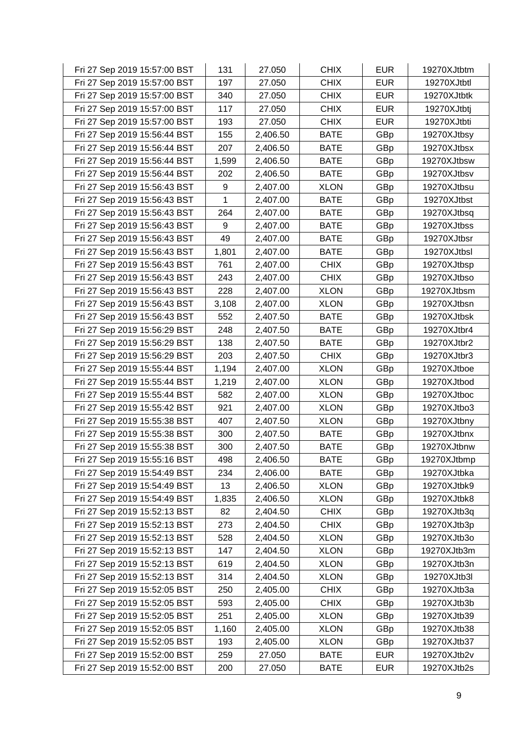| Fri 27 Sep 2019 15:57:00 BST | 131   | 27.050   | <b>CHIX</b> | <b>EUR</b> | 19270XJtbtm |
|------------------------------|-------|----------|-------------|------------|-------------|
| Fri 27 Sep 2019 15:57:00 BST | 197   | 27.050   | <b>CHIX</b> | <b>EUR</b> | 19270XJtbtl |
| Fri 27 Sep 2019 15:57:00 BST | 340   | 27.050   | <b>CHIX</b> | <b>EUR</b> | 19270XJtbtk |
| Fri 27 Sep 2019 15:57:00 BST | 117   | 27.050   | <b>CHIX</b> | <b>EUR</b> | 19270XJtbtj |
| Fri 27 Sep 2019 15:57:00 BST | 193   | 27.050   | <b>CHIX</b> | <b>EUR</b> | 19270XJtbti |
| Fri 27 Sep 2019 15:56:44 BST | 155   | 2,406.50 | <b>BATE</b> | GBp        | 19270XJtbsy |
| Fri 27 Sep 2019 15:56:44 BST | 207   | 2,406.50 | <b>BATE</b> | GBp        | 19270XJtbsx |
| Fri 27 Sep 2019 15:56:44 BST | 1,599 | 2,406.50 | <b>BATE</b> | GBp        | 19270XJtbsw |
| Fri 27 Sep 2019 15:56:44 BST | 202   | 2,406.50 | <b>BATE</b> | GBp        | 19270XJtbsv |
| Fri 27 Sep 2019 15:56:43 BST | 9     | 2,407.00 | <b>XLON</b> | GBp        | 19270XJtbsu |
| Fri 27 Sep 2019 15:56:43 BST | 1     | 2,407.00 | <b>BATE</b> | GBp        | 19270XJtbst |
| Fri 27 Sep 2019 15:56:43 BST | 264   | 2,407.00 | <b>BATE</b> | GBp        | 19270XJtbsq |
| Fri 27 Sep 2019 15:56:43 BST | 9     | 2,407.00 | <b>BATE</b> | GBp        | 19270XJtbss |
| Fri 27 Sep 2019 15:56:43 BST | 49    | 2,407.00 | <b>BATE</b> | GBp        | 19270XJtbsr |
| Fri 27 Sep 2019 15:56:43 BST | 1,801 | 2,407.00 | <b>BATE</b> | GBp        | 19270XJtbsl |
| Fri 27 Sep 2019 15:56:43 BST | 761   | 2,407.00 | <b>CHIX</b> | GBp        | 19270XJtbsp |
| Fri 27 Sep 2019 15:56:43 BST | 243   | 2,407.00 | <b>CHIX</b> | GBp        | 19270XJtbso |
| Fri 27 Sep 2019 15:56:43 BST | 228   | 2,407.00 | <b>XLON</b> | GBp        | 19270XJtbsm |
| Fri 27 Sep 2019 15:56:43 BST | 3,108 | 2,407.00 | <b>XLON</b> | GBp        | 19270XJtbsn |
| Fri 27 Sep 2019 15:56:43 BST | 552   | 2,407.50 | <b>BATE</b> | GBp        | 19270XJtbsk |
| Fri 27 Sep 2019 15:56:29 BST | 248   | 2,407.50 | <b>BATE</b> | GBp        | 19270XJtbr4 |
| Fri 27 Sep 2019 15:56:29 BST | 138   | 2,407.50 | <b>BATE</b> | GBp        | 19270XJtbr2 |
| Fri 27 Sep 2019 15:56:29 BST | 203   | 2,407.50 | <b>CHIX</b> | GBp        | 19270XJtbr3 |
| Fri 27 Sep 2019 15:55:44 BST | 1,194 | 2,407.00 | <b>XLON</b> | GBp        | 19270XJtboe |
| Fri 27 Sep 2019 15:55:44 BST | 1,219 | 2,407.00 | <b>XLON</b> | GBp        | 19270XJtbod |
| Fri 27 Sep 2019 15:55:44 BST | 582   | 2,407.00 | <b>XLON</b> | GBp        | 19270XJtboc |
| Fri 27 Sep 2019 15:55:42 BST | 921   | 2,407.00 | <b>XLON</b> | GBp        | 19270XJtbo3 |
| Fri 27 Sep 2019 15:55:38 BST | 407   | 2,407.50 | <b>XLON</b> | GBp        | 19270XJtbny |
| Fri 27 Sep 2019 15:55:38 BST | 300   | 2,407.50 | <b>BATE</b> | GBp        | 19270XJtbnx |
| Fri 27 Sep 2019 15:55:38 BST | 300   | 2,407.50 | <b>BATE</b> | GBp        | 19270XJtbnw |
| Fri 27 Sep 2019 15:55:16 BST | 498   | 2,406.50 | <b>BATE</b> | GBp        | 19270XJtbmp |
| Fri 27 Sep 2019 15:54:49 BST | 234   | 2,406.00 | <b>BATE</b> | GBp        | 19270XJtbka |
| Fri 27 Sep 2019 15:54:49 BST | 13    | 2,406.50 | <b>XLON</b> | GBp        | 19270XJtbk9 |
| Fri 27 Sep 2019 15:54:49 BST | 1,835 | 2,406.50 | <b>XLON</b> | GBp        | 19270XJtbk8 |
| Fri 27 Sep 2019 15:52:13 BST | 82    | 2,404.50 | <b>CHIX</b> | GBp        | 19270XJtb3q |
| Fri 27 Sep 2019 15:52:13 BST | 273   | 2,404.50 | <b>CHIX</b> | GBp        | 19270XJtb3p |
| Fri 27 Sep 2019 15:52:13 BST | 528   | 2,404.50 | <b>XLON</b> | GBp        | 19270XJtb3o |
| Fri 27 Sep 2019 15:52:13 BST | 147   | 2,404.50 | <b>XLON</b> | GBp        | 19270XJtb3m |
| Fri 27 Sep 2019 15:52:13 BST | 619   | 2,404.50 | <b>XLON</b> | GBp        | 19270XJtb3n |
| Fri 27 Sep 2019 15:52:13 BST | 314   | 2,404.50 | <b>XLON</b> | GBp        | 19270XJtb3l |
| Fri 27 Sep 2019 15:52:05 BST | 250   | 2,405.00 | <b>CHIX</b> | GBp        | 19270XJtb3a |
| Fri 27 Sep 2019 15:52:05 BST | 593   | 2,405.00 | <b>CHIX</b> | GBp        | 19270XJtb3b |
| Fri 27 Sep 2019 15:52:05 BST | 251   | 2,405.00 | <b>XLON</b> | GBp        | 19270XJtb39 |
| Fri 27 Sep 2019 15:52:05 BST | 1,160 | 2,405.00 | <b>XLON</b> | GBp        | 19270XJtb38 |
| Fri 27 Sep 2019 15:52:05 BST | 193   | 2,405.00 | <b>XLON</b> | GBp        | 19270XJtb37 |
| Fri 27 Sep 2019 15:52:00 BST | 259   | 27.050   | <b>BATE</b> | <b>EUR</b> | 19270XJtb2v |
| Fri 27 Sep 2019 15:52:00 BST | 200   | 27.050   | <b>BATE</b> | <b>EUR</b> | 19270XJtb2s |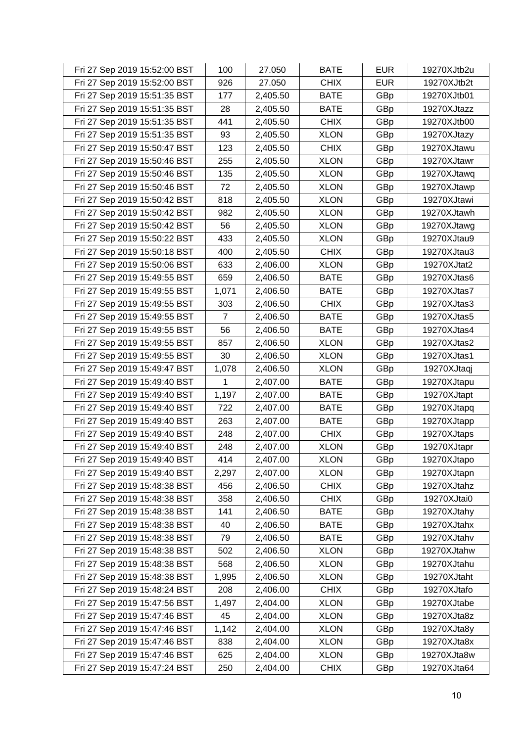| Fri 27 Sep 2019 15:52:00 BST | 100            | 27.050   | <b>BATE</b> | <b>EUR</b> | 19270XJtb2u |
|------------------------------|----------------|----------|-------------|------------|-------------|
| Fri 27 Sep 2019 15:52:00 BST | 926            | 27.050   | <b>CHIX</b> | <b>EUR</b> | 19270XJtb2t |
| Fri 27 Sep 2019 15:51:35 BST | 177            | 2,405.50 | <b>BATE</b> | GBp        | 19270XJtb01 |
| Fri 27 Sep 2019 15:51:35 BST | 28             | 2,405.50 | <b>BATE</b> | GBp        | 19270XJtazz |
| Fri 27 Sep 2019 15:51:35 BST | 441            | 2,405.50 | <b>CHIX</b> | GBp        | 19270XJtb00 |
| Fri 27 Sep 2019 15:51:35 BST | 93             | 2,405.50 | <b>XLON</b> | GBp        | 19270XJtazy |
| Fri 27 Sep 2019 15:50:47 BST | 123            | 2,405.50 | <b>CHIX</b> | GBp        | 19270XJtawu |
| Fri 27 Sep 2019 15:50:46 BST | 255            | 2,405.50 | <b>XLON</b> | GBp        | 19270XJtawr |
| Fri 27 Sep 2019 15:50:46 BST | 135            | 2,405.50 | <b>XLON</b> | GBp        | 19270XJtawq |
| Fri 27 Sep 2019 15:50:46 BST | 72             | 2,405.50 | <b>XLON</b> | GBp        | 19270XJtawp |
| Fri 27 Sep 2019 15:50:42 BST | 818            | 2,405.50 | <b>XLON</b> | GBp        | 19270XJtawi |
| Fri 27 Sep 2019 15:50:42 BST | 982            | 2,405.50 | <b>XLON</b> | GBp        | 19270XJtawh |
| Fri 27 Sep 2019 15:50:42 BST | 56             | 2,405.50 | <b>XLON</b> | GBp        | 19270XJtawg |
| Fri 27 Sep 2019 15:50:22 BST | 433            | 2,405.50 | <b>XLON</b> | GBp        | 19270XJtau9 |
| Fri 27 Sep 2019 15:50:18 BST | 400            | 2,405.50 | <b>CHIX</b> | GBp        | 19270XJtau3 |
| Fri 27 Sep 2019 15:50:06 BST | 633            | 2,406.00 | <b>XLON</b> | GBp        | 19270XJtat2 |
| Fri 27 Sep 2019 15:49:55 BST | 659            | 2,406.50 | <b>BATE</b> | GBp        | 19270XJtas6 |
| Fri 27 Sep 2019 15:49:55 BST | 1,071          | 2,406.50 | <b>BATE</b> | GBp        | 19270XJtas7 |
| Fri 27 Sep 2019 15:49:55 BST | 303            | 2,406.50 | <b>CHIX</b> | GBp        | 19270XJtas3 |
| Fri 27 Sep 2019 15:49:55 BST | $\overline{7}$ | 2,406.50 | <b>BATE</b> | GBp        | 19270XJtas5 |
| Fri 27 Sep 2019 15:49:55 BST | 56             | 2,406.50 | <b>BATE</b> | GBp        | 19270XJtas4 |
| Fri 27 Sep 2019 15:49:55 BST | 857            | 2,406.50 | <b>XLON</b> | GBp        | 19270XJtas2 |
| Fri 27 Sep 2019 15:49:55 BST | 30             | 2,406.50 | <b>XLON</b> | GBp        | 19270XJtas1 |
| Fri 27 Sep 2019 15:49:47 BST | 1,078          | 2,406.50 | <b>XLON</b> | GBp        | 19270XJtaqj |
| Fri 27 Sep 2019 15:49:40 BST | 1              | 2,407.00 | <b>BATE</b> | GBp        | 19270XJtapu |
| Fri 27 Sep 2019 15:49:40 BST | 1,197          | 2,407.00 | <b>BATE</b> | GBp        | 19270XJtapt |
| Fri 27 Sep 2019 15:49:40 BST | 722            | 2,407.00 | <b>BATE</b> | GBp        | 19270XJtapq |
| Fri 27 Sep 2019 15:49:40 BST | 263            | 2,407.00 | <b>BATE</b> | GBp        | 19270XJtapp |
| Fri 27 Sep 2019 15:49:40 BST | 248            | 2,407.00 | <b>CHIX</b> | GBp        | 19270XJtaps |
| Fri 27 Sep 2019 15:49:40 BST | 248            | 2,407.00 | <b>XLON</b> | GBp        | 19270XJtapr |
| Fri 27 Sep 2019 15:49:40 BST | 414            | 2,407.00 | <b>XLON</b> | GBp        | 19270XJtapo |
| Fri 27 Sep 2019 15:49:40 BST | 2,297          | 2,407.00 | <b>XLON</b> | GBp        | 19270XJtapn |
| Fri 27 Sep 2019 15:48:38 BST | 456            | 2,406.50 | <b>CHIX</b> | GBp        | 19270XJtahz |
| Fri 27 Sep 2019 15:48:38 BST | 358            | 2,406.50 | <b>CHIX</b> | GBp        | 19270XJtai0 |
| Fri 27 Sep 2019 15:48:38 BST | 141            | 2,406.50 | <b>BATE</b> | GBp        | 19270XJtahy |
| Fri 27 Sep 2019 15:48:38 BST | 40             | 2,406.50 | <b>BATE</b> | GBp        | 19270XJtahx |
| Fri 27 Sep 2019 15:48:38 BST | 79             | 2,406.50 | <b>BATE</b> | GBp        | 19270XJtahv |
| Fri 27 Sep 2019 15:48:38 BST | 502            | 2,406.50 | <b>XLON</b> | GBp        | 19270XJtahw |
| Fri 27 Sep 2019 15:48:38 BST | 568            | 2,406.50 | <b>XLON</b> | GBp        | 19270XJtahu |
| Fri 27 Sep 2019 15:48:38 BST | 1,995          | 2,406.50 | <b>XLON</b> | GBp        | 19270XJtaht |
| Fri 27 Sep 2019 15:48:24 BST | 208            | 2,406.00 | <b>CHIX</b> | GBp        | 19270XJtafo |
| Fri 27 Sep 2019 15:47:56 BST | 1,497          | 2,404.00 | <b>XLON</b> | GBp        | 19270XJtabe |
| Fri 27 Sep 2019 15:47:46 BST | 45             | 2,404.00 | <b>XLON</b> | GBp        | 19270XJta8z |
| Fri 27 Sep 2019 15:47:46 BST | 1,142          | 2,404.00 | <b>XLON</b> | GBp        | 19270XJta8y |
| Fri 27 Sep 2019 15:47:46 BST | 838            | 2,404.00 | <b>XLON</b> | GBp        | 19270XJta8x |
| Fri 27 Sep 2019 15:47:46 BST | 625            | 2,404.00 | <b>XLON</b> | GBp        | 19270XJta8w |
| Fri 27 Sep 2019 15:47:24 BST | 250            | 2,404.00 | <b>CHIX</b> | GBp        | 19270XJta64 |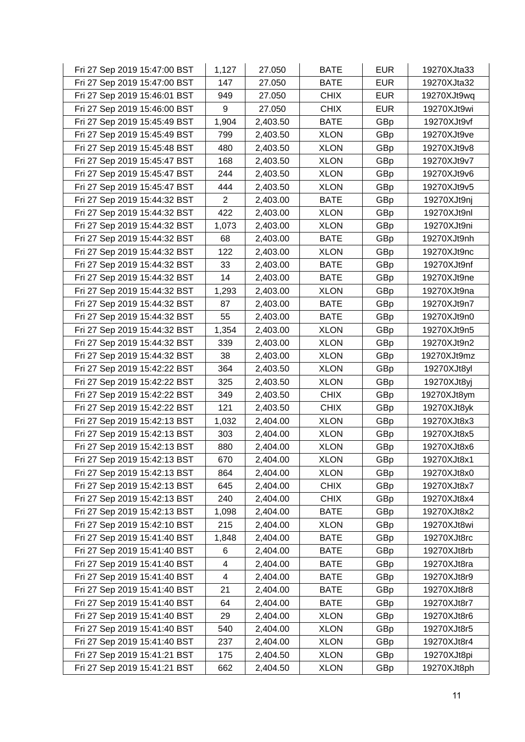| Fri 27 Sep 2019 15:47:00 BST | 1,127          | 27.050   | <b>BATE</b> | <b>EUR</b> | 19270XJta33 |
|------------------------------|----------------|----------|-------------|------------|-------------|
| Fri 27 Sep 2019 15:47:00 BST | 147            | 27.050   | <b>BATE</b> | <b>EUR</b> | 19270XJta32 |
| Fri 27 Sep 2019 15:46:01 BST | 949            | 27.050   | <b>CHIX</b> | <b>EUR</b> | 19270XJt9wq |
| Fri 27 Sep 2019 15:46:00 BST | 9              | 27.050   | <b>CHIX</b> | <b>EUR</b> | 19270XJt9wi |
| Fri 27 Sep 2019 15:45:49 BST | 1,904          | 2,403.50 | <b>BATE</b> | GBp        | 19270XJt9vf |
| Fri 27 Sep 2019 15:45:49 BST | 799            | 2,403.50 | <b>XLON</b> | GBp        | 19270XJt9ve |
| Fri 27 Sep 2019 15:45:48 BST | 480            | 2,403.50 | <b>XLON</b> | GBp        | 19270XJt9v8 |
| Fri 27 Sep 2019 15:45:47 BST | 168            | 2,403.50 | <b>XLON</b> | GBp        | 19270XJt9v7 |
| Fri 27 Sep 2019 15:45:47 BST | 244            | 2,403.50 | <b>XLON</b> | GBp        | 19270XJt9v6 |
| Fri 27 Sep 2019 15:45:47 BST | 444            | 2,403.50 | <b>XLON</b> | GBp        | 19270XJt9v5 |
| Fri 27 Sep 2019 15:44:32 BST | $\overline{2}$ | 2,403.00 | <b>BATE</b> | GBp        | 19270XJt9nj |
| Fri 27 Sep 2019 15:44:32 BST | 422            | 2,403.00 | <b>XLON</b> | GBp        | 19270XJt9nl |
| Fri 27 Sep 2019 15:44:32 BST | 1,073          | 2,403.00 | <b>XLON</b> | GBp        | 19270XJt9ni |
| Fri 27 Sep 2019 15:44:32 BST | 68             | 2,403.00 | <b>BATE</b> | GBp        | 19270XJt9nh |
| Fri 27 Sep 2019 15:44:32 BST | 122            | 2,403.00 | <b>XLON</b> | GBp        | 19270XJt9nc |
| Fri 27 Sep 2019 15:44:32 BST | 33             | 2,403.00 | <b>BATE</b> | GBp        | 19270XJt9nf |
| Fri 27 Sep 2019 15:44:32 BST | 14             | 2,403.00 | <b>BATE</b> | GBp        | 19270XJt9ne |
| Fri 27 Sep 2019 15:44:32 BST | 1,293          | 2,403.00 | <b>XLON</b> | GBp        | 19270XJt9na |
| Fri 27 Sep 2019 15:44:32 BST | 87             | 2,403.00 | <b>BATE</b> | GBp        | 19270XJt9n7 |
| Fri 27 Sep 2019 15:44:32 BST | 55             | 2,403.00 | <b>BATE</b> | GBp        | 19270XJt9n0 |
| Fri 27 Sep 2019 15:44:32 BST | 1,354          | 2,403.00 | <b>XLON</b> | GBp        | 19270XJt9n5 |
| Fri 27 Sep 2019 15:44:32 BST | 339            | 2,403.00 | <b>XLON</b> | GBp        | 19270XJt9n2 |
| Fri 27 Sep 2019 15:44:32 BST | 38             | 2,403.00 | <b>XLON</b> | GBp        | 19270XJt9mz |
| Fri 27 Sep 2019 15:42:22 BST | 364            | 2,403.50 | <b>XLON</b> | GBp        | 19270XJt8yl |
| Fri 27 Sep 2019 15:42:22 BST | 325            | 2,403.50 | <b>XLON</b> | GBp        | 19270XJt8yj |
| Fri 27 Sep 2019 15:42:22 BST | 349            | 2,403.50 | <b>CHIX</b> | GBp        | 19270XJt8ym |
| Fri 27 Sep 2019 15:42:22 BST | 121            | 2,403.50 | <b>CHIX</b> | GBp        | 19270XJt8yk |
| Fri 27 Sep 2019 15:42:13 BST | 1,032          | 2,404.00 | <b>XLON</b> | GBp        | 19270XJt8x3 |
| Fri 27 Sep 2019 15:42:13 BST | 303            | 2,404.00 | <b>XLON</b> | GBp        | 19270XJt8x5 |
| Fri 27 Sep 2019 15:42:13 BST | 880            | 2,404.00 | <b>XLON</b> | GBp        | 19270XJt8x6 |
| Fri 27 Sep 2019 15:42:13 BST | 670            | 2,404.00 | <b>XLON</b> | GBp        | 19270XJt8x1 |
| Fri 27 Sep 2019 15:42:13 BST | 864            | 2,404.00 | <b>XLON</b> | GBp        | 19270XJt8x0 |
| Fri 27 Sep 2019 15:42:13 BST | 645            | 2,404.00 | <b>CHIX</b> | GBp        | 19270XJt8x7 |
| Fri 27 Sep 2019 15:42:13 BST | 240            | 2,404.00 | <b>CHIX</b> | GBp        | 19270XJt8x4 |
| Fri 27 Sep 2019 15:42:13 BST | 1,098          | 2,404.00 | <b>BATE</b> | GBp        | 19270XJt8x2 |
| Fri 27 Sep 2019 15:42:10 BST | 215            | 2,404.00 | <b>XLON</b> | GBp        | 19270XJt8wi |
| Fri 27 Sep 2019 15:41:40 BST | 1,848          | 2,404.00 | <b>BATE</b> | GBp        | 19270XJt8rc |
| Fri 27 Sep 2019 15:41:40 BST | 6              | 2,404.00 | <b>BATE</b> | GBp        | 19270XJt8rb |
| Fri 27 Sep 2019 15:41:40 BST | 4              | 2,404.00 | <b>BATE</b> | GBp        | 19270XJt8ra |
| Fri 27 Sep 2019 15:41:40 BST | 4              | 2,404.00 | <b>BATE</b> | GBp        | 19270XJt8r9 |
| Fri 27 Sep 2019 15:41:40 BST | 21             | 2,404.00 | <b>BATE</b> | GBp        | 19270XJt8r8 |
| Fri 27 Sep 2019 15:41:40 BST | 64             | 2,404.00 | <b>BATE</b> | GBp        | 19270XJt8r7 |
| Fri 27 Sep 2019 15:41:40 BST | 29             | 2,404.00 | <b>XLON</b> | GBp        | 19270XJt8r6 |
| Fri 27 Sep 2019 15:41:40 BST | 540            | 2,404.00 | <b>XLON</b> | GBp        | 19270XJt8r5 |
| Fri 27 Sep 2019 15:41:40 BST | 237            | 2,404.00 | <b>XLON</b> | GBp        | 19270XJt8r4 |
| Fri 27 Sep 2019 15:41:21 BST | 175            | 2,404.50 | <b>XLON</b> | GBp        | 19270XJt8pi |
| Fri 27 Sep 2019 15:41:21 BST | 662            | 2,404.50 | <b>XLON</b> | GBp        | 19270XJt8ph |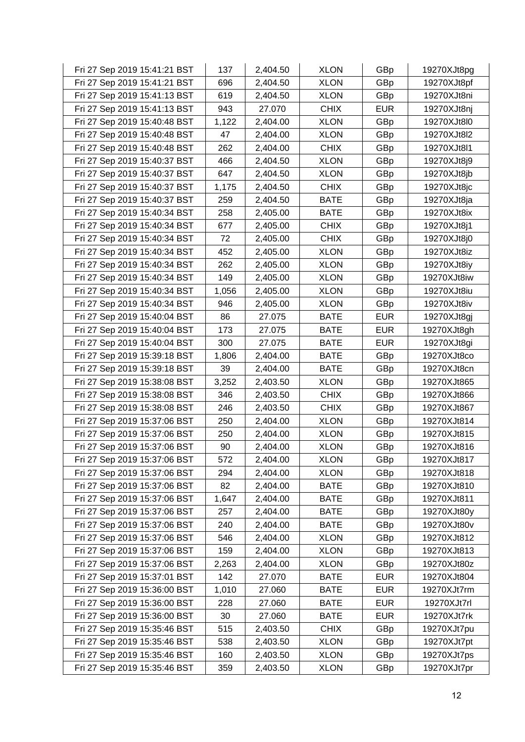| Fri 27 Sep 2019 15:41:21 BST | 137   | 2,404.50 | <b>XLON</b> | GBp        | 19270XJt8pg |
|------------------------------|-------|----------|-------------|------------|-------------|
| Fri 27 Sep 2019 15:41:21 BST | 696   | 2,404.50 | <b>XLON</b> | GBp        | 19270XJt8pf |
| Fri 27 Sep 2019 15:41:13 BST | 619   | 2,404.50 | <b>XLON</b> | GBp        | 19270XJt8ni |
| Fri 27 Sep 2019 15:41:13 BST | 943   | 27.070   | <b>CHIX</b> | <b>EUR</b> | 19270XJt8nj |
| Fri 27 Sep 2019 15:40:48 BST | 1,122 | 2,404.00 | <b>XLON</b> | GBp        | 19270XJt8l0 |
| Fri 27 Sep 2019 15:40:48 BST | 47    | 2,404.00 | <b>XLON</b> | GBp        | 19270XJt8l2 |
| Fri 27 Sep 2019 15:40:48 BST | 262   | 2,404.00 | <b>CHIX</b> | GBp        | 19270XJt8l1 |
| Fri 27 Sep 2019 15:40:37 BST | 466   | 2,404.50 | <b>XLON</b> | GBp        | 19270XJt8j9 |
| Fri 27 Sep 2019 15:40:37 BST | 647   | 2,404.50 | <b>XLON</b> | GBp        | 19270XJt8jb |
| Fri 27 Sep 2019 15:40:37 BST | 1,175 | 2,404.50 | <b>CHIX</b> | GBp        | 19270XJt8jc |
| Fri 27 Sep 2019 15:40:37 BST | 259   | 2,404.50 | <b>BATE</b> | GBp        | 19270XJt8ja |
| Fri 27 Sep 2019 15:40:34 BST | 258   | 2,405.00 | <b>BATE</b> | GBp        | 19270XJt8ix |
| Fri 27 Sep 2019 15:40:34 BST | 677   | 2,405.00 | <b>CHIX</b> | GBp        | 19270XJt8j1 |
| Fri 27 Sep 2019 15:40:34 BST | 72    | 2,405.00 | <b>CHIX</b> | GBp        | 19270XJt8j0 |
| Fri 27 Sep 2019 15:40:34 BST | 452   | 2,405.00 | <b>XLON</b> | GBp        | 19270XJt8iz |
| Fri 27 Sep 2019 15:40:34 BST | 262   | 2,405.00 | <b>XLON</b> | GBp        | 19270XJt8iy |
| Fri 27 Sep 2019 15:40:34 BST | 149   | 2,405.00 | <b>XLON</b> | GBp        | 19270XJt8iw |
| Fri 27 Sep 2019 15:40:34 BST | 1,056 | 2,405.00 | <b>XLON</b> | GBp        | 19270XJt8iu |
| Fri 27 Sep 2019 15:40:34 BST | 946   | 2,405.00 | <b>XLON</b> | GBp        | 19270XJt8iv |
| Fri 27 Sep 2019 15:40:04 BST | 86    | 27.075   | <b>BATE</b> | <b>EUR</b> | 19270XJt8gj |
| Fri 27 Sep 2019 15:40:04 BST | 173   | 27.075   | <b>BATE</b> | <b>EUR</b> | 19270XJt8gh |
| Fri 27 Sep 2019 15:40:04 BST | 300   | 27.075   | <b>BATE</b> | <b>EUR</b> | 19270XJt8gi |
| Fri 27 Sep 2019 15:39:18 BST | 1,806 | 2,404.00 | <b>BATE</b> | GBp        | 19270XJt8co |
| Fri 27 Sep 2019 15:39:18 BST | 39    | 2,404.00 | <b>BATE</b> | GBp        | 19270XJt8cn |
| Fri 27 Sep 2019 15:38:08 BST | 3,252 | 2,403.50 | <b>XLON</b> | GBp        | 19270XJt865 |
| Fri 27 Sep 2019 15:38:08 BST | 346   | 2,403.50 | <b>CHIX</b> | GBp        | 19270XJt866 |
| Fri 27 Sep 2019 15:38:08 BST | 246   | 2,403.50 | <b>CHIX</b> | GBp        | 19270XJt867 |
| Fri 27 Sep 2019 15:37:06 BST | 250   | 2,404.00 | <b>XLON</b> | GBp        | 19270XJt814 |
| Fri 27 Sep 2019 15:37:06 BST | 250   | 2,404.00 | <b>XLON</b> | GBp        | 19270XJt815 |
| Fri 27 Sep 2019 15:37:06 BST | 90    | 2,404.00 | <b>XLON</b> | GBp        | 19270XJt816 |
| Fri 27 Sep 2019 15:37:06 BST | 572   | 2,404.00 | <b>XLON</b> | GBp        | 19270XJt817 |
| Fri 27 Sep 2019 15:37:06 BST | 294   | 2,404.00 | <b>XLON</b> | GBp        | 19270XJt818 |
| Fri 27 Sep 2019 15:37:06 BST | 82    | 2,404.00 | <b>BATE</b> | GBp        | 19270XJt810 |
| Fri 27 Sep 2019 15:37:06 BST | 1,647 | 2,404.00 | <b>BATE</b> | GBp        | 19270XJt811 |
| Fri 27 Sep 2019 15:37:06 BST | 257   | 2,404.00 | <b>BATE</b> | GBp        | 19270XJt80y |
| Fri 27 Sep 2019 15:37:06 BST | 240   | 2,404.00 | <b>BATE</b> | GBp        | 19270XJt80v |
| Fri 27 Sep 2019 15:37:06 BST | 546   | 2,404.00 | <b>XLON</b> | GBp        | 19270XJt812 |
| Fri 27 Sep 2019 15:37:06 BST | 159   | 2,404.00 | <b>XLON</b> | GBp        | 19270XJt813 |
| Fri 27 Sep 2019 15:37:06 BST | 2,263 | 2,404.00 | <b>XLON</b> | GBp        | 19270XJt80z |
| Fri 27 Sep 2019 15:37:01 BST | 142   | 27.070   | <b>BATE</b> | <b>EUR</b> | 19270XJt804 |
| Fri 27 Sep 2019 15:36:00 BST | 1,010 | 27.060   | <b>BATE</b> | <b>EUR</b> | 19270XJt7rm |
| Fri 27 Sep 2019 15:36:00 BST | 228   | 27.060   | <b>BATE</b> | <b>EUR</b> | 19270XJt7rl |
| Fri 27 Sep 2019 15:36:00 BST | 30    | 27.060   | <b>BATE</b> | <b>EUR</b> | 19270XJt7rk |
| Fri 27 Sep 2019 15:35:46 BST | 515   | 2,403.50 | <b>CHIX</b> | GBp        | 19270XJt7pu |
| Fri 27 Sep 2019 15:35:46 BST | 538   | 2,403.50 | <b>XLON</b> | GBp        | 19270XJt7pt |
| Fri 27 Sep 2019 15:35:46 BST | 160   | 2,403.50 | <b>XLON</b> | GBp        | 19270XJt7ps |
| Fri 27 Sep 2019 15:35:46 BST | 359   | 2,403.50 | <b>XLON</b> | GBp        | 19270XJt7pr |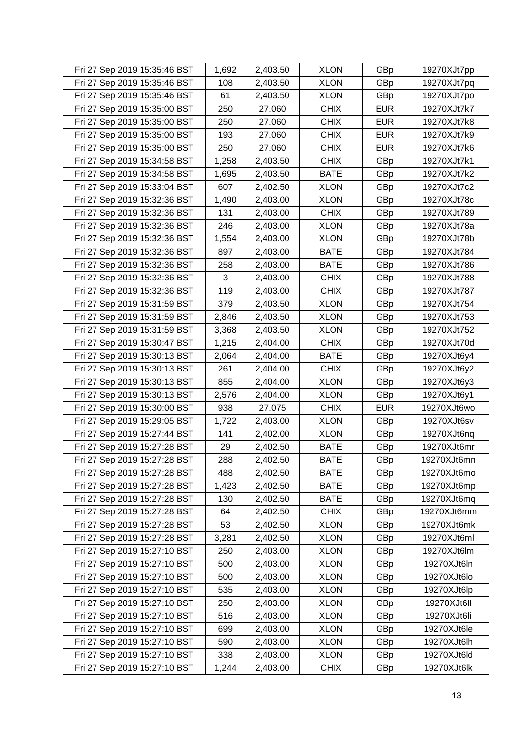| Fri 27 Sep 2019 15:35:46 BST | 1,692 | 2,403.50 | <b>XLON</b> | GBp        | 19270XJt7pp |
|------------------------------|-------|----------|-------------|------------|-------------|
| Fri 27 Sep 2019 15:35:46 BST | 108   | 2,403.50 | <b>XLON</b> | GBp        | 19270XJt7pq |
| Fri 27 Sep 2019 15:35:46 BST | 61    | 2,403.50 | <b>XLON</b> | GBp        | 19270XJt7po |
| Fri 27 Sep 2019 15:35:00 BST | 250   | 27.060   | <b>CHIX</b> | <b>EUR</b> | 19270XJt7k7 |
| Fri 27 Sep 2019 15:35:00 BST | 250   | 27.060   | <b>CHIX</b> | <b>EUR</b> | 19270XJt7k8 |
| Fri 27 Sep 2019 15:35:00 BST | 193   | 27.060   | <b>CHIX</b> | <b>EUR</b> | 19270XJt7k9 |
| Fri 27 Sep 2019 15:35:00 BST | 250   | 27.060   | <b>CHIX</b> | <b>EUR</b> | 19270XJt7k6 |
| Fri 27 Sep 2019 15:34:58 BST | 1,258 | 2,403.50 | <b>CHIX</b> | GBp        | 19270XJt7k1 |
| Fri 27 Sep 2019 15:34:58 BST | 1,695 | 2,403.50 | <b>BATE</b> | GBp        | 19270XJt7k2 |
| Fri 27 Sep 2019 15:33:04 BST | 607   | 2,402.50 | <b>XLON</b> | GBp        | 19270XJt7c2 |
| Fri 27 Sep 2019 15:32:36 BST | 1,490 | 2,403.00 | <b>XLON</b> | GBp        | 19270XJt78c |
| Fri 27 Sep 2019 15:32:36 BST | 131   | 2,403.00 | <b>CHIX</b> | GBp        | 19270XJt789 |
| Fri 27 Sep 2019 15:32:36 BST | 246   | 2,403.00 | <b>XLON</b> | GBp        | 19270XJt78a |
| Fri 27 Sep 2019 15:32:36 BST | 1,554 | 2,403.00 | <b>XLON</b> | GBp        | 19270XJt78b |
| Fri 27 Sep 2019 15:32:36 BST | 897   | 2,403.00 | <b>BATE</b> | GBp        | 19270XJt784 |
| Fri 27 Sep 2019 15:32:36 BST | 258   | 2,403.00 | <b>BATE</b> | GBp        | 19270XJt786 |
| Fri 27 Sep 2019 15:32:36 BST | 3     | 2,403.00 | <b>CHIX</b> | GBp        | 19270XJt788 |
| Fri 27 Sep 2019 15:32:36 BST | 119   | 2,403.00 | <b>CHIX</b> | GBp        | 19270XJt787 |
| Fri 27 Sep 2019 15:31:59 BST | 379   | 2,403.50 | <b>XLON</b> | GBp        | 19270XJt754 |
| Fri 27 Sep 2019 15:31:59 BST | 2,846 | 2,403.50 | <b>XLON</b> | GBp        | 19270XJt753 |
| Fri 27 Sep 2019 15:31:59 BST | 3,368 | 2,403.50 | <b>XLON</b> | GBp        | 19270XJt752 |
| Fri 27 Sep 2019 15:30:47 BST | 1,215 | 2,404.00 | <b>CHIX</b> | GBp        | 19270XJt70d |
| Fri 27 Sep 2019 15:30:13 BST | 2,064 | 2,404.00 | <b>BATE</b> | GBp        | 19270XJt6y4 |
| Fri 27 Sep 2019 15:30:13 BST | 261   | 2,404.00 | <b>CHIX</b> | GBp        | 19270XJt6y2 |
| Fri 27 Sep 2019 15:30:13 BST | 855   | 2,404.00 | <b>XLON</b> | GBp        | 19270XJt6y3 |
| Fri 27 Sep 2019 15:30:13 BST | 2,576 | 2,404.00 | <b>XLON</b> | GBp        | 19270XJt6y1 |
| Fri 27 Sep 2019 15:30:00 BST | 938   | 27.075   | <b>CHIX</b> | <b>EUR</b> | 19270XJt6wo |
| Fri 27 Sep 2019 15:29:05 BST | 1,722 | 2,403.00 | <b>XLON</b> | GBp        | 19270XJt6sv |
| Fri 27 Sep 2019 15:27:44 BST | 141   | 2,402.00 | <b>XLON</b> | GBp        | 19270XJt6nq |
| Fri 27 Sep 2019 15:27:28 BST | 29    | 2,402.50 | <b>BATE</b> | GBp        | 19270XJt6mr |
| Fri 27 Sep 2019 15:27:28 BST | 288   | 2,402.50 | <b>BATE</b> | GBp        | 19270XJt6mn |
| Fri 27 Sep 2019 15:27:28 BST | 488   | 2,402.50 | <b>BATE</b> | GBp        | 19270XJt6mo |
| Fri 27 Sep 2019 15:27:28 BST | 1,423 | 2,402.50 | <b>BATE</b> | GBp        | 19270XJt6mp |
| Fri 27 Sep 2019 15:27:28 BST | 130   | 2,402.50 | <b>BATE</b> | GBp        | 19270XJt6mq |
| Fri 27 Sep 2019 15:27:28 BST | 64    | 2,402.50 | <b>CHIX</b> | GBp        | 19270XJt6mm |
| Fri 27 Sep 2019 15:27:28 BST | 53    | 2,402.50 | <b>XLON</b> | GBp        | 19270XJt6mk |
| Fri 27 Sep 2019 15:27:28 BST | 3,281 | 2,402.50 | <b>XLON</b> | GBp        | 19270XJt6ml |
| Fri 27 Sep 2019 15:27:10 BST | 250   | 2,403.00 | <b>XLON</b> | GBp        | 19270XJt6lm |
| Fri 27 Sep 2019 15:27:10 BST | 500   | 2,403.00 | <b>XLON</b> | GBp        | 19270XJt6ln |
| Fri 27 Sep 2019 15:27:10 BST | 500   | 2,403.00 | <b>XLON</b> | GBp        | 19270XJt6lo |
| Fri 27 Sep 2019 15:27:10 BST | 535   | 2,403.00 | <b>XLON</b> | GBp        | 19270XJt6lp |
| Fri 27 Sep 2019 15:27:10 BST | 250   | 2,403.00 | <b>XLON</b> | GBp        | 19270XJt6II |
| Fri 27 Sep 2019 15:27:10 BST | 516   | 2,403.00 | <b>XLON</b> | GBp        | 19270XJt6li |
| Fri 27 Sep 2019 15:27:10 BST | 699   | 2,403.00 | <b>XLON</b> | GBp        | 19270XJt6le |
| Fri 27 Sep 2019 15:27:10 BST | 590   | 2,403.00 | <b>XLON</b> | GBp        | 19270XJt6lh |
| Fri 27 Sep 2019 15:27:10 BST | 338   | 2,403.00 | <b>XLON</b> | GBp        | 19270XJt6ld |
| Fri 27 Sep 2019 15:27:10 BST | 1,244 | 2,403.00 | <b>CHIX</b> | GBp        | 19270XJt6lk |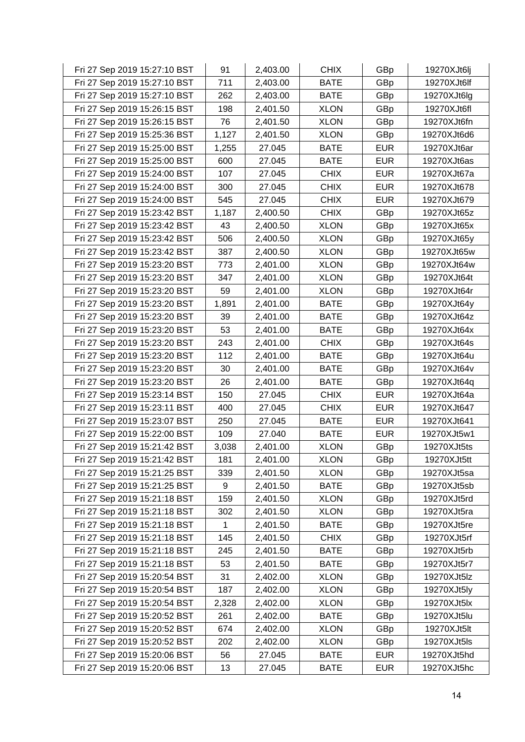| Fri 27 Sep 2019 15:27:10 BST | 91    | 2,403.00 | <b>CHIX</b> | GBp        | 19270XJt6lj |
|------------------------------|-------|----------|-------------|------------|-------------|
| Fri 27 Sep 2019 15:27:10 BST | 711   | 2,403.00 | <b>BATE</b> | GBp        | 19270XJt6lf |
| Fri 27 Sep 2019 15:27:10 BST | 262   | 2,403.00 | <b>BATE</b> | GBp        | 19270XJt6lg |
| Fri 27 Sep 2019 15:26:15 BST | 198   | 2,401.50 | <b>XLON</b> | GBp        | 19270XJt6fl |
| Fri 27 Sep 2019 15:26:15 BST | 76    | 2,401.50 | <b>XLON</b> | GBp        | 19270XJt6fn |
| Fri 27 Sep 2019 15:25:36 BST | 1,127 | 2,401.50 | <b>XLON</b> | GBp        | 19270XJt6d6 |
| Fri 27 Sep 2019 15:25:00 BST | 1,255 | 27.045   | <b>BATE</b> | <b>EUR</b> | 19270XJt6ar |
| Fri 27 Sep 2019 15:25:00 BST | 600   | 27.045   | <b>BATE</b> | <b>EUR</b> | 19270XJt6as |
| Fri 27 Sep 2019 15:24:00 BST | 107   | 27.045   | <b>CHIX</b> | <b>EUR</b> | 19270XJt67a |
| Fri 27 Sep 2019 15:24:00 BST | 300   | 27.045   | <b>CHIX</b> | <b>EUR</b> | 19270XJt678 |
| Fri 27 Sep 2019 15:24:00 BST | 545   | 27.045   | <b>CHIX</b> | <b>EUR</b> | 19270XJt679 |
| Fri 27 Sep 2019 15:23:42 BST | 1,187 | 2,400.50 | <b>CHIX</b> | GBp        | 19270XJt65z |
| Fri 27 Sep 2019 15:23:42 BST | 43    | 2,400.50 | <b>XLON</b> | GBp        | 19270XJt65x |
| Fri 27 Sep 2019 15:23:42 BST | 506   | 2,400.50 | <b>XLON</b> | GBp        | 19270XJt65y |
| Fri 27 Sep 2019 15:23:42 BST | 387   | 2,400.50 | <b>XLON</b> | GBp        | 19270XJt65w |
| Fri 27 Sep 2019 15:23:20 BST | 773   | 2,401.00 | <b>XLON</b> | GBp        | 19270XJt64w |
| Fri 27 Sep 2019 15:23:20 BST | 347   | 2,401.00 | <b>XLON</b> | GBp        | 19270XJt64t |
| Fri 27 Sep 2019 15:23:20 BST | 59    | 2,401.00 | <b>XLON</b> | GBp        | 19270XJt64r |
| Fri 27 Sep 2019 15:23:20 BST | 1,891 | 2,401.00 | <b>BATE</b> | GBp        | 19270XJt64y |
| Fri 27 Sep 2019 15:23:20 BST | 39    | 2,401.00 | <b>BATE</b> | GBp        | 19270XJt64z |
| Fri 27 Sep 2019 15:23:20 BST | 53    | 2,401.00 | <b>BATE</b> | GBp        | 19270XJt64x |
| Fri 27 Sep 2019 15:23:20 BST | 243   | 2,401.00 | <b>CHIX</b> | GBp        | 19270XJt64s |
| Fri 27 Sep 2019 15:23:20 BST | 112   | 2,401.00 | <b>BATE</b> | GBp        | 19270XJt64u |
| Fri 27 Sep 2019 15:23:20 BST | 30    | 2,401.00 | <b>BATE</b> | GBp        | 19270XJt64v |
| Fri 27 Sep 2019 15:23:20 BST | 26    | 2,401.00 | <b>BATE</b> | GBp        | 19270XJt64q |
| Fri 27 Sep 2019 15:23:14 BST | 150   | 27.045   | <b>CHIX</b> | <b>EUR</b> | 19270XJt64a |
| Fri 27 Sep 2019 15:23:11 BST | 400   | 27.045   | <b>CHIX</b> | <b>EUR</b> | 19270XJt647 |
| Fri 27 Sep 2019 15:23:07 BST | 250   | 27.045   | <b>BATE</b> | <b>EUR</b> | 19270XJt641 |
| Fri 27 Sep 2019 15:22:00 BST | 109   | 27.040   | <b>BATE</b> | <b>EUR</b> | 19270XJt5w1 |
| Fri 27 Sep 2019 15:21:42 BST | 3,038 | 2,401.00 | <b>XLON</b> | GBp        | 19270XJt5ts |
| Fri 27 Sep 2019 15:21:42 BST | 181   | 2,401.00 | <b>XLON</b> | GBp        | 19270XJt5tt |
| Fri 27 Sep 2019 15:21:25 BST | 339   | 2,401.50 | <b>XLON</b> | GBp        | 19270XJt5sa |
| Fri 27 Sep 2019 15:21:25 BST | 9     | 2,401.50 | <b>BATE</b> | GBp        | 19270XJt5sb |
| Fri 27 Sep 2019 15:21:18 BST | 159   | 2,401.50 | <b>XLON</b> | GBp        | 19270XJt5rd |
| Fri 27 Sep 2019 15:21:18 BST | 302   | 2,401.50 | <b>XLON</b> | GBp        | 19270XJt5ra |
| Fri 27 Sep 2019 15:21:18 BST | 1     | 2,401.50 | <b>BATE</b> | GBp        | 19270XJt5re |
| Fri 27 Sep 2019 15:21:18 BST | 145   | 2,401.50 | <b>CHIX</b> | GBp        | 19270XJt5rf |
| Fri 27 Sep 2019 15:21:18 BST | 245   | 2,401.50 | <b>BATE</b> | GBp        | 19270XJt5rb |
| Fri 27 Sep 2019 15:21:18 BST | 53    | 2,401.50 | <b>BATE</b> | GBp        | 19270XJt5r7 |
| Fri 27 Sep 2019 15:20:54 BST | 31    | 2,402.00 | <b>XLON</b> | GBp        | 19270XJt5lz |
| Fri 27 Sep 2019 15:20:54 BST | 187   | 2,402.00 | <b>XLON</b> | GBp        | 19270XJt5ly |
| Fri 27 Sep 2019 15:20:54 BST | 2,328 | 2,402.00 | <b>XLON</b> | GBp        | 19270XJt5lx |
| Fri 27 Sep 2019 15:20:52 BST | 261   | 2,402.00 | <b>BATE</b> | GBp        | 19270XJt5lu |
| Fri 27 Sep 2019 15:20:52 BST | 674   | 2,402.00 | <b>XLON</b> | GBp        | 19270XJt5lt |
| Fri 27 Sep 2019 15:20:52 BST | 202   | 2,402.00 | <b>XLON</b> | GBp        | 19270XJt5ls |
| Fri 27 Sep 2019 15:20:06 BST | 56    | 27.045   | <b>BATE</b> | <b>EUR</b> | 19270XJt5hd |
| Fri 27 Sep 2019 15:20:06 BST | 13    | 27.045   | <b>BATE</b> | <b>EUR</b> | 19270XJt5hc |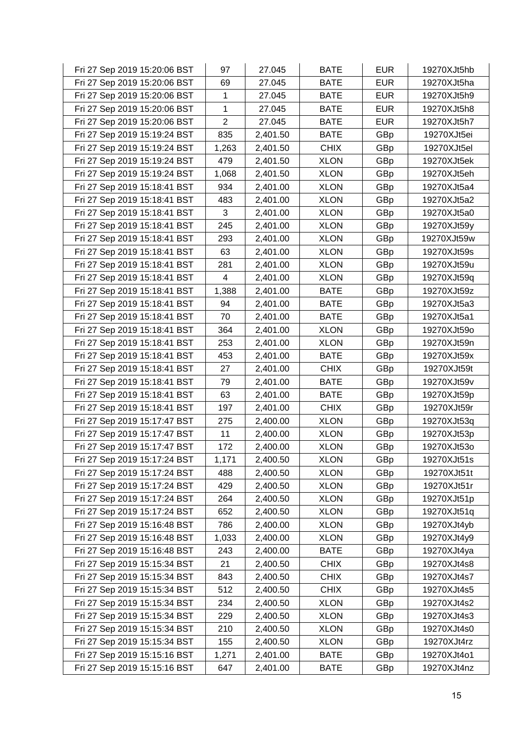| Fri 27 Sep 2019 15:20:06 BST | 97                      | 27.045   | <b>BATE</b> | <b>EUR</b> | 19270XJt5hb |
|------------------------------|-------------------------|----------|-------------|------------|-------------|
| Fri 27 Sep 2019 15:20:06 BST | 69                      | 27.045   | <b>BATE</b> | <b>EUR</b> | 19270XJt5ha |
| Fri 27 Sep 2019 15:20:06 BST | 1                       | 27.045   | <b>BATE</b> | <b>EUR</b> | 19270XJt5h9 |
| Fri 27 Sep 2019 15:20:06 BST | 1                       | 27.045   | <b>BATE</b> | <b>EUR</b> | 19270XJt5h8 |
| Fri 27 Sep 2019 15:20:06 BST | $\overline{2}$          | 27.045   | <b>BATE</b> | <b>EUR</b> | 19270XJt5h7 |
| Fri 27 Sep 2019 15:19:24 BST | 835                     | 2,401.50 | <b>BATE</b> | GBp        | 19270XJt5ei |
| Fri 27 Sep 2019 15:19:24 BST | 1,263                   | 2,401.50 | <b>CHIX</b> | GBp        | 19270XJt5el |
| Fri 27 Sep 2019 15:19:24 BST | 479                     | 2,401.50 | <b>XLON</b> | GBp        | 19270XJt5ek |
| Fri 27 Sep 2019 15:19:24 BST | 1,068                   | 2,401.50 | <b>XLON</b> | GBp        | 19270XJt5eh |
| Fri 27 Sep 2019 15:18:41 BST | 934                     | 2,401.00 | <b>XLON</b> | GBp        | 19270XJt5a4 |
| Fri 27 Sep 2019 15:18:41 BST | 483                     | 2,401.00 | <b>XLON</b> | GBp        | 19270XJt5a2 |
| Fri 27 Sep 2019 15:18:41 BST | 3                       | 2,401.00 | <b>XLON</b> | GBp        | 19270XJt5a0 |
| Fri 27 Sep 2019 15:18:41 BST | 245                     | 2,401.00 | <b>XLON</b> | GBp        | 19270XJt59y |
| Fri 27 Sep 2019 15:18:41 BST | 293                     | 2,401.00 | <b>XLON</b> | GBp        | 19270XJt59w |
| Fri 27 Sep 2019 15:18:41 BST | 63                      | 2,401.00 | <b>XLON</b> | GBp        | 19270XJt59s |
| Fri 27 Sep 2019 15:18:41 BST | 281                     | 2,401.00 | <b>XLON</b> | GBp        | 19270XJt59u |
| Fri 27 Sep 2019 15:18:41 BST | $\overline{\mathbf{4}}$ | 2,401.00 | <b>XLON</b> | GBp        | 19270XJt59q |
| Fri 27 Sep 2019 15:18:41 BST | 1,388                   | 2,401.00 | <b>BATE</b> | GBp        | 19270XJt59z |
| Fri 27 Sep 2019 15:18:41 BST | 94                      | 2,401.00 | <b>BATE</b> | GBp        | 19270XJt5a3 |
| Fri 27 Sep 2019 15:18:41 BST | 70                      | 2,401.00 | <b>BATE</b> | GBp        | 19270XJt5a1 |
| Fri 27 Sep 2019 15:18:41 BST | 364                     | 2,401.00 | <b>XLON</b> | GBp        | 19270XJt59o |
| Fri 27 Sep 2019 15:18:41 BST | 253                     | 2,401.00 | <b>XLON</b> | GBp        | 19270XJt59n |
| Fri 27 Sep 2019 15:18:41 BST | 453                     | 2,401.00 | <b>BATE</b> | GBp        | 19270XJt59x |
| Fri 27 Sep 2019 15:18:41 BST | 27                      | 2,401.00 | <b>CHIX</b> | GBp        | 19270XJt59t |
| Fri 27 Sep 2019 15:18:41 BST | 79                      | 2,401.00 | <b>BATE</b> | GBp        | 19270XJt59v |
| Fri 27 Sep 2019 15:18:41 BST | 63                      | 2,401.00 | <b>BATE</b> | GBp        | 19270XJt59p |
| Fri 27 Sep 2019 15:18:41 BST | 197                     | 2,401.00 | <b>CHIX</b> | GBp        | 19270XJt59r |
| Fri 27 Sep 2019 15:17:47 BST | 275                     | 2,400.00 | <b>XLON</b> | GBp        | 19270XJt53q |
| Fri 27 Sep 2019 15:17:47 BST | 11                      | 2,400.00 | <b>XLON</b> | GBp        | 19270XJt53p |
| Fri 27 Sep 2019 15:17:47 BST | 172                     | 2,400.00 | <b>XLON</b> | GBp        | 19270XJt53o |
| Fri 27 Sep 2019 15:17:24 BST | 1,171                   | 2,400.50 | <b>XLON</b> | GBp        | 19270XJt51s |
| Fri 27 Sep 2019 15:17:24 BST | 488                     | 2,400.50 | <b>XLON</b> | GBp        | 19270XJt51t |
| Fri 27 Sep 2019 15:17:24 BST | 429                     | 2,400.50 | <b>XLON</b> | GBp        | 19270XJt51r |
| Fri 27 Sep 2019 15:17:24 BST | 264                     | 2,400.50 | <b>XLON</b> | GBp        | 19270XJt51p |
| Fri 27 Sep 2019 15:17:24 BST | 652                     | 2,400.50 | <b>XLON</b> | GBp        | 19270XJt51q |
| Fri 27 Sep 2019 15:16:48 BST | 786                     | 2,400.00 | <b>XLON</b> | GBp        | 19270XJt4yb |
| Fri 27 Sep 2019 15:16:48 BST | 1,033                   | 2,400.00 | <b>XLON</b> | GBp        | 19270XJt4y9 |
| Fri 27 Sep 2019 15:16:48 BST | 243                     | 2,400.00 | <b>BATE</b> | GBp        | 19270XJt4ya |
| Fri 27 Sep 2019 15:15:34 BST | 21                      | 2,400.50 | <b>CHIX</b> | GBp        | 19270XJt4s8 |
| Fri 27 Sep 2019 15:15:34 BST | 843                     | 2,400.50 | <b>CHIX</b> | GBp        | 19270XJt4s7 |
| Fri 27 Sep 2019 15:15:34 BST | 512                     | 2,400.50 | <b>CHIX</b> | GBp        | 19270XJt4s5 |
| Fri 27 Sep 2019 15:15:34 BST | 234                     | 2,400.50 | <b>XLON</b> | GBp        | 19270XJt4s2 |
| Fri 27 Sep 2019 15:15:34 BST | 229                     | 2,400.50 | <b>XLON</b> | GBp        | 19270XJt4s3 |
| Fri 27 Sep 2019 15:15:34 BST | 210                     | 2,400.50 | <b>XLON</b> | GBp        | 19270XJt4s0 |
| Fri 27 Sep 2019 15:15:34 BST | 155                     | 2,400.50 | <b>XLON</b> | GBp        | 19270XJt4rz |
| Fri 27 Sep 2019 15:15:16 BST | 1,271                   | 2,401.00 | <b>BATE</b> | GBp        | 19270XJt4o1 |
| Fri 27 Sep 2019 15:15:16 BST | 647                     | 2,401.00 | <b>BATE</b> | GBp        | 19270XJt4nz |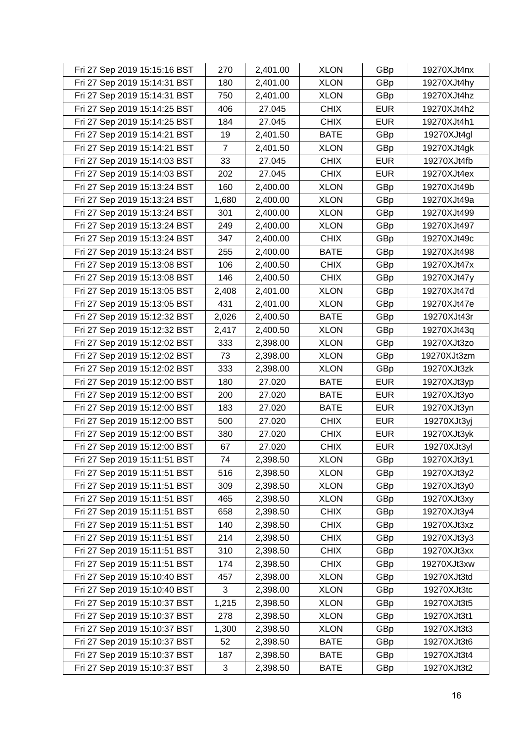| Fri 27 Sep 2019 15:15:16 BST | 270   | 2,401.00 | <b>XLON</b> | GBp        | 19270XJt4nx |
|------------------------------|-------|----------|-------------|------------|-------------|
| Fri 27 Sep 2019 15:14:31 BST | 180   | 2,401.00 | <b>XLON</b> | GBp        | 19270XJt4hy |
| Fri 27 Sep 2019 15:14:31 BST | 750   | 2,401.00 | <b>XLON</b> | GBp        | 19270XJt4hz |
| Fri 27 Sep 2019 15:14:25 BST | 406   | 27.045   | <b>CHIX</b> | <b>EUR</b> | 19270XJt4h2 |
| Fri 27 Sep 2019 15:14:25 BST | 184   | 27.045   | <b>CHIX</b> | <b>EUR</b> | 19270XJt4h1 |
| Fri 27 Sep 2019 15:14:21 BST | 19    | 2,401.50 | <b>BATE</b> | GBp        | 19270XJt4gl |
| Fri 27 Sep 2019 15:14:21 BST | 7     | 2,401.50 | <b>XLON</b> | GBp        | 19270XJt4gk |
| Fri 27 Sep 2019 15:14:03 BST | 33    | 27.045   | <b>CHIX</b> | <b>EUR</b> | 19270XJt4fb |
| Fri 27 Sep 2019 15:14:03 BST | 202   | 27.045   | <b>CHIX</b> | <b>EUR</b> | 19270XJt4ex |
| Fri 27 Sep 2019 15:13:24 BST | 160   | 2,400.00 | <b>XLON</b> | GBp        | 19270XJt49b |
| Fri 27 Sep 2019 15:13:24 BST | 1,680 | 2,400.00 | <b>XLON</b> | GBp        | 19270XJt49a |
| Fri 27 Sep 2019 15:13:24 BST | 301   | 2,400.00 | <b>XLON</b> | GBp        | 19270XJt499 |
| Fri 27 Sep 2019 15:13:24 BST | 249   | 2,400.00 | <b>XLON</b> | GBp        | 19270XJt497 |
| Fri 27 Sep 2019 15:13:24 BST | 347   | 2,400.00 | <b>CHIX</b> | GBp        | 19270XJt49c |
| Fri 27 Sep 2019 15:13:24 BST | 255   | 2,400.00 | <b>BATE</b> | GBp        | 19270XJt498 |
| Fri 27 Sep 2019 15:13:08 BST | 106   | 2,400.50 | <b>CHIX</b> | GBp        | 19270XJt47x |
| Fri 27 Sep 2019 15:13:08 BST | 146   | 2,400.50 | <b>CHIX</b> | GBp        | 19270XJt47y |
| Fri 27 Sep 2019 15:13:05 BST | 2,408 | 2,401.00 | <b>XLON</b> | GBp        | 19270XJt47d |
| Fri 27 Sep 2019 15:13:05 BST | 431   | 2,401.00 | <b>XLON</b> | GBp        | 19270XJt47e |
| Fri 27 Sep 2019 15:12:32 BST | 2,026 | 2,400.50 | <b>BATE</b> | GBp        | 19270XJt43r |
| Fri 27 Sep 2019 15:12:32 BST | 2,417 | 2,400.50 | <b>XLON</b> | GBp        | 19270XJt43q |
| Fri 27 Sep 2019 15:12:02 BST | 333   | 2,398.00 | <b>XLON</b> | GBp        | 19270XJt3zo |
| Fri 27 Sep 2019 15:12:02 BST | 73    | 2,398.00 | <b>XLON</b> | GBp        | 19270XJt3zm |
| Fri 27 Sep 2019 15:12:02 BST | 333   | 2,398.00 | <b>XLON</b> | GBp        | 19270XJt3zk |
| Fri 27 Sep 2019 15:12:00 BST | 180   | 27.020   | <b>BATE</b> | <b>EUR</b> | 19270XJt3yp |
| Fri 27 Sep 2019 15:12:00 BST | 200   | 27.020   | <b>BATE</b> | <b>EUR</b> | 19270XJt3yo |
| Fri 27 Sep 2019 15:12:00 BST | 183   | 27.020   | <b>BATE</b> | <b>EUR</b> | 19270XJt3yn |
| Fri 27 Sep 2019 15:12:00 BST | 500   | 27.020   | <b>CHIX</b> | <b>EUR</b> | 19270XJt3yj |
| Fri 27 Sep 2019 15:12:00 BST | 380   | 27.020   | <b>CHIX</b> | <b>EUR</b> | 19270XJt3yk |
| Fri 27 Sep 2019 15:12:00 BST | 67    | 27.020   | <b>CHIX</b> | <b>EUR</b> | 19270XJt3yl |
| Fri 27 Sep 2019 15:11:51 BST | 74    | 2,398.50 | <b>XLON</b> | GBp        | 19270XJt3y1 |
| Fri 27 Sep 2019 15:11:51 BST | 516   | 2,398.50 | <b>XLON</b> | GBp        | 19270XJt3y2 |
| Fri 27 Sep 2019 15:11:51 BST | 309   | 2,398.50 | <b>XLON</b> | GBp        | 19270XJt3y0 |
| Fri 27 Sep 2019 15:11:51 BST | 465   | 2,398.50 | <b>XLON</b> | GBp        | 19270XJt3xy |
| Fri 27 Sep 2019 15:11:51 BST | 658   | 2,398.50 | <b>CHIX</b> | GBp        | 19270XJt3y4 |
| Fri 27 Sep 2019 15:11:51 BST | 140   | 2,398.50 | <b>CHIX</b> | GBp        | 19270XJt3xz |
| Fri 27 Sep 2019 15:11:51 BST | 214   | 2,398.50 | <b>CHIX</b> | GBp        | 19270XJt3y3 |
| Fri 27 Sep 2019 15:11:51 BST | 310   | 2,398.50 | <b>CHIX</b> | GBp        | 19270XJt3xx |
| Fri 27 Sep 2019 15:11:51 BST | 174   | 2,398.50 | <b>CHIX</b> | GBp        | 19270XJt3xw |
| Fri 27 Sep 2019 15:10:40 BST | 457   | 2,398.00 | <b>XLON</b> | GBp        | 19270XJt3td |
| Fri 27 Sep 2019 15:10:40 BST | 3     | 2,398.00 | <b>XLON</b> | GBp        | 19270XJt3tc |
| Fri 27 Sep 2019 15:10:37 BST | 1,215 | 2,398.50 | <b>XLON</b> | GBp        | 19270XJt3t5 |
| Fri 27 Sep 2019 15:10:37 BST | 278   | 2,398.50 | <b>XLON</b> | GBp        | 19270XJt3t1 |
| Fri 27 Sep 2019 15:10:37 BST | 1,300 | 2,398.50 | <b>XLON</b> | GBp        | 19270XJt3t3 |
| Fri 27 Sep 2019 15:10:37 BST | 52    | 2,398.50 | <b>BATE</b> | GBp        | 19270XJt3t6 |
| Fri 27 Sep 2019 15:10:37 BST | 187   | 2,398.50 | <b>BATE</b> | GBp        | 19270XJt3t4 |
| Fri 27 Sep 2019 15:10:37 BST | 3     | 2,398.50 | <b>BATE</b> | GBp        | 19270XJt3t2 |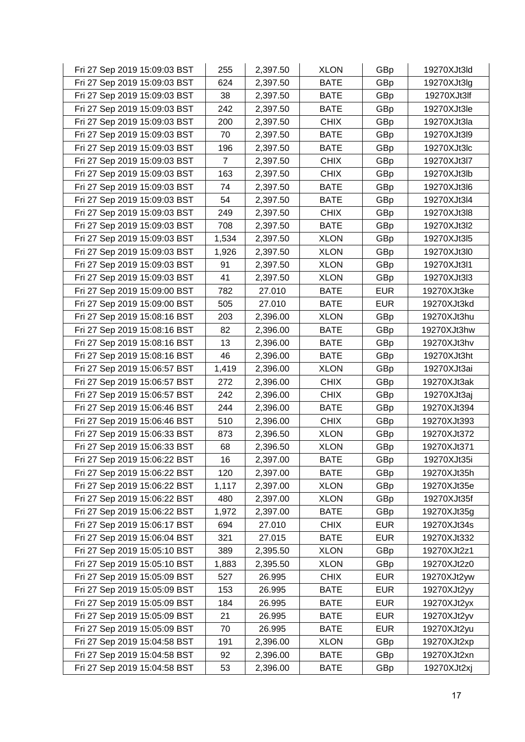| Fri 27 Sep 2019 15:09:03 BST | 255            | 2,397.50 | <b>XLON</b> | GBp        | 19270XJt3ld |
|------------------------------|----------------|----------|-------------|------------|-------------|
| Fri 27 Sep 2019 15:09:03 BST | 624            | 2,397.50 | <b>BATE</b> | GBp        | 19270XJt3lg |
| Fri 27 Sep 2019 15:09:03 BST | 38             | 2,397.50 | <b>BATE</b> | GBp        | 19270XJt3lf |
| Fri 27 Sep 2019 15:09:03 BST | 242            | 2,397.50 | <b>BATE</b> | GBp        | 19270XJt3le |
| Fri 27 Sep 2019 15:09:03 BST | 200            | 2,397.50 | <b>CHIX</b> | GBp        | 19270XJt3la |
| Fri 27 Sep 2019 15:09:03 BST | 70             | 2,397.50 | <b>BATE</b> | GBp        | 19270XJt3l9 |
| Fri 27 Sep 2019 15:09:03 BST | 196            | 2,397.50 | <b>BATE</b> | GBp        | 19270XJt3lc |
| Fri 27 Sep 2019 15:09:03 BST | $\overline{7}$ | 2,397.50 | <b>CHIX</b> | GBp        | 19270XJt3l7 |
| Fri 27 Sep 2019 15:09:03 BST | 163            | 2,397.50 | <b>CHIX</b> | GBp        | 19270XJt3lb |
| Fri 27 Sep 2019 15:09:03 BST | 74             | 2,397.50 | <b>BATE</b> | GBp        | 19270XJt3l6 |
| Fri 27 Sep 2019 15:09:03 BST | 54             | 2,397.50 | <b>BATE</b> | GBp        | 19270XJt3l4 |
| Fri 27 Sep 2019 15:09:03 BST | 249            | 2,397.50 | <b>CHIX</b> | GBp        | 19270XJt3l8 |
| Fri 27 Sep 2019 15:09:03 BST | 708            | 2,397.50 | <b>BATE</b> | GBp        | 19270XJt3l2 |
| Fri 27 Sep 2019 15:09:03 BST | 1,534          | 2,397.50 | <b>XLON</b> | GBp        | 19270XJt3l5 |
| Fri 27 Sep 2019 15:09:03 BST | 1,926          | 2,397.50 | <b>XLON</b> | GBp        | 19270XJt3l0 |
| Fri 27 Sep 2019 15:09:03 BST | 91             | 2,397.50 | <b>XLON</b> | GBp        | 19270XJt3l1 |
| Fri 27 Sep 2019 15:09:03 BST | 41             | 2,397.50 | <b>XLON</b> | GBp        | 19270XJt3l3 |
| Fri 27 Sep 2019 15:09:00 BST | 782            | 27.010   | <b>BATE</b> | <b>EUR</b> | 19270XJt3ke |
| Fri 27 Sep 2019 15:09:00 BST | 505            | 27.010   | <b>BATE</b> | <b>EUR</b> | 19270XJt3kd |
| Fri 27 Sep 2019 15:08:16 BST | 203            | 2,396.00 | <b>XLON</b> | GBp        | 19270XJt3hu |
| Fri 27 Sep 2019 15:08:16 BST | 82             | 2,396.00 | <b>BATE</b> | GBp        | 19270XJt3hw |
| Fri 27 Sep 2019 15:08:16 BST | 13             | 2,396.00 | <b>BATE</b> | GBp        | 19270XJt3hv |
| Fri 27 Sep 2019 15:08:16 BST | 46             | 2,396.00 | <b>BATE</b> | GBp        | 19270XJt3ht |
| Fri 27 Sep 2019 15:06:57 BST | 1,419          | 2,396.00 | <b>XLON</b> | GBp        | 19270XJt3ai |
| Fri 27 Sep 2019 15:06:57 BST | 272            | 2,396.00 | <b>CHIX</b> | GBp        | 19270XJt3ak |
| Fri 27 Sep 2019 15:06:57 BST | 242            | 2,396.00 | <b>CHIX</b> | GBp        | 19270XJt3aj |
| Fri 27 Sep 2019 15:06:46 BST | 244            | 2,396.00 | <b>BATE</b> | GBp        | 19270XJt394 |
| Fri 27 Sep 2019 15:06:46 BST | 510            | 2,396.00 | <b>CHIX</b> | GBp        | 19270XJt393 |
| Fri 27 Sep 2019 15:06:33 BST | 873            | 2,396.50 | <b>XLON</b> | GBp        | 19270XJt372 |
| Fri 27 Sep 2019 15:06:33 BST | 68             | 2,396.50 | <b>XLON</b> | GBp        | 19270XJt371 |
| Fri 27 Sep 2019 15:06:22 BST | 16             | 2,397.00 | <b>BATE</b> | GBp        | 19270XJt35i |
| Fri 27 Sep 2019 15:06:22 BST | 120            | 2,397.00 | <b>BATE</b> | GBp        | 19270XJt35h |
| Fri 27 Sep 2019 15:06:22 BST | 1,117          | 2,397.00 | <b>XLON</b> | GBp        | 19270XJt35e |
| Fri 27 Sep 2019 15:06:22 BST | 480            | 2,397.00 | <b>XLON</b> | GBp        | 19270XJt35f |
| Fri 27 Sep 2019 15:06:22 BST | 1,972          | 2,397.00 | <b>BATE</b> | GBp        | 19270XJt35g |
| Fri 27 Sep 2019 15:06:17 BST | 694            | 27.010   | <b>CHIX</b> | <b>EUR</b> | 19270XJt34s |
| Fri 27 Sep 2019 15:06:04 BST | 321            | 27.015   | <b>BATE</b> | <b>EUR</b> | 19270XJt332 |
| Fri 27 Sep 2019 15:05:10 BST | 389            | 2,395.50 | <b>XLON</b> | GBp        | 19270XJt2z1 |
| Fri 27 Sep 2019 15:05:10 BST | 1,883          | 2,395.50 | <b>XLON</b> | GBp        | 19270XJt2z0 |
| Fri 27 Sep 2019 15:05:09 BST | 527            | 26.995   | <b>CHIX</b> | <b>EUR</b> | 19270XJt2yw |
| Fri 27 Sep 2019 15:05:09 BST | 153            | 26.995   | <b>BATE</b> | <b>EUR</b> | 19270XJt2yy |
| Fri 27 Sep 2019 15:05:09 BST | 184            | 26.995   | <b>BATE</b> | <b>EUR</b> | 19270XJt2yx |
| Fri 27 Sep 2019 15:05:09 BST | 21             | 26.995   | <b>BATE</b> | <b>EUR</b> | 19270XJt2yv |
| Fri 27 Sep 2019 15:05:09 BST | 70             | 26.995   | <b>BATE</b> | <b>EUR</b> | 19270XJt2yu |
| Fri 27 Sep 2019 15:04:58 BST | 191            | 2,396.00 | <b>XLON</b> | GBp        | 19270XJt2xp |
| Fri 27 Sep 2019 15:04:58 BST | 92             | 2,396.00 | <b>BATE</b> | GBp        | 19270XJt2xn |
| Fri 27 Sep 2019 15:04:58 BST | 53             | 2,396.00 | <b>BATE</b> | GBp        | 19270XJt2xj |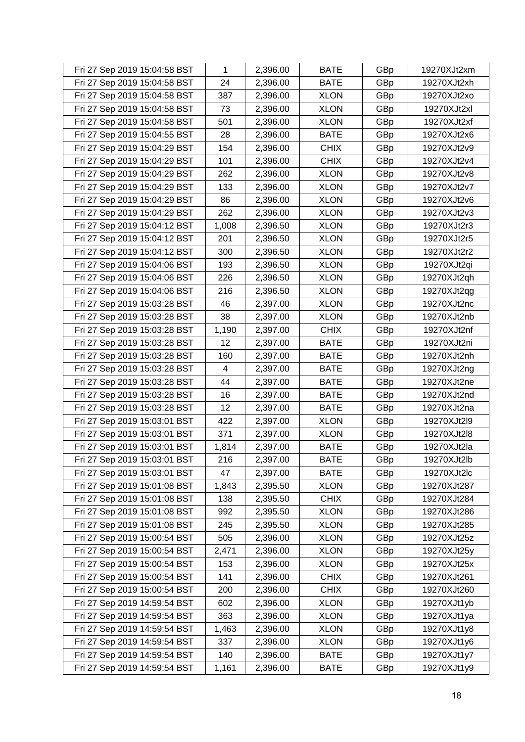| Fri 27 Sep 2019 15:04:58 BST | 1     | 2,396.00 | <b>BATE</b> | GBp | 19270XJt2xm |
|------------------------------|-------|----------|-------------|-----|-------------|
| Fri 27 Sep 2019 15:04:58 BST | 24    | 2,396.00 | <b>BATE</b> | GBp | 19270XJt2xh |
| Fri 27 Sep 2019 15:04:58 BST | 387   | 2,396.00 | <b>XLON</b> | GBp | 19270XJt2xo |
| Fri 27 Sep 2019 15:04:58 BST | 73    | 2,396.00 | <b>XLON</b> | GBp | 19270XJt2xl |
| Fri 27 Sep 2019 15:04:58 BST | 501   | 2,396.00 | <b>XLON</b> | GBp | 19270XJt2xf |
| Fri 27 Sep 2019 15:04:55 BST | 28    | 2,396.00 | <b>BATE</b> | GBp | 19270XJt2x6 |
| Fri 27 Sep 2019 15:04:29 BST | 154   | 2,396.00 | <b>CHIX</b> | GBp | 19270XJt2v9 |
| Fri 27 Sep 2019 15:04:29 BST | 101   | 2,396.00 | <b>CHIX</b> | GBp | 19270XJt2v4 |
| Fri 27 Sep 2019 15:04:29 BST | 262   | 2,396.00 | <b>XLON</b> | GBp | 19270XJt2v8 |
| Fri 27 Sep 2019 15:04:29 BST | 133   | 2,396.00 | <b>XLON</b> | GBp | 19270XJt2v7 |
| Fri 27 Sep 2019 15:04:29 BST | 86    | 2,396.00 | <b>XLON</b> | GBp | 19270XJt2v6 |
| Fri 27 Sep 2019 15:04:29 BST | 262   | 2,396.00 | <b>XLON</b> | GBp | 19270XJt2v3 |
| Fri 27 Sep 2019 15:04:12 BST | 1,008 | 2,396.50 | <b>XLON</b> | GBp | 19270XJt2r3 |
| Fri 27 Sep 2019 15:04:12 BST | 201   | 2,396.50 | <b>XLON</b> | GBp | 19270XJt2r5 |
| Fri 27 Sep 2019 15:04:12 BST | 300   | 2,396.50 | <b>XLON</b> | GBp | 19270XJt2r2 |
| Fri 27 Sep 2019 15:04:06 BST | 193   | 2,396.50 | <b>XLON</b> | GBp | 19270XJt2qi |
| Fri 27 Sep 2019 15:04:06 BST | 226   | 2,396.50 | <b>XLON</b> | GBp | 19270XJt2qh |
| Fri 27 Sep 2019 15:04:06 BST | 216   | 2,396.50 | <b>XLON</b> | GBp | 19270XJt2qg |
| Fri 27 Sep 2019 15:03:28 BST | 46    | 2,397.00 | <b>XLON</b> | GBp | 19270XJt2nc |
| Fri 27 Sep 2019 15:03:28 BST | 38    | 2,397.00 | <b>XLON</b> | GBp | 19270XJt2nb |
| Fri 27 Sep 2019 15:03:28 BST | 1,190 | 2,397.00 | <b>CHIX</b> | GBp | 19270XJt2nf |
| Fri 27 Sep 2019 15:03:28 BST | 12    | 2,397.00 | <b>BATE</b> | GBp | 19270XJt2ni |
| Fri 27 Sep 2019 15:03:28 BST | 160   | 2,397.00 | <b>BATE</b> | GBp | 19270XJt2nh |
| Fri 27 Sep 2019 15:03:28 BST | 4     | 2,397.00 | <b>BATE</b> | GBp | 19270XJt2ng |
| Fri 27 Sep 2019 15:03:28 BST | 44    | 2,397.00 | <b>BATE</b> | GBp | 19270XJt2ne |
| Fri 27 Sep 2019 15:03:28 BST | 16    | 2,397.00 | <b>BATE</b> | GBp | 19270XJt2nd |
| Fri 27 Sep 2019 15:03:28 BST | 12    | 2,397.00 | <b>BATE</b> | GBp | 19270XJt2na |
| Fri 27 Sep 2019 15:03:01 BST | 422   | 2,397.00 | <b>XLON</b> | GBp | 19270XJt2l9 |
| Fri 27 Sep 2019 15:03:01 BST | 371   | 2,397.00 | <b>XLON</b> | GBp | 19270XJt2l8 |
| Fri 27 Sep 2019 15:03:01 BST | 1,814 | 2,397.00 | <b>BATE</b> | GBp | 19270XJt2la |
| Fri 27 Sep 2019 15:03:01 BST | 216   | 2,397.00 | <b>BATE</b> | GBp | 19270XJt2lb |
| Fri 27 Sep 2019 15:03:01 BST | 47    | 2,397.00 | <b>BATE</b> | GBp | 19270XJt2lc |
| Fri 27 Sep 2019 15:01:08 BST | 1,843 | 2,395.50 | <b>XLON</b> | GBp | 19270XJt287 |
| Fri 27 Sep 2019 15:01:08 BST | 138   | 2,395.50 | <b>CHIX</b> | GBp | 19270XJt284 |
| Fri 27 Sep 2019 15:01:08 BST | 992   | 2,395.50 | <b>XLON</b> | GBp | 19270XJt286 |
| Fri 27 Sep 2019 15:01:08 BST | 245   | 2,395.50 | <b>XLON</b> | GBp | 19270XJt285 |
| Fri 27 Sep 2019 15:00:54 BST | 505   | 2,396.00 | <b>XLON</b> | GBp | 19270XJt25z |
| Fri 27 Sep 2019 15:00:54 BST | 2,471 | 2,396.00 | <b>XLON</b> | GBp | 19270XJt25y |
| Fri 27 Sep 2019 15:00:54 BST | 153   | 2,396.00 | <b>XLON</b> | GBp | 19270XJt25x |
| Fri 27 Sep 2019 15:00:54 BST | 141   | 2,396.00 | <b>CHIX</b> | GBp | 19270XJt261 |
| Fri 27 Sep 2019 15:00:54 BST | 200   | 2,396.00 | <b>CHIX</b> | GBp | 19270XJt260 |
| Fri 27 Sep 2019 14:59:54 BST | 602   | 2,396.00 | <b>XLON</b> | GBp | 19270XJt1yb |
| Fri 27 Sep 2019 14:59:54 BST | 363   | 2,396.00 | <b>XLON</b> | GBp | 19270XJt1ya |
| Fri 27 Sep 2019 14:59:54 BST | 1,463 | 2,396.00 | <b>XLON</b> | GBp | 19270XJt1y8 |
| Fri 27 Sep 2019 14:59:54 BST | 337   | 2,396.00 | <b>XLON</b> | GBp | 19270XJt1y6 |
| Fri 27 Sep 2019 14:59:54 BST | 140   | 2,396.00 | <b>BATE</b> | GBp | 19270XJt1y7 |
| Fri 27 Sep 2019 14:59:54 BST | 1,161 | 2,396.00 | <b>BATE</b> | GBp | 19270XJt1y9 |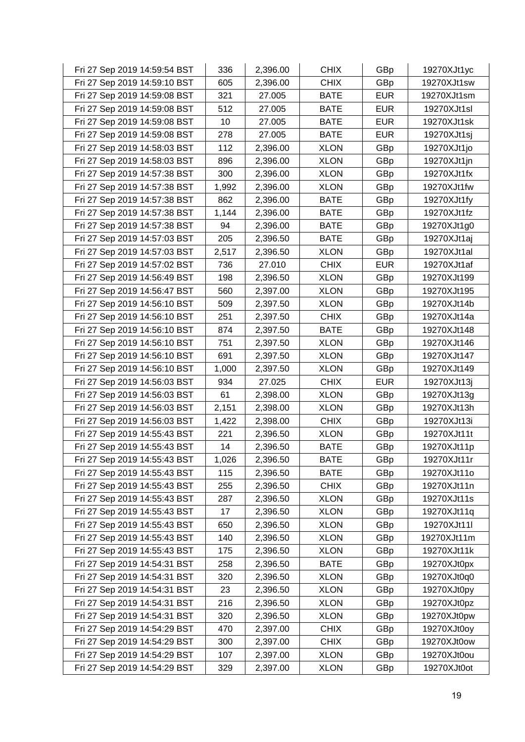| Fri 27 Sep 2019 14:59:54 BST | 336   | 2,396.00 | <b>CHIX</b> | GBp        | 19270XJt1yc |
|------------------------------|-------|----------|-------------|------------|-------------|
| Fri 27 Sep 2019 14:59:10 BST | 605   | 2,396.00 | <b>CHIX</b> | GBp        | 19270XJt1sw |
| Fri 27 Sep 2019 14:59:08 BST | 321   | 27.005   | <b>BATE</b> | <b>EUR</b> | 19270XJt1sm |
| Fri 27 Sep 2019 14:59:08 BST | 512   | 27.005   | <b>BATE</b> | <b>EUR</b> | 19270XJt1sl |
| Fri 27 Sep 2019 14:59:08 BST | 10    | 27.005   | <b>BATE</b> | <b>EUR</b> | 19270XJt1sk |
| Fri 27 Sep 2019 14:59:08 BST | 278   | 27.005   | <b>BATE</b> | <b>EUR</b> | 19270XJt1sj |
| Fri 27 Sep 2019 14:58:03 BST | 112   | 2,396.00 | <b>XLON</b> | GBp        | 19270XJt1jo |
| Fri 27 Sep 2019 14:58:03 BST | 896   | 2,396.00 | <b>XLON</b> | GBp        | 19270XJt1jn |
| Fri 27 Sep 2019 14:57:38 BST | 300   | 2,396.00 | <b>XLON</b> | GBp        | 19270XJt1fx |
| Fri 27 Sep 2019 14:57:38 BST | 1,992 | 2,396.00 | <b>XLON</b> | GBp        | 19270XJt1fw |
| Fri 27 Sep 2019 14:57:38 BST | 862   | 2,396.00 | <b>BATE</b> | GBp        | 19270XJt1fy |
| Fri 27 Sep 2019 14:57:38 BST | 1,144 | 2,396.00 | <b>BATE</b> | GBp        | 19270XJt1fz |
| Fri 27 Sep 2019 14:57:38 BST | 94    | 2,396.00 | <b>BATE</b> | GBp        | 19270XJt1g0 |
| Fri 27 Sep 2019 14:57:03 BST | 205   | 2,396.50 | <b>BATE</b> | GBp        | 19270XJt1aj |
| Fri 27 Sep 2019 14:57:03 BST | 2,517 | 2,396.50 | <b>XLON</b> | GBp        | 19270XJt1al |
| Fri 27 Sep 2019 14:57:02 BST | 736   | 27.010   | <b>CHIX</b> | <b>EUR</b> | 19270XJt1af |
| Fri 27 Sep 2019 14:56:49 BST | 198   | 2,396.50 | <b>XLON</b> | GBp        | 19270XJt199 |
| Fri 27 Sep 2019 14:56:47 BST | 560   | 2,397.00 | <b>XLON</b> | GBp        | 19270XJt195 |
| Fri 27 Sep 2019 14:56:10 BST | 509   | 2,397.50 | <b>XLON</b> | GBp        | 19270XJt14b |
| Fri 27 Sep 2019 14:56:10 BST | 251   | 2,397.50 | <b>CHIX</b> | GBp        | 19270XJt14a |
| Fri 27 Sep 2019 14:56:10 BST | 874   | 2,397.50 | <b>BATE</b> | GBp        | 19270XJt148 |
| Fri 27 Sep 2019 14:56:10 BST | 751   | 2,397.50 | <b>XLON</b> | GBp        | 19270XJt146 |
| Fri 27 Sep 2019 14:56:10 BST | 691   | 2,397.50 | <b>XLON</b> | GBp        | 19270XJt147 |
| Fri 27 Sep 2019 14:56:10 BST | 1,000 | 2,397.50 | <b>XLON</b> | GBp        | 19270XJt149 |
| Fri 27 Sep 2019 14:56:03 BST | 934   | 27.025   | <b>CHIX</b> | <b>EUR</b> | 19270XJt13j |
| Fri 27 Sep 2019 14:56:03 BST | 61    | 2,398.00 | <b>XLON</b> | GBp        | 19270XJt13g |
| Fri 27 Sep 2019 14:56:03 BST | 2,151 | 2,398.00 | <b>XLON</b> | GBp        | 19270XJt13h |
| Fri 27 Sep 2019 14:56:03 BST | 1,422 | 2,398.00 | <b>CHIX</b> | GBp        | 19270XJt13i |
| Fri 27 Sep 2019 14:55:43 BST | 221   | 2,396.50 | <b>XLON</b> | GBp        | 19270XJt11t |
| Fri 27 Sep 2019 14:55:43 BST | 14    | 2,396.50 | <b>BATE</b> | GBp        | 19270XJt11p |
| Fri 27 Sep 2019 14:55:43 BST | 1,026 | 2,396.50 | <b>BATE</b> | GBp        | 19270XJt11r |
| Fri 27 Sep 2019 14:55:43 BST | 115   | 2,396.50 | <b>BATE</b> | GBp        | 19270XJt11o |
| Fri 27 Sep 2019 14:55:43 BST | 255   | 2,396.50 | <b>CHIX</b> | GBp        | 19270XJt11n |
| Fri 27 Sep 2019 14:55:43 BST | 287   | 2,396.50 | <b>XLON</b> | GBp        | 19270XJt11s |
| Fri 27 Sep 2019 14:55:43 BST | 17    | 2,396.50 | <b>XLON</b> | GBp        | 19270XJt11q |
| Fri 27 Sep 2019 14:55:43 BST | 650   | 2,396.50 | <b>XLON</b> | GBp        | 19270XJt11l |
| Fri 27 Sep 2019 14:55:43 BST | 140   | 2,396.50 | <b>XLON</b> | GBp        | 19270XJt11m |
| Fri 27 Sep 2019 14:55:43 BST | 175   | 2,396.50 | <b>XLON</b> | GBp        | 19270XJt11k |
| Fri 27 Sep 2019 14:54:31 BST | 258   | 2,396.50 | <b>BATE</b> | GBp        | 19270XJt0px |
| Fri 27 Sep 2019 14:54:31 BST | 320   | 2,396.50 | <b>XLON</b> | GBp        | 19270XJt0q0 |
| Fri 27 Sep 2019 14:54:31 BST | 23    | 2,396.50 | <b>XLON</b> | GBp        | 19270XJt0py |
| Fri 27 Sep 2019 14:54:31 BST | 216   | 2,396.50 | <b>XLON</b> | GBp        | 19270XJt0pz |
| Fri 27 Sep 2019 14:54:31 BST | 320   | 2,396.50 | <b>XLON</b> | GBp        | 19270XJt0pw |
| Fri 27 Sep 2019 14:54:29 BST | 470   | 2,397.00 | <b>CHIX</b> | GBp        | 19270XJt0oy |
| Fri 27 Sep 2019 14:54:29 BST | 300   | 2,397.00 | <b>CHIX</b> | GBp        | 19270XJt0ow |
| Fri 27 Sep 2019 14:54:29 BST | 107   | 2,397.00 | <b>XLON</b> | GBp        | 19270XJt0ou |
| Fri 27 Sep 2019 14:54:29 BST | 329   | 2,397.00 | <b>XLON</b> | GBp        | 19270XJt0ot |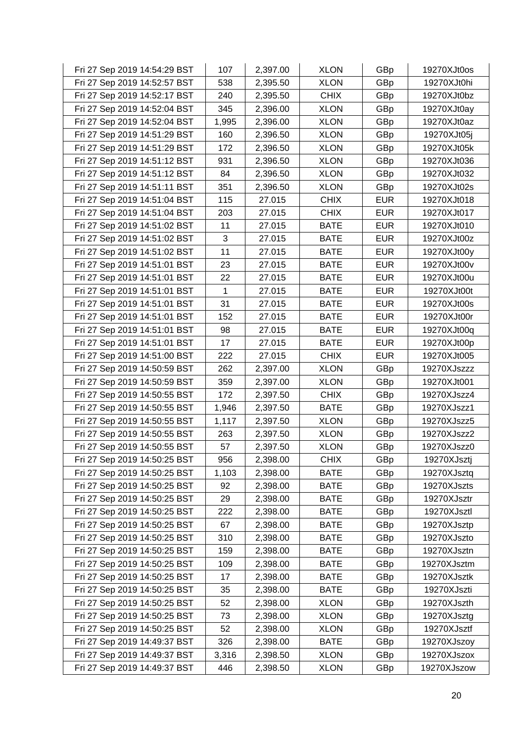| Fri 27 Sep 2019 14:54:29 BST | 107   | 2,397.00 | <b>XLON</b> | GBp        | 19270XJt0os |
|------------------------------|-------|----------|-------------|------------|-------------|
| Fri 27 Sep 2019 14:52:57 BST | 538   | 2,395.50 | <b>XLON</b> | GBp        | 19270XJt0hi |
| Fri 27 Sep 2019 14:52:17 BST | 240   | 2,395.50 | <b>CHIX</b> | GBp        | 19270XJt0bz |
| Fri 27 Sep 2019 14:52:04 BST | 345   | 2,396.00 | <b>XLON</b> | GBp        | 19270XJt0ay |
| Fri 27 Sep 2019 14:52:04 BST | 1,995 | 2,396.00 | <b>XLON</b> | GBp        | 19270XJt0az |
| Fri 27 Sep 2019 14:51:29 BST | 160   | 2,396.50 | <b>XLON</b> | GBp        | 19270XJt05j |
| Fri 27 Sep 2019 14:51:29 BST | 172   | 2,396.50 | <b>XLON</b> | GBp        | 19270XJt05k |
| Fri 27 Sep 2019 14:51:12 BST | 931   | 2,396.50 | <b>XLON</b> | GBp        | 19270XJt036 |
| Fri 27 Sep 2019 14:51:12 BST | 84    | 2,396.50 | <b>XLON</b> | GBp        | 19270XJt032 |
| Fri 27 Sep 2019 14:51:11 BST | 351   | 2,396.50 | <b>XLON</b> | GBp        | 19270XJt02s |
| Fri 27 Sep 2019 14:51:04 BST | 115   | 27.015   | <b>CHIX</b> | <b>EUR</b> | 19270XJt018 |
| Fri 27 Sep 2019 14:51:04 BST | 203   | 27.015   | <b>CHIX</b> | <b>EUR</b> | 19270XJt017 |
| Fri 27 Sep 2019 14:51:02 BST | 11    | 27.015   | <b>BATE</b> | <b>EUR</b> | 19270XJt010 |
| Fri 27 Sep 2019 14:51:02 BST | 3     | 27.015   | <b>BATE</b> | <b>EUR</b> | 19270XJt00z |
| Fri 27 Sep 2019 14:51:02 BST | 11    | 27.015   | <b>BATE</b> | <b>EUR</b> | 19270XJt00y |
| Fri 27 Sep 2019 14:51:01 BST | 23    | 27.015   | <b>BATE</b> | <b>EUR</b> | 19270XJt00v |
| Fri 27 Sep 2019 14:51:01 BST | 22    | 27.015   | <b>BATE</b> | <b>EUR</b> | 19270XJt00u |
| Fri 27 Sep 2019 14:51:01 BST | 1     | 27.015   | <b>BATE</b> | <b>EUR</b> | 19270XJt00t |
| Fri 27 Sep 2019 14:51:01 BST | 31    | 27.015   | <b>BATE</b> | <b>EUR</b> | 19270XJt00s |
| Fri 27 Sep 2019 14:51:01 BST | 152   | 27.015   | <b>BATE</b> | <b>EUR</b> | 19270XJt00r |
| Fri 27 Sep 2019 14:51:01 BST | 98    | 27.015   | <b>BATE</b> | <b>EUR</b> | 19270XJt00q |
| Fri 27 Sep 2019 14:51:01 BST | 17    | 27.015   | <b>BATE</b> | <b>EUR</b> | 19270XJt00p |
| Fri 27 Sep 2019 14:51:00 BST | 222   | 27.015   | <b>CHIX</b> | <b>EUR</b> | 19270XJt005 |
| Fri 27 Sep 2019 14:50:59 BST | 262   | 2,397.00 | <b>XLON</b> | GBp        | 19270XJszzz |
| Fri 27 Sep 2019 14:50:59 BST | 359   | 2,397.00 | <b>XLON</b> | GBp        | 19270XJt001 |
| Fri 27 Sep 2019 14:50:55 BST | 172   | 2,397.50 | <b>CHIX</b> | GBp        | 19270XJszz4 |
| Fri 27 Sep 2019 14:50:55 BST | 1,946 | 2,397.50 | <b>BATE</b> | GBp        | 19270XJszz1 |
| Fri 27 Sep 2019 14:50:55 BST | 1,117 | 2,397.50 | <b>XLON</b> | GBp        | 19270XJszz5 |
| Fri 27 Sep 2019 14:50:55 BST | 263   | 2,397.50 | <b>XLON</b> | GBp        | 19270XJszz2 |
| Fri 27 Sep 2019 14:50:55 BST | 57    | 2,397.50 | <b>XLON</b> | GBp        | 19270XJszz0 |
| Fri 27 Sep 2019 14:50:25 BST | 956   | 2,398.00 | <b>CHIX</b> | GBp        | 19270XJsztj |
| Fri 27 Sep 2019 14:50:25 BST | 1,103 | 2,398.00 | <b>BATE</b> | GBp        | 19270XJsztq |
| Fri 27 Sep 2019 14:50:25 BST | 92    | 2,398.00 | <b>BATE</b> | GBp        | 19270XJszts |
| Fri 27 Sep 2019 14:50:25 BST | 29    | 2,398.00 | <b>BATE</b> | GBp        | 19270XJsztr |
| Fri 27 Sep 2019 14:50:25 BST | 222   | 2,398.00 | <b>BATE</b> | GBp        | 19270XJsztl |
| Fri 27 Sep 2019 14:50:25 BST | 67    | 2,398.00 | <b>BATE</b> | GBp        | 19270XJsztp |
| Fri 27 Sep 2019 14:50:25 BST | 310   | 2,398.00 | <b>BATE</b> | GBp        | 19270XJszto |
| Fri 27 Sep 2019 14:50:25 BST | 159   | 2,398.00 | <b>BATE</b> | GBp        | 19270XJsztn |
| Fri 27 Sep 2019 14:50:25 BST | 109   | 2,398.00 | <b>BATE</b> | GBp        | 19270XJsztm |
| Fri 27 Sep 2019 14:50:25 BST | 17    | 2,398.00 | <b>BATE</b> | GBp        | 19270XJsztk |
| Fri 27 Sep 2019 14:50:25 BST | 35    | 2,398.00 | <b>BATE</b> | GBp        | 19270XJszti |
| Fri 27 Sep 2019 14:50:25 BST | 52    | 2,398.00 | <b>XLON</b> | GBp        | 19270XJszth |
| Fri 27 Sep 2019 14:50:25 BST | 73    | 2,398.00 | <b>XLON</b> | GBp        | 19270XJsztg |
| Fri 27 Sep 2019 14:50:25 BST | 52    | 2,398.00 | <b>XLON</b> | GBp        | 19270XJsztf |
| Fri 27 Sep 2019 14:49:37 BST | 326   | 2,398.00 | <b>BATE</b> | GBp        | 19270XJszoy |
| Fri 27 Sep 2019 14:49:37 BST | 3,316 | 2,398.50 | <b>XLON</b> | GBp        | 19270XJszox |
| Fri 27 Sep 2019 14:49:37 BST | 446   | 2,398.50 | <b>XLON</b> | GBp        | 19270XJszow |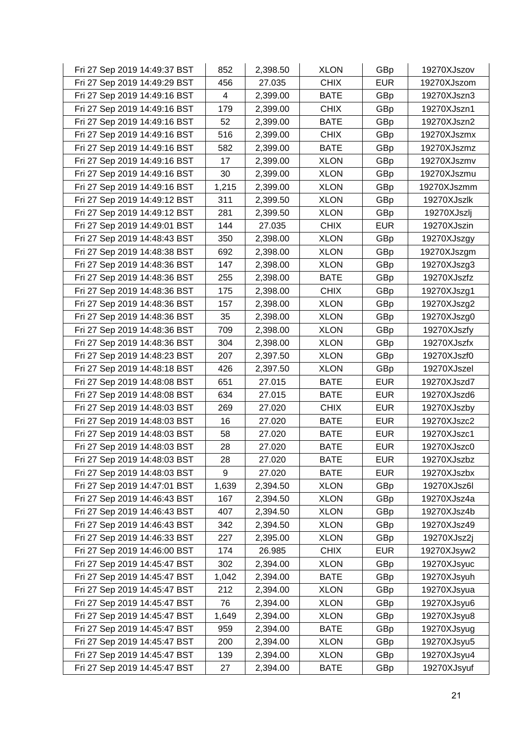| Fri 27 Sep 2019 14:49:37 BST | 852   | 2,398.50 | <b>XLON</b> | GBp        | 19270XJszov |
|------------------------------|-------|----------|-------------|------------|-------------|
| Fri 27 Sep 2019 14:49:29 BST | 456   | 27.035   | <b>CHIX</b> | <b>EUR</b> | 19270XJszom |
| Fri 27 Sep 2019 14:49:16 BST | 4     | 2,399.00 | <b>BATE</b> | GBp        | 19270XJszn3 |
| Fri 27 Sep 2019 14:49:16 BST | 179   | 2,399.00 | <b>CHIX</b> | GBp        | 19270XJszn1 |
| Fri 27 Sep 2019 14:49:16 BST | 52    | 2,399.00 | <b>BATE</b> | GBp        | 19270XJszn2 |
| Fri 27 Sep 2019 14:49:16 BST | 516   | 2,399.00 | <b>CHIX</b> | GBp        | 19270XJszmx |
| Fri 27 Sep 2019 14:49:16 BST | 582   | 2,399.00 | <b>BATE</b> | GBp        | 19270XJszmz |
| Fri 27 Sep 2019 14:49:16 BST | 17    | 2,399.00 | <b>XLON</b> | GBp        | 19270XJszmv |
| Fri 27 Sep 2019 14:49:16 BST | 30    | 2,399.00 | <b>XLON</b> | GBp        | 19270XJszmu |
| Fri 27 Sep 2019 14:49:16 BST | 1,215 | 2,399.00 | <b>XLON</b> | GBp        | 19270XJszmm |
| Fri 27 Sep 2019 14:49:12 BST | 311   | 2,399.50 | <b>XLON</b> | GBp        | 19270XJszlk |
| Fri 27 Sep 2019 14:49:12 BST | 281   | 2,399.50 | <b>XLON</b> | GBp        | 19270XJszlj |
| Fri 27 Sep 2019 14:49:01 BST | 144   | 27.035   | <b>CHIX</b> | <b>EUR</b> | 19270XJszin |
| Fri 27 Sep 2019 14:48:43 BST | 350   | 2,398.00 | <b>XLON</b> | GBp        | 19270XJszgy |
| Fri 27 Sep 2019 14:48:38 BST | 692   | 2,398.00 | <b>XLON</b> | GBp        | 19270XJszgm |
| Fri 27 Sep 2019 14:48:36 BST | 147   | 2,398.00 | <b>XLON</b> | GBp        | 19270XJszg3 |
| Fri 27 Sep 2019 14:48:36 BST | 255   | 2,398.00 | <b>BATE</b> | GBp        | 19270XJszfz |
| Fri 27 Sep 2019 14:48:36 BST | 175   | 2,398.00 | <b>CHIX</b> | GBp        | 19270XJszg1 |
| Fri 27 Sep 2019 14:48:36 BST | 157   | 2,398.00 | <b>XLON</b> | GBp        | 19270XJszg2 |
| Fri 27 Sep 2019 14:48:36 BST | 35    | 2,398.00 | <b>XLON</b> | GBp        | 19270XJszg0 |
| Fri 27 Sep 2019 14:48:36 BST | 709   | 2,398.00 | <b>XLON</b> | GBp        | 19270XJszfy |
| Fri 27 Sep 2019 14:48:36 BST | 304   | 2,398.00 | <b>XLON</b> | GBp        | 19270XJszfx |
| Fri 27 Sep 2019 14:48:23 BST | 207   | 2,397.50 | <b>XLON</b> | GBp        | 19270XJszf0 |
| Fri 27 Sep 2019 14:48:18 BST | 426   | 2,397.50 | <b>XLON</b> | GBp        | 19270XJszel |
| Fri 27 Sep 2019 14:48:08 BST | 651   | 27.015   | <b>BATE</b> | <b>EUR</b> | 19270XJszd7 |
| Fri 27 Sep 2019 14:48:08 BST | 634   | 27.015   | <b>BATE</b> | <b>EUR</b> | 19270XJszd6 |
| Fri 27 Sep 2019 14:48:03 BST | 269   | 27.020   | <b>CHIX</b> | <b>EUR</b> | 19270XJszby |
| Fri 27 Sep 2019 14:48:03 BST | 16    | 27.020   | <b>BATE</b> | <b>EUR</b> | 19270XJszc2 |
| Fri 27 Sep 2019 14:48:03 BST | 58    | 27.020   | <b>BATE</b> | <b>EUR</b> | 19270XJszc1 |
| Fri 27 Sep 2019 14:48:03 BST | 28    | 27.020   | <b>BATE</b> | <b>EUR</b> | 19270XJszc0 |
| Fri 27 Sep 2019 14:48:03 BST | 28    | 27.020   | <b>BATE</b> | <b>EUR</b> | 19270XJszbz |
| Fri 27 Sep 2019 14:48:03 BST | 9     | 27.020   | <b>BATE</b> | <b>EUR</b> | 19270XJszbx |
| Fri 27 Sep 2019 14:47:01 BST | 1,639 | 2,394.50 | <b>XLON</b> | GBp        | 19270XJsz6l |
| Fri 27 Sep 2019 14:46:43 BST | 167   | 2,394.50 | <b>XLON</b> | GBp        | 19270XJsz4a |
| Fri 27 Sep 2019 14:46:43 BST | 407   | 2,394.50 | <b>XLON</b> | GBp        | 19270XJsz4b |
| Fri 27 Sep 2019 14:46:43 BST | 342   | 2,394.50 | <b>XLON</b> | GBp        | 19270XJsz49 |
| Fri 27 Sep 2019 14:46:33 BST | 227   | 2,395.00 | <b>XLON</b> | GBp        | 19270XJsz2j |
| Fri 27 Sep 2019 14:46:00 BST | 174   | 26.985   | <b>CHIX</b> | <b>EUR</b> | 19270XJsyw2 |
| Fri 27 Sep 2019 14:45:47 BST | 302   | 2,394.00 | <b>XLON</b> | GBp        | 19270XJsyuc |
| Fri 27 Sep 2019 14:45:47 BST | 1,042 | 2,394.00 | <b>BATE</b> | GBp        | 19270XJsyuh |
| Fri 27 Sep 2019 14:45:47 BST | 212   | 2,394.00 | <b>XLON</b> | GBp        | 19270XJsyua |
| Fri 27 Sep 2019 14:45:47 BST | 76    | 2,394.00 | <b>XLON</b> | GBp        | 19270XJsyu6 |
| Fri 27 Sep 2019 14:45:47 BST | 1,649 | 2,394.00 | <b>XLON</b> | GBp        | 19270XJsyu8 |
| Fri 27 Sep 2019 14:45:47 BST | 959   | 2,394.00 | <b>BATE</b> | GBp        | 19270XJsyug |
| Fri 27 Sep 2019 14:45:47 BST | 200   | 2,394.00 | <b>XLON</b> | GBp        | 19270XJsyu5 |
| Fri 27 Sep 2019 14:45:47 BST | 139   | 2,394.00 | <b>XLON</b> | GBp        | 19270XJsyu4 |
| Fri 27 Sep 2019 14:45:47 BST | 27    | 2,394.00 | <b>BATE</b> | GBp        | 19270XJsyuf |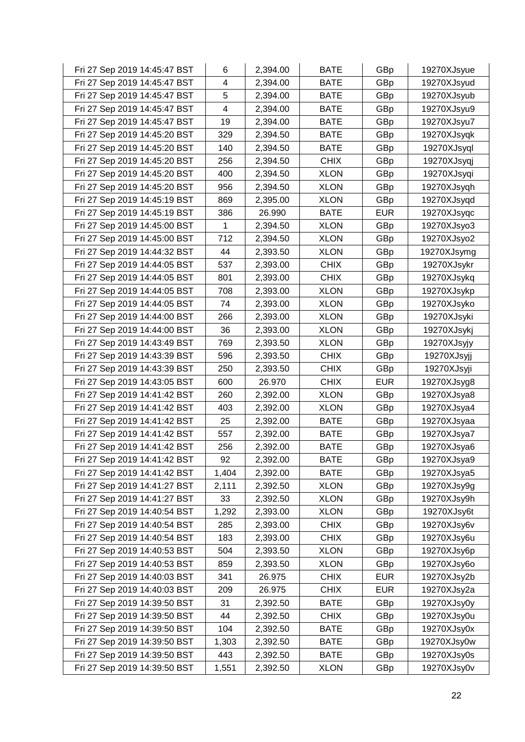| Fri 27 Sep 2019 14:45:47 BST | 6     | 2,394.00 | <b>BATE</b> | GBp        | 19270XJsyue |
|------------------------------|-------|----------|-------------|------------|-------------|
| Fri 27 Sep 2019 14:45:47 BST | 4     | 2,394.00 | <b>BATE</b> | GBp        | 19270XJsyud |
| Fri 27 Sep 2019 14:45:47 BST | 5     | 2,394.00 | <b>BATE</b> | GBp        | 19270XJsyub |
| Fri 27 Sep 2019 14:45:47 BST | 4     | 2,394.00 | <b>BATE</b> | GBp        | 19270XJsyu9 |
| Fri 27 Sep 2019 14:45:47 BST | 19    | 2,394.00 | <b>BATE</b> | GBp        | 19270XJsyu7 |
| Fri 27 Sep 2019 14:45:20 BST | 329   | 2,394.50 | <b>BATE</b> | GBp        | 19270XJsyqk |
| Fri 27 Sep 2019 14:45:20 BST | 140   | 2,394.50 | <b>BATE</b> | GBp        | 19270XJsyql |
| Fri 27 Sep 2019 14:45:20 BST | 256   | 2,394.50 | <b>CHIX</b> | GBp        | 19270XJsyqj |
| Fri 27 Sep 2019 14:45:20 BST | 400   | 2,394.50 | <b>XLON</b> | GBp        | 19270XJsyqi |
| Fri 27 Sep 2019 14:45:20 BST | 956   | 2,394.50 | <b>XLON</b> | GBp        | 19270XJsyqh |
| Fri 27 Sep 2019 14:45:19 BST | 869   | 2,395.00 | <b>XLON</b> | GBp        | 19270XJsyqd |
| Fri 27 Sep 2019 14:45:19 BST | 386   | 26.990   | <b>BATE</b> | <b>EUR</b> | 19270XJsyqc |
| Fri 27 Sep 2019 14:45:00 BST | 1     | 2,394.50 | <b>XLON</b> | GBp        | 19270XJsyo3 |
| Fri 27 Sep 2019 14:45:00 BST | 712   | 2,394.50 | <b>XLON</b> | GBp        | 19270XJsyo2 |
| Fri 27 Sep 2019 14:44:32 BST | 44    | 2,393.50 | <b>XLON</b> | GBp        | 19270XJsymg |
| Fri 27 Sep 2019 14:44:05 BST | 537   | 2,393.00 | <b>CHIX</b> | GBp        | 19270XJsykr |
| Fri 27 Sep 2019 14:44:05 BST | 801   | 2,393.00 | <b>CHIX</b> | GBp        | 19270XJsykq |
| Fri 27 Sep 2019 14:44:05 BST | 708   | 2,393.00 | <b>XLON</b> | GBp        | 19270XJsykp |
| Fri 27 Sep 2019 14:44:05 BST | 74    | 2,393.00 | <b>XLON</b> | GBp        | 19270XJsyko |
| Fri 27 Sep 2019 14:44:00 BST | 266   | 2,393.00 | <b>XLON</b> | GBp        | 19270XJsyki |
| Fri 27 Sep 2019 14:44:00 BST | 36    | 2,393.00 | <b>XLON</b> | GBp        | 19270XJsykj |
| Fri 27 Sep 2019 14:43:49 BST | 769   | 2,393.50 | <b>XLON</b> | GBp        | 19270XJsyjy |
| Fri 27 Sep 2019 14:43:39 BST | 596   | 2,393.50 | <b>CHIX</b> | GBp        | 19270XJsyjj |
| Fri 27 Sep 2019 14:43:39 BST | 250   | 2,393.50 | <b>CHIX</b> | GBp        | 19270XJsyji |
| Fri 27 Sep 2019 14:43:05 BST | 600   | 26.970   | <b>CHIX</b> | <b>EUR</b> | 19270XJsyg8 |
| Fri 27 Sep 2019 14:41:42 BST | 260   | 2,392.00 | <b>XLON</b> | GBp        | 19270XJsya8 |
| Fri 27 Sep 2019 14:41:42 BST | 403   | 2,392.00 | <b>XLON</b> | GBp        | 19270XJsya4 |
| Fri 27 Sep 2019 14:41:42 BST | 25    | 2,392.00 | <b>BATE</b> | GBp        | 19270XJsyaa |
| Fri 27 Sep 2019 14:41:42 BST | 557   | 2,392.00 | <b>BATE</b> | GBp        | 19270XJsya7 |
| Fri 27 Sep 2019 14:41:42 BST | 256   | 2,392.00 | <b>BATE</b> | GBp        | 19270XJsya6 |
| Fri 27 Sep 2019 14:41:42 BST | 92    | 2,392.00 | <b>BATE</b> | GBp        | 19270XJsya9 |
| Fri 27 Sep 2019 14:41:42 BST | 1,404 | 2,392.00 | <b>BATE</b> | GBp        | 19270XJsya5 |
| Fri 27 Sep 2019 14:41:27 BST | 2,111 | 2,392.50 | <b>XLON</b> | GBp        | 19270XJsy9g |
| Fri 27 Sep 2019 14:41:27 BST | 33    | 2,392.50 | <b>XLON</b> | GBp        | 19270XJsy9h |
| Fri 27 Sep 2019 14:40:54 BST | 1,292 | 2,393.00 | <b>XLON</b> | GBp        | 19270XJsy6t |
| Fri 27 Sep 2019 14:40:54 BST | 285   | 2,393.00 | <b>CHIX</b> | GBp        | 19270XJsy6v |
| Fri 27 Sep 2019 14:40:54 BST | 183   | 2,393.00 | <b>CHIX</b> | GBp        | 19270XJsy6u |
| Fri 27 Sep 2019 14:40:53 BST | 504   | 2,393.50 | <b>XLON</b> | GBp        | 19270XJsy6p |
| Fri 27 Sep 2019 14:40:53 BST | 859   | 2,393.50 | <b>XLON</b> | GBp        | 19270XJsy6o |
| Fri 27 Sep 2019 14:40:03 BST | 341   | 26.975   | <b>CHIX</b> | <b>EUR</b> | 19270XJsy2b |
| Fri 27 Sep 2019 14:40:03 BST | 209   | 26.975   | <b>CHIX</b> | <b>EUR</b> | 19270XJsy2a |
| Fri 27 Sep 2019 14:39:50 BST | 31    | 2,392.50 | <b>BATE</b> | GBp        | 19270XJsy0y |
| Fri 27 Sep 2019 14:39:50 BST | 44    | 2,392.50 | <b>CHIX</b> | GBp        | 19270XJsy0u |
| Fri 27 Sep 2019 14:39:50 BST | 104   | 2,392.50 | <b>BATE</b> | GBp        | 19270XJsy0x |
| Fri 27 Sep 2019 14:39:50 BST | 1,303 | 2,392.50 | <b>BATE</b> | GBp        | 19270XJsy0w |
| Fri 27 Sep 2019 14:39:50 BST | 443   | 2,392.50 | <b>BATE</b> | GBp        | 19270XJsy0s |
| Fri 27 Sep 2019 14:39:50 BST | 1,551 | 2,392.50 | <b>XLON</b> | GBp        | 19270XJsy0v |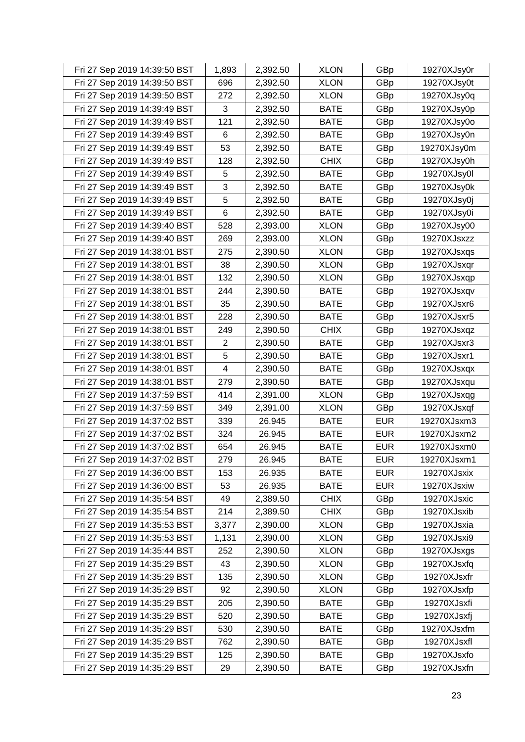| Fri 27 Sep 2019 14:39:50 BST | 1,893          | 2,392.50 | <b>XLON</b> | GBp        | 19270XJsy0r |
|------------------------------|----------------|----------|-------------|------------|-------------|
| Fri 27 Sep 2019 14:39:50 BST | 696            | 2,392.50 | <b>XLON</b> | GBp        | 19270XJsy0t |
| Fri 27 Sep 2019 14:39:50 BST | 272            | 2,392.50 | <b>XLON</b> | GBp        | 19270XJsy0q |
| Fri 27 Sep 2019 14:39:49 BST | 3              | 2,392.50 | <b>BATE</b> | GBp        | 19270XJsy0p |
| Fri 27 Sep 2019 14:39:49 BST | 121            | 2,392.50 | <b>BATE</b> | GBp        | 19270XJsy0o |
| Fri 27 Sep 2019 14:39:49 BST | 6              | 2,392.50 | <b>BATE</b> | GBp        | 19270XJsy0n |
| Fri 27 Sep 2019 14:39:49 BST | 53             | 2,392.50 | <b>BATE</b> | GBp        | 19270XJsy0m |
| Fri 27 Sep 2019 14:39:49 BST | 128            | 2,392.50 | <b>CHIX</b> | GBp        | 19270XJsy0h |
| Fri 27 Sep 2019 14:39:49 BST | 5              | 2,392.50 | <b>BATE</b> | GBp        | 19270XJsy0l |
| Fri 27 Sep 2019 14:39:49 BST | 3              | 2,392.50 | <b>BATE</b> | GBp        | 19270XJsy0k |
| Fri 27 Sep 2019 14:39:49 BST | 5              | 2,392.50 | <b>BATE</b> | GBp        | 19270XJsy0j |
| Fri 27 Sep 2019 14:39:49 BST | 6              | 2,392.50 | <b>BATE</b> | GBp        | 19270XJsy0i |
| Fri 27 Sep 2019 14:39:40 BST | 528            | 2,393.00 | <b>XLON</b> | GBp        | 19270XJsy00 |
| Fri 27 Sep 2019 14:39:40 BST | 269            | 2,393.00 | <b>XLON</b> | GBp        | 19270XJsxzz |
| Fri 27 Sep 2019 14:38:01 BST | 275            | 2,390.50 | <b>XLON</b> | GBp        | 19270XJsxqs |
| Fri 27 Sep 2019 14:38:01 BST | 38             | 2,390.50 | <b>XLON</b> | GBp        | 19270XJsxqr |
| Fri 27 Sep 2019 14:38:01 BST | 132            | 2,390.50 | <b>XLON</b> | GBp        | 19270XJsxqp |
| Fri 27 Sep 2019 14:38:01 BST | 244            | 2,390.50 | <b>BATE</b> | GBp        | 19270XJsxqv |
| Fri 27 Sep 2019 14:38:01 BST | 35             | 2,390.50 | <b>BATE</b> | GBp        | 19270XJsxr6 |
| Fri 27 Sep 2019 14:38:01 BST | 228            | 2,390.50 | <b>BATE</b> | GBp        | 19270XJsxr5 |
| Fri 27 Sep 2019 14:38:01 BST | 249            | 2,390.50 | <b>CHIX</b> | GBp        | 19270XJsxqz |
| Fri 27 Sep 2019 14:38:01 BST | $\overline{2}$ | 2,390.50 | <b>BATE</b> | GBp        | 19270XJsxr3 |
| Fri 27 Sep 2019 14:38:01 BST | 5              | 2,390.50 | <b>BATE</b> | GBp        | 19270XJsxr1 |
| Fri 27 Sep 2019 14:38:01 BST | 4              | 2,390.50 | <b>BATE</b> | GBp        | 19270XJsxqx |
| Fri 27 Sep 2019 14:38:01 BST | 279            | 2,390.50 | <b>BATE</b> | GBp        | 19270XJsxqu |
| Fri 27 Sep 2019 14:37:59 BST | 414            | 2,391.00 | <b>XLON</b> | GBp        | 19270XJsxqg |
| Fri 27 Sep 2019 14:37:59 BST | 349            | 2,391.00 | <b>XLON</b> | GBp        | 19270XJsxqf |
| Fri 27 Sep 2019 14:37:02 BST | 339            | 26.945   | <b>BATE</b> | <b>EUR</b> | 19270XJsxm3 |
| Fri 27 Sep 2019 14:37:02 BST | 324            | 26.945   | <b>BATE</b> | <b>EUR</b> | 19270XJsxm2 |
| Fri 27 Sep 2019 14:37:02 BST | 654            | 26.945   | <b>BATE</b> | <b>EUR</b> | 19270XJsxm0 |
| Fri 27 Sep 2019 14:37:02 BST | 279            | 26.945   | <b>BATE</b> | <b>EUR</b> | 19270XJsxm1 |
| Fri 27 Sep 2019 14:36:00 BST | 153            | 26.935   | <b>BATE</b> | <b>EUR</b> | 19270XJsxix |
| Fri 27 Sep 2019 14:36:00 BST | 53             | 26.935   | <b>BATE</b> | <b>EUR</b> | 19270XJsxiw |
| Fri 27 Sep 2019 14:35:54 BST | 49             | 2,389.50 | <b>CHIX</b> | GBp        | 19270XJsxic |
| Fri 27 Sep 2019 14:35:54 BST | 214            | 2,389.50 | <b>CHIX</b> | GBp        | 19270XJsxib |
| Fri 27 Sep 2019 14:35:53 BST | 3,377          | 2,390.00 | <b>XLON</b> | GBp        | 19270XJsxia |
| Fri 27 Sep 2019 14:35:53 BST | 1,131          | 2,390.00 | <b>XLON</b> | GBp        | 19270XJsxi9 |
| Fri 27 Sep 2019 14:35:44 BST | 252            | 2,390.50 | <b>XLON</b> | GBp        | 19270XJsxgs |
| Fri 27 Sep 2019 14:35:29 BST | 43             | 2,390.50 | <b>XLON</b> | GBp        | 19270XJsxfq |
| Fri 27 Sep 2019 14:35:29 BST | 135            | 2,390.50 | <b>XLON</b> | GBp        | 19270XJsxfr |
| Fri 27 Sep 2019 14:35:29 BST | 92             | 2,390.50 | <b>XLON</b> | GBp        | 19270XJsxfp |
| Fri 27 Sep 2019 14:35:29 BST | 205            | 2,390.50 | <b>BATE</b> | GBp        | 19270XJsxfi |
| Fri 27 Sep 2019 14:35:29 BST | 520            | 2,390.50 | <b>BATE</b> | GBp        | 19270XJsxfj |
| Fri 27 Sep 2019 14:35:29 BST | 530            | 2,390.50 | <b>BATE</b> | GBp        | 19270XJsxfm |
| Fri 27 Sep 2019 14:35:29 BST | 762            | 2,390.50 | <b>BATE</b> | GBp        | 19270XJsxfl |
| Fri 27 Sep 2019 14:35:29 BST | 125            | 2,390.50 | <b>BATE</b> | GBp        | 19270XJsxfo |
| Fri 27 Sep 2019 14:35:29 BST | 29             | 2,390.50 | <b>BATE</b> | GBp        | 19270XJsxfn |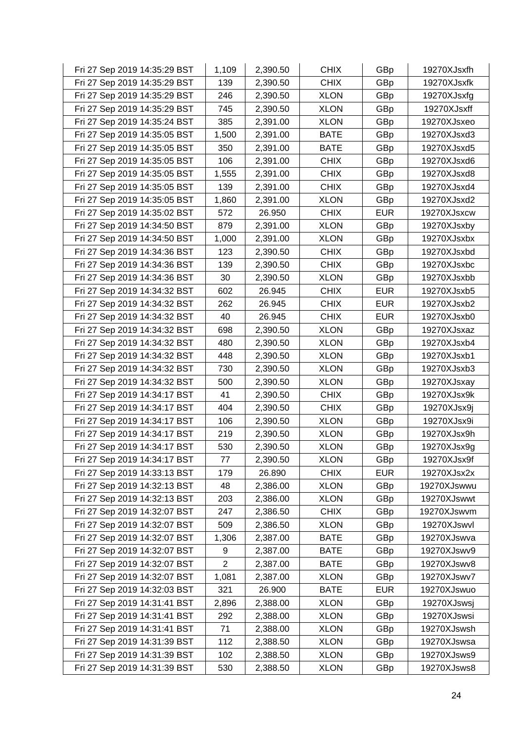| Fri 27 Sep 2019 14:35:29 BST | 1,109          | 2,390.50 | <b>CHIX</b> | GBp        | 19270XJsxfh |
|------------------------------|----------------|----------|-------------|------------|-------------|
| Fri 27 Sep 2019 14:35:29 BST | 139            | 2,390.50 | <b>CHIX</b> | GBp        | 19270XJsxfk |
| Fri 27 Sep 2019 14:35:29 BST | 246            | 2,390.50 | <b>XLON</b> | GBp        | 19270XJsxfg |
| Fri 27 Sep 2019 14:35:29 BST | 745            | 2,390.50 | <b>XLON</b> | GBp        | 19270XJsxff |
| Fri 27 Sep 2019 14:35:24 BST | 385            | 2,391.00 | <b>XLON</b> | GBp        | 19270XJsxeo |
| Fri 27 Sep 2019 14:35:05 BST | 1,500          | 2,391.00 | <b>BATE</b> | GBp        | 19270XJsxd3 |
| Fri 27 Sep 2019 14:35:05 BST | 350            | 2,391.00 | <b>BATE</b> | GBp        | 19270XJsxd5 |
| Fri 27 Sep 2019 14:35:05 BST | 106            | 2,391.00 | <b>CHIX</b> | GBp        | 19270XJsxd6 |
| Fri 27 Sep 2019 14:35:05 BST | 1,555          | 2,391.00 | <b>CHIX</b> | GBp        | 19270XJsxd8 |
| Fri 27 Sep 2019 14:35:05 BST | 139            | 2,391.00 | <b>CHIX</b> | GBp        | 19270XJsxd4 |
| Fri 27 Sep 2019 14:35:05 BST | 1,860          | 2,391.00 | <b>XLON</b> | GBp        | 19270XJsxd2 |
| Fri 27 Sep 2019 14:35:02 BST | 572            | 26.950   | <b>CHIX</b> | <b>EUR</b> | 19270XJsxcw |
| Fri 27 Sep 2019 14:34:50 BST | 879            | 2,391.00 | <b>XLON</b> | GBp        | 19270XJsxby |
| Fri 27 Sep 2019 14:34:50 BST | 1,000          | 2,391.00 | <b>XLON</b> | GBp        | 19270XJsxbx |
| Fri 27 Sep 2019 14:34:36 BST | 123            | 2,390.50 | <b>CHIX</b> | GBp        | 19270XJsxbd |
| Fri 27 Sep 2019 14:34:36 BST | 139            | 2,390.50 | <b>CHIX</b> | GBp        | 19270XJsxbc |
| Fri 27 Sep 2019 14:34:36 BST | 30             | 2,390.50 | <b>XLON</b> | GBp        | 19270XJsxbb |
| Fri 27 Sep 2019 14:34:32 BST | 602            | 26.945   | <b>CHIX</b> | <b>EUR</b> | 19270XJsxb5 |
| Fri 27 Sep 2019 14:34:32 BST | 262            | 26.945   | <b>CHIX</b> | <b>EUR</b> | 19270XJsxb2 |
| Fri 27 Sep 2019 14:34:32 BST | 40             | 26.945   | <b>CHIX</b> | <b>EUR</b> | 19270XJsxb0 |
| Fri 27 Sep 2019 14:34:32 BST | 698            | 2,390.50 | <b>XLON</b> | GBp        | 19270XJsxaz |
| Fri 27 Sep 2019 14:34:32 BST | 480            | 2,390.50 | <b>XLON</b> | GBp        | 19270XJsxb4 |
| Fri 27 Sep 2019 14:34:32 BST | 448            | 2,390.50 | <b>XLON</b> | GBp        | 19270XJsxb1 |
| Fri 27 Sep 2019 14:34:32 BST | 730            | 2,390.50 | <b>XLON</b> | GBp        | 19270XJsxb3 |
| Fri 27 Sep 2019 14:34:32 BST | 500            | 2,390.50 | <b>XLON</b> | GBp        | 19270XJsxay |
| Fri 27 Sep 2019 14:34:17 BST | 41             | 2,390.50 | <b>CHIX</b> | GBp        | 19270XJsx9k |
| Fri 27 Sep 2019 14:34:17 BST | 404            | 2,390.50 | <b>CHIX</b> | GBp        | 19270XJsx9j |
| Fri 27 Sep 2019 14:34:17 BST | 106            | 2,390.50 | <b>XLON</b> | GBp        | 19270XJsx9i |
| Fri 27 Sep 2019 14:34:17 BST | 219            | 2,390.50 | <b>XLON</b> | GBp        | 19270XJsx9h |
| Fri 27 Sep 2019 14:34:17 BST | 530            | 2,390.50 | <b>XLON</b> | GBp        | 19270XJsx9g |
| Fri 27 Sep 2019 14:34:17 BST | 77             | 2,390.50 | <b>XLON</b> | GBp        | 19270XJsx9f |
| Fri 27 Sep 2019 14:33:13 BST | 179            | 26.890   | <b>CHIX</b> | <b>EUR</b> | 19270XJsx2x |
| Fri 27 Sep 2019 14:32:13 BST | 48             | 2,386.00 | <b>XLON</b> | GBp        | 19270XJswwu |
| Fri 27 Sep 2019 14:32:13 BST | 203            | 2,386.00 | <b>XLON</b> | GBp        | 19270XJswwt |
| Fri 27 Sep 2019 14:32:07 BST | 247            | 2,386.50 | <b>CHIX</b> | GBp        | 19270XJswvm |
| Fri 27 Sep 2019 14:32:07 BST | 509            | 2,386.50 | <b>XLON</b> | GBp        | 19270XJswvl |
| Fri 27 Sep 2019 14:32:07 BST | 1,306          | 2,387.00 | <b>BATE</b> | GBp        | 19270XJswva |
| Fri 27 Sep 2019 14:32:07 BST | 9              | 2,387.00 | <b>BATE</b> | GBp        | 19270XJswv9 |
| Fri 27 Sep 2019 14:32:07 BST | $\overline{2}$ | 2,387.00 | <b>BATE</b> | GBp        | 19270XJswv8 |
| Fri 27 Sep 2019 14:32:07 BST | 1,081          | 2,387.00 | <b>XLON</b> | GBp        | 19270XJswv7 |
| Fri 27 Sep 2019 14:32:03 BST | 321            | 26.900   | <b>BATE</b> | <b>EUR</b> | 19270XJswuo |
| Fri 27 Sep 2019 14:31:41 BST | 2,896          | 2,388.00 | <b>XLON</b> | GBp        | 19270XJswsj |
| Fri 27 Sep 2019 14:31:41 BST | 292            | 2,388.00 | <b>XLON</b> | GBp        | 19270XJswsi |
| Fri 27 Sep 2019 14:31:41 BST | 71             | 2,388.00 | <b>XLON</b> | GBp        | 19270XJswsh |
| Fri 27 Sep 2019 14:31:39 BST | 112            | 2,388.50 | <b>XLON</b> | GBp        | 19270XJswsa |
| Fri 27 Sep 2019 14:31:39 BST | 102            | 2,388.50 | <b>XLON</b> | GBp        | 19270XJsws9 |
| Fri 27 Sep 2019 14:31:39 BST | 530            | 2,388.50 | <b>XLON</b> | GBp        | 19270XJsws8 |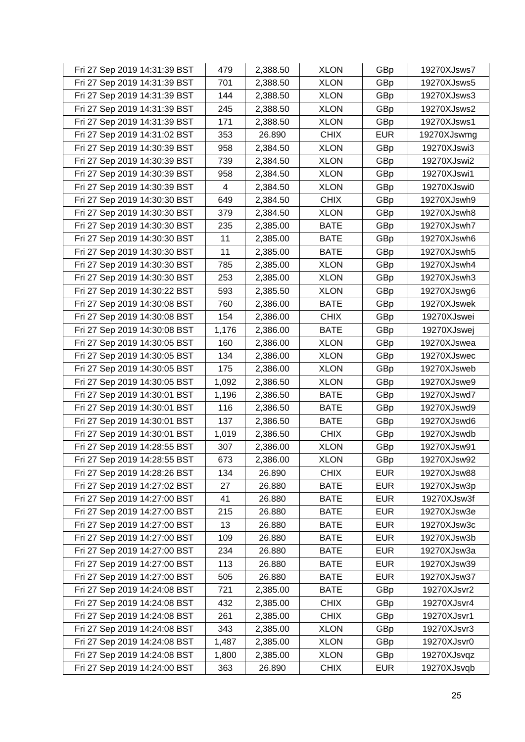| Fri 27 Sep 2019 14:31:39 BST | 479   | 2,388.50 | <b>XLON</b> | GBp        | 19270XJsws7 |
|------------------------------|-------|----------|-------------|------------|-------------|
| Fri 27 Sep 2019 14:31:39 BST | 701   | 2,388.50 | <b>XLON</b> | GBp        | 19270XJsws5 |
| Fri 27 Sep 2019 14:31:39 BST | 144   | 2,388.50 | <b>XLON</b> | GBp        | 19270XJsws3 |
| Fri 27 Sep 2019 14:31:39 BST | 245   | 2,388.50 | <b>XLON</b> | GBp        | 19270XJsws2 |
| Fri 27 Sep 2019 14:31:39 BST | 171   | 2,388.50 | <b>XLON</b> | GBp        | 19270XJsws1 |
| Fri 27 Sep 2019 14:31:02 BST | 353   | 26.890   | <b>CHIX</b> | <b>EUR</b> | 19270XJswmg |
| Fri 27 Sep 2019 14:30:39 BST | 958   | 2,384.50 | <b>XLON</b> | GBp        | 19270XJswi3 |
| Fri 27 Sep 2019 14:30:39 BST | 739   | 2,384.50 | <b>XLON</b> | GBp        | 19270XJswi2 |
| Fri 27 Sep 2019 14:30:39 BST | 958   | 2,384.50 | <b>XLON</b> | GBp        | 19270XJswi1 |
| Fri 27 Sep 2019 14:30:39 BST | 4     | 2,384.50 | <b>XLON</b> | GBp        | 19270XJswi0 |
| Fri 27 Sep 2019 14:30:30 BST | 649   | 2,384.50 | <b>CHIX</b> | GBp        | 19270XJswh9 |
| Fri 27 Sep 2019 14:30:30 BST | 379   | 2,384.50 | <b>XLON</b> | GBp        | 19270XJswh8 |
| Fri 27 Sep 2019 14:30:30 BST | 235   | 2,385.00 | <b>BATE</b> | GBp        | 19270XJswh7 |
| Fri 27 Sep 2019 14:30:30 BST | 11    | 2,385.00 | <b>BATE</b> | GBp        | 19270XJswh6 |
| Fri 27 Sep 2019 14:30:30 BST | 11    | 2,385.00 | <b>BATE</b> | GBp        | 19270XJswh5 |
| Fri 27 Sep 2019 14:30:30 BST | 785   | 2,385.00 | <b>XLON</b> | GBp        | 19270XJswh4 |
| Fri 27 Sep 2019 14:30:30 BST | 253   | 2,385.00 | <b>XLON</b> | GBp        | 19270XJswh3 |
| Fri 27 Sep 2019 14:30:22 BST | 593   | 2,385.50 | <b>XLON</b> | GBp        | 19270XJswg6 |
| Fri 27 Sep 2019 14:30:08 BST | 760   | 2,386.00 | <b>BATE</b> | GBp        | 19270XJswek |
| Fri 27 Sep 2019 14:30:08 BST | 154   | 2,386.00 | <b>CHIX</b> | GBp        | 19270XJswei |
| Fri 27 Sep 2019 14:30:08 BST | 1,176 | 2,386.00 | <b>BATE</b> | GBp        | 19270XJswej |
| Fri 27 Sep 2019 14:30:05 BST | 160   | 2,386.00 | <b>XLON</b> | GBp        | 19270XJswea |
| Fri 27 Sep 2019 14:30:05 BST | 134   | 2,386.00 | <b>XLON</b> | GBp        | 19270XJswec |
| Fri 27 Sep 2019 14:30:05 BST | 175   | 2,386.00 | <b>XLON</b> | GBp        | 19270XJsweb |
| Fri 27 Sep 2019 14:30:05 BST | 1,092 | 2,386.50 | <b>XLON</b> | GBp        | 19270XJswe9 |
| Fri 27 Sep 2019 14:30:01 BST | 1,196 | 2,386.50 | <b>BATE</b> | GBp        | 19270XJswd7 |
| Fri 27 Sep 2019 14:30:01 BST | 116   | 2,386.50 | <b>BATE</b> | GBp        | 19270XJswd9 |
| Fri 27 Sep 2019 14:30:01 BST | 137   | 2,386.50 | <b>BATE</b> | GBp        | 19270XJswd6 |
| Fri 27 Sep 2019 14:30:01 BST | 1,019 | 2,386.50 | <b>CHIX</b> | GBp        | 19270XJswdb |
| Fri 27 Sep 2019 14:28:55 BST | 307   | 2,386.00 | <b>XLON</b> | GBp        | 19270XJsw91 |
| Fri 27 Sep 2019 14:28:55 BST | 673   | 2,386.00 | <b>XLON</b> | GBp        | 19270XJsw92 |
| Fri 27 Sep 2019 14:28:26 BST | 134   | 26.890   | <b>CHIX</b> | <b>EUR</b> | 19270XJsw88 |
| Fri 27 Sep 2019 14:27:02 BST | 27    | 26.880   | <b>BATE</b> | <b>EUR</b> | 19270XJsw3p |
| Fri 27 Sep 2019 14:27:00 BST | 41    | 26.880   | <b>BATE</b> | <b>EUR</b> | 19270XJsw3f |
| Fri 27 Sep 2019 14:27:00 BST | 215   | 26.880   | <b>BATE</b> | <b>EUR</b> | 19270XJsw3e |
| Fri 27 Sep 2019 14:27:00 BST | 13    | 26.880   | <b>BATE</b> | <b>EUR</b> | 19270XJsw3c |
| Fri 27 Sep 2019 14:27:00 BST | 109   | 26.880   | <b>BATE</b> | <b>EUR</b> | 19270XJsw3b |
| Fri 27 Sep 2019 14:27:00 BST | 234   | 26.880   | <b>BATE</b> | <b>EUR</b> | 19270XJsw3a |
| Fri 27 Sep 2019 14:27:00 BST | 113   | 26.880   | <b>BATE</b> | <b>EUR</b> | 19270XJsw39 |
| Fri 27 Sep 2019 14:27:00 BST | 505   | 26.880   | <b>BATE</b> | <b>EUR</b> | 19270XJsw37 |
| Fri 27 Sep 2019 14:24:08 BST | 721   | 2,385.00 | <b>BATE</b> | GBp        | 19270XJsvr2 |
| Fri 27 Sep 2019 14:24:08 BST | 432   | 2,385.00 | <b>CHIX</b> | GBp        | 19270XJsvr4 |
| Fri 27 Sep 2019 14:24:08 BST | 261   | 2,385.00 | <b>CHIX</b> | GBp        | 19270XJsvr1 |
| Fri 27 Sep 2019 14:24:08 BST | 343   | 2,385.00 | <b>XLON</b> | GBp        | 19270XJsvr3 |
| Fri 27 Sep 2019 14:24:08 BST | 1,487 | 2,385.00 | <b>XLON</b> | GBp        | 19270XJsvr0 |
| Fri 27 Sep 2019 14:24:08 BST | 1,800 | 2,385.00 | <b>XLON</b> | GBp        | 19270XJsvqz |
| Fri 27 Sep 2019 14:24:00 BST | 363   | 26.890   | <b>CHIX</b> | <b>EUR</b> | 19270XJsvqb |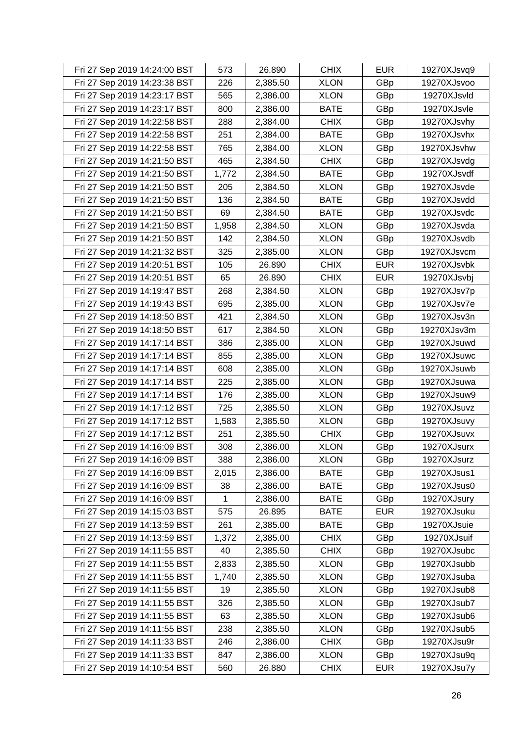| Fri 27 Sep 2019 14:24:00 BST | 573   | 26.890   | <b>CHIX</b> | <b>EUR</b> | 19270XJsvq9 |
|------------------------------|-------|----------|-------------|------------|-------------|
| Fri 27 Sep 2019 14:23:38 BST | 226   | 2,385.50 | <b>XLON</b> | GBp        | 19270XJsvoo |
| Fri 27 Sep 2019 14:23:17 BST | 565   | 2,386.00 | <b>XLON</b> | GBp        | 19270XJsvld |
| Fri 27 Sep 2019 14:23:17 BST | 800   | 2,386.00 | <b>BATE</b> | GBp        | 19270XJsvle |
| Fri 27 Sep 2019 14:22:58 BST | 288   | 2,384.00 | <b>CHIX</b> | GBp        | 19270XJsvhy |
| Fri 27 Sep 2019 14:22:58 BST | 251   | 2,384.00 | <b>BATE</b> | GBp        | 19270XJsvhx |
| Fri 27 Sep 2019 14:22:58 BST | 765   | 2,384.00 | <b>XLON</b> | GBp        | 19270XJsvhw |
| Fri 27 Sep 2019 14:21:50 BST | 465   | 2,384.50 | <b>CHIX</b> | GBp        | 19270XJsvdg |
| Fri 27 Sep 2019 14:21:50 BST | 1,772 | 2,384.50 | <b>BATE</b> | GBp        | 19270XJsvdf |
| Fri 27 Sep 2019 14:21:50 BST | 205   | 2,384.50 | <b>XLON</b> | GBp        | 19270XJsvde |
| Fri 27 Sep 2019 14:21:50 BST | 136   | 2,384.50 | <b>BATE</b> | GBp        | 19270XJsvdd |
| Fri 27 Sep 2019 14:21:50 BST | 69    | 2,384.50 | <b>BATE</b> | GBp        | 19270XJsvdc |
| Fri 27 Sep 2019 14:21:50 BST | 1,958 | 2,384.50 | <b>XLON</b> | GBp        | 19270XJsvda |
| Fri 27 Sep 2019 14:21:50 BST | 142   | 2,384.50 | <b>XLON</b> | GBp        | 19270XJsvdb |
| Fri 27 Sep 2019 14:21:32 BST | 325   | 2,385.00 | <b>XLON</b> | GBp        | 19270XJsvcm |
| Fri 27 Sep 2019 14:20:51 BST | 105   | 26.890   | <b>CHIX</b> | <b>EUR</b> | 19270XJsvbk |
| Fri 27 Sep 2019 14:20:51 BST | 65    | 26.890   | <b>CHIX</b> | <b>EUR</b> | 19270XJsvbj |
| Fri 27 Sep 2019 14:19:47 BST | 268   | 2,384.50 | <b>XLON</b> | GBp        | 19270XJsv7p |
| Fri 27 Sep 2019 14:19:43 BST | 695   | 2,385.00 | <b>XLON</b> | GBp        | 19270XJsv7e |
| Fri 27 Sep 2019 14:18:50 BST | 421   | 2,384.50 | <b>XLON</b> | GBp        | 19270XJsv3n |
| Fri 27 Sep 2019 14:18:50 BST | 617   | 2,384.50 | <b>XLON</b> | GBp        | 19270XJsv3m |
| Fri 27 Sep 2019 14:17:14 BST | 386   | 2,385.00 | <b>XLON</b> | GBp        | 19270XJsuwd |
| Fri 27 Sep 2019 14:17:14 BST | 855   | 2,385.00 | <b>XLON</b> | GBp        | 19270XJsuwc |
| Fri 27 Sep 2019 14:17:14 BST | 608   | 2,385.00 | <b>XLON</b> | GBp        | 19270XJsuwb |
| Fri 27 Sep 2019 14:17:14 BST | 225   | 2,385.00 | <b>XLON</b> | GBp        | 19270XJsuwa |
| Fri 27 Sep 2019 14:17:14 BST | 176   | 2,385.00 | <b>XLON</b> | GBp        | 19270XJsuw9 |
| Fri 27 Sep 2019 14:17:12 BST | 725   | 2,385.50 | <b>XLON</b> | GBp        | 19270XJsuvz |
| Fri 27 Sep 2019 14:17:12 BST | 1,583 | 2,385.50 | <b>XLON</b> | GBp        | 19270XJsuvy |
| Fri 27 Sep 2019 14:17:12 BST | 251   | 2,385.50 | <b>CHIX</b> | GBp        | 19270XJsuvx |
| Fri 27 Sep 2019 14:16:09 BST | 308   | 2,386.00 | <b>XLON</b> | GBp        | 19270XJsurx |
| Fri 27 Sep 2019 14:16:09 BST | 388   | 2,386.00 | <b>XLON</b> | GBp        | 19270XJsurz |
| Fri 27 Sep 2019 14:16:09 BST | 2,015 | 2,386.00 | <b>BATE</b> | GBp        | 19270XJsus1 |
| Fri 27 Sep 2019 14:16:09 BST | 38    | 2,386.00 | <b>BATE</b> | GBp        | 19270XJsus0 |
| Fri 27 Sep 2019 14:16:09 BST | 1     | 2,386.00 | <b>BATE</b> | GBp        | 19270XJsury |
| Fri 27 Sep 2019 14:15:03 BST | 575   | 26.895   | <b>BATE</b> | <b>EUR</b> | 19270XJsuku |
| Fri 27 Sep 2019 14:13:59 BST | 261   | 2,385.00 | <b>BATE</b> | GBp        | 19270XJsuie |
| Fri 27 Sep 2019 14:13:59 BST | 1,372 | 2,385.00 | <b>CHIX</b> | GBp        | 19270XJsuif |
| Fri 27 Sep 2019 14:11:55 BST | 40    | 2,385.50 | <b>CHIX</b> | GBp        | 19270XJsubc |
| Fri 27 Sep 2019 14:11:55 BST | 2,833 | 2,385.50 | <b>XLON</b> | GBp        | 19270XJsubb |
| Fri 27 Sep 2019 14:11:55 BST | 1,740 | 2,385.50 | <b>XLON</b> | GBp        | 19270XJsuba |
| Fri 27 Sep 2019 14:11:55 BST | 19    | 2,385.50 | <b>XLON</b> | GBp        | 19270XJsub8 |
| Fri 27 Sep 2019 14:11:55 BST | 326   | 2,385.50 | <b>XLON</b> | GBp        | 19270XJsub7 |
| Fri 27 Sep 2019 14:11:55 BST | 63    | 2,385.50 | <b>XLON</b> | GBp        | 19270XJsub6 |
| Fri 27 Sep 2019 14:11:55 BST | 238   | 2,385.50 | <b>XLON</b> | GBp        | 19270XJsub5 |
| Fri 27 Sep 2019 14:11:33 BST | 246   | 2,386.00 | <b>CHIX</b> | GBp        | 19270XJsu9r |
| Fri 27 Sep 2019 14:11:33 BST | 847   | 2,386.00 | <b>XLON</b> | GBp        | 19270XJsu9q |
| Fri 27 Sep 2019 14:10:54 BST | 560   | 26.880   | <b>CHIX</b> | <b>EUR</b> | 19270XJsu7y |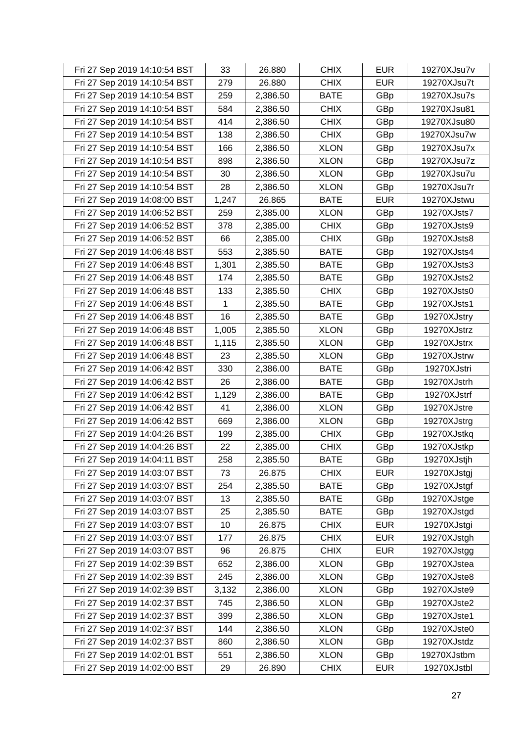| Fri 27 Sep 2019 14:10:54 BST | 33    | 26.880   | <b>CHIX</b> | <b>EUR</b> | 19270XJsu7v |
|------------------------------|-------|----------|-------------|------------|-------------|
| Fri 27 Sep 2019 14:10:54 BST | 279   | 26.880   | <b>CHIX</b> | <b>EUR</b> | 19270XJsu7t |
| Fri 27 Sep 2019 14:10:54 BST | 259   | 2,386.50 | <b>BATE</b> | GBp        | 19270XJsu7s |
| Fri 27 Sep 2019 14:10:54 BST | 584   | 2,386.50 | <b>CHIX</b> | GBp        | 19270XJsu81 |
| Fri 27 Sep 2019 14:10:54 BST | 414   | 2,386.50 | <b>CHIX</b> | GBp        | 19270XJsu80 |
| Fri 27 Sep 2019 14:10:54 BST | 138   | 2,386.50 | <b>CHIX</b> | GBp        | 19270XJsu7w |
| Fri 27 Sep 2019 14:10:54 BST | 166   | 2,386.50 | <b>XLON</b> | GBp        | 19270XJsu7x |
| Fri 27 Sep 2019 14:10:54 BST | 898   | 2,386.50 | <b>XLON</b> | GBp        | 19270XJsu7z |
| Fri 27 Sep 2019 14:10:54 BST | 30    | 2,386.50 | <b>XLON</b> | GBp        | 19270XJsu7u |
| Fri 27 Sep 2019 14:10:54 BST | 28    | 2,386.50 | <b>XLON</b> | GBp        | 19270XJsu7r |
| Fri 27 Sep 2019 14:08:00 BST | 1,247 | 26.865   | <b>BATE</b> | <b>EUR</b> | 19270XJstwu |
| Fri 27 Sep 2019 14:06:52 BST | 259   | 2,385.00 | <b>XLON</b> | GBp        | 19270XJsts7 |
| Fri 27 Sep 2019 14:06:52 BST | 378   | 2,385.00 | <b>CHIX</b> | GBp        | 19270XJsts9 |
| Fri 27 Sep 2019 14:06:52 BST | 66    | 2,385.00 | <b>CHIX</b> | GBp        | 19270XJsts8 |
| Fri 27 Sep 2019 14:06:48 BST | 553   | 2,385.50 | <b>BATE</b> | GBp        | 19270XJsts4 |
| Fri 27 Sep 2019 14:06:48 BST | 1,301 | 2,385.50 | <b>BATE</b> | GBp        | 19270XJsts3 |
| Fri 27 Sep 2019 14:06:48 BST | 174   | 2,385.50 | <b>BATE</b> | GBp        | 19270XJsts2 |
| Fri 27 Sep 2019 14:06:48 BST | 133   | 2,385.50 | <b>CHIX</b> | GBp        | 19270XJsts0 |
| Fri 27 Sep 2019 14:06:48 BST | 1     | 2,385.50 | <b>BATE</b> | GBp        | 19270XJsts1 |
| Fri 27 Sep 2019 14:06:48 BST | 16    | 2,385.50 | <b>BATE</b> | GBp        | 19270XJstry |
| Fri 27 Sep 2019 14:06:48 BST | 1,005 | 2,385.50 | <b>XLON</b> | GBp        | 19270XJstrz |
| Fri 27 Sep 2019 14:06:48 BST | 1,115 | 2,385.50 | <b>XLON</b> | GBp        | 19270XJstrx |
| Fri 27 Sep 2019 14:06:48 BST | 23    | 2,385.50 | <b>XLON</b> | GBp        | 19270XJstrw |
| Fri 27 Sep 2019 14:06:42 BST | 330   | 2,386.00 | <b>BATE</b> | GBp        | 19270XJstri |
| Fri 27 Sep 2019 14:06:42 BST | 26    | 2,386.00 | <b>BATE</b> | GBp        | 19270XJstrh |
| Fri 27 Sep 2019 14:06:42 BST | 1,129 | 2,386.00 | <b>BATE</b> | GBp        | 19270XJstrf |
| Fri 27 Sep 2019 14:06:42 BST | 41    | 2,386.00 | <b>XLON</b> | GBp        | 19270XJstre |
| Fri 27 Sep 2019 14:06:42 BST | 669   | 2,386.00 | <b>XLON</b> | GBp        | 19270XJstrg |
| Fri 27 Sep 2019 14:04:26 BST | 199   | 2,385.00 | <b>CHIX</b> | GBp        | 19270XJstkq |
| Fri 27 Sep 2019 14:04:26 BST | 22    | 2,385.00 | <b>CHIX</b> | GBp        | 19270XJstkp |
| Fri 27 Sep 2019 14:04:11 BST | 258   | 2,385.50 | <b>BATE</b> | GBp        | 19270XJstjh |
| Fri 27 Sep 2019 14:03:07 BST | 73    | 26.875   | <b>CHIX</b> | <b>EUR</b> | 19270XJstgj |
| Fri 27 Sep 2019 14:03:07 BST | 254   | 2,385.50 | <b>BATE</b> | GBp        | 19270XJstgf |
| Fri 27 Sep 2019 14:03:07 BST | 13    | 2,385.50 | <b>BATE</b> | GBp        | 19270XJstge |
| Fri 27 Sep 2019 14:03:07 BST | 25    | 2,385.50 | <b>BATE</b> | GBp        | 19270XJstgd |
| Fri 27 Sep 2019 14:03:07 BST | 10    | 26.875   | <b>CHIX</b> | <b>EUR</b> | 19270XJstgi |
| Fri 27 Sep 2019 14:03:07 BST | 177   | 26.875   | <b>CHIX</b> | <b>EUR</b> | 19270XJstgh |
| Fri 27 Sep 2019 14:03:07 BST | 96    | 26.875   | <b>CHIX</b> | <b>EUR</b> | 19270XJstgg |
| Fri 27 Sep 2019 14:02:39 BST | 652   | 2,386.00 | <b>XLON</b> | GBp        | 19270XJstea |
| Fri 27 Sep 2019 14:02:39 BST | 245   | 2,386.00 | <b>XLON</b> | GBp        | 19270XJste8 |
| Fri 27 Sep 2019 14:02:39 BST | 3,132 | 2,386.00 | <b>XLON</b> | GBp        | 19270XJste9 |
| Fri 27 Sep 2019 14:02:37 BST | 745   | 2,386.50 | <b>XLON</b> | GBp        | 19270XJste2 |
| Fri 27 Sep 2019 14:02:37 BST | 399   | 2,386.50 | <b>XLON</b> | GBp        | 19270XJste1 |
| Fri 27 Sep 2019 14:02:37 BST | 144   | 2,386.50 | <b>XLON</b> | GBp        | 19270XJste0 |
| Fri 27 Sep 2019 14:02:37 BST | 860   | 2,386.50 | <b>XLON</b> | GBp        | 19270XJstdz |
| Fri 27 Sep 2019 14:02:01 BST | 551   | 2,386.50 | <b>XLON</b> | GBp        | 19270XJstbm |
| Fri 27 Sep 2019 14:02:00 BST | 29    | 26.890   | <b>CHIX</b> | <b>EUR</b> | 19270XJstbl |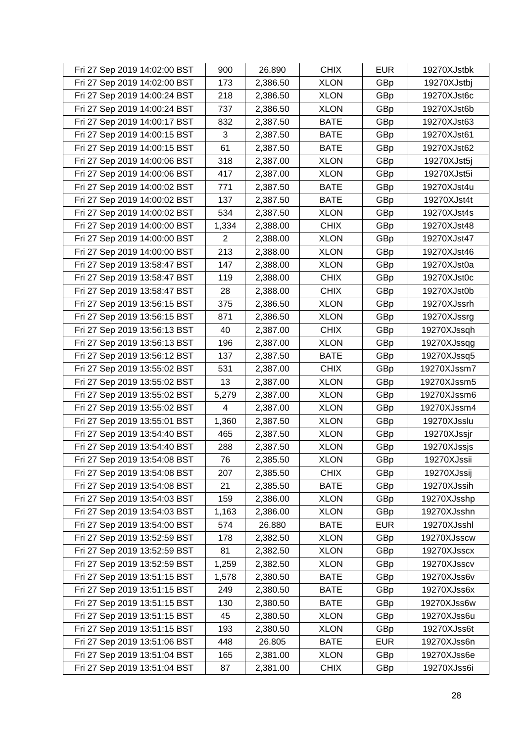| Fri 27 Sep 2019 14:02:00 BST | 900   | 26.890   | <b>CHIX</b> | <b>EUR</b> | 19270XJstbk |
|------------------------------|-------|----------|-------------|------------|-------------|
| Fri 27 Sep 2019 14:02:00 BST | 173   | 2,386.50 | <b>XLON</b> | GBp        | 19270XJstbj |
| Fri 27 Sep 2019 14:00:24 BST | 218   | 2,386.50 | <b>XLON</b> | GBp        | 19270XJst6c |
| Fri 27 Sep 2019 14:00:24 BST | 737   | 2,386.50 | <b>XLON</b> | GBp        | 19270XJst6b |
| Fri 27 Sep 2019 14:00:17 BST | 832   | 2,387.50 | <b>BATE</b> | GBp        | 19270XJst63 |
| Fri 27 Sep 2019 14:00:15 BST | 3     | 2,387.50 | <b>BATE</b> | GBp        | 19270XJst61 |
| Fri 27 Sep 2019 14:00:15 BST | 61    | 2,387.50 | <b>BATE</b> | GBp        | 19270XJst62 |
| Fri 27 Sep 2019 14:00:06 BST | 318   | 2,387.00 | <b>XLON</b> | GBp        | 19270XJst5j |
| Fri 27 Sep 2019 14:00:06 BST | 417   | 2,387.00 | <b>XLON</b> | GBp        | 19270XJst5i |
| Fri 27 Sep 2019 14:00:02 BST | 771   | 2,387.50 | <b>BATE</b> | GBp        | 19270XJst4u |
| Fri 27 Sep 2019 14:00:02 BST | 137   | 2,387.50 | <b>BATE</b> | GBp        | 19270XJst4t |
| Fri 27 Sep 2019 14:00:02 BST | 534   | 2,387.50 | <b>XLON</b> | GBp        | 19270XJst4s |
| Fri 27 Sep 2019 14:00:00 BST | 1,334 | 2,388.00 | <b>CHIX</b> | GBp        | 19270XJst48 |
| Fri 27 Sep 2019 14:00:00 BST | 2     | 2,388.00 | <b>XLON</b> | GBp        | 19270XJst47 |
| Fri 27 Sep 2019 14:00:00 BST | 213   | 2,388.00 | <b>XLON</b> | GBp        | 19270XJst46 |
| Fri 27 Sep 2019 13:58:47 BST | 147   | 2,388.00 | <b>XLON</b> | GBp        | 19270XJst0a |
| Fri 27 Sep 2019 13:58:47 BST | 119   | 2,388.00 | <b>CHIX</b> | GBp        | 19270XJst0c |
| Fri 27 Sep 2019 13:58:47 BST | 28    | 2,388.00 | <b>CHIX</b> | GBp        | 19270XJst0b |
| Fri 27 Sep 2019 13:56:15 BST | 375   | 2,386.50 | <b>XLON</b> | GBp        | 19270XJssrh |
| Fri 27 Sep 2019 13:56:15 BST | 871   | 2,386.50 | <b>XLON</b> | GBp        | 19270XJssrg |
| Fri 27 Sep 2019 13:56:13 BST | 40    | 2,387.00 | <b>CHIX</b> | GBp        | 19270XJssqh |
| Fri 27 Sep 2019 13:56:13 BST | 196   | 2,387.00 | <b>XLON</b> | GBp        | 19270XJssqg |
| Fri 27 Sep 2019 13:56:12 BST | 137   | 2,387.50 | <b>BATE</b> | GBp        | 19270XJssq5 |
| Fri 27 Sep 2019 13:55:02 BST | 531   | 2,387.00 | <b>CHIX</b> | GBp        | 19270XJssm7 |
| Fri 27 Sep 2019 13:55:02 BST | 13    | 2,387.00 | <b>XLON</b> | GBp        | 19270XJssm5 |
| Fri 27 Sep 2019 13:55:02 BST | 5,279 | 2,387.00 | <b>XLON</b> | GBp        | 19270XJssm6 |
| Fri 27 Sep 2019 13:55:02 BST | 4     | 2,387.00 | <b>XLON</b> | GBp        | 19270XJssm4 |
| Fri 27 Sep 2019 13:55:01 BST | 1,360 | 2,387.50 | <b>XLON</b> | GBp        | 19270XJsslu |
| Fri 27 Sep 2019 13:54:40 BST | 465   | 2,387.50 | <b>XLON</b> | GBp        | 19270XJssjr |
| Fri 27 Sep 2019 13:54:40 BST | 288   | 2,387.50 | <b>XLON</b> | GBp        | 19270XJssjs |
| Fri 27 Sep 2019 13:54:08 BST | 76    | 2,385.50 | <b>XLON</b> | GBp        | 19270XJssii |
| Fri 27 Sep 2019 13:54:08 BST | 207   | 2,385.50 | <b>CHIX</b> | GBp        | 19270XJssij |
| Fri 27 Sep 2019 13:54:08 BST | 21    | 2,385.50 | <b>BATE</b> | GBp        | 19270XJssih |
| Fri 27 Sep 2019 13:54:03 BST | 159   | 2,386.00 | <b>XLON</b> | GBp        | 19270XJsshp |
| Fri 27 Sep 2019 13:54:03 BST | 1,163 | 2,386.00 | <b>XLON</b> | GBp        | 19270XJsshn |
| Fri 27 Sep 2019 13:54:00 BST | 574   | 26.880   | <b>BATE</b> | <b>EUR</b> | 19270XJsshl |
| Fri 27 Sep 2019 13:52:59 BST | 178   | 2,382.50 | <b>XLON</b> | GBp        | 19270XJsscw |
| Fri 27 Sep 2019 13:52:59 BST | 81    | 2,382.50 | <b>XLON</b> | GBp        | 19270XJsscx |
| Fri 27 Sep 2019 13:52:59 BST | 1,259 | 2,382.50 | <b>XLON</b> | GBp        | 19270XJsscv |
| Fri 27 Sep 2019 13:51:15 BST | 1,578 | 2,380.50 | <b>BATE</b> | GBp        | 19270XJss6v |
| Fri 27 Sep 2019 13:51:15 BST | 249   | 2,380.50 | <b>BATE</b> | GBp        | 19270XJss6x |
| Fri 27 Sep 2019 13:51:15 BST | 130   | 2,380.50 | <b>BATE</b> | GBp        | 19270XJss6w |
| Fri 27 Sep 2019 13:51:15 BST | 45    | 2,380.50 | <b>XLON</b> | GBp        | 19270XJss6u |
| Fri 27 Sep 2019 13:51:15 BST | 193   | 2,380.50 | <b>XLON</b> | GBp        | 19270XJss6t |
| Fri 27 Sep 2019 13:51:06 BST | 448   | 26.805   | <b>BATE</b> | <b>EUR</b> | 19270XJss6n |
| Fri 27 Sep 2019 13:51:04 BST | 165   | 2,381.00 | <b>XLON</b> | GBp        | 19270XJss6e |
| Fri 27 Sep 2019 13:51:04 BST | 87    | 2,381.00 | <b>CHIX</b> | GBp        | 19270XJss6i |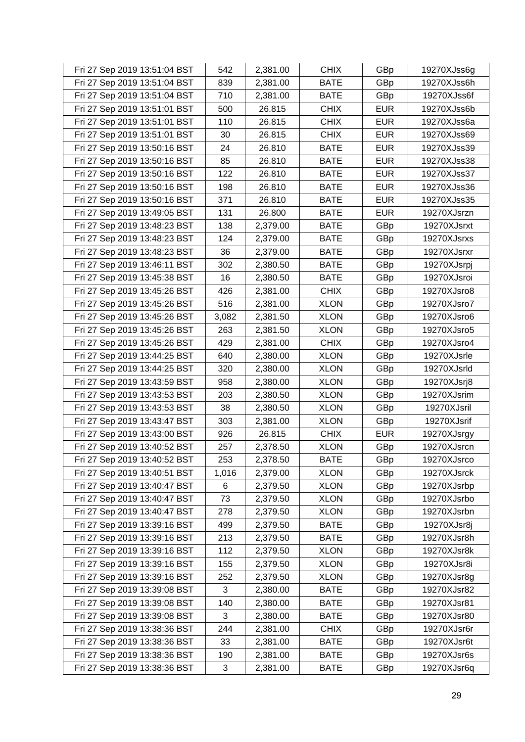| Fri 27 Sep 2019 13:51:04 BST | 542   | 2,381.00 | <b>CHIX</b> | GBp        | 19270XJss6g |
|------------------------------|-------|----------|-------------|------------|-------------|
| Fri 27 Sep 2019 13:51:04 BST | 839   | 2,381.00 | <b>BATE</b> | GBp        | 19270XJss6h |
| Fri 27 Sep 2019 13:51:04 BST | 710   | 2,381.00 | <b>BATE</b> | GBp        | 19270XJss6f |
| Fri 27 Sep 2019 13:51:01 BST | 500   | 26.815   | <b>CHIX</b> | <b>EUR</b> | 19270XJss6b |
| Fri 27 Sep 2019 13:51:01 BST | 110   | 26.815   | <b>CHIX</b> | <b>EUR</b> | 19270XJss6a |
| Fri 27 Sep 2019 13:51:01 BST | 30    | 26.815   | <b>CHIX</b> | <b>EUR</b> | 19270XJss69 |
| Fri 27 Sep 2019 13:50:16 BST | 24    | 26.810   | <b>BATE</b> | <b>EUR</b> | 19270XJss39 |
| Fri 27 Sep 2019 13:50:16 BST | 85    | 26.810   | <b>BATE</b> | <b>EUR</b> | 19270XJss38 |
| Fri 27 Sep 2019 13:50:16 BST | 122   | 26.810   | <b>BATE</b> | <b>EUR</b> | 19270XJss37 |
| Fri 27 Sep 2019 13:50:16 BST | 198   | 26.810   | <b>BATE</b> | <b>EUR</b> | 19270XJss36 |
| Fri 27 Sep 2019 13:50:16 BST | 371   | 26.810   | <b>BATE</b> | <b>EUR</b> | 19270XJss35 |
| Fri 27 Sep 2019 13:49:05 BST | 131   | 26.800   | <b>BATE</b> | <b>EUR</b> | 19270XJsrzn |
| Fri 27 Sep 2019 13:48:23 BST | 138   | 2,379.00 | <b>BATE</b> | GBp        | 19270XJsrxt |
| Fri 27 Sep 2019 13:48:23 BST | 124   | 2,379.00 | <b>BATE</b> | GBp        | 19270XJsrxs |
| Fri 27 Sep 2019 13:48:23 BST | 36    | 2,379.00 | <b>BATE</b> | GBp        | 19270XJsrxr |
| Fri 27 Sep 2019 13:46:11 BST | 302   | 2,380.50 | <b>BATE</b> | GBp        | 19270XJsrpj |
| Fri 27 Sep 2019 13:45:38 BST | 16    | 2,380.50 | <b>BATE</b> | GBp        | 19270XJsroi |
| Fri 27 Sep 2019 13:45:26 BST | 426   | 2,381.00 | <b>CHIX</b> | GBp        | 19270XJsro8 |
| Fri 27 Sep 2019 13:45:26 BST | 516   | 2,381.00 | <b>XLON</b> | GBp        | 19270XJsro7 |
| Fri 27 Sep 2019 13:45:26 BST | 3,082 | 2,381.50 | <b>XLON</b> | GBp        | 19270XJsro6 |
| Fri 27 Sep 2019 13:45:26 BST | 263   | 2,381.50 | <b>XLON</b> | GBp        | 19270XJsro5 |
| Fri 27 Sep 2019 13:45:26 BST | 429   | 2,381.00 | <b>CHIX</b> | GBp        | 19270XJsro4 |
| Fri 27 Sep 2019 13:44:25 BST | 640   | 2,380.00 | <b>XLON</b> | GBp        | 19270XJsrle |
| Fri 27 Sep 2019 13:44:25 BST | 320   | 2,380.00 | <b>XLON</b> | GBp        | 19270XJsrld |
| Fri 27 Sep 2019 13:43:59 BST | 958   | 2,380.00 | <b>XLON</b> | GBp        | 19270XJsrj8 |
| Fri 27 Sep 2019 13:43:53 BST | 203   | 2,380.50 | <b>XLON</b> | GBp        | 19270XJsrim |
| Fri 27 Sep 2019 13:43:53 BST | 38    | 2,380.50 | <b>XLON</b> | GBp        | 19270XJsril |
| Fri 27 Sep 2019 13:43:47 BST | 303   | 2,381.00 | <b>XLON</b> | GBp        | 19270XJsrif |
| Fri 27 Sep 2019 13:43:00 BST | 926   | 26.815   | <b>CHIX</b> | <b>EUR</b> | 19270XJsrgy |
| Fri 27 Sep 2019 13:40:52 BST | 257   | 2,378.50 | <b>XLON</b> | GBp        | 19270XJsrcn |
| Fri 27 Sep 2019 13:40:52 BST | 253   | 2,378.50 | <b>BATE</b> | GBp        | 19270XJsrco |
| Fri 27 Sep 2019 13:40:51 BST | 1,016 | 2,379.00 | <b>XLON</b> | GBp        | 19270XJsrck |
| Fri 27 Sep 2019 13:40:47 BST | 6     | 2,379.50 | <b>XLON</b> | GBp        | 19270XJsrbp |
| Fri 27 Sep 2019 13:40:47 BST | 73    | 2,379.50 | <b>XLON</b> | GBp        | 19270XJsrbo |
| Fri 27 Sep 2019 13:40:47 BST | 278   | 2,379.50 | <b>XLON</b> | GBp        | 19270XJsrbn |
| Fri 27 Sep 2019 13:39:16 BST | 499   | 2,379.50 | <b>BATE</b> | GBp        | 19270XJsr8j |
| Fri 27 Sep 2019 13:39:16 BST | 213   | 2,379.50 | <b>BATE</b> | GBp        | 19270XJsr8h |
| Fri 27 Sep 2019 13:39:16 BST | 112   | 2,379.50 | <b>XLON</b> | GBp        | 19270XJsr8k |
| Fri 27 Sep 2019 13:39:16 BST | 155   | 2,379.50 | <b>XLON</b> | GBp        | 19270XJsr8i |
| Fri 27 Sep 2019 13:39:16 BST | 252   | 2,379.50 | <b>XLON</b> | GBp        | 19270XJsr8g |
| Fri 27 Sep 2019 13:39:08 BST | 3     | 2,380.00 | <b>BATE</b> | GBp        | 19270XJsr82 |
| Fri 27 Sep 2019 13:39:08 BST | 140   | 2,380.00 | <b>BATE</b> | GBp        | 19270XJsr81 |
| Fri 27 Sep 2019 13:39:08 BST | 3     | 2,380.00 | <b>BATE</b> | GBp        | 19270XJsr80 |
| Fri 27 Sep 2019 13:38:36 BST | 244   | 2,381.00 | <b>CHIX</b> | GBp        | 19270XJsr6r |
| Fri 27 Sep 2019 13:38:36 BST | 33    | 2,381.00 | <b>BATE</b> | GBp        | 19270XJsr6t |
| Fri 27 Sep 2019 13:38:36 BST | 190   | 2,381.00 | <b>BATE</b> | GBp        | 19270XJsr6s |
| Fri 27 Sep 2019 13:38:36 BST | 3     | 2,381.00 | <b>BATE</b> | GBp        | 19270XJsr6q |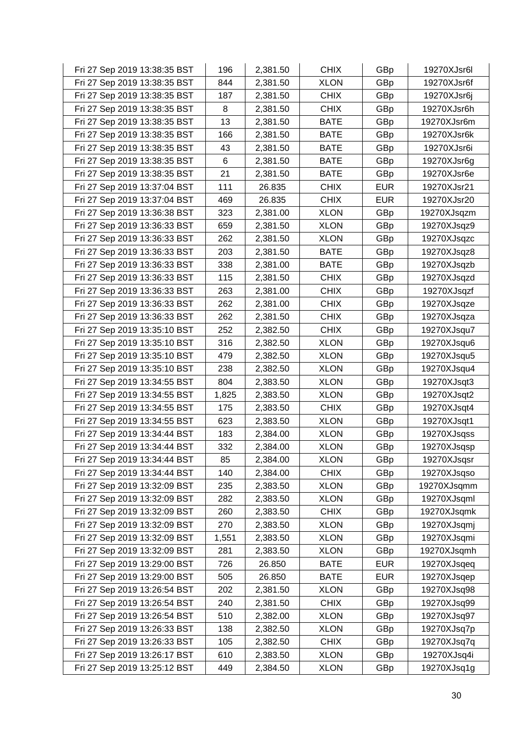| Fri 27 Sep 2019 13:38:35 BST | 196   | 2,381.50 | <b>CHIX</b> | GBp        | 19270XJsr6l |
|------------------------------|-------|----------|-------------|------------|-------------|
| Fri 27 Sep 2019 13:38:35 BST | 844   | 2,381.50 | <b>XLON</b> | GBp        | 19270XJsr6f |
| Fri 27 Sep 2019 13:38:35 BST | 187   | 2,381.50 | <b>CHIX</b> | GBp        | 19270XJsr6j |
| Fri 27 Sep 2019 13:38:35 BST | 8     | 2,381.50 | <b>CHIX</b> | GBp        | 19270XJsr6h |
| Fri 27 Sep 2019 13:38:35 BST | 13    | 2,381.50 | <b>BATE</b> | GBp        | 19270XJsr6m |
| Fri 27 Sep 2019 13:38:35 BST | 166   | 2,381.50 | <b>BATE</b> | GBp        | 19270XJsr6k |
| Fri 27 Sep 2019 13:38:35 BST | 43    | 2,381.50 | <b>BATE</b> | GBp        | 19270XJsr6i |
| Fri 27 Sep 2019 13:38:35 BST | 6     | 2,381.50 | <b>BATE</b> | GBp        | 19270XJsr6g |
| Fri 27 Sep 2019 13:38:35 BST | 21    | 2,381.50 | <b>BATE</b> | GBp        | 19270XJsr6e |
| Fri 27 Sep 2019 13:37:04 BST | 111   | 26.835   | <b>CHIX</b> | <b>EUR</b> | 19270XJsr21 |
| Fri 27 Sep 2019 13:37:04 BST | 469   | 26.835   | <b>CHIX</b> | <b>EUR</b> | 19270XJsr20 |
| Fri 27 Sep 2019 13:36:38 BST | 323   | 2,381.00 | <b>XLON</b> | GBp        | 19270XJsqzm |
| Fri 27 Sep 2019 13:36:33 BST | 659   | 2,381.50 | <b>XLON</b> | GBp        | 19270XJsqz9 |
| Fri 27 Sep 2019 13:36:33 BST | 262   | 2,381.50 | <b>XLON</b> | GBp        | 19270XJsqzc |
| Fri 27 Sep 2019 13:36:33 BST | 203   | 2,381.50 | <b>BATE</b> | GBp        | 19270XJsqz8 |
| Fri 27 Sep 2019 13:36:33 BST | 338   | 2,381.00 | <b>BATE</b> | GBp        | 19270XJsqzb |
| Fri 27 Sep 2019 13:36:33 BST | 115   | 2,381.50 | <b>CHIX</b> | GBp        | 19270XJsqzd |
| Fri 27 Sep 2019 13:36:33 BST | 263   | 2,381.00 | <b>CHIX</b> | GBp        | 19270XJsqzf |
| Fri 27 Sep 2019 13:36:33 BST | 262   | 2,381.00 | <b>CHIX</b> | GBp        | 19270XJsqze |
| Fri 27 Sep 2019 13:36:33 BST | 262   | 2,381.50 | <b>CHIX</b> | GBp        | 19270XJsqza |
| Fri 27 Sep 2019 13:35:10 BST | 252   | 2,382.50 | <b>CHIX</b> | GBp        | 19270XJsqu7 |
| Fri 27 Sep 2019 13:35:10 BST | 316   | 2,382.50 | <b>XLON</b> | GBp        | 19270XJsqu6 |
| Fri 27 Sep 2019 13:35:10 BST | 479   | 2,382.50 | <b>XLON</b> | GBp        | 19270XJsqu5 |
| Fri 27 Sep 2019 13:35:10 BST | 238   | 2,382.50 | <b>XLON</b> | GBp        | 19270XJsqu4 |
| Fri 27 Sep 2019 13:34:55 BST | 804   | 2,383.50 | <b>XLON</b> | GBp        | 19270XJsqt3 |
| Fri 27 Sep 2019 13:34:55 BST | 1,825 | 2,383.50 | <b>XLON</b> | GBp        | 19270XJsqt2 |
| Fri 27 Sep 2019 13:34:55 BST | 175   | 2,383.50 | <b>CHIX</b> | GBp        | 19270XJsqt4 |
| Fri 27 Sep 2019 13:34:55 BST | 623   | 2,383.50 | <b>XLON</b> | GBp        | 19270XJsqt1 |
| Fri 27 Sep 2019 13:34:44 BST | 183   | 2,384.00 | <b>XLON</b> | GBp        | 19270XJsqss |
| Fri 27 Sep 2019 13:34:44 BST | 332   | 2,384.00 | <b>XLON</b> | GBp        | 19270XJsqsp |
| Fri 27 Sep 2019 13:34:44 BST | 85    | 2,384.00 | <b>XLON</b> | GBp        | 19270XJsqsr |
| Fri 27 Sep 2019 13:34:44 BST | 140   | 2,384.00 | <b>CHIX</b> | GBp        | 19270XJsqso |
| Fri 27 Sep 2019 13:32:09 BST | 235   | 2,383.50 | <b>XLON</b> | GBp        | 19270XJsqmm |
| Fri 27 Sep 2019 13:32:09 BST | 282   | 2,383.50 | <b>XLON</b> | GBp        | 19270XJsqml |
| Fri 27 Sep 2019 13:32:09 BST | 260   | 2,383.50 | <b>CHIX</b> | GBp        | 19270XJsqmk |
| Fri 27 Sep 2019 13:32:09 BST | 270   | 2,383.50 | <b>XLON</b> | GBp        | 19270XJsqmj |
| Fri 27 Sep 2019 13:32:09 BST | 1,551 | 2,383.50 | <b>XLON</b> | GBp        | 19270XJsqmi |
| Fri 27 Sep 2019 13:32:09 BST | 281   | 2,383.50 | <b>XLON</b> | GBp        | 19270XJsqmh |
| Fri 27 Sep 2019 13:29:00 BST | 726   | 26.850   | <b>BATE</b> | <b>EUR</b> | 19270XJsqeq |
| Fri 27 Sep 2019 13:29:00 BST | 505   | 26.850   | <b>BATE</b> | <b>EUR</b> | 19270XJsqep |
| Fri 27 Sep 2019 13:26:54 BST | 202   | 2,381.50 | <b>XLON</b> | GBp        | 19270XJsq98 |
| Fri 27 Sep 2019 13:26:54 BST | 240   | 2,381.50 | <b>CHIX</b> | GBp        | 19270XJsq99 |
| Fri 27 Sep 2019 13:26:54 BST | 510   | 2,382.00 | <b>XLON</b> | GBp        | 19270XJsq97 |
| Fri 27 Sep 2019 13:26:33 BST | 138   | 2,382.50 | <b>XLON</b> | GBp        | 19270XJsq7p |
| Fri 27 Sep 2019 13:26:33 BST | 105   | 2,382.50 | <b>CHIX</b> | GBp        | 19270XJsq7q |
| Fri 27 Sep 2019 13:26:17 BST | 610   | 2,383.50 | <b>XLON</b> | GBp        | 19270XJsq4i |
| Fri 27 Sep 2019 13:25:12 BST | 449   | 2,384.50 | <b>XLON</b> | GBp        | 19270XJsq1g |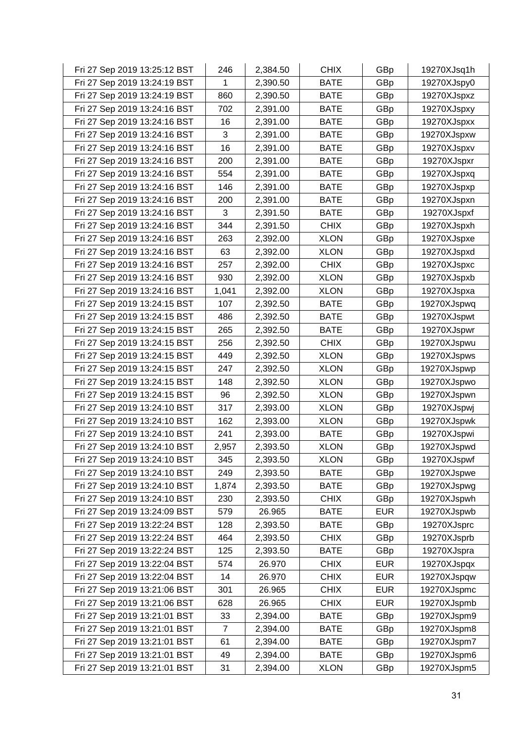| Fri 27 Sep 2019 13:25:12 BST | 246   | 2,384.50 | <b>CHIX</b> | GBp        | 19270XJsq1h |
|------------------------------|-------|----------|-------------|------------|-------------|
| Fri 27 Sep 2019 13:24:19 BST | 1     | 2,390.50 | <b>BATE</b> | GBp        | 19270XJspy0 |
| Fri 27 Sep 2019 13:24:19 BST | 860   | 2,390.50 | <b>BATE</b> | GBp        | 19270XJspxz |
| Fri 27 Sep 2019 13:24:16 BST | 702   | 2,391.00 | <b>BATE</b> | GBp        | 19270XJspxy |
| Fri 27 Sep 2019 13:24:16 BST | 16    | 2,391.00 | <b>BATE</b> | GBp        | 19270XJspxx |
| Fri 27 Sep 2019 13:24:16 BST | 3     | 2,391.00 | <b>BATE</b> | GBp        | 19270XJspxw |
| Fri 27 Sep 2019 13:24:16 BST | 16    | 2,391.00 | <b>BATE</b> | GBp        | 19270XJspxv |
| Fri 27 Sep 2019 13:24:16 BST | 200   | 2,391.00 | <b>BATE</b> | GBp        | 19270XJspxr |
| Fri 27 Sep 2019 13:24:16 BST | 554   | 2,391.00 | <b>BATE</b> | GBp        | 19270XJspxq |
| Fri 27 Sep 2019 13:24:16 BST | 146   | 2,391.00 | <b>BATE</b> | GBp        | 19270XJspxp |
| Fri 27 Sep 2019 13:24:16 BST | 200   | 2,391.00 | <b>BATE</b> | GBp        | 19270XJspxn |
| Fri 27 Sep 2019 13:24:16 BST | 3     | 2,391.50 | <b>BATE</b> | GBp        | 19270XJspxf |
| Fri 27 Sep 2019 13:24:16 BST | 344   | 2,391.50 | <b>CHIX</b> | GBp        | 19270XJspxh |
| Fri 27 Sep 2019 13:24:16 BST | 263   | 2,392.00 | <b>XLON</b> | GBp        | 19270XJspxe |
| Fri 27 Sep 2019 13:24:16 BST | 63    | 2,392.00 | <b>XLON</b> | GBp        | 19270XJspxd |
| Fri 27 Sep 2019 13:24:16 BST | 257   | 2,392.00 | <b>CHIX</b> | GBp        | 19270XJspxc |
| Fri 27 Sep 2019 13:24:16 BST | 930   | 2,392.00 | <b>XLON</b> | GBp        | 19270XJspxb |
| Fri 27 Sep 2019 13:24:16 BST | 1,041 | 2,392.00 | <b>XLON</b> | GBp        | 19270XJspxa |
| Fri 27 Sep 2019 13:24:15 BST | 107   | 2,392.50 | <b>BATE</b> | GBp        | 19270XJspwq |
| Fri 27 Sep 2019 13:24:15 BST | 486   | 2,392.50 | <b>BATE</b> | GBp        | 19270XJspwt |
| Fri 27 Sep 2019 13:24:15 BST | 265   | 2,392.50 | <b>BATE</b> | GBp        | 19270XJspwr |
| Fri 27 Sep 2019 13:24:15 BST | 256   | 2,392.50 | <b>CHIX</b> | GBp        | 19270XJspwu |
| Fri 27 Sep 2019 13:24:15 BST | 449   | 2,392.50 | <b>XLON</b> | GBp        | 19270XJspws |
| Fri 27 Sep 2019 13:24:15 BST | 247   | 2,392.50 | <b>XLON</b> | GBp        | 19270XJspwp |
| Fri 27 Sep 2019 13:24:15 BST | 148   | 2,392.50 | <b>XLON</b> | GBp        | 19270XJspwo |
| Fri 27 Sep 2019 13:24:15 BST | 96    | 2,392.50 | <b>XLON</b> | GBp        | 19270XJspwn |
| Fri 27 Sep 2019 13:24:10 BST | 317   | 2,393.00 | <b>XLON</b> | GBp        | 19270XJspwj |
| Fri 27 Sep 2019 13:24:10 BST | 162   | 2,393.00 | <b>XLON</b> | GBp        | 19270XJspwk |
| Fri 27 Sep 2019 13:24:10 BST | 241   | 2,393.00 | <b>BATE</b> | GBp        | 19270XJspwi |
| Fri 27 Sep 2019 13:24:10 BST | 2,957 | 2,393.50 | <b>XLON</b> | GBp        | 19270XJspwd |
| Fri 27 Sep 2019 13:24:10 BST | 345   | 2,393.50 | <b>XLON</b> | GBp        | 19270XJspwf |
| Fri 27 Sep 2019 13:24:10 BST | 249   | 2,393.50 | <b>BATE</b> | GBp        | 19270XJspwe |
| Fri 27 Sep 2019 13:24:10 BST | 1,874 | 2,393.50 | <b>BATE</b> | GBp        | 19270XJspwg |
| Fri 27 Sep 2019 13:24:10 BST | 230   | 2,393.50 | <b>CHIX</b> | GBp        | 19270XJspwh |
| Fri 27 Sep 2019 13:24:09 BST | 579   | 26.965   | <b>BATE</b> | <b>EUR</b> | 19270XJspwb |
| Fri 27 Sep 2019 13:22:24 BST | 128   | 2,393.50 | <b>BATE</b> | GBp        | 19270XJsprc |
| Fri 27 Sep 2019 13:22:24 BST | 464   | 2,393.50 | <b>CHIX</b> | GBp        | 19270XJsprb |
| Fri 27 Sep 2019 13:22:24 BST | 125   | 2,393.50 | <b>BATE</b> | GBp        | 19270XJspra |
| Fri 27 Sep 2019 13:22:04 BST | 574   | 26.970   | <b>CHIX</b> | <b>EUR</b> | 19270XJspqx |
| Fri 27 Sep 2019 13:22:04 BST | 14    | 26.970   | <b>CHIX</b> | <b>EUR</b> | 19270XJspqw |
| Fri 27 Sep 2019 13:21:06 BST | 301   | 26.965   | <b>CHIX</b> | <b>EUR</b> | 19270XJspmc |
| Fri 27 Sep 2019 13:21:06 BST | 628   | 26.965   | <b>CHIX</b> | <b>EUR</b> | 19270XJspmb |
| Fri 27 Sep 2019 13:21:01 BST | 33    | 2,394.00 | <b>BATE</b> | GBp        | 19270XJspm9 |
| Fri 27 Sep 2019 13:21:01 BST | 7     | 2,394.00 | <b>BATE</b> | GBp        | 19270XJspm8 |
| Fri 27 Sep 2019 13:21:01 BST | 61    | 2,394.00 | <b>BATE</b> | GBp        | 19270XJspm7 |
| Fri 27 Sep 2019 13:21:01 BST | 49    | 2,394.00 | <b>BATE</b> | GBp        | 19270XJspm6 |
| Fri 27 Sep 2019 13:21:01 BST | 31    | 2,394.00 | <b>XLON</b> | GBp        | 19270XJspm5 |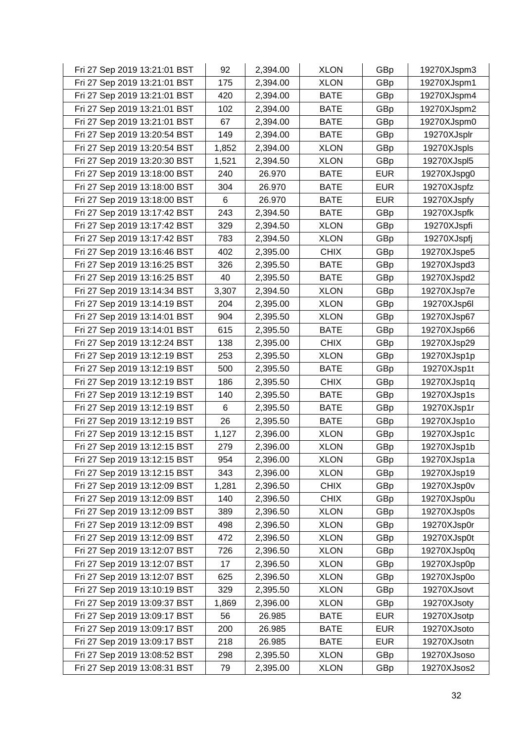| Fri 27 Sep 2019 13:21:01 BST | 92    | 2,394.00 | <b>XLON</b> | GBp        | 19270XJspm3 |
|------------------------------|-------|----------|-------------|------------|-------------|
| Fri 27 Sep 2019 13:21:01 BST | 175   | 2,394.00 | <b>XLON</b> | GBp        | 19270XJspm1 |
| Fri 27 Sep 2019 13:21:01 BST | 420   | 2,394.00 | <b>BATE</b> | GBp        | 19270XJspm4 |
| Fri 27 Sep 2019 13:21:01 BST | 102   | 2,394.00 | <b>BATE</b> | GBp        | 19270XJspm2 |
| Fri 27 Sep 2019 13:21:01 BST | 67    | 2,394.00 | <b>BATE</b> | GBp        | 19270XJspm0 |
| Fri 27 Sep 2019 13:20:54 BST | 149   | 2,394.00 | <b>BATE</b> | GBp        | 19270XJsplr |
| Fri 27 Sep 2019 13:20:54 BST | 1,852 | 2,394.00 | <b>XLON</b> | GBp        | 19270XJspls |
| Fri 27 Sep 2019 13:20:30 BST | 1,521 | 2,394.50 | <b>XLON</b> | GBp        | 19270XJspl5 |
| Fri 27 Sep 2019 13:18:00 BST | 240   | 26.970   | <b>BATE</b> | <b>EUR</b> | 19270XJspg0 |
| Fri 27 Sep 2019 13:18:00 BST | 304   | 26.970   | <b>BATE</b> | <b>EUR</b> | 19270XJspfz |
| Fri 27 Sep 2019 13:18:00 BST | 6     | 26.970   | <b>BATE</b> | <b>EUR</b> | 19270XJspfy |
| Fri 27 Sep 2019 13:17:42 BST | 243   | 2,394.50 | <b>BATE</b> | GBp        | 19270XJspfk |
| Fri 27 Sep 2019 13:17:42 BST | 329   | 2,394.50 | <b>XLON</b> | GBp        | 19270XJspfi |
| Fri 27 Sep 2019 13:17:42 BST | 783   | 2,394.50 | <b>XLON</b> | GBp        | 19270XJspfj |
| Fri 27 Sep 2019 13:16:46 BST | 402   | 2,395.00 | <b>CHIX</b> | GBp        | 19270XJspe5 |
| Fri 27 Sep 2019 13:16:25 BST | 326   | 2,395.50 | <b>BATE</b> | GBp        | 19270XJspd3 |
| Fri 27 Sep 2019 13:16:25 BST | 40    | 2,395.50 | <b>BATE</b> | GBp        | 19270XJspd2 |
| Fri 27 Sep 2019 13:14:34 BST | 3,307 | 2,394.50 | <b>XLON</b> | GBp        | 19270XJsp7e |
| Fri 27 Sep 2019 13:14:19 BST | 204   | 2,395.00 | <b>XLON</b> | GBp        | 19270XJsp6l |
| Fri 27 Sep 2019 13:14:01 BST | 904   | 2,395.50 | <b>XLON</b> | GBp        | 19270XJsp67 |
| Fri 27 Sep 2019 13:14:01 BST | 615   | 2,395.50 | <b>BATE</b> | GBp        | 19270XJsp66 |
| Fri 27 Sep 2019 13:12:24 BST | 138   | 2,395.00 | <b>CHIX</b> | GBp        | 19270XJsp29 |
| Fri 27 Sep 2019 13:12:19 BST | 253   | 2,395.50 | <b>XLON</b> | GBp        | 19270XJsp1p |
| Fri 27 Sep 2019 13:12:19 BST | 500   | 2,395.50 | <b>BATE</b> | GBp        | 19270XJsp1t |
| Fri 27 Sep 2019 13:12:19 BST | 186   | 2,395.50 | <b>CHIX</b> | GBp        | 19270XJsp1q |
| Fri 27 Sep 2019 13:12:19 BST | 140   | 2,395.50 | <b>BATE</b> | GBp        | 19270XJsp1s |
| Fri 27 Sep 2019 13:12:19 BST | 6     | 2,395.50 | <b>BATE</b> | GBp        | 19270XJsp1r |
| Fri 27 Sep 2019 13:12:19 BST | 26    | 2,395.50 | <b>BATE</b> | GBp        | 19270XJsp1o |
| Fri 27 Sep 2019 13:12:15 BST | 1,127 | 2,396.00 | <b>XLON</b> | GBp        | 19270XJsp1c |
| Fri 27 Sep 2019 13:12:15 BST | 279   | 2,396.00 | <b>XLON</b> | GBp        | 19270XJsp1b |
| Fri 27 Sep 2019 13:12:15 BST | 954   | 2,396.00 | <b>XLON</b> | GBp        | 19270XJsp1a |
| Fri 27 Sep 2019 13:12:15 BST | 343   | 2,396.00 | <b>XLON</b> | GBp        | 19270XJsp19 |
| Fri 27 Sep 2019 13:12:09 BST | 1,281 | 2,396.50 | <b>CHIX</b> | GBp        | 19270XJsp0v |
| Fri 27 Sep 2019 13:12:09 BST | 140   | 2,396.50 | <b>CHIX</b> | GBp        | 19270XJsp0u |
| Fri 27 Sep 2019 13:12:09 BST | 389   | 2,396.50 | <b>XLON</b> | GBp        | 19270XJsp0s |
| Fri 27 Sep 2019 13:12:09 BST | 498   | 2,396.50 | <b>XLON</b> | GBp        | 19270XJsp0r |
| Fri 27 Sep 2019 13:12:09 BST | 472   | 2,396.50 | <b>XLON</b> | GBp        | 19270XJsp0t |
| Fri 27 Sep 2019 13:12:07 BST | 726   | 2,396.50 | <b>XLON</b> | GBp        | 19270XJsp0q |
| Fri 27 Sep 2019 13:12:07 BST | 17    | 2,396.50 | <b>XLON</b> | GBp        | 19270XJsp0p |
| Fri 27 Sep 2019 13:12:07 BST | 625   | 2,396.50 | <b>XLON</b> | GBp        | 19270XJsp0o |
| Fri 27 Sep 2019 13:10:19 BST | 329   | 2,395.50 | <b>XLON</b> | GBp        | 19270XJsovt |
| Fri 27 Sep 2019 13:09:37 BST | 1,869 | 2,396.00 | <b>XLON</b> | GBp        | 19270XJsoty |
| Fri 27 Sep 2019 13:09:17 BST | 56    | 26.985   | <b>BATE</b> | <b>EUR</b> | 19270XJsotp |
| Fri 27 Sep 2019 13:09:17 BST | 200   | 26.985   | <b>BATE</b> | <b>EUR</b> | 19270XJsoto |
| Fri 27 Sep 2019 13:09:17 BST | 218   | 26.985   | <b>BATE</b> | <b>EUR</b> | 19270XJsotn |
| Fri 27 Sep 2019 13:08:52 BST | 298   | 2,395.50 | <b>XLON</b> | GBp        | 19270XJsoso |
| Fri 27 Sep 2019 13:08:31 BST | 79    | 2,395.00 | <b>XLON</b> | GBp        | 19270XJsos2 |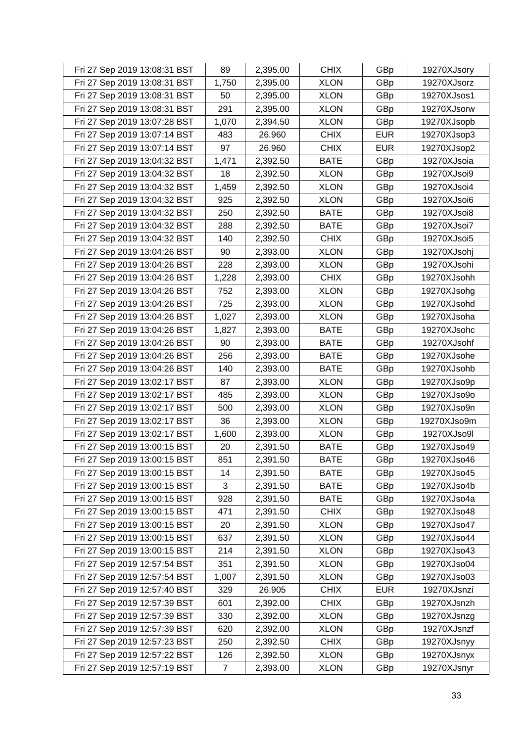| Fri 27 Sep 2019 13:08:31 BST | 89             | 2,395.00 | <b>CHIX</b> | GBp        | 19270XJsory |
|------------------------------|----------------|----------|-------------|------------|-------------|
| Fri 27 Sep 2019 13:08:31 BST | 1,750          | 2,395.00 | <b>XLON</b> | GBp        | 19270XJsorz |
| Fri 27 Sep 2019 13:08:31 BST | 50             | 2,395.00 | <b>XLON</b> | GBp        | 19270XJsos1 |
| Fri 27 Sep 2019 13:08:31 BST | 291            | 2,395.00 | <b>XLON</b> | GBp        | 19270XJsorw |
| Fri 27 Sep 2019 13:07:28 BST | 1,070          | 2,394.50 | <b>XLON</b> | GBp        | 19270XJsopb |
| Fri 27 Sep 2019 13:07:14 BST | 483            | 26.960   | <b>CHIX</b> | <b>EUR</b> | 19270XJsop3 |
| Fri 27 Sep 2019 13:07:14 BST | 97             | 26.960   | <b>CHIX</b> | <b>EUR</b> | 19270XJsop2 |
| Fri 27 Sep 2019 13:04:32 BST | 1,471          | 2,392.50 | <b>BATE</b> | GBp        | 19270XJsoia |
| Fri 27 Sep 2019 13:04:32 BST | 18             | 2,392.50 | <b>XLON</b> | GBp        | 19270XJsoi9 |
| Fri 27 Sep 2019 13:04:32 BST | 1,459          | 2,392.50 | <b>XLON</b> | GBp        | 19270XJsoi4 |
| Fri 27 Sep 2019 13:04:32 BST | 925            | 2,392.50 | <b>XLON</b> | GBp        | 19270XJsoi6 |
| Fri 27 Sep 2019 13:04:32 BST | 250            | 2,392.50 | <b>BATE</b> | GBp        | 19270XJsoi8 |
| Fri 27 Sep 2019 13:04:32 BST | 288            | 2,392.50 | <b>BATE</b> | GBp        | 19270XJsoi7 |
| Fri 27 Sep 2019 13:04:32 BST | 140            | 2,392.50 | <b>CHIX</b> | GBp        | 19270XJsoi5 |
| Fri 27 Sep 2019 13:04:26 BST | 90             | 2,393.00 | <b>XLON</b> | GBp        | 19270XJsohj |
| Fri 27 Sep 2019 13:04:26 BST | 228            | 2,393.00 | <b>XLON</b> | GBp        | 19270XJsohi |
| Fri 27 Sep 2019 13:04:26 BST | 1,228          | 2,393.00 | <b>CHIX</b> | GBp        | 19270XJsohh |
| Fri 27 Sep 2019 13:04:26 BST | 752            | 2,393.00 | <b>XLON</b> | GBp        | 19270XJsohg |
| Fri 27 Sep 2019 13:04:26 BST | 725            | 2,393.00 | <b>XLON</b> | GBp        | 19270XJsohd |
| Fri 27 Sep 2019 13:04:26 BST | 1,027          | 2,393.00 | <b>XLON</b> | GBp        | 19270XJsoha |
| Fri 27 Sep 2019 13:04:26 BST | 1,827          | 2,393.00 | <b>BATE</b> | GBp        | 19270XJsohc |
| Fri 27 Sep 2019 13:04:26 BST | 90             | 2,393.00 | <b>BATE</b> | GBp        | 19270XJsohf |
| Fri 27 Sep 2019 13:04:26 BST | 256            | 2,393.00 | <b>BATE</b> | GBp        | 19270XJsohe |
| Fri 27 Sep 2019 13:04:26 BST | 140            | 2,393.00 | <b>BATE</b> | GBp        | 19270XJsohb |
| Fri 27 Sep 2019 13:02:17 BST | 87             | 2,393.00 | <b>XLON</b> | GBp        | 19270XJso9p |
| Fri 27 Sep 2019 13:02:17 BST | 485            | 2,393.00 | <b>XLON</b> | GBp        | 19270XJso9o |
| Fri 27 Sep 2019 13:02:17 BST | 500            | 2,393.00 | <b>XLON</b> | GBp        | 19270XJso9n |
| Fri 27 Sep 2019 13:02:17 BST | 36             | 2,393.00 | <b>XLON</b> | GBp        | 19270XJso9m |
| Fri 27 Sep 2019 13:02:17 BST | 1,600          | 2,393.00 | <b>XLON</b> | GBp        | 19270XJso9l |
| Fri 27 Sep 2019 13:00:15 BST | 20             | 2,391.50 | <b>BATE</b> | GBp        | 19270XJso49 |
| Fri 27 Sep 2019 13:00:15 BST | 851            | 2,391.50 | <b>BATE</b> | GBp        | 19270XJso46 |
| Fri 27 Sep 2019 13:00:15 BST | 14             | 2,391.50 | <b>BATE</b> | GBp        | 19270XJso45 |
| Fri 27 Sep 2019 13:00:15 BST | 3              | 2,391.50 | <b>BATE</b> | GBp        | 19270XJso4b |
| Fri 27 Sep 2019 13:00:15 BST | 928            | 2,391.50 | <b>BATE</b> | GBp        | 19270XJso4a |
| Fri 27 Sep 2019 13:00:15 BST | 471            | 2,391.50 | <b>CHIX</b> | GBp        | 19270XJso48 |
| Fri 27 Sep 2019 13:00:15 BST | 20             | 2,391.50 | <b>XLON</b> | GBp        | 19270XJso47 |
| Fri 27 Sep 2019 13:00:15 BST | 637            | 2,391.50 | <b>XLON</b> | GBp        | 19270XJso44 |
| Fri 27 Sep 2019 13:00:15 BST | 214            | 2,391.50 | <b>XLON</b> | GBp        | 19270XJso43 |
| Fri 27 Sep 2019 12:57:54 BST | 351            | 2,391.50 | <b>XLON</b> | GBp        | 19270XJso04 |
| Fri 27 Sep 2019 12:57:54 BST | 1,007          | 2,391.50 | <b>XLON</b> | GBp        | 19270XJso03 |
| Fri 27 Sep 2019 12:57:40 BST | 329            | 26.905   | <b>CHIX</b> | <b>EUR</b> | 19270XJsnzi |
| Fri 27 Sep 2019 12:57:39 BST | 601            | 2,392.00 | <b>CHIX</b> | GBp        | 19270XJsnzh |
| Fri 27 Sep 2019 12:57:39 BST | 330            | 2,392.00 | <b>XLON</b> | GBp        | 19270XJsnzg |
| Fri 27 Sep 2019 12:57:39 BST | 620            | 2,392.00 | <b>XLON</b> | GBp        | 19270XJsnzf |
| Fri 27 Sep 2019 12:57:23 BST | 250            | 2,392.50 | <b>CHIX</b> | GBp        | 19270XJsnyy |
| Fri 27 Sep 2019 12:57:22 BST | 126            | 2,392.50 | <b>XLON</b> | GBp        | 19270XJsnyx |
| Fri 27 Sep 2019 12:57:19 BST | $\overline{7}$ | 2,393.00 | <b>XLON</b> | GBp        | 19270XJsnyr |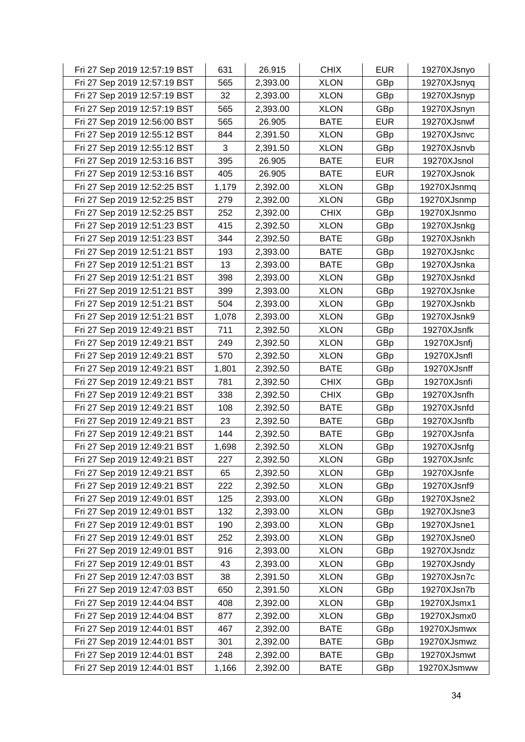| Fri 27 Sep 2019 12:57:19 BST | 631   | 26.915   | <b>CHIX</b> | <b>EUR</b> | 19270XJsnyo |
|------------------------------|-------|----------|-------------|------------|-------------|
| Fri 27 Sep 2019 12:57:19 BST | 565   | 2,393.00 | <b>XLON</b> | GBp        | 19270XJsnyq |
| Fri 27 Sep 2019 12:57:19 BST | 32    | 2,393.00 | <b>XLON</b> | GBp        | 19270XJsnyp |
| Fri 27 Sep 2019 12:57:19 BST | 565   | 2,393.00 | <b>XLON</b> | GBp        | 19270XJsnyn |
| Fri 27 Sep 2019 12:56:00 BST | 565   | 26.905   | <b>BATE</b> | <b>EUR</b> | 19270XJsnwf |
| Fri 27 Sep 2019 12:55:12 BST | 844   | 2,391.50 | <b>XLON</b> | GBp        | 19270XJsnvc |
| Fri 27 Sep 2019 12:55:12 BST | 3     | 2,391.50 | <b>XLON</b> | GBp        | 19270XJsnvb |
| Fri 27 Sep 2019 12:53:16 BST | 395   | 26.905   | <b>BATE</b> | <b>EUR</b> | 19270XJsnol |
| Fri 27 Sep 2019 12:53:16 BST | 405   | 26.905   | <b>BATE</b> | <b>EUR</b> | 19270XJsnok |
| Fri 27 Sep 2019 12:52:25 BST | 1,179 | 2,392.00 | <b>XLON</b> | GBp        | 19270XJsnmq |
| Fri 27 Sep 2019 12:52:25 BST | 279   | 2,392.00 | <b>XLON</b> | GBp        | 19270XJsnmp |
| Fri 27 Sep 2019 12:52:25 BST | 252   | 2,392.00 | <b>CHIX</b> | GBp        | 19270XJsnmo |
| Fri 27 Sep 2019 12:51:23 BST | 415   | 2,392.50 | <b>XLON</b> | GBp        | 19270XJsnkg |
| Fri 27 Sep 2019 12:51:23 BST | 344   | 2,392.50 | <b>BATE</b> | GBp        | 19270XJsnkh |
| Fri 27 Sep 2019 12:51:21 BST | 193   | 2,393.00 | <b>BATE</b> | GBp        | 19270XJsnkc |
| Fri 27 Sep 2019 12:51:21 BST | 13    | 2,393.00 | <b>BATE</b> | GBp        | 19270XJsnka |
| Fri 27 Sep 2019 12:51:21 BST | 398   | 2,393.00 | <b>XLON</b> | GBp        | 19270XJsnkd |
| Fri 27 Sep 2019 12:51:21 BST | 399   | 2,393.00 | <b>XLON</b> | GBp        | 19270XJsnke |
| Fri 27 Sep 2019 12:51:21 BST | 504   | 2,393.00 | <b>XLON</b> | GBp        | 19270XJsnkb |
| Fri 27 Sep 2019 12:51:21 BST | 1,078 | 2,393.00 | <b>XLON</b> | GBp        | 19270XJsnk9 |
| Fri 27 Sep 2019 12:49:21 BST | 711   | 2,392.50 | <b>XLON</b> | GBp        | 19270XJsnfk |
| Fri 27 Sep 2019 12:49:21 BST | 249   | 2,392.50 | <b>XLON</b> | GBp        | 19270XJsnfj |
| Fri 27 Sep 2019 12:49:21 BST | 570   | 2,392.50 | <b>XLON</b> | GBp        | 19270XJsnfl |
| Fri 27 Sep 2019 12:49:21 BST | 1,801 | 2,392.50 | <b>BATE</b> | GBp        | 19270XJsnff |
| Fri 27 Sep 2019 12:49:21 BST | 781   | 2,392.50 | <b>CHIX</b> | GBp        | 19270XJsnfi |
| Fri 27 Sep 2019 12:49:21 BST | 338   | 2,392.50 | <b>CHIX</b> | GBp        | 19270XJsnfh |
| Fri 27 Sep 2019 12:49:21 BST | 108   | 2,392.50 | <b>BATE</b> | GBp        | 19270XJsnfd |
| Fri 27 Sep 2019 12:49:21 BST | 23    | 2,392.50 | <b>BATE</b> | GBp        | 19270XJsnfb |
| Fri 27 Sep 2019 12:49:21 BST | 144   | 2,392.50 | <b>BATE</b> | GBp        | 19270XJsnfa |
| Fri 27 Sep 2019 12:49:21 BST | 1,698 | 2,392.50 | <b>XLON</b> | GBp        | 19270XJsnfg |
| Fri 27 Sep 2019 12:49:21 BST | 227   | 2,392.50 | <b>XLON</b> | GBp        | 19270XJsnfc |
| Fri 27 Sep 2019 12:49:21 BST | 65    | 2,392.50 | <b>XLON</b> | GBp        | 19270XJsnfe |
| Fri 27 Sep 2019 12:49:21 BST | 222   | 2,392.50 | <b>XLON</b> | GBp        | 19270XJsnf9 |
| Fri 27 Sep 2019 12:49:01 BST | 125   | 2,393.00 | <b>XLON</b> | GBp        | 19270XJsne2 |
| Fri 27 Sep 2019 12:49:01 BST | 132   | 2,393.00 | <b>XLON</b> | GBp        | 19270XJsne3 |
| Fri 27 Sep 2019 12:49:01 BST | 190   | 2,393.00 | <b>XLON</b> | GBp        | 19270XJsne1 |
| Fri 27 Sep 2019 12:49:01 BST | 252   | 2,393.00 | <b>XLON</b> | GBp        | 19270XJsne0 |
| Fri 27 Sep 2019 12:49:01 BST | 916   | 2,393.00 | <b>XLON</b> | GBp        | 19270XJsndz |
| Fri 27 Sep 2019 12:49:01 BST | 43    | 2,393.00 | <b>XLON</b> | GBp        | 19270XJsndy |
| Fri 27 Sep 2019 12:47:03 BST | 38    | 2,391.50 | <b>XLON</b> | GBp        | 19270XJsn7c |
| Fri 27 Sep 2019 12:47:03 BST | 650   | 2,391.50 | <b>XLON</b> | GBp        | 19270XJsn7b |
| Fri 27 Sep 2019 12:44:04 BST | 408   | 2,392.00 | <b>XLON</b> | GBp        | 19270XJsmx1 |
| Fri 27 Sep 2019 12:44:04 BST | 877   | 2,392.00 | <b>XLON</b> | GBp        | 19270XJsmx0 |
| Fri 27 Sep 2019 12:44:01 BST | 467   | 2,392.00 | <b>BATE</b> | GBp        | 19270XJsmwx |
| Fri 27 Sep 2019 12:44:01 BST | 301   | 2,392.00 | <b>BATE</b> | GBp        | 19270XJsmwz |
| Fri 27 Sep 2019 12:44:01 BST | 248   | 2,392.00 | <b>BATE</b> | GBp        | 19270XJsmwt |
| Fri 27 Sep 2019 12:44:01 BST | 1,166 | 2,392.00 | <b>BATE</b> | GBp        | 19270XJsmww |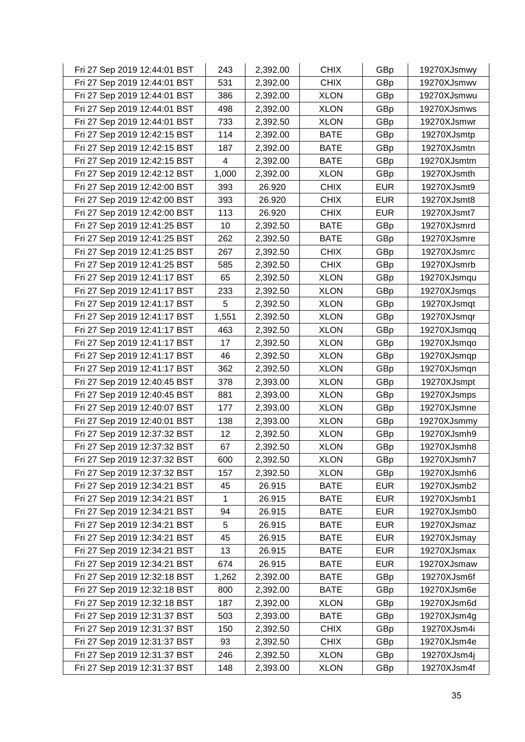| Fri 27 Sep 2019 12:44:01 BST | 243   | 2,392.00 | <b>CHIX</b> | GBp        | 19270XJsmwy |
|------------------------------|-------|----------|-------------|------------|-------------|
| Fri 27 Sep 2019 12:44:01 BST | 531   | 2,392.00 | <b>CHIX</b> | GBp        | 19270XJsmwv |
| Fri 27 Sep 2019 12:44:01 BST | 386   | 2,392.00 | <b>XLON</b> | GBp        | 19270XJsmwu |
| Fri 27 Sep 2019 12:44:01 BST | 498   | 2,392.00 | <b>XLON</b> | GBp        | 19270XJsmws |
| Fri 27 Sep 2019 12:44:01 BST | 733   | 2,392.50 | <b>XLON</b> | GBp        | 19270XJsmwr |
| Fri 27 Sep 2019 12:42:15 BST | 114   | 2,392.00 | <b>BATE</b> | GBp        | 19270XJsmtp |
| Fri 27 Sep 2019 12:42:15 BST | 187   | 2,392.00 | <b>BATE</b> | GBp        | 19270XJsmtn |
| Fri 27 Sep 2019 12:42:15 BST | 4     | 2,392.00 | <b>BATE</b> | GBp        | 19270XJsmtm |
| Fri 27 Sep 2019 12:42:12 BST | 1,000 | 2,392.00 | <b>XLON</b> | GBp        | 19270XJsmth |
| Fri 27 Sep 2019 12:42:00 BST | 393   | 26.920   | <b>CHIX</b> | <b>EUR</b> | 19270XJsmt9 |
| Fri 27 Sep 2019 12:42:00 BST | 393   | 26.920   | <b>CHIX</b> | <b>EUR</b> | 19270XJsmt8 |
| Fri 27 Sep 2019 12:42:00 BST | 113   | 26.920   | <b>CHIX</b> | <b>EUR</b> | 19270XJsmt7 |
| Fri 27 Sep 2019 12:41:25 BST | 10    | 2,392.50 | <b>BATE</b> | GBp        | 19270XJsmrd |
| Fri 27 Sep 2019 12:41:25 BST | 262   | 2,392.50 | <b>BATE</b> | GBp        | 19270XJsmre |
| Fri 27 Sep 2019 12:41:25 BST | 267   | 2,392.50 | <b>CHIX</b> | GBp        | 19270XJsmrc |
| Fri 27 Sep 2019 12:41:25 BST | 585   | 2,392.50 | <b>CHIX</b> | GBp        | 19270XJsmrb |
| Fri 27 Sep 2019 12:41:17 BST | 65    | 2,392.50 | <b>XLON</b> | GBp        | 19270XJsmqu |
| Fri 27 Sep 2019 12:41:17 BST | 233   | 2,392.50 | <b>XLON</b> | GBp        | 19270XJsmqs |
| Fri 27 Sep 2019 12:41:17 BST | 5     | 2,392.50 | <b>XLON</b> | GBp        | 19270XJsmqt |
| Fri 27 Sep 2019 12:41:17 BST | 1,551 | 2,392.50 | <b>XLON</b> | GBp        | 19270XJsmqr |
| Fri 27 Sep 2019 12:41:17 BST | 463   | 2,392.50 | <b>XLON</b> | GBp        | 19270XJsmqq |
| Fri 27 Sep 2019 12:41:17 BST | 17    | 2,392.50 | <b>XLON</b> | GBp        | 19270XJsmqo |
| Fri 27 Sep 2019 12:41:17 BST | 46    | 2,392.50 | <b>XLON</b> | GBp        | 19270XJsmqp |
| Fri 27 Sep 2019 12:41:17 BST | 362   | 2,392.50 | <b>XLON</b> | GBp        | 19270XJsmqn |
| Fri 27 Sep 2019 12:40:45 BST | 378   | 2,393.00 | <b>XLON</b> | GBp        | 19270XJsmpt |
| Fri 27 Sep 2019 12:40:45 BST | 881   | 2,393.00 | <b>XLON</b> | GBp        | 19270XJsmps |
| Fri 27 Sep 2019 12:40:07 BST | 177   | 2,393.00 | <b>XLON</b> | GBp        | 19270XJsmne |
| Fri 27 Sep 2019 12:40:01 BST | 138   | 2,393.00 | <b>XLON</b> | GBp        | 19270XJsmmy |
| Fri 27 Sep 2019 12:37:32 BST | 12    | 2,392.50 | <b>XLON</b> | GBp        | 19270XJsmh9 |
| Fri 27 Sep 2019 12:37:32 BST | 67    | 2,392.50 | <b>XLON</b> | GBp        | 19270XJsmh8 |
| Fri 27 Sep 2019 12:37:32 BST | 600   | 2,392.50 | <b>XLON</b> | GBp        | 19270XJsmh7 |
| Fri 27 Sep 2019 12:37:32 BST | 157   | 2,392.50 | <b>XLON</b> | GBp        | 19270XJsmh6 |
| Fri 27 Sep 2019 12:34:21 BST | 45    | 26.915   | <b>BATE</b> | <b>EUR</b> | 19270XJsmb2 |
| Fri 27 Sep 2019 12:34:21 BST | 1     | 26.915   | <b>BATE</b> | <b>EUR</b> | 19270XJsmb1 |
| Fri 27 Sep 2019 12:34:21 BST | 94    | 26.915   | <b>BATE</b> | <b>EUR</b> | 19270XJsmb0 |
| Fri 27 Sep 2019 12:34:21 BST | 5     | 26.915   | <b>BATE</b> | <b>EUR</b> | 19270XJsmaz |
| Fri 27 Sep 2019 12:34:21 BST | 45    | 26.915   | <b>BATE</b> | <b>EUR</b> | 19270XJsmay |
| Fri 27 Sep 2019 12:34:21 BST | 13    | 26.915   | <b>BATE</b> | <b>EUR</b> | 19270XJsmax |
| Fri 27 Sep 2019 12:34:21 BST | 674   | 26.915   | <b>BATE</b> | <b>EUR</b> | 19270XJsmaw |
| Fri 27 Sep 2019 12:32:18 BST | 1,262 | 2,392.00 | <b>BATE</b> | GBp        | 19270XJsm6f |
| Fri 27 Sep 2019 12:32:18 BST | 800   | 2,392.00 | <b>BATE</b> | GBp        | 19270XJsm6e |
| Fri 27 Sep 2019 12:32:18 BST | 187   | 2,392.00 | <b>XLON</b> | GBp        | 19270XJsm6d |
| Fri 27 Sep 2019 12:31:37 BST | 503   | 2,393.00 | <b>BATE</b> | GBp        | 19270XJsm4g |
| Fri 27 Sep 2019 12:31:37 BST | 150   | 2,392.50 | <b>CHIX</b> | GBp        | 19270XJsm4i |
| Fri 27 Sep 2019 12:31:37 BST | 93    | 2,392.50 | <b>CHIX</b> | GBp        | 19270XJsm4e |
| Fri 27 Sep 2019 12:31:37 BST | 246   | 2,392.50 | <b>XLON</b> | GBp        | 19270XJsm4j |
| Fri 27 Sep 2019 12:31:37 BST | 148   | 2,393.00 | <b>XLON</b> | GBp        | 19270XJsm4f |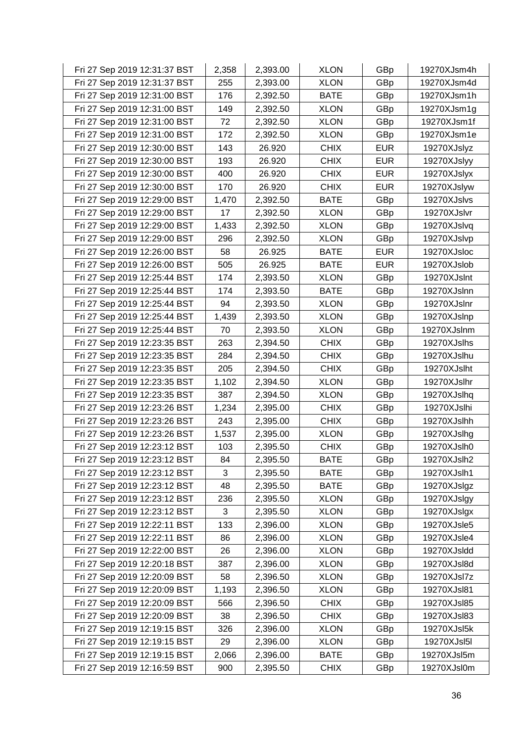| Fri 27 Sep 2019 12:31:37 BST | 2,358 | 2,393.00 | <b>XLON</b> | GBp        | 19270XJsm4h |
|------------------------------|-------|----------|-------------|------------|-------------|
| Fri 27 Sep 2019 12:31:37 BST | 255   | 2,393.00 | <b>XLON</b> | GBp        | 19270XJsm4d |
| Fri 27 Sep 2019 12:31:00 BST | 176   | 2,392.50 | <b>BATE</b> | GBp        | 19270XJsm1h |
| Fri 27 Sep 2019 12:31:00 BST | 149   | 2,392.50 | <b>XLON</b> | GBp        | 19270XJsm1g |
| Fri 27 Sep 2019 12:31:00 BST | 72    | 2,392.50 | <b>XLON</b> | GBp        | 19270XJsm1f |
| Fri 27 Sep 2019 12:31:00 BST | 172   | 2,392.50 | <b>XLON</b> | GBp        | 19270XJsm1e |
| Fri 27 Sep 2019 12:30:00 BST | 143   | 26.920   | <b>CHIX</b> | <b>EUR</b> | 19270XJslyz |
| Fri 27 Sep 2019 12:30:00 BST | 193   | 26.920   | <b>CHIX</b> | <b>EUR</b> | 19270XJslyy |
| Fri 27 Sep 2019 12:30:00 BST | 400   | 26.920   | <b>CHIX</b> | <b>EUR</b> | 19270XJslyx |
| Fri 27 Sep 2019 12:30:00 BST | 170   | 26.920   | <b>CHIX</b> | <b>EUR</b> | 19270XJslyw |
| Fri 27 Sep 2019 12:29:00 BST | 1,470 | 2,392.50 | <b>BATE</b> | GBp        | 19270XJslvs |
| Fri 27 Sep 2019 12:29:00 BST | 17    | 2,392.50 | <b>XLON</b> | GBp        | 19270XJslvr |
| Fri 27 Sep 2019 12:29:00 BST | 1,433 | 2,392.50 | <b>XLON</b> | GBp        | 19270XJslvq |
| Fri 27 Sep 2019 12:29:00 BST | 296   | 2,392.50 | <b>XLON</b> | GBp        | 19270XJslvp |
| Fri 27 Sep 2019 12:26:00 BST | 58    | 26.925   | <b>BATE</b> | <b>EUR</b> | 19270XJsloc |
| Fri 27 Sep 2019 12:26:00 BST | 505   | 26.925   | <b>BATE</b> | <b>EUR</b> | 19270XJslob |
| Fri 27 Sep 2019 12:25:44 BST | 174   | 2,393.50 | <b>XLON</b> | GBp        | 19270XJslnt |
| Fri 27 Sep 2019 12:25:44 BST | 174   | 2,393.50 | <b>BATE</b> | GBp        | 19270XJslnn |
| Fri 27 Sep 2019 12:25:44 BST | 94    | 2,393.50 | <b>XLON</b> | GBp        | 19270XJslnr |
| Fri 27 Sep 2019 12:25:44 BST | 1,439 | 2,393.50 | <b>XLON</b> | GBp        | 19270XJslnp |
| Fri 27 Sep 2019 12:25:44 BST | 70    | 2,393.50 | <b>XLON</b> | GBp        | 19270XJslnm |
| Fri 27 Sep 2019 12:23:35 BST | 263   | 2,394.50 | <b>CHIX</b> | GBp        | 19270XJslhs |
| Fri 27 Sep 2019 12:23:35 BST | 284   | 2,394.50 | <b>CHIX</b> | GBp        | 19270XJslhu |
| Fri 27 Sep 2019 12:23:35 BST | 205   | 2,394.50 | <b>CHIX</b> | GBp        | 19270XJslht |
| Fri 27 Sep 2019 12:23:35 BST | 1,102 | 2,394.50 | <b>XLON</b> | GBp        | 19270XJslhr |
| Fri 27 Sep 2019 12:23:35 BST | 387   | 2,394.50 | <b>XLON</b> | GBp        | 19270XJslhq |
| Fri 27 Sep 2019 12:23:26 BST | 1,234 | 2,395.00 | <b>CHIX</b> | GBp        | 19270XJslhi |
| Fri 27 Sep 2019 12:23:26 BST | 243   | 2,395.00 | <b>CHIX</b> | GBp        | 19270XJslhh |
| Fri 27 Sep 2019 12:23:26 BST | 1,537 | 2,395.00 | <b>XLON</b> | GBp        | 19270XJslhg |
| Fri 27 Sep 2019 12:23:12 BST | 103   | 2,395.50 | <b>CHIX</b> | GBp        | 19270XJslh0 |
| Fri 27 Sep 2019 12:23:12 BST | 84    | 2,395.50 | <b>BATE</b> | GBp        | 19270XJslh2 |
| Fri 27 Sep 2019 12:23:12 BST | 3     | 2,395.50 | <b>BATE</b> | GBp        | 19270XJslh1 |
| Fri 27 Sep 2019 12:23:12 BST | 48    | 2,395.50 | <b>BATE</b> | GBp        | 19270XJslgz |
| Fri 27 Sep 2019 12:23:12 BST | 236   | 2,395.50 | <b>XLON</b> | GBp        | 19270XJslgy |
| Fri 27 Sep 2019 12:23:12 BST | 3     | 2,395.50 | <b>XLON</b> | GBp        | 19270XJslgx |
| Fri 27 Sep 2019 12:22:11 BST | 133   | 2,396.00 | <b>XLON</b> | GBp        | 19270XJsle5 |
| Fri 27 Sep 2019 12:22:11 BST | 86    | 2,396.00 | <b>XLON</b> | GBp        | 19270XJsle4 |
| Fri 27 Sep 2019 12:22:00 BST | 26    | 2,396.00 | <b>XLON</b> | GBp        | 19270XJsldd |
| Fri 27 Sep 2019 12:20:18 BST | 387   | 2,396.00 | <b>XLON</b> | GBp        | 19270XJsl8d |
| Fri 27 Sep 2019 12:20:09 BST | 58    | 2,396.50 | <b>XLON</b> | GBp        | 19270XJsl7z |
| Fri 27 Sep 2019 12:20:09 BST | 1,193 | 2,396.50 | <b>XLON</b> | GBp        | 19270XJsl81 |
| Fri 27 Sep 2019 12:20:09 BST | 566   | 2,396.50 | <b>CHIX</b> | GBp        | 19270XJsl85 |
| Fri 27 Sep 2019 12:20:09 BST | 38    | 2,396.50 | <b>CHIX</b> | GBp        | 19270XJsl83 |
| Fri 27 Sep 2019 12:19:15 BST | 326   | 2,396.00 | <b>XLON</b> | GBp        | 19270XJsl5k |
| Fri 27 Sep 2019 12:19:15 BST | 29    | 2,396.00 | <b>XLON</b> | GBp        | 19270XJsl5l |
| Fri 27 Sep 2019 12:19:15 BST | 2,066 | 2,396.00 | <b>BATE</b> | GBp        | 19270XJsl5m |
| Fri 27 Sep 2019 12:16:59 BST | 900   | 2,395.50 | <b>CHIX</b> | GBp        | 19270XJsl0m |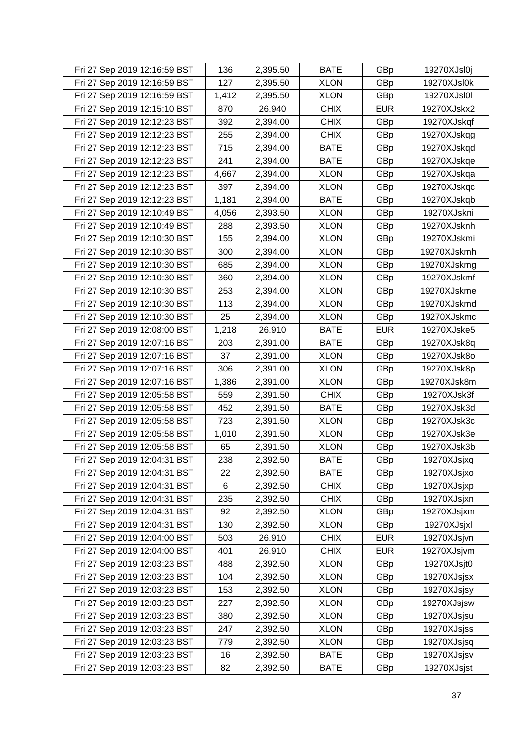| Fri 27 Sep 2019 12:16:59 BST | 136   | 2,395.50 | <b>BATE</b> | GBp        | 19270XJsl0j |
|------------------------------|-------|----------|-------------|------------|-------------|
| Fri 27 Sep 2019 12:16:59 BST | 127   | 2,395.50 | <b>XLON</b> | GBp        | 19270XJsl0k |
| Fri 27 Sep 2019 12:16:59 BST | 1,412 | 2,395.50 | <b>XLON</b> | GBp        | 19270XJsl0l |
| Fri 27 Sep 2019 12:15:10 BST | 870   | 26.940   | <b>CHIX</b> | <b>EUR</b> | 19270XJskx2 |
| Fri 27 Sep 2019 12:12:23 BST | 392   | 2,394.00 | <b>CHIX</b> | GBp        | 19270XJskqf |
| Fri 27 Sep 2019 12:12:23 BST | 255   | 2,394.00 | <b>CHIX</b> | GBp        | 19270XJskqg |
| Fri 27 Sep 2019 12:12:23 BST | 715   | 2,394.00 | <b>BATE</b> | GBp        | 19270XJskqd |
| Fri 27 Sep 2019 12:12:23 BST | 241   | 2,394.00 | <b>BATE</b> | GBp        | 19270XJskqe |
| Fri 27 Sep 2019 12:12:23 BST | 4,667 | 2,394.00 | <b>XLON</b> | GBp        | 19270XJskqa |
| Fri 27 Sep 2019 12:12:23 BST | 397   | 2,394.00 | <b>XLON</b> | GBp        | 19270XJskqc |
| Fri 27 Sep 2019 12:12:23 BST | 1,181 | 2,394.00 | <b>BATE</b> | GBp        | 19270XJskqb |
| Fri 27 Sep 2019 12:10:49 BST | 4,056 | 2,393.50 | XLON        | GBp        | 19270XJskni |
| Fri 27 Sep 2019 12:10:49 BST | 288   | 2,393.50 | <b>XLON</b> | GBp        | 19270XJsknh |
| Fri 27 Sep 2019 12:10:30 BST | 155   | 2,394.00 | <b>XLON</b> | GBp        | 19270XJskmi |
| Fri 27 Sep 2019 12:10:30 BST | 300   | 2,394.00 | <b>XLON</b> | GBp        | 19270XJskmh |
| Fri 27 Sep 2019 12:10:30 BST | 685   | 2,394.00 | <b>XLON</b> | GBp        | 19270XJskmg |
| Fri 27 Sep 2019 12:10:30 BST | 360   | 2,394.00 | <b>XLON</b> | GBp        | 19270XJskmf |
| Fri 27 Sep 2019 12:10:30 BST | 253   | 2,394.00 | <b>XLON</b> | GBp        | 19270XJskme |
| Fri 27 Sep 2019 12:10:30 BST | 113   | 2,394.00 | <b>XLON</b> | GBp        | 19270XJskmd |
| Fri 27 Sep 2019 12:10:30 BST | 25    | 2,394.00 | <b>XLON</b> | GBp        | 19270XJskmc |
| Fri 27 Sep 2019 12:08:00 BST | 1,218 | 26.910   | <b>BATE</b> | <b>EUR</b> | 19270XJske5 |
| Fri 27 Sep 2019 12:07:16 BST | 203   | 2,391.00 | <b>BATE</b> | GBp        | 19270XJsk8q |
| Fri 27 Sep 2019 12:07:16 BST | 37    | 2,391.00 | <b>XLON</b> | GBp        | 19270XJsk8o |
| Fri 27 Sep 2019 12:07:16 BST | 306   | 2,391.00 | <b>XLON</b> | GBp        | 19270XJsk8p |
| Fri 27 Sep 2019 12:07:16 BST | 1,386 | 2,391.00 | <b>XLON</b> | GBp        | 19270XJsk8m |
| Fri 27 Sep 2019 12:05:58 BST | 559   | 2,391.50 | <b>CHIX</b> | GBp        | 19270XJsk3f |
| Fri 27 Sep 2019 12:05:58 BST | 452   | 2,391.50 | <b>BATE</b> | GBp        | 19270XJsk3d |
| Fri 27 Sep 2019 12:05:58 BST | 723   | 2,391.50 | <b>XLON</b> | GBp        | 19270XJsk3c |
| Fri 27 Sep 2019 12:05:58 BST | 1,010 | 2,391.50 | <b>XLON</b> | GBp        | 19270XJsk3e |
| Fri 27 Sep 2019 12:05:58 BST | 65    | 2,391.50 | <b>XLON</b> | GBp        | 19270XJsk3b |
| Fri 27 Sep 2019 12:04:31 BST | 238   | 2,392.50 | <b>BATE</b> | GBp        | 19270XJsjxq |
| Fri 27 Sep 2019 12:04:31 BST | 22    | 2,392.50 | <b>BATE</b> | GBp        | 19270XJsjxo |
| Fri 27 Sep 2019 12:04:31 BST | 6     | 2,392.50 | <b>CHIX</b> | GBp        | 19270XJsjxp |
| Fri 27 Sep 2019 12:04:31 BST | 235   | 2,392.50 | <b>CHIX</b> | GBp        | 19270XJsjxn |
| Fri 27 Sep 2019 12:04:31 BST | 92    | 2,392.50 | <b>XLON</b> | GBp        | 19270XJsjxm |
| Fri 27 Sep 2019 12:04:31 BST | 130   | 2,392.50 | <b>XLON</b> | GBp        | 19270XJsjxl |
| Fri 27 Sep 2019 12:04:00 BST | 503   | 26.910   | <b>CHIX</b> | <b>EUR</b> | 19270XJsjvn |
| Fri 27 Sep 2019 12:04:00 BST | 401   | 26.910   | <b>CHIX</b> | <b>EUR</b> | 19270XJsjvm |
| Fri 27 Sep 2019 12:03:23 BST | 488   | 2,392.50 | <b>XLON</b> | GBp        | 19270XJsjt0 |
| Fri 27 Sep 2019 12:03:23 BST | 104   | 2,392.50 | <b>XLON</b> | GBp        | 19270XJsjsx |
| Fri 27 Sep 2019 12:03:23 BST | 153   | 2,392.50 | <b>XLON</b> | GBp        | 19270XJsjsy |
| Fri 27 Sep 2019 12:03:23 BST | 227   | 2,392.50 | <b>XLON</b> | GBp        | 19270XJsjsw |
| Fri 27 Sep 2019 12:03:23 BST | 380   | 2,392.50 | <b>XLON</b> | GBp        | 19270XJsjsu |
| Fri 27 Sep 2019 12:03:23 BST | 247   | 2,392.50 | <b>XLON</b> | GBp        | 19270XJsjss |
| Fri 27 Sep 2019 12:03:23 BST | 779   | 2,392.50 | <b>XLON</b> | GBp        | 19270XJsjsq |
| Fri 27 Sep 2019 12:03:23 BST | 16    | 2,392.50 | <b>BATE</b> | GBp        | 19270XJsjsv |
| Fri 27 Sep 2019 12:03:23 BST | 82    | 2,392.50 | <b>BATE</b> | GBp        | 19270XJsjst |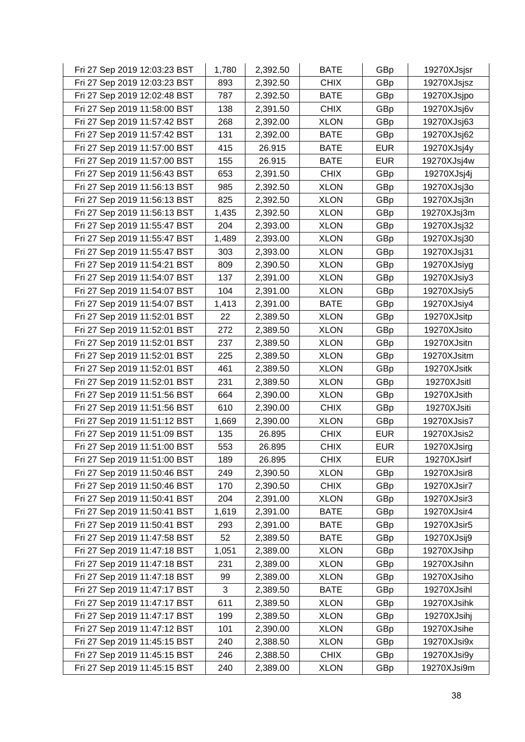| Fri 27 Sep 2019 12:03:23 BST | 1,780 | 2,392.50 | <b>BATE</b> | GBp        | 19270XJsjsr |
|------------------------------|-------|----------|-------------|------------|-------------|
| Fri 27 Sep 2019 12:03:23 BST | 893   | 2,392.50 | <b>CHIX</b> | GBp        | 19270XJsjsz |
| Fri 27 Sep 2019 12:02:48 BST | 787   | 2,392.50 | <b>BATE</b> | GBp        | 19270XJsjpo |
| Fri 27 Sep 2019 11:58:00 BST | 138   | 2,391.50 | <b>CHIX</b> | GBp        | 19270XJsj6v |
| Fri 27 Sep 2019 11:57:42 BST | 268   | 2,392.00 | <b>XLON</b> | GBp        | 19270XJsj63 |
| Fri 27 Sep 2019 11:57:42 BST | 131   | 2,392.00 | <b>BATE</b> | GBp        | 19270XJsj62 |
| Fri 27 Sep 2019 11:57:00 BST | 415   | 26.915   | <b>BATE</b> | <b>EUR</b> | 19270XJsj4y |
| Fri 27 Sep 2019 11:57:00 BST | 155   | 26.915   | <b>BATE</b> | <b>EUR</b> | 19270XJsj4w |
| Fri 27 Sep 2019 11:56:43 BST | 653   | 2,391.50 | <b>CHIX</b> | GBp        | 19270XJsj4j |
| Fri 27 Sep 2019 11:56:13 BST | 985   | 2,392.50 | <b>XLON</b> | GBp        | 19270XJsj3o |
| Fri 27 Sep 2019 11:56:13 BST | 825   | 2,392.50 | <b>XLON</b> | GBp        | 19270XJsj3n |
| Fri 27 Sep 2019 11:56:13 BST | 1,435 | 2,392.50 | <b>XLON</b> | GBp        | 19270XJsj3m |
| Fri 27 Sep 2019 11:55:47 BST | 204   | 2,393.00 | <b>XLON</b> | GBp        | 19270XJsj32 |
| Fri 27 Sep 2019 11:55:47 BST | 1,489 | 2,393.00 | <b>XLON</b> | GBp        | 19270XJsj30 |
| Fri 27 Sep 2019 11:55:47 BST | 303   | 2,393.00 | <b>XLON</b> | GBp        | 19270XJsj31 |
| Fri 27 Sep 2019 11:54:21 BST | 809   | 2,390.50 | <b>XLON</b> | GBp        | 19270XJsiyg |
| Fri 27 Sep 2019 11:54:07 BST | 137   | 2,391.00 | <b>XLON</b> | GBp        | 19270XJsiy3 |
| Fri 27 Sep 2019 11:54:07 BST | 104   | 2,391.00 | <b>XLON</b> | GBp        | 19270XJsiy5 |
| Fri 27 Sep 2019 11:54:07 BST | 1,413 | 2,391.00 | <b>BATE</b> | GBp        | 19270XJsiy4 |
| Fri 27 Sep 2019 11:52:01 BST | 22    | 2,389.50 | <b>XLON</b> | GBp        | 19270XJsitp |
| Fri 27 Sep 2019 11:52:01 BST | 272   | 2,389.50 | <b>XLON</b> | GBp        | 19270XJsito |
| Fri 27 Sep 2019 11:52:01 BST | 237   | 2,389.50 | <b>XLON</b> | GBp        | 19270XJsitn |
| Fri 27 Sep 2019 11:52:01 BST | 225   | 2,389.50 | <b>XLON</b> | GBp        | 19270XJsitm |
| Fri 27 Sep 2019 11:52:01 BST | 461   | 2,389.50 | <b>XLON</b> | GBp        | 19270XJsitk |
| Fri 27 Sep 2019 11:52:01 BST | 231   | 2,389.50 | <b>XLON</b> | GBp        | 19270XJsitl |
| Fri 27 Sep 2019 11:51:56 BST | 664   | 2,390.00 | <b>XLON</b> | GBp        | 19270XJsith |
| Fri 27 Sep 2019 11:51:56 BST | 610   | 2,390.00 | <b>CHIX</b> | GBp        | 19270XJsiti |
| Fri 27 Sep 2019 11:51:12 BST | 1,669 | 2,390.00 | <b>XLON</b> | GBp        | 19270XJsis7 |
| Fri 27 Sep 2019 11:51:09 BST | 135   | 26.895   | <b>CHIX</b> | <b>EUR</b> | 19270XJsis2 |
| Fri 27 Sep 2019 11:51:00 BST | 553   | 26.895   | <b>CHIX</b> | <b>EUR</b> | 19270XJsirg |
| Fri 27 Sep 2019 11:51:00 BST | 189   | 26.895   | <b>CHIX</b> | <b>EUR</b> | 19270XJsirf |
| Fri 27 Sep 2019 11:50:46 BST | 249   | 2,390.50 | <b>XLON</b> | GBp        | 19270XJsir8 |
| Fri 27 Sep 2019 11:50:46 BST | 170   | 2,390.50 | <b>CHIX</b> | GBp        | 19270XJsir7 |
| Fri 27 Sep 2019 11:50:41 BST | 204   | 2,391.00 | <b>XLON</b> | GBp        | 19270XJsir3 |
| Fri 27 Sep 2019 11:50:41 BST | 1,619 | 2,391.00 | <b>BATE</b> | GBp        | 19270XJsir4 |
| Fri 27 Sep 2019 11:50:41 BST | 293   | 2,391.00 | <b>BATE</b> | GBp        | 19270XJsir5 |
| Fri 27 Sep 2019 11:47:58 BST | 52    | 2,389.50 | <b>BATE</b> | GBp        | 19270XJsij9 |
| Fri 27 Sep 2019 11:47:18 BST | 1,051 | 2,389.00 | <b>XLON</b> | GBp        | 19270XJsihp |
| Fri 27 Sep 2019 11:47:18 BST | 231   | 2,389.00 | <b>XLON</b> | GBp        | 19270XJsihn |
| Fri 27 Sep 2019 11:47:18 BST | 99    | 2,389.00 | <b>XLON</b> | GBp        | 19270XJsiho |
| Fri 27 Sep 2019 11:47:17 BST | 3     | 2,389.50 | <b>BATE</b> | GBp        | 19270XJsihl |
| Fri 27 Sep 2019 11:47:17 BST | 611   | 2,389.50 | <b>XLON</b> | GBp        | 19270XJsihk |
| Fri 27 Sep 2019 11:47:17 BST | 199   | 2,389.50 | <b>XLON</b> | GBp        | 19270XJsihj |
| Fri 27 Sep 2019 11:47:12 BST | 101   | 2,390.00 | <b>XLON</b> | GBp        | 19270XJsihe |
| Fri 27 Sep 2019 11:45:15 BST | 240   | 2,388.50 | <b>XLON</b> | GBp        | 19270XJsi9x |
| Fri 27 Sep 2019 11:45:15 BST | 246   | 2,388.50 | <b>CHIX</b> | GBp        | 19270XJsi9y |
| Fri 27 Sep 2019 11:45:15 BST | 240   | 2,389.00 | <b>XLON</b> | GBp        | 19270XJsi9m |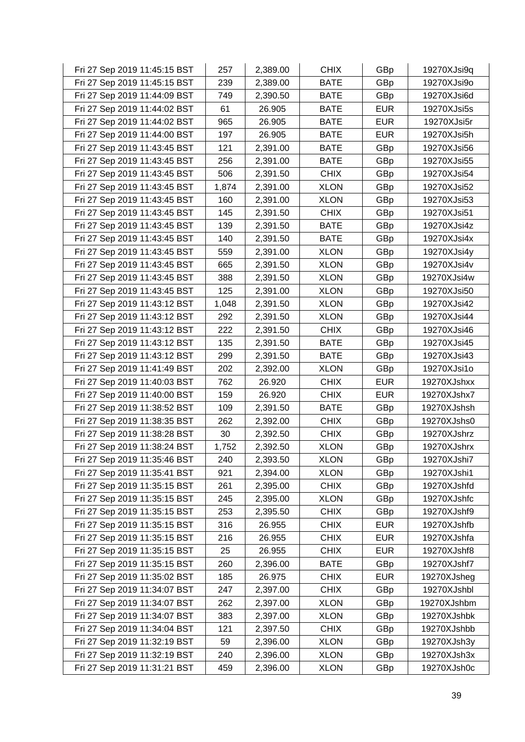| Fri 27 Sep 2019 11:45:15 BST | 257   | 2,389.00 | <b>CHIX</b> | GBp        | 19270XJsi9q |
|------------------------------|-------|----------|-------------|------------|-------------|
| Fri 27 Sep 2019 11:45:15 BST | 239   | 2,389.00 | <b>BATE</b> | GBp        | 19270XJsi9o |
| Fri 27 Sep 2019 11:44:09 BST | 749   | 2,390.50 | <b>BATE</b> | GBp        | 19270XJsi6d |
| Fri 27 Sep 2019 11:44:02 BST | 61    | 26.905   | <b>BATE</b> | <b>EUR</b> | 19270XJsi5s |
| Fri 27 Sep 2019 11:44:02 BST | 965   | 26.905   | <b>BATE</b> | <b>EUR</b> | 19270XJsi5r |
| Fri 27 Sep 2019 11:44:00 BST | 197   | 26.905   | <b>BATE</b> | <b>EUR</b> | 19270XJsi5h |
| Fri 27 Sep 2019 11:43:45 BST | 121   | 2,391.00 | <b>BATE</b> | GBp        | 19270XJsi56 |
| Fri 27 Sep 2019 11:43:45 BST | 256   | 2,391.00 | <b>BATE</b> | GBp        | 19270XJsi55 |
| Fri 27 Sep 2019 11:43:45 BST | 506   | 2,391.50 | <b>CHIX</b> | GBp        | 19270XJsi54 |
| Fri 27 Sep 2019 11:43:45 BST | 1,874 | 2,391.00 | <b>XLON</b> | GBp        | 19270XJsi52 |
| Fri 27 Sep 2019 11:43:45 BST | 160   | 2,391.00 | <b>XLON</b> | GBp        | 19270XJsi53 |
| Fri 27 Sep 2019 11:43:45 BST | 145   | 2,391.50 | <b>CHIX</b> | GBp        | 19270XJsi51 |
| Fri 27 Sep 2019 11:43:45 BST | 139   | 2,391.50 | <b>BATE</b> | GBp        | 19270XJsi4z |
| Fri 27 Sep 2019 11:43:45 BST | 140   | 2,391.50 | <b>BATE</b> | GBp        | 19270XJsi4x |
| Fri 27 Sep 2019 11:43:45 BST | 559   | 2,391.00 | <b>XLON</b> | GBp        | 19270XJsi4y |
| Fri 27 Sep 2019 11:43:45 BST | 665   | 2,391.50 | <b>XLON</b> | GBp        | 19270XJsi4v |
| Fri 27 Sep 2019 11:43:45 BST | 388   | 2,391.50 | <b>XLON</b> | GBp        | 19270XJsi4w |
| Fri 27 Sep 2019 11:43:45 BST | 125   | 2,391.00 | <b>XLON</b> | GBp        | 19270XJsi50 |
| Fri 27 Sep 2019 11:43:12 BST | 1,048 | 2,391.50 | <b>XLON</b> | GBp        | 19270XJsi42 |
| Fri 27 Sep 2019 11:43:12 BST | 292   | 2,391.50 | <b>XLON</b> | GBp        | 19270XJsi44 |
| Fri 27 Sep 2019 11:43:12 BST | 222   | 2,391.50 | <b>CHIX</b> | GBp        | 19270XJsi46 |
| Fri 27 Sep 2019 11:43:12 BST | 135   | 2,391.50 | <b>BATE</b> | GBp        | 19270XJsi45 |
| Fri 27 Sep 2019 11:43:12 BST | 299   | 2,391.50 | <b>BATE</b> | GBp        | 19270XJsi43 |
| Fri 27 Sep 2019 11:41:49 BST | 202   | 2,392.00 | <b>XLON</b> | GBp        | 19270XJsi1o |
| Fri 27 Sep 2019 11:40:03 BST | 762   | 26.920   | <b>CHIX</b> | <b>EUR</b> | 19270XJshxx |
| Fri 27 Sep 2019 11:40:00 BST | 159   | 26.920   | <b>CHIX</b> | <b>EUR</b> | 19270XJshx7 |
| Fri 27 Sep 2019 11:38:52 BST | 109   | 2,391.50 | <b>BATE</b> | GBp        | 19270XJshsh |
| Fri 27 Sep 2019 11:38:35 BST | 262   | 2,392.00 | <b>CHIX</b> | GBp        | 19270XJshs0 |
| Fri 27 Sep 2019 11:38:28 BST | 30    | 2,392.50 | <b>CHIX</b> | GBp        | 19270XJshrz |
| Fri 27 Sep 2019 11:38:24 BST | 1,752 | 2,392.50 | <b>XLON</b> | GBp        | 19270XJshrx |
| Fri 27 Sep 2019 11:35:46 BST | 240   | 2,393.50 | <b>XLON</b> | GBp        | 19270XJshi7 |
| Fri 27 Sep 2019 11:35:41 BST | 921   | 2,394.00 | <b>XLON</b> | GBp        | 19270XJshi1 |
| Fri 27 Sep 2019 11:35:15 BST | 261   | 2,395.00 | <b>CHIX</b> | GBp        | 19270XJshfd |
| Fri 27 Sep 2019 11:35:15 BST | 245   | 2,395.00 | <b>XLON</b> | GBp        | 19270XJshfc |
| Fri 27 Sep 2019 11:35:15 BST | 253   | 2,395.50 | <b>CHIX</b> | GBp        | 19270XJshf9 |
| Fri 27 Sep 2019 11:35:15 BST | 316   | 26.955   | <b>CHIX</b> | <b>EUR</b> | 19270XJshfb |
| Fri 27 Sep 2019 11:35:15 BST | 216   | 26.955   | <b>CHIX</b> | <b>EUR</b> | 19270XJshfa |
| Fri 27 Sep 2019 11:35:15 BST | 25    | 26.955   | <b>CHIX</b> | <b>EUR</b> | 19270XJshf8 |
| Fri 27 Sep 2019 11:35:15 BST | 260   | 2,396.00 | <b>BATE</b> | GBp        | 19270XJshf7 |
| Fri 27 Sep 2019 11:35:02 BST | 185   | 26.975   | <b>CHIX</b> | <b>EUR</b> | 19270XJsheg |
| Fri 27 Sep 2019 11:34:07 BST | 247   | 2,397.00 | <b>CHIX</b> | GBp        | 19270XJshbl |
| Fri 27 Sep 2019 11:34:07 BST | 262   | 2,397.00 | <b>XLON</b> | GBp        | 19270XJshbm |
| Fri 27 Sep 2019 11:34:07 BST | 383   | 2,397.00 | <b>XLON</b> | GBp        | 19270XJshbk |
| Fri 27 Sep 2019 11:34:04 BST | 121   | 2,397.50 | <b>CHIX</b> | GBp        | 19270XJshbb |
| Fri 27 Sep 2019 11:32:19 BST | 59    | 2,396.00 | <b>XLON</b> | GBp        | 19270XJsh3y |
| Fri 27 Sep 2019 11:32:19 BST | 240   | 2,396.00 | <b>XLON</b> | GBp        | 19270XJsh3x |
| Fri 27 Sep 2019 11:31:21 BST | 459   | 2,396.00 | <b>XLON</b> | GBp        | 19270XJsh0c |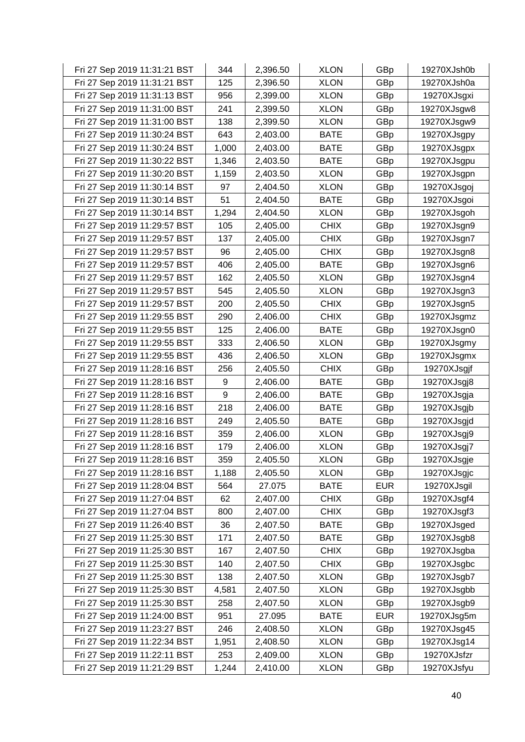| Fri 27 Sep 2019 11:31:21 BST | 344   | 2,396.50 | <b>XLON</b> | GBp        | 19270XJsh0b |
|------------------------------|-------|----------|-------------|------------|-------------|
| Fri 27 Sep 2019 11:31:21 BST | 125   | 2,396.50 | <b>XLON</b> | GBp        | 19270XJsh0a |
| Fri 27 Sep 2019 11:31:13 BST | 956   | 2,399.00 | <b>XLON</b> | GBp        | 19270XJsgxi |
| Fri 27 Sep 2019 11:31:00 BST | 241   | 2,399.50 | <b>XLON</b> | GBp        | 19270XJsgw8 |
| Fri 27 Sep 2019 11:31:00 BST | 138   | 2,399.50 | <b>XLON</b> | GBp        | 19270XJsgw9 |
| Fri 27 Sep 2019 11:30:24 BST | 643   | 2,403.00 | <b>BATE</b> | GBp        | 19270XJsgpy |
| Fri 27 Sep 2019 11:30:24 BST | 1,000 | 2,403.00 | <b>BATE</b> | GBp        | 19270XJsgpx |
| Fri 27 Sep 2019 11:30:22 BST | 1,346 | 2,403.50 | <b>BATE</b> | GBp        | 19270XJsgpu |
| Fri 27 Sep 2019 11:30:20 BST | 1,159 | 2,403.50 | <b>XLON</b> | GBp        | 19270XJsgpn |
| Fri 27 Sep 2019 11:30:14 BST | 97    | 2,404.50 | <b>XLON</b> | GBp        | 19270XJsgoj |
| Fri 27 Sep 2019 11:30:14 BST | 51    | 2,404.50 | <b>BATE</b> | GBp        | 19270XJsgoi |
| Fri 27 Sep 2019 11:30:14 BST | 1,294 | 2,404.50 | <b>XLON</b> | GBp        | 19270XJsgoh |
| Fri 27 Sep 2019 11:29:57 BST | 105   | 2,405.00 | <b>CHIX</b> | GBp        | 19270XJsgn9 |
| Fri 27 Sep 2019 11:29:57 BST | 137   | 2,405.00 | <b>CHIX</b> | GBp        | 19270XJsgn7 |
| Fri 27 Sep 2019 11:29:57 BST | 96    | 2,405.00 | <b>CHIX</b> | GBp        | 19270XJsgn8 |
| Fri 27 Sep 2019 11:29:57 BST | 406   | 2,405.00 | <b>BATE</b> | GBp        | 19270XJsgn6 |
| Fri 27 Sep 2019 11:29:57 BST | 162   | 2,405.50 | <b>XLON</b> | GBp        | 19270XJsgn4 |
| Fri 27 Sep 2019 11:29:57 BST | 545   | 2,405.50 | <b>XLON</b> | GBp        | 19270XJsgn3 |
| Fri 27 Sep 2019 11:29:57 BST | 200   | 2,405.50 | <b>CHIX</b> | GBp        | 19270XJsgn5 |
| Fri 27 Sep 2019 11:29:55 BST | 290   | 2,406.00 | <b>CHIX</b> | GBp        | 19270XJsgmz |
| Fri 27 Sep 2019 11:29:55 BST | 125   | 2,406.00 | <b>BATE</b> | GBp        | 19270XJsgn0 |
| Fri 27 Sep 2019 11:29:55 BST | 333   | 2,406.50 | <b>XLON</b> | GBp        | 19270XJsgmy |
| Fri 27 Sep 2019 11:29:55 BST | 436   | 2,406.50 | <b>XLON</b> | GBp        | 19270XJsgmx |
| Fri 27 Sep 2019 11:28:16 BST | 256   | 2,405.50 | <b>CHIX</b> | GBp        | 19270XJsgjf |
| Fri 27 Sep 2019 11:28:16 BST | 9     | 2,406.00 | <b>BATE</b> | GBp        | 19270XJsgj8 |
| Fri 27 Sep 2019 11:28:16 BST | 9     | 2,406.00 | <b>BATE</b> | GBp        | 19270XJsgja |
| Fri 27 Sep 2019 11:28:16 BST | 218   | 2,406.00 | <b>BATE</b> | GBp        | 19270XJsgjb |
| Fri 27 Sep 2019 11:28:16 BST | 249   | 2,405.50 | <b>BATE</b> | GBp        | 19270XJsgjd |
| Fri 27 Sep 2019 11:28:16 BST | 359   | 2,406.00 | <b>XLON</b> | GBp        | 19270XJsgj9 |
| Fri 27 Sep 2019 11:28:16 BST | 179   | 2,406.00 | <b>XLON</b> | GBp        | 19270XJsgj7 |
| Fri 27 Sep 2019 11:28:16 BST | 359   | 2,405.50 | <b>XLON</b> | GBp        | 19270XJsgje |
| Fri 27 Sep 2019 11:28:16 BST | 1,188 | 2,405.50 | <b>XLON</b> | GBp        | 19270XJsgjc |
| Fri 27 Sep 2019 11:28:04 BST | 564   | 27.075   | <b>BATE</b> | <b>EUR</b> | 19270XJsgil |
| Fri 27 Sep 2019 11:27:04 BST | 62    | 2,407.00 | <b>CHIX</b> | GBp        | 19270XJsgf4 |
| Fri 27 Sep 2019 11:27:04 BST | 800   | 2,407.00 | <b>CHIX</b> | GBp        | 19270XJsgf3 |
| Fri 27 Sep 2019 11:26:40 BST | 36    | 2,407.50 | <b>BATE</b> | GBp        | 19270XJsged |
| Fri 27 Sep 2019 11:25:30 BST | 171   | 2,407.50 | <b>BATE</b> | GBp        | 19270XJsgb8 |
| Fri 27 Sep 2019 11:25:30 BST | 167   | 2,407.50 | <b>CHIX</b> | GBp        | 19270XJsgba |
| Fri 27 Sep 2019 11:25:30 BST | 140   | 2,407.50 | <b>CHIX</b> | GBp        | 19270XJsgbc |
| Fri 27 Sep 2019 11:25:30 BST | 138   | 2,407.50 | <b>XLON</b> | GBp        | 19270XJsgb7 |
| Fri 27 Sep 2019 11:25:30 BST | 4,581 | 2,407.50 | <b>XLON</b> | GBp        | 19270XJsgbb |
| Fri 27 Sep 2019 11:25:30 BST | 258   | 2,407.50 | <b>XLON</b> | GBp        | 19270XJsgb9 |
| Fri 27 Sep 2019 11:24:00 BST | 951   | 27.095   | <b>BATE</b> | <b>EUR</b> | 19270XJsg5m |
| Fri 27 Sep 2019 11:23:27 BST | 246   | 2,408.50 | <b>XLON</b> | GBp        | 19270XJsg45 |
| Fri 27 Sep 2019 11:22:34 BST | 1,951 | 2,408.50 | <b>XLON</b> | GBp        | 19270XJsg14 |
| Fri 27 Sep 2019 11:22:11 BST | 253   | 2,409.00 | <b>XLON</b> | GBp        | 19270XJsfzr |
| Fri 27 Sep 2019 11:21:29 BST | 1,244 | 2,410.00 | <b>XLON</b> | GBp        | 19270XJsfyu |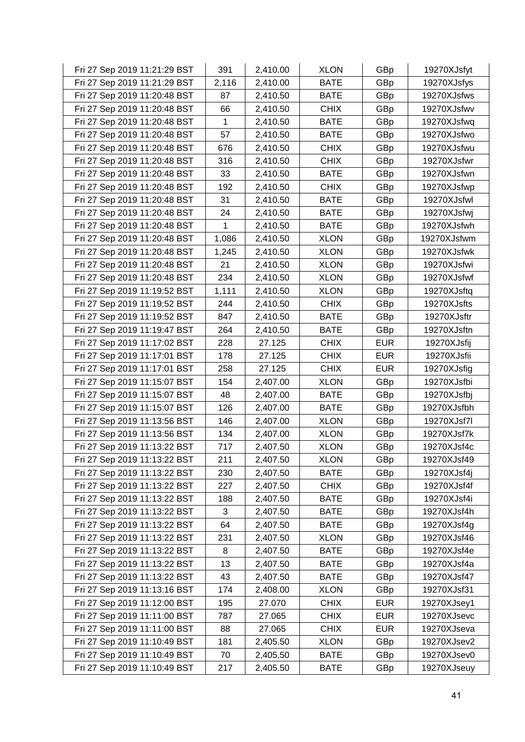| Fri 27 Sep 2019 11:21:29 BST | 391   | 2,410.00 | <b>XLON</b> | GBp        | 19270XJsfyt |
|------------------------------|-------|----------|-------------|------------|-------------|
| Fri 27 Sep 2019 11:21:29 BST | 2,116 | 2,410.00 | <b>BATE</b> | GBp        | 19270XJsfys |
| Fri 27 Sep 2019 11:20:48 BST | 87    | 2,410.50 | <b>BATE</b> | GBp        | 19270XJsfws |
| Fri 27 Sep 2019 11:20:48 BST | 66    | 2,410.50 | <b>CHIX</b> | GBp        | 19270XJsfwv |
| Fri 27 Sep 2019 11:20:48 BST | 1     | 2,410.50 | <b>BATE</b> | GBp        | 19270XJsfwq |
| Fri 27 Sep 2019 11:20:48 BST | 57    | 2,410.50 | <b>BATE</b> | GBp        | 19270XJsfwo |
| Fri 27 Sep 2019 11:20:48 BST | 676   | 2,410.50 | <b>CHIX</b> | GBp        | 19270XJsfwu |
| Fri 27 Sep 2019 11:20:48 BST | 316   | 2,410.50 | <b>CHIX</b> | GBp        | 19270XJsfwr |
| Fri 27 Sep 2019 11:20:48 BST | 33    | 2,410.50 | <b>BATE</b> | GBp        | 19270XJsfwn |
| Fri 27 Sep 2019 11:20:48 BST | 192   | 2,410.50 | <b>CHIX</b> | GBp        | 19270XJsfwp |
| Fri 27 Sep 2019 11:20:48 BST | 31    | 2,410.50 | <b>BATE</b> | GBp        | 19270XJsfwl |
| Fri 27 Sep 2019 11:20:48 BST | 24    | 2,410.50 | <b>BATE</b> | GBp        | 19270XJsfwj |
| Fri 27 Sep 2019 11:20:48 BST | 1     | 2,410.50 | <b>BATE</b> | GBp        | 19270XJsfwh |
| Fri 27 Sep 2019 11:20:48 BST | 1,086 | 2,410.50 | <b>XLON</b> | GBp        | 19270XJsfwm |
| Fri 27 Sep 2019 11:20:48 BST | 1,245 | 2,410.50 | <b>XLON</b> | GBp        | 19270XJsfwk |
| Fri 27 Sep 2019 11:20:48 BST | 21    | 2,410.50 | <b>XLON</b> | GBp        | 19270XJsfwi |
| Fri 27 Sep 2019 11:20:48 BST | 234   | 2,410.50 | <b>XLON</b> | GBp        | 19270XJsfwf |
| Fri 27 Sep 2019 11:19:52 BST | 1,111 | 2,410.50 | <b>XLON</b> | GBp        | 19270XJsftq |
| Fri 27 Sep 2019 11:19:52 BST | 244   | 2,410.50 | <b>CHIX</b> | GBp        | 19270XJsfts |
| Fri 27 Sep 2019 11:19:52 BST | 847   | 2,410.50 | <b>BATE</b> | GBp        | 19270XJsftr |
| Fri 27 Sep 2019 11:19:47 BST | 264   | 2,410.50 | <b>BATE</b> | GBp        | 19270XJsftn |
| Fri 27 Sep 2019 11:17:02 BST | 228   | 27.125   | <b>CHIX</b> | <b>EUR</b> | 19270XJsfij |
| Fri 27 Sep 2019 11:17:01 BST | 178   | 27.125   | <b>CHIX</b> | <b>EUR</b> | 19270XJsfii |
| Fri 27 Sep 2019 11:17:01 BST | 258   | 27.125   | <b>CHIX</b> | <b>EUR</b> | 19270XJsfig |
| Fri 27 Sep 2019 11:15:07 BST | 154   | 2,407.00 | <b>XLON</b> | GBp        | 19270XJsfbi |
| Fri 27 Sep 2019 11:15:07 BST | 48    | 2,407.00 | <b>BATE</b> | GBp        | 19270XJsfbj |
| Fri 27 Sep 2019 11:15:07 BST | 126   | 2,407.00 | <b>BATE</b> | GBp        | 19270XJsfbh |
| Fri 27 Sep 2019 11:13:56 BST | 146   | 2,407.00 | <b>XLON</b> | GBp        | 19270XJsf7l |
| Fri 27 Sep 2019 11:13:56 BST | 134   | 2,407.00 | <b>XLON</b> | GBp        | 19270XJsf7k |
| Fri 27 Sep 2019 11:13:22 BST | 717   | 2,407.50 | <b>XLON</b> | GBp        | 19270XJsf4c |
| Fri 27 Sep 2019 11:13:22 BST | 211   | 2,407.50 | <b>XLON</b> | GBp        | 19270XJsf49 |
| Fri 27 Sep 2019 11:13:22 BST | 230   | 2,407.50 | <b>BATE</b> | GBp        | 19270XJsf4j |
| Fri 27 Sep 2019 11:13:22 BST | 227   | 2,407.50 | <b>CHIX</b> | GBp        | 19270XJsf4f |
| Fri 27 Sep 2019 11:13:22 BST | 188   | 2,407.50 | <b>BATE</b> | GBp        | 19270XJsf4i |
| Fri 27 Sep 2019 11:13:22 BST | 3     | 2,407.50 | <b>BATE</b> | GBp        | 19270XJsf4h |
| Fri 27 Sep 2019 11:13:22 BST | 64    | 2,407.50 | <b>BATE</b> | GBp        | 19270XJsf4g |
| Fri 27 Sep 2019 11:13:22 BST | 231   | 2,407.50 | <b>XLON</b> | GBp        | 19270XJsf46 |
| Fri 27 Sep 2019 11:13:22 BST | 8     | 2,407.50 | <b>BATE</b> | GBp        | 19270XJsf4e |
| Fri 27 Sep 2019 11:13:22 BST | 13    | 2,407.50 | <b>BATE</b> | GBp        | 19270XJsf4a |
| Fri 27 Sep 2019 11:13:22 BST | 43    | 2,407.50 | <b>BATE</b> | GBp        | 19270XJsf47 |
| Fri 27 Sep 2019 11:13:16 BST | 174   | 2,408.00 | <b>XLON</b> | GBp        | 19270XJsf31 |
| Fri 27 Sep 2019 11:12:00 BST | 195   | 27.070   | <b>CHIX</b> | <b>EUR</b> | 19270XJsey1 |
| Fri 27 Sep 2019 11:11:00 BST | 787   | 27.065   | <b>CHIX</b> | <b>EUR</b> | 19270XJsevc |
| Fri 27 Sep 2019 11:11:00 BST | 88    | 27.065   | <b>CHIX</b> | <b>EUR</b> | 19270XJseva |
| Fri 27 Sep 2019 11:10:49 BST | 181   | 2,405.50 | <b>XLON</b> | GBp        | 19270XJsev2 |
| Fri 27 Sep 2019 11:10:49 BST | 70    | 2,405.50 | <b>BATE</b> | GBp        | 19270XJsev0 |
| Fri 27 Sep 2019 11:10:49 BST | 217   | 2,405.50 | <b>BATE</b> | GBp        | 19270XJseuy |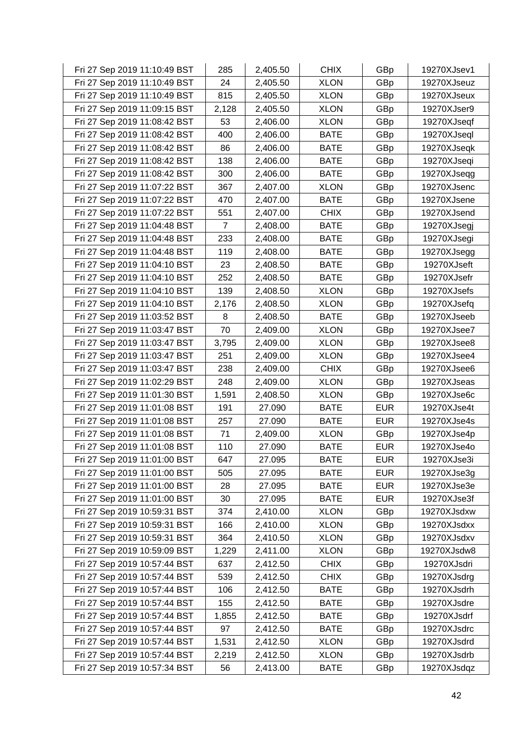| Fri 27 Sep 2019 11:10:49 BST | 285            | 2,405.50 | <b>CHIX</b> | GBp        | 19270XJsev1 |
|------------------------------|----------------|----------|-------------|------------|-------------|
| Fri 27 Sep 2019 11:10:49 BST | 24             | 2,405.50 | <b>XLON</b> | GBp        | 19270XJseuz |
| Fri 27 Sep 2019 11:10:49 BST | 815            | 2,405.50 | <b>XLON</b> | GBp        | 19270XJseux |
| Fri 27 Sep 2019 11:09:15 BST | 2,128          | 2,405.50 | <b>XLON</b> | GBp        | 19270XJser9 |
| Fri 27 Sep 2019 11:08:42 BST | 53             | 2,406.00 | <b>XLON</b> | GBp        | 19270XJseqf |
| Fri 27 Sep 2019 11:08:42 BST | 400            | 2,406.00 | <b>BATE</b> | GBp        | 19270XJseql |
| Fri 27 Sep 2019 11:08:42 BST | 86             | 2,406.00 | <b>BATE</b> | GBp        | 19270XJseqk |
| Fri 27 Sep 2019 11:08:42 BST | 138            | 2,406.00 | <b>BATE</b> | GBp        | 19270XJseqi |
| Fri 27 Sep 2019 11:08:42 BST | 300            | 2,406.00 | <b>BATE</b> | GBp        | 19270XJseqg |
| Fri 27 Sep 2019 11:07:22 BST | 367            | 2,407.00 | <b>XLON</b> | GBp        | 19270XJsenc |
| Fri 27 Sep 2019 11:07:22 BST | 470            | 2,407.00 | <b>BATE</b> | GBp        | 19270XJsene |
| Fri 27 Sep 2019 11:07:22 BST | 551            | 2,407.00 | <b>CHIX</b> | GBp        | 19270XJsend |
| Fri 27 Sep 2019 11:04:48 BST | $\overline{7}$ | 2,408.00 | <b>BATE</b> | GBp        | 19270XJsegj |
| Fri 27 Sep 2019 11:04:48 BST | 233            | 2,408.00 | <b>BATE</b> | GBp        | 19270XJsegi |
| Fri 27 Sep 2019 11:04:48 BST | 119            | 2,408.00 | <b>BATE</b> | GBp        | 19270XJsegg |
| Fri 27 Sep 2019 11:04:10 BST | 23             | 2,408.50 | <b>BATE</b> | GBp        | 19270XJseft |
| Fri 27 Sep 2019 11:04:10 BST | 252            | 2,408.50 | <b>BATE</b> | GBp        | 19270XJsefr |
| Fri 27 Sep 2019 11:04:10 BST | 139            | 2,408.50 | <b>XLON</b> | GBp        | 19270XJsefs |
| Fri 27 Sep 2019 11:04:10 BST | 2,176          | 2,408.50 | <b>XLON</b> | GBp        | 19270XJsefq |
| Fri 27 Sep 2019 11:03:52 BST | 8              | 2,408.50 | <b>BATE</b> | GBp        | 19270XJseeb |
| Fri 27 Sep 2019 11:03:47 BST | 70             | 2,409.00 | <b>XLON</b> | GBp        | 19270XJsee7 |
| Fri 27 Sep 2019 11:03:47 BST | 3,795          | 2,409.00 | <b>XLON</b> | GBp        | 19270XJsee8 |
| Fri 27 Sep 2019 11:03:47 BST | 251            | 2,409.00 | <b>XLON</b> | GBp        | 19270XJsee4 |
| Fri 27 Sep 2019 11:03:47 BST | 238            | 2,409.00 | <b>CHIX</b> | GBp        | 19270XJsee6 |
| Fri 27 Sep 2019 11:02:29 BST | 248            | 2,409.00 | <b>XLON</b> | GBp        | 19270XJseas |
| Fri 27 Sep 2019 11:01:30 BST | 1,591          | 2,408.50 | <b>XLON</b> | GBp        | 19270XJse6c |
| Fri 27 Sep 2019 11:01:08 BST | 191            | 27.090   | <b>BATE</b> | <b>EUR</b> | 19270XJse4t |
| Fri 27 Sep 2019 11:01:08 BST | 257            | 27.090   | <b>BATE</b> | <b>EUR</b> | 19270XJse4s |
| Fri 27 Sep 2019 11:01:08 BST | 71             | 2,409.00 | <b>XLON</b> | GBp        | 19270XJse4p |
| Fri 27 Sep 2019 11:01:08 BST | 110            | 27.090   | <b>BATE</b> | <b>EUR</b> | 19270XJse4o |
| Fri 27 Sep 2019 11:01:00 BST | 647            | 27.095   | <b>BATE</b> | <b>EUR</b> | 19270XJse3i |
| Fri 27 Sep 2019 11:01:00 BST | 505            | 27.095   | <b>BATE</b> | <b>EUR</b> | 19270XJse3g |
| Fri 27 Sep 2019 11:01:00 BST | 28             | 27.095   | <b>BATE</b> | <b>EUR</b> | 19270XJse3e |
| Fri 27 Sep 2019 11:01:00 BST | 30             | 27.095   | <b>BATE</b> | <b>EUR</b> | 19270XJse3f |
| Fri 27 Sep 2019 10:59:31 BST | 374            | 2,410.00 | <b>XLON</b> | GBp        | 19270XJsdxw |
| Fri 27 Sep 2019 10:59:31 BST | 166            | 2,410.00 | <b>XLON</b> | GBp        | 19270XJsdxx |
| Fri 27 Sep 2019 10:59:31 BST | 364            | 2,410.50 | <b>XLON</b> | GBp        | 19270XJsdxv |
| Fri 27 Sep 2019 10:59:09 BST | 1,229          | 2,411.00 | <b>XLON</b> | GBp        | 19270XJsdw8 |
| Fri 27 Sep 2019 10:57:44 BST | 637            | 2,412.50 | <b>CHIX</b> | GBp        | 19270XJsdri |
| Fri 27 Sep 2019 10:57:44 BST | 539            | 2,412.50 | <b>CHIX</b> | GBp        | 19270XJsdrg |
| Fri 27 Sep 2019 10:57:44 BST | 106            | 2,412.50 | <b>BATE</b> | GBp        | 19270XJsdrh |
| Fri 27 Sep 2019 10:57:44 BST | 155            | 2,412.50 | <b>BATE</b> | GBp        | 19270XJsdre |
| Fri 27 Sep 2019 10:57:44 BST | 1,855          | 2,412.50 | <b>BATE</b> | GBp        | 19270XJsdrf |
| Fri 27 Sep 2019 10:57:44 BST | 97             | 2,412.50 | <b>BATE</b> | GBp        | 19270XJsdrc |
| Fri 27 Sep 2019 10:57:44 BST | 1,531          | 2,412.50 | <b>XLON</b> | GBp        | 19270XJsdrd |
| Fri 27 Sep 2019 10:57:44 BST | 2,219          | 2,412.50 | <b>XLON</b> | GBp        | 19270XJsdrb |
| Fri 27 Sep 2019 10:57:34 BST | 56             | 2,413.00 | <b>BATE</b> | GBp        | 19270XJsdqz |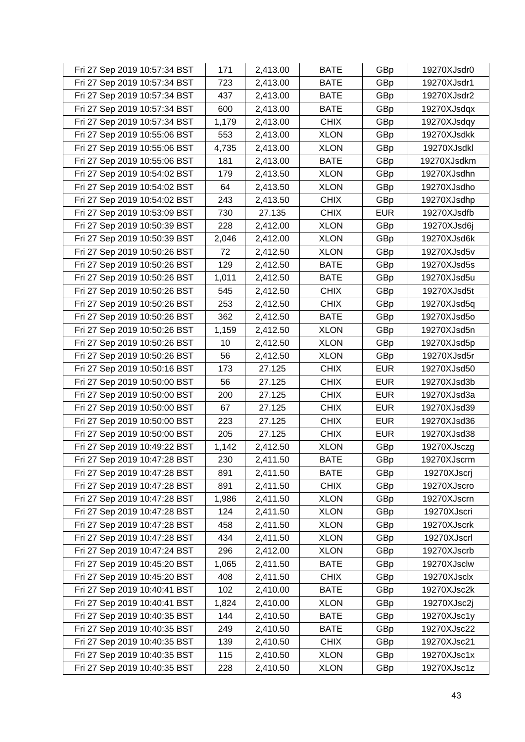| Fri 27 Sep 2019 10:57:34 BST | 171   | 2,413.00 | <b>BATE</b> | GBp        | 19270XJsdr0 |
|------------------------------|-------|----------|-------------|------------|-------------|
| Fri 27 Sep 2019 10:57:34 BST | 723   | 2,413.00 | <b>BATE</b> | GBp        | 19270XJsdr1 |
| Fri 27 Sep 2019 10:57:34 BST | 437   | 2,413.00 | <b>BATE</b> | GBp        | 19270XJsdr2 |
| Fri 27 Sep 2019 10:57:34 BST | 600   | 2,413.00 | <b>BATE</b> | GBp        | 19270XJsdqx |
| Fri 27 Sep 2019 10:57:34 BST | 1,179 | 2,413.00 | <b>CHIX</b> | GBp        | 19270XJsdqy |
| Fri 27 Sep 2019 10:55:06 BST | 553   | 2,413.00 | <b>XLON</b> | GBp        | 19270XJsdkk |
| Fri 27 Sep 2019 10:55:06 BST | 4,735 | 2,413.00 | <b>XLON</b> | GBp        | 19270XJsdkl |
| Fri 27 Sep 2019 10:55:06 BST | 181   | 2,413.00 | <b>BATE</b> | GBp        | 19270XJsdkm |
| Fri 27 Sep 2019 10:54:02 BST | 179   | 2,413.50 | <b>XLON</b> | GBp        | 19270XJsdhn |
| Fri 27 Sep 2019 10:54:02 BST | 64    | 2,413.50 | <b>XLON</b> | GBp        | 19270XJsdho |
| Fri 27 Sep 2019 10:54:02 BST | 243   | 2,413.50 | <b>CHIX</b> | GBp        | 19270XJsdhp |
| Fri 27 Sep 2019 10:53:09 BST | 730   | 27.135   | <b>CHIX</b> | <b>EUR</b> | 19270XJsdfb |
| Fri 27 Sep 2019 10:50:39 BST | 228   | 2,412.00 | <b>XLON</b> | GBp        | 19270XJsd6j |
| Fri 27 Sep 2019 10:50:39 BST | 2,046 | 2,412.00 | <b>XLON</b> | GBp        | 19270XJsd6k |
| Fri 27 Sep 2019 10:50:26 BST | 72    | 2,412.50 | <b>XLON</b> | GBp        | 19270XJsd5v |
| Fri 27 Sep 2019 10:50:26 BST | 129   | 2,412.50 | <b>BATE</b> | GBp        | 19270XJsd5s |
| Fri 27 Sep 2019 10:50:26 BST | 1,011 | 2,412.50 | <b>BATE</b> | GBp        | 19270XJsd5u |
| Fri 27 Sep 2019 10:50:26 BST | 545   | 2,412.50 | <b>CHIX</b> | GBp        | 19270XJsd5t |
| Fri 27 Sep 2019 10:50:26 BST | 253   | 2,412.50 | <b>CHIX</b> | GBp        | 19270XJsd5q |
| Fri 27 Sep 2019 10:50:26 BST | 362   | 2,412.50 | <b>BATE</b> | GBp        | 19270XJsd5o |
| Fri 27 Sep 2019 10:50:26 BST | 1,159 | 2,412.50 | <b>XLON</b> | GBp        | 19270XJsd5n |
| Fri 27 Sep 2019 10:50:26 BST | 10    | 2,412.50 | <b>XLON</b> | GBp        | 19270XJsd5p |
| Fri 27 Sep 2019 10:50:26 BST | 56    | 2,412.50 | <b>XLON</b> | GBp        | 19270XJsd5r |
| Fri 27 Sep 2019 10:50:16 BST | 173   | 27.125   | <b>CHIX</b> | <b>EUR</b> | 19270XJsd50 |
| Fri 27 Sep 2019 10:50:00 BST | 56    | 27.125   | <b>CHIX</b> | <b>EUR</b> | 19270XJsd3b |
| Fri 27 Sep 2019 10:50:00 BST | 200   | 27.125   | <b>CHIX</b> | <b>EUR</b> | 19270XJsd3a |
| Fri 27 Sep 2019 10:50:00 BST | 67    | 27.125   | <b>CHIX</b> | <b>EUR</b> | 19270XJsd39 |
| Fri 27 Sep 2019 10:50:00 BST | 223   | 27.125   | <b>CHIX</b> | <b>EUR</b> | 19270XJsd36 |
| Fri 27 Sep 2019 10:50:00 BST | 205   | 27.125   | <b>CHIX</b> | <b>EUR</b> | 19270XJsd38 |
| Fri 27 Sep 2019 10:49:22 BST | 1,142 | 2,412.50 | <b>XLON</b> | GBp        | 19270XJsczg |
| Fri 27 Sep 2019 10:47:28 BST | 230   | 2,411.50 | <b>BATE</b> | GBp        | 19270XJscrm |
| Fri 27 Sep 2019 10:47:28 BST | 891   | 2,411.50 | <b>BATE</b> | GBp        | 19270XJscrj |
| Fri 27 Sep 2019 10:47:28 BST | 891   | 2,411.50 | <b>CHIX</b> | GBp        | 19270XJscro |
| Fri 27 Sep 2019 10:47:28 BST | 1,986 | 2,411.50 | <b>XLON</b> | GBp        | 19270XJscrn |
| Fri 27 Sep 2019 10:47:28 BST | 124   | 2,411.50 | <b>XLON</b> | GBp        | 19270XJscri |
| Fri 27 Sep 2019 10:47:28 BST | 458   | 2,411.50 | <b>XLON</b> | GBp        | 19270XJscrk |
| Fri 27 Sep 2019 10:47:28 BST | 434   | 2,411.50 | <b>XLON</b> | GBp        | 19270XJscrl |
| Fri 27 Sep 2019 10:47:24 BST | 296   | 2,412.00 | <b>XLON</b> | GBp        | 19270XJscrb |
| Fri 27 Sep 2019 10:45:20 BST | 1,065 | 2,411.50 | <b>BATE</b> | GBp        | 19270XJsclw |
| Fri 27 Sep 2019 10:45:20 BST | 408   | 2,411.50 | <b>CHIX</b> | GBp        | 19270XJsclx |
| Fri 27 Sep 2019 10:40:41 BST | 102   | 2,410.00 | <b>BATE</b> | GBp        | 19270XJsc2k |
| Fri 27 Sep 2019 10:40:41 BST | 1,824 | 2,410.00 | <b>XLON</b> | GBp        | 19270XJsc2j |
| Fri 27 Sep 2019 10:40:35 BST | 144   | 2,410.50 | <b>BATE</b> | GBp        | 19270XJsc1y |
| Fri 27 Sep 2019 10:40:35 BST | 249   | 2,410.50 | <b>BATE</b> | GBp        | 19270XJsc22 |
| Fri 27 Sep 2019 10:40:35 BST | 139   | 2,410.50 | <b>CHIX</b> | GBp        | 19270XJsc21 |
| Fri 27 Sep 2019 10:40:35 BST | 115   | 2,410.50 | <b>XLON</b> | GBp        | 19270XJsc1x |
| Fri 27 Sep 2019 10:40:35 BST | 228   | 2,410.50 | <b>XLON</b> | GBp        | 19270XJsc1z |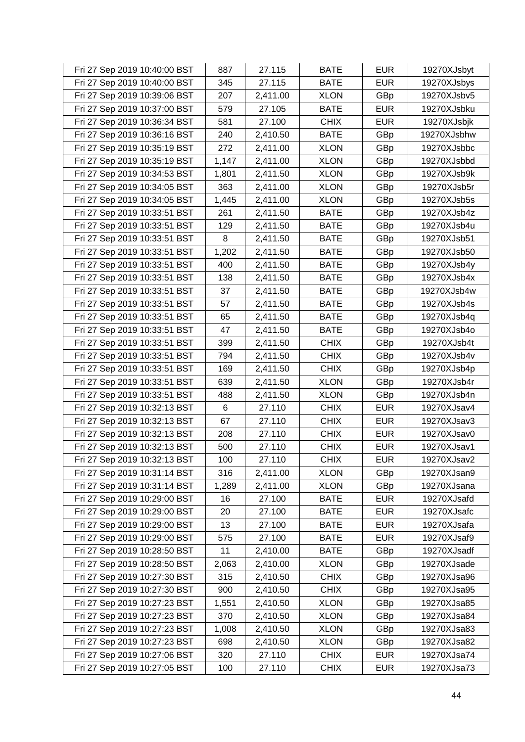| Fri 27 Sep 2019 10:40:00 BST | 887   | 27.115   | <b>BATE</b> | <b>EUR</b> | 19270XJsbyt |
|------------------------------|-------|----------|-------------|------------|-------------|
| Fri 27 Sep 2019 10:40:00 BST | 345   | 27.115   | <b>BATE</b> | <b>EUR</b> | 19270XJsbys |
| Fri 27 Sep 2019 10:39:06 BST | 207   | 2,411.00 | <b>XLON</b> | GBp        | 19270XJsbv5 |
| Fri 27 Sep 2019 10:37:00 BST | 579   | 27.105   | <b>BATE</b> | <b>EUR</b> | 19270XJsbku |
| Fri 27 Sep 2019 10:36:34 BST | 581   | 27.100   | <b>CHIX</b> | <b>EUR</b> | 19270XJsbjk |
| Fri 27 Sep 2019 10:36:16 BST | 240   | 2,410.50 | <b>BATE</b> | GBp        | 19270XJsbhw |
| Fri 27 Sep 2019 10:35:19 BST | 272   | 2,411.00 | <b>XLON</b> | GBp        | 19270XJsbbc |
| Fri 27 Sep 2019 10:35:19 BST | 1,147 | 2,411.00 | <b>XLON</b> | GBp        | 19270XJsbbd |
| Fri 27 Sep 2019 10:34:53 BST | 1,801 | 2,411.50 | <b>XLON</b> | GBp        | 19270XJsb9k |
| Fri 27 Sep 2019 10:34:05 BST | 363   | 2,411.00 | <b>XLON</b> | GBp        | 19270XJsb5r |
| Fri 27 Sep 2019 10:34:05 BST | 1,445 | 2,411.00 | <b>XLON</b> | GBp        | 19270XJsb5s |
| Fri 27 Sep 2019 10:33:51 BST | 261   | 2,411.50 | <b>BATE</b> | GBp        | 19270XJsb4z |
| Fri 27 Sep 2019 10:33:51 BST | 129   | 2,411.50 | <b>BATE</b> | GBp        | 19270XJsb4u |
| Fri 27 Sep 2019 10:33:51 BST | 8     | 2,411.50 | <b>BATE</b> | GBp        | 19270XJsb51 |
| Fri 27 Sep 2019 10:33:51 BST | 1,202 | 2,411.50 | <b>BATE</b> | GBp        | 19270XJsb50 |
| Fri 27 Sep 2019 10:33:51 BST | 400   | 2,411.50 | <b>BATE</b> | GBp        | 19270XJsb4y |
| Fri 27 Sep 2019 10:33:51 BST | 138   | 2,411.50 | <b>BATE</b> | GBp        | 19270XJsb4x |
| Fri 27 Sep 2019 10:33:51 BST | 37    | 2,411.50 | <b>BATE</b> | GBp        | 19270XJsb4w |
| Fri 27 Sep 2019 10:33:51 BST | 57    | 2,411.50 | <b>BATE</b> | GBp        | 19270XJsb4s |
| Fri 27 Sep 2019 10:33:51 BST | 65    | 2,411.50 | <b>BATE</b> | GBp        | 19270XJsb4q |
| Fri 27 Sep 2019 10:33:51 BST | 47    | 2,411.50 | <b>BATE</b> | GBp        | 19270XJsb4o |
| Fri 27 Sep 2019 10:33:51 BST | 399   | 2,411.50 | <b>CHIX</b> | GBp        | 19270XJsb4t |
| Fri 27 Sep 2019 10:33:51 BST | 794   | 2,411.50 | <b>CHIX</b> | GBp        | 19270XJsb4v |
| Fri 27 Sep 2019 10:33:51 BST | 169   | 2,411.50 | <b>CHIX</b> | GBp        | 19270XJsb4p |
| Fri 27 Sep 2019 10:33:51 BST | 639   | 2,411.50 | <b>XLON</b> | GBp        | 19270XJsb4r |
| Fri 27 Sep 2019 10:33:51 BST | 488   | 2,411.50 | <b>XLON</b> | GBp        | 19270XJsb4n |
| Fri 27 Sep 2019 10:32:13 BST | 6     | 27.110   | <b>CHIX</b> | <b>EUR</b> | 19270XJsav4 |
| Fri 27 Sep 2019 10:32:13 BST | 67    | 27.110   | <b>CHIX</b> | <b>EUR</b> | 19270XJsav3 |
| Fri 27 Sep 2019 10:32:13 BST | 208   | 27.110   | <b>CHIX</b> | <b>EUR</b> | 19270XJsav0 |
| Fri 27 Sep 2019 10:32:13 BST | 500   | 27.110   | <b>CHIX</b> | <b>EUR</b> | 19270XJsav1 |
| Fri 27 Sep 2019 10:32:13 BST | 100   | 27.110   | <b>CHIX</b> | <b>EUR</b> | 19270XJsav2 |
| Fri 27 Sep 2019 10:31:14 BST | 316   | 2,411.00 | <b>XLON</b> | GBp        | 19270XJsan9 |
| Fri 27 Sep 2019 10:31:14 BST | 1,289 | 2,411.00 | <b>XLON</b> | GBp        | 19270XJsana |
| Fri 27 Sep 2019 10:29:00 BST | 16    | 27.100   | <b>BATE</b> | <b>EUR</b> | 19270XJsafd |
| Fri 27 Sep 2019 10:29:00 BST | 20    | 27.100   | <b>BATE</b> | <b>EUR</b> | 19270XJsafc |
| Fri 27 Sep 2019 10:29:00 BST | 13    | 27.100   | <b>BATE</b> | <b>EUR</b> | 19270XJsafa |
| Fri 27 Sep 2019 10:29:00 BST | 575   | 27.100   | <b>BATE</b> | <b>EUR</b> | 19270XJsaf9 |
| Fri 27 Sep 2019 10:28:50 BST | 11    | 2,410.00 | <b>BATE</b> | GBp        | 19270XJsadf |
| Fri 27 Sep 2019 10:28:50 BST | 2,063 | 2,410.00 | <b>XLON</b> | GBp        | 19270XJsade |
| Fri 27 Sep 2019 10:27:30 BST | 315   | 2,410.50 | <b>CHIX</b> | GBp        | 19270XJsa96 |
| Fri 27 Sep 2019 10:27:30 BST | 900   | 2,410.50 | <b>CHIX</b> | GBp        | 19270XJsa95 |
| Fri 27 Sep 2019 10:27:23 BST | 1,551 | 2,410.50 | <b>XLON</b> | GBp        | 19270XJsa85 |
| Fri 27 Sep 2019 10:27:23 BST | 370   | 2,410.50 | <b>XLON</b> | GBp        | 19270XJsa84 |
| Fri 27 Sep 2019 10:27:23 BST | 1,008 | 2,410.50 | <b>XLON</b> | GBp        | 19270XJsa83 |
| Fri 27 Sep 2019 10:27:23 BST | 698   | 2,410.50 | <b>XLON</b> | GBp        | 19270XJsa82 |
| Fri 27 Sep 2019 10:27:06 BST | 320   | 27.110   | <b>CHIX</b> | <b>EUR</b> | 19270XJsa74 |
| Fri 27 Sep 2019 10:27:05 BST | 100   | 27.110   | <b>CHIX</b> | <b>EUR</b> | 19270XJsa73 |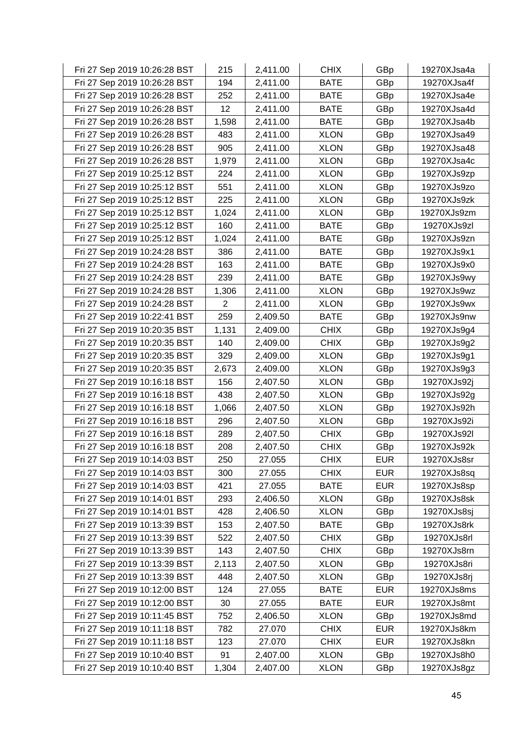| Fri 27 Sep 2019 10:26:28 BST | 215            | 2,411.00 | <b>CHIX</b> | GBp        | 19270XJsa4a |
|------------------------------|----------------|----------|-------------|------------|-------------|
| Fri 27 Sep 2019 10:26:28 BST | 194            | 2,411.00 | <b>BATE</b> | GBp        | 19270XJsa4f |
| Fri 27 Sep 2019 10:26:28 BST | 252            | 2,411.00 | <b>BATE</b> | GBp        | 19270XJsa4e |
| Fri 27 Sep 2019 10:26:28 BST | 12             | 2,411.00 | <b>BATE</b> | GBp        | 19270XJsa4d |
| Fri 27 Sep 2019 10:26:28 BST | 1,598          | 2,411.00 | <b>BATE</b> | GBp        | 19270XJsa4b |
| Fri 27 Sep 2019 10:26:28 BST | 483            | 2,411.00 | <b>XLON</b> | GBp        | 19270XJsa49 |
| Fri 27 Sep 2019 10:26:28 BST | 905            | 2,411.00 | <b>XLON</b> | GBp        | 19270XJsa48 |
| Fri 27 Sep 2019 10:26:28 BST | 1,979          | 2,411.00 | <b>XLON</b> | GBp        | 19270XJsa4c |
| Fri 27 Sep 2019 10:25:12 BST | 224            | 2,411.00 | <b>XLON</b> | GBp        | 19270XJs9zp |
| Fri 27 Sep 2019 10:25:12 BST | 551            | 2,411.00 | <b>XLON</b> | GBp        | 19270XJs9zo |
| Fri 27 Sep 2019 10:25:12 BST | 225            | 2,411.00 | <b>XLON</b> | GBp        | 19270XJs9zk |
| Fri 27 Sep 2019 10:25:12 BST | 1,024          | 2,411.00 | <b>XLON</b> | GBp        | 19270XJs9zm |
| Fri 27 Sep 2019 10:25:12 BST | 160            | 2,411.00 | <b>BATE</b> | GBp        | 19270XJs9zl |
| Fri 27 Sep 2019 10:25:12 BST | 1,024          | 2,411.00 | <b>BATE</b> | GBp        | 19270XJs9zn |
| Fri 27 Sep 2019 10:24:28 BST | 386            | 2,411.00 | <b>BATE</b> | GBp        | 19270XJs9x1 |
| Fri 27 Sep 2019 10:24:28 BST | 163            | 2,411.00 | <b>BATE</b> | GBp        | 19270XJs9x0 |
| Fri 27 Sep 2019 10:24:28 BST | 239            | 2,411.00 | <b>BATE</b> | GBp        | 19270XJs9wy |
| Fri 27 Sep 2019 10:24:28 BST | 1,306          | 2,411.00 | <b>XLON</b> | GBp        | 19270XJs9wz |
| Fri 27 Sep 2019 10:24:28 BST | $\overline{2}$ | 2,411.00 | <b>XLON</b> | GBp        | 19270XJs9wx |
| Fri 27 Sep 2019 10:22:41 BST | 259            | 2,409.50 | <b>BATE</b> | GBp        | 19270XJs9nw |
| Fri 27 Sep 2019 10:20:35 BST | 1,131          | 2,409.00 | <b>CHIX</b> | GBp        | 19270XJs9g4 |
| Fri 27 Sep 2019 10:20:35 BST | 140            | 2,409.00 | <b>CHIX</b> | GBp        | 19270XJs9g2 |
| Fri 27 Sep 2019 10:20:35 BST | 329            | 2,409.00 | <b>XLON</b> | GBp        | 19270XJs9g1 |
| Fri 27 Sep 2019 10:20:35 BST | 2,673          | 2,409.00 | <b>XLON</b> | GBp        | 19270XJs9g3 |
| Fri 27 Sep 2019 10:16:18 BST | 156            | 2,407.50 | <b>XLON</b> | GBp        | 19270XJs92j |
| Fri 27 Sep 2019 10:16:18 BST | 438            | 2,407.50 | <b>XLON</b> | GBp        | 19270XJs92g |
| Fri 27 Sep 2019 10:16:18 BST | 1,066          | 2,407.50 | <b>XLON</b> | GBp        | 19270XJs92h |
| Fri 27 Sep 2019 10:16:18 BST | 296            | 2,407.50 | <b>XLON</b> | GBp        | 19270XJs92i |
| Fri 27 Sep 2019 10:16:18 BST | 289            | 2,407.50 | <b>CHIX</b> | GBp        | 19270XJs92l |
| Fri 27 Sep 2019 10:16:18 BST | 208            | 2,407.50 | <b>CHIX</b> | GBp        | 19270XJs92k |
| Fri 27 Sep 2019 10:14:03 BST | 250            | 27.055   | <b>CHIX</b> | <b>EUR</b> | 19270XJs8sr |
| Fri 27 Sep 2019 10:14:03 BST | 300            | 27.055   | <b>CHIX</b> | <b>EUR</b> | 19270XJs8sq |
| Fri 27 Sep 2019 10:14:03 BST | 421            | 27.055   | <b>BATE</b> | <b>EUR</b> | 19270XJs8sp |
| Fri 27 Sep 2019 10:14:01 BST | 293            | 2,406.50 | <b>XLON</b> | GBp        | 19270XJs8sk |
| Fri 27 Sep 2019 10:14:01 BST | 428            | 2,406.50 | <b>XLON</b> | GBp        | 19270XJs8sj |
| Fri 27 Sep 2019 10:13:39 BST | 153            | 2,407.50 | <b>BATE</b> | GBp        | 19270XJs8rk |
| Fri 27 Sep 2019 10:13:39 BST | 522            | 2,407.50 | <b>CHIX</b> | GBp        | 19270XJs8rl |
| Fri 27 Sep 2019 10:13:39 BST | 143            | 2,407.50 | <b>CHIX</b> | GBp        | 19270XJs8rn |
| Fri 27 Sep 2019 10:13:39 BST | 2,113          | 2,407.50 | <b>XLON</b> | GBp        | 19270XJs8ri |
| Fri 27 Sep 2019 10:13:39 BST | 448            | 2,407.50 | <b>XLON</b> | GBp        | 19270XJs8rj |
| Fri 27 Sep 2019 10:12:00 BST | 124            | 27.055   | <b>BATE</b> | <b>EUR</b> | 19270XJs8ms |
| Fri 27 Sep 2019 10:12:00 BST | 30             | 27.055   | <b>BATE</b> | <b>EUR</b> | 19270XJs8mt |
| Fri 27 Sep 2019 10:11:45 BST | 752            | 2,406.50 | <b>XLON</b> | GBp        | 19270XJs8md |
| Fri 27 Sep 2019 10:11:18 BST | 782            | 27.070   | <b>CHIX</b> | <b>EUR</b> | 19270XJs8km |
| Fri 27 Sep 2019 10:11:18 BST | 123            | 27.070   | <b>CHIX</b> | <b>EUR</b> | 19270XJs8kn |
| Fri 27 Sep 2019 10:10:40 BST | 91             | 2,407.00 | <b>XLON</b> | GBp        | 19270XJs8h0 |
| Fri 27 Sep 2019 10:10:40 BST | 1,304          | 2,407.00 | <b>XLON</b> | GBp        | 19270XJs8gz |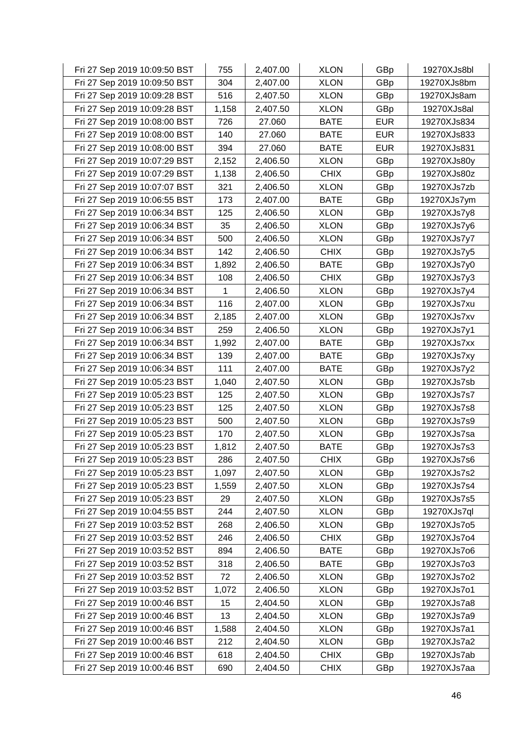| Fri 27 Sep 2019 10:09:50 BST | 755   | 2,407.00 | <b>XLON</b> | GBp        | 19270XJs8bl |
|------------------------------|-------|----------|-------------|------------|-------------|
| Fri 27 Sep 2019 10:09:50 BST | 304   | 2,407.00 | <b>XLON</b> | GBp        | 19270XJs8bm |
| Fri 27 Sep 2019 10:09:28 BST | 516   | 2,407.50 | <b>XLON</b> | GBp        | 19270XJs8am |
| Fri 27 Sep 2019 10:09:28 BST | 1,158 | 2,407.50 | <b>XLON</b> | GBp        | 19270XJs8al |
| Fri 27 Sep 2019 10:08:00 BST | 726   | 27.060   | <b>BATE</b> | <b>EUR</b> | 19270XJs834 |
| Fri 27 Sep 2019 10:08:00 BST | 140   | 27.060   | <b>BATE</b> | <b>EUR</b> | 19270XJs833 |
| Fri 27 Sep 2019 10:08:00 BST | 394   | 27.060   | <b>BATE</b> | <b>EUR</b> | 19270XJs831 |
| Fri 27 Sep 2019 10:07:29 BST | 2,152 | 2,406.50 | <b>XLON</b> | GBp        | 19270XJs80y |
| Fri 27 Sep 2019 10:07:29 BST | 1,138 | 2,406.50 | <b>CHIX</b> | GBp        | 19270XJs80z |
| Fri 27 Sep 2019 10:07:07 BST | 321   | 2,406.50 | <b>XLON</b> | GBp        | 19270XJs7zb |
| Fri 27 Sep 2019 10:06:55 BST | 173   | 2,407.00 | <b>BATE</b> | GBp        | 19270XJs7ym |
| Fri 27 Sep 2019 10:06:34 BST | 125   | 2,406.50 | <b>XLON</b> | GBp        | 19270XJs7y8 |
| Fri 27 Sep 2019 10:06:34 BST | 35    | 2,406.50 | <b>XLON</b> | GBp        | 19270XJs7y6 |
| Fri 27 Sep 2019 10:06:34 BST | 500   | 2,406.50 | <b>XLON</b> | GBp        | 19270XJs7y7 |
| Fri 27 Sep 2019 10:06:34 BST | 142   | 2,406.50 | <b>CHIX</b> | GBp        | 19270XJs7y5 |
| Fri 27 Sep 2019 10:06:34 BST | 1,892 | 2,406.50 | <b>BATE</b> | GBp        | 19270XJs7y0 |
| Fri 27 Sep 2019 10:06:34 BST | 108   | 2,406.50 | <b>CHIX</b> | GBp        | 19270XJs7y3 |
| Fri 27 Sep 2019 10:06:34 BST | 1     | 2,406.50 | <b>XLON</b> | GBp        | 19270XJs7y4 |
| Fri 27 Sep 2019 10:06:34 BST | 116   | 2,407.00 | <b>XLON</b> | GBp        | 19270XJs7xu |
| Fri 27 Sep 2019 10:06:34 BST | 2,185 | 2,407.00 | <b>XLON</b> | GBp        | 19270XJs7xv |
| Fri 27 Sep 2019 10:06:34 BST | 259   | 2,406.50 | <b>XLON</b> | GBp        | 19270XJs7y1 |
| Fri 27 Sep 2019 10:06:34 BST | 1,992 | 2,407.00 | <b>BATE</b> | GBp        | 19270XJs7xx |
| Fri 27 Sep 2019 10:06:34 BST | 139   | 2,407.00 | <b>BATE</b> | GBp        | 19270XJs7xy |
| Fri 27 Sep 2019 10:06:34 BST | 111   | 2,407.00 | <b>BATE</b> | GBp        | 19270XJs7y2 |
| Fri 27 Sep 2019 10:05:23 BST | 1,040 | 2,407.50 | <b>XLON</b> | GBp        | 19270XJs7sb |
| Fri 27 Sep 2019 10:05:23 BST | 125   | 2,407.50 | <b>XLON</b> | GBp        | 19270XJs7s7 |
| Fri 27 Sep 2019 10:05:23 BST | 125   | 2,407.50 | <b>XLON</b> | GBp        | 19270XJs7s8 |
| Fri 27 Sep 2019 10:05:23 BST | 500   | 2,407.50 | <b>XLON</b> | GBp        | 19270XJs7s9 |
| Fri 27 Sep 2019 10:05:23 BST | 170   | 2,407.50 | <b>XLON</b> | GBp        | 19270XJs7sa |
| Fri 27 Sep 2019 10:05:23 BST | 1,812 | 2,407.50 | <b>BATE</b> | GBp        | 19270XJs7s3 |
| Fri 27 Sep 2019 10:05:23 BST | 286   | 2,407.50 | <b>CHIX</b> | GBp        | 19270XJs7s6 |
| Fri 27 Sep 2019 10:05:23 BST | 1,097 | 2,407.50 | <b>XLON</b> | GBp        | 19270XJs7s2 |
| Fri 27 Sep 2019 10:05:23 BST | 1,559 | 2,407.50 | <b>XLON</b> | GBp        | 19270XJs7s4 |
| Fri 27 Sep 2019 10:05:23 BST | 29    | 2,407.50 | <b>XLON</b> | GBp        | 19270XJs7s5 |
| Fri 27 Sep 2019 10:04:55 BST | 244   | 2,407.50 | <b>XLON</b> | GBp        | 19270XJs7ql |
| Fri 27 Sep 2019 10:03:52 BST | 268   | 2,406.50 | <b>XLON</b> | GBp        | 19270XJs7o5 |
| Fri 27 Sep 2019 10:03:52 BST | 246   | 2,406.50 | <b>CHIX</b> | GBp        | 19270XJs7o4 |
| Fri 27 Sep 2019 10:03:52 BST | 894   | 2,406.50 | <b>BATE</b> | GBp        | 19270XJs7o6 |
| Fri 27 Sep 2019 10:03:52 BST | 318   | 2,406.50 | <b>BATE</b> | GBp        | 19270XJs7o3 |
| Fri 27 Sep 2019 10:03:52 BST | 72    | 2,406.50 | <b>XLON</b> | GBp        | 19270XJs7o2 |
| Fri 27 Sep 2019 10:03:52 BST | 1,072 | 2,406.50 | <b>XLON</b> | GBp        | 19270XJs7o1 |
| Fri 27 Sep 2019 10:00:46 BST | 15    | 2,404.50 | <b>XLON</b> | GBp        | 19270XJs7a8 |
| Fri 27 Sep 2019 10:00:46 BST | 13    | 2,404.50 | <b>XLON</b> | GBp        | 19270XJs7a9 |
| Fri 27 Sep 2019 10:00:46 BST | 1,588 | 2,404.50 | <b>XLON</b> | GBp        | 19270XJs7a1 |
| Fri 27 Sep 2019 10:00:46 BST | 212   | 2,404.50 | <b>XLON</b> | GBp        | 19270XJs7a2 |
| Fri 27 Sep 2019 10:00:46 BST | 618   | 2,404.50 | <b>CHIX</b> | GBp        | 19270XJs7ab |
| Fri 27 Sep 2019 10:00:46 BST | 690   | 2,404.50 | <b>CHIX</b> | GBp        | 19270XJs7aa |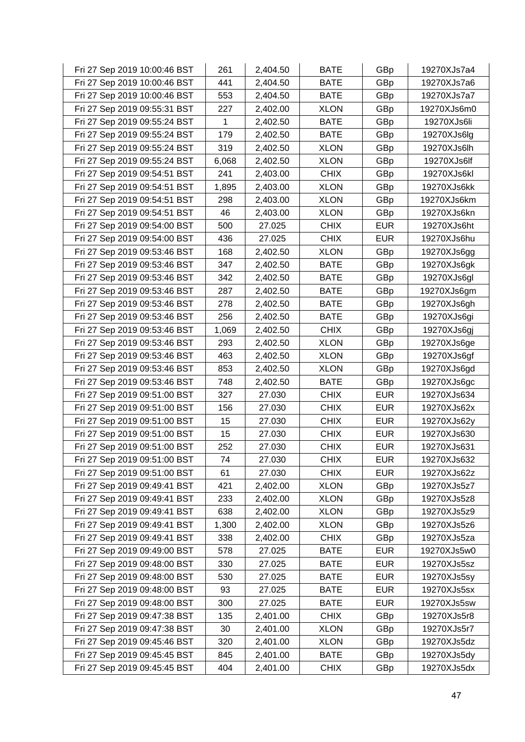| Fri 27 Sep 2019 10:00:46 BST | 261   | 2,404.50 | <b>BATE</b> | GBp        | 19270XJs7a4 |
|------------------------------|-------|----------|-------------|------------|-------------|
| Fri 27 Sep 2019 10:00:46 BST | 441   | 2,404.50 | <b>BATE</b> | GBp        | 19270XJs7a6 |
| Fri 27 Sep 2019 10:00:46 BST | 553   | 2,404.50 | <b>BATE</b> | GBp        | 19270XJs7a7 |
| Fri 27 Sep 2019 09:55:31 BST | 227   | 2,402.00 | <b>XLON</b> | GBp        | 19270XJs6m0 |
| Fri 27 Sep 2019 09:55:24 BST | 1     | 2,402.50 | <b>BATE</b> | GBp        | 19270XJs6li |
| Fri 27 Sep 2019 09:55:24 BST | 179   | 2,402.50 | <b>BATE</b> | GBp        | 19270XJs6lg |
| Fri 27 Sep 2019 09:55:24 BST | 319   | 2,402.50 | <b>XLON</b> | GBp        | 19270XJs6lh |
| Fri 27 Sep 2019 09:55:24 BST | 6,068 | 2,402.50 | <b>XLON</b> | GBp        | 19270XJs6lf |
| Fri 27 Sep 2019 09:54:51 BST | 241   | 2,403.00 | <b>CHIX</b> | GBp        | 19270XJs6kl |
| Fri 27 Sep 2019 09:54:51 BST | 1,895 | 2,403.00 | <b>XLON</b> | GBp        | 19270XJs6kk |
| Fri 27 Sep 2019 09:54:51 BST | 298   | 2,403.00 | <b>XLON</b> | GBp        | 19270XJs6km |
| Fri 27 Sep 2019 09:54:51 BST | 46    | 2,403.00 | <b>XLON</b> | GBp        | 19270XJs6kn |
| Fri 27 Sep 2019 09:54:00 BST | 500   | 27.025   | <b>CHIX</b> | <b>EUR</b> | 19270XJs6ht |
| Fri 27 Sep 2019 09:54:00 BST | 436   | 27.025   | <b>CHIX</b> | <b>EUR</b> | 19270XJs6hu |
| Fri 27 Sep 2019 09:53:46 BST | 168   | 2,402.50 | <b>XLON</b> | GBp        | 19270XJs6gg |
| Fri 27 Sep 2019 09:53:46 BST | 347   | 2,402.50 | <b>BATE</b> | GBp        | 19270XJs6gk |
| Fri 27 Sep 2019 09:53:46 BST | 342   | 2,402.50 | <b>BATE</b> | GBp        | 19270XJs6gl |
| Fri 27 Sep 2019 09:53:46 BST | 287   | 2,402.50 | <b>BATE</b> | GBp        | 19270XJs6gm |
| Fri 27 Sep 2019 09:53:46 BST | 278   | 2,402.50 | <b>BATE</b> | GBp        | 19270XJs6gh |
| Fri 27 Sep 2019 09:53:46 BST | 256   | 2,402.50 | <b>BATE</b> | GBp        | 19270XJs6gi |
| Fri 27 Sep 2019 09:53:46 BST | 1,069 | 2,402.50 | <b>CHIX</b> | GBp        | 19270XJs6gj |
| Fri 27 Sep 2019 09:53:46 BST | 293   | 2,402.50 | <b>XLON</b> | GBp        | 19270XJs6ge |
| Fri 27 Sep 2019 09:53:46 BST | 463   | 2,402.50 | <b>XLON</b> | GBp        | 19270XJs6gf |
| Fri 27 Sep 2019 09:53:46 BST | 853   | 2,402.50 | <b>XLON</b> | GBp        | 19270XJs6gd |
| Fri 27 Sep 2019 09:53:46 BST | 748   | 2,402.50 | <b>BATE</b> | GBp        | 19270XJs6gc |
| Fri 27 Sep 2019 09:51:00 BST | 327   | 27.030   | <b>CHIX</b> | <b>EUR</b> | 19270XJs634 |
| Fri 27 Sep 2019 09:51:00 BST | 156   | 27.030   | <b>CHIX</b> | <b>EUR</b> | 19270XJs62x |
| Fri 27 Sep 2019 09:51:00 BST | 15    | 27.030   | <b>CHIX</b> | <b>EUR</b> | 19270XJs62y |
| Fri 27 Sep 2019 09:51:00 BST | 15    | 27.030   | <b>CHIX</b> | <b>EUR</b> | 19270XJs630 |
| Fri 27 Sep 2019 09:51:00 BST | 252   | 27.030   | <b>CHIX</b> | <b>EUR</b> | 19270XJs631 |
| Fri 27 Sep 2019 09:51:00 BST | 74    | 27.030   | <b>CHIX</b> | <b>EUR</b> | 19270XJs632 |
| Fri 27 Sep 2019 09:51:00 BST | 61    | 27.030   | <b>CHIX</b> | <b>EUR</b> | 19270XJs62z |
| Fri 27 Sep 2019 09:49:41 BST | 421   | 2,402.00 | <b>XLON</b> | GBp        | 19270XJs5z7 |
| Fri 27 Sep 2019 09:49:41 BST | 233   | 2,402.00 | <b>XLON</b> | GBp        | 19270XJs5z8 |
| Fri 27 Sep 2019 09:49:41 BST | 638   | 2,402.00 | <b>XLON</b> | GBp        | 19270XJs5z9 |
| Fri 27 Sep 2019 09:49:41 BST | 1,300 | 2,402.00 | <b>XLON</b> | GBp        | 19270XJs5z6 |
| Fri 27 Sep 2019 09:49:41 BST | 338   | 2,402.00 | <b>CHIX</b> | GBp        | 19270XJs5za |
| Fri 27 Sep 2019 09:49:00 BST | 578   | 27.025   | <b>BATE</b> | <b>EUR</b> | 19270XJs5w0 |
| Fri 27 Sep 2019 09:48:00 BST | 330   | 27.025   | <b>BATE</b> | <b>EUR</b> | 19270XJs5sz |
| Fri 27 Sep 2019 09:48:00 BST | 530   | 27.025   | <b>BATE</b> | <b>EUR</b> | 19270XJs5sy |
| Fri 27 Sep 2019 09:48:00 BST | 93    | 27.025   | <b>BATE</b> | <b>EUR</b> | 19270XJs5sx |
| Fri 27 Sep 2019 09:48:00 BST | 300   | 27.025   | <b>BATE</b> | <b>EUR</b> | 19270XJs5sw |
| Fri 27 Sep 2019 09:47:38 BST | 135   | 2,401.00 | <b>CHIX</b> | GBp        | 19270XJs5r8 |
| Fri 27 Sep 2019 09:47:38 BST | 30    | 2,401.00 | <b>XLON</b> | GBp        | 19270XJs5r7 |
| Fri 27 Sep 2019 09:45:46 BST | 320   | 2,401.00 | <b>XLON</b> | GBp        | 19270XJs5dz |
| Fri 27 Sep 2019 09:45:45 BST | 845   | 2,401.00 | <b>BATE</b> | GBp        | 19270XJs5dy |
| Fri 27 Sep 2019 09:45:45 BST | 404   | 2,401.00 | <b>CHIX</b> | GBp        | 19270XJs5dx |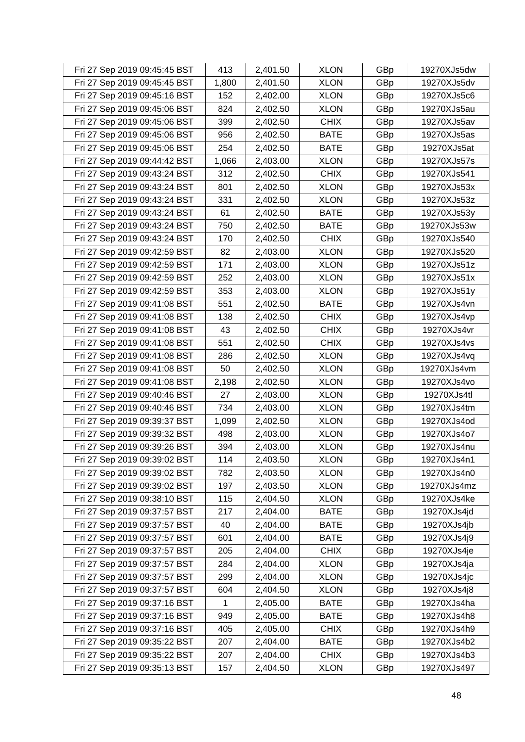| Fri 27 Sep 2019 09:45:45 BST | 413   | 2,401.50 | <b>XLON</b> | GBp | 19270XJs5dw |
|------------------------------|-------|----------|-------------|-----|-------------|
| Fri 27 Sep 2019 09:45:45 BST | 1,800 | 2,401.50 | <b>XLON</b> | GBp | 19270XJs5dv |
| Fri 27 Sep 2019 09:45:16 BST | 152   | 2,402.00 | <b>XLON</b> | GBp | 19270XJs5c6 |
| Fri 27 Sep 2019 09:45:06 BST | 824   | 2,402.50 | <b>XLON</b> | GBp | 19270XJs5au |
| Fri 27 Sep 2019 09:45:06 BST | 399   | 2,402.50 | <b>CHIX</b> | GBp | 19270XJs5av |
| Fri 27 Sep 2019 09:45:06 BST | 956   | 2,402.50 | <b>BATE</b> | GBp | 19270XJs5as |
| Fri 27 Sep 2019 09:45:06 BST | 254   | 2,402.50 | <b>BATE</b> | GBp | 19270XJs5at |
| Fri 27 Sep 2019 09:44:42 BST | 1,066 | 2,403.00 | <b>XLON</b> | GBp | 19270XJs57s |
| Fri 27 Sep 2019 09:43:24 BST | 312   | 2,402.50 | <b>CHIX</b> | GBp | 19270XJs541 |
| Fri 27 Sep 2019 09:43:24 BST | 801   | 2,402.50 | <b>XLON</b> | GBp | 19270XJs53x |
| Fri 27 Sep 2019 09:43:24 BST | 331   | 2,402.50 | <b>XLON</b> | GBp | 19270XJs53z |
| Fri 27 Sep 2019 09:43:24 BST | 61    | 2,402.50 | <b>BATE</b> | GBp | 19270XJs53y |
| Fri 27 Sep 2019 09:43:24 BST | 750   | 2,402.50 | <b>BATE</b> | GBp | 19270XJs53w |
| Fri 27 Sep 2019 09:43:24 BST | 170   | 2,402.50 | <b>CHIX</b> | GBp | 19270XJs540 |
| Fri 27 Sep 2019 09:42:59 BST | 82    | 2,403.00 | <b>XLON</b> | GBp | 19270XJs520 |
| Fri 27 Sep 2019 09:42:59 BST | 171   | 2,403.00 | <b>XLON</b> | GBp | 19270XJs51z |
| Fri 27 Sep 2019 09:42:59 BST | 252   | 2,403.00 | <b>XLON</b> | GBp | 19270XJs51x |
| Fri 27 Sep 2019 09:42:59 BST | 353   | 2,403.00 | <b>XLON</b> | GBp | 19270XJs51y |
| Fri 27 Sep 2019 09:41:08 BST | 551   | 2,402.50 | <b>BATE</b> | GBp | 19270XJs4vn |
| Fri 27 Sep 2019 09:41:08 BST | 138   | 2,402.50 | <b>CHIX</b> | GBp | 19270XJs4vp |
| Fri 27 Sep 2019 09:41:08 BST | 43    | 2,402.50 | <b>CHIX</b> | GBp | 19270XJs4vr |
| Fri 27 Sep 2019 09:41:08 BST | 551   | 2,402.50 | <b>CHIX</b> | GBp | 19270XJs4vs |
| Fri 27 Sep 2019 09:41:08 BST | 286   | 2,402.50 | <b>XLON</b> | GBp | 19270XJs4vq |
| Fri 27 Sep 2019 09:41:08 BST | 50    | 2,402.50 | <b>XLON</b> | GBp | 19270XJs4vm |
| Fri 27 Sep 2019 09:41:08 BST | 2,198 | 2,402.50 | <b>XLON</b> | GBp | 19270XJs4vo |
| Fri 27 Sep 2019 09:40:46 BST | 27    | 2,403.00 | <b>XLON</b> | GBp | 19270XJs4tl |
| Fri 27 Sep 2019 09:40:46 BST | 734   | 2,403.00 | <b>XLON</b> | GBp | 19270XJs4tm |
| Fri 27 Sep 2019 09:39:37 BST | 1,099 | 2,402.50 | <b>XLON</b> | GBp | 19270XJs4od |
| Fri 27 Sep 2019 09:39:32 BST | 498   | 2,403.00 | <b>XLON</b> | GBp | 19270XJs4o7 |
| Fri 27 Sep 2019 09:39:26 BST | 394   | 2,403.00 | <b>XLON</b> | GBp | 19270XJs4nu |
| Fri 27 Sep 2019 09:39:02 BST | 114   | 2,403.50 | <b>XLON</b> | GBp | 19270XJs4n1 |
| Fri 27 Sep 2019 09:39:02 BST | 782   | 2,403.50 | <b>XLON</b> | GBp | 19270XJs4n0 |
| Fri 27 Sep 2019 09:39:02 BST | 197   | 2,403.50 | <b>XLON</b> | GBp | 19270XJs4mz |
| Fri 27 Sep 2019 09:38:10 BST | 115   | 2,404.50 | <b>XLON</b> | GBp | 19270XJs4ke |
| Fri 27 Sep 2019 09:37:57 BST | 217   | 2,404.00 | <b>BATE</b> | GBp | 19270XJs4jd |
| Fri 27 Sep 2019 09:37:57 BST | 40    | 2,404.00 | <b>BATE</b> | GBp | 19270XJs4jb |
| Fri 27 Sep 2019 09:37:57 BST | 601   | 2,404.00 | <b>BATE</b> | GBp | 19270XJs4j9 |
| Fri 27 Sep 2019 09:37:57 BST | 205   | 2,404.00 | <b>CHIX</b> | GBp | 19270XJs4je |
| Fri 27 Sep 2019 09:37:57 BST | 284   | 2,404.00 | <b>XLON</b> | GBp | 19270XJs4ja |
| Fri 27 Sep 2019 09:37:57 BST | 299   | 2,404.00 | <b>XLON</b> | GBp | 19270XJs4jc |
| Fri 27 Sep 2019 09:37:57 BST | 604   | 2,404.50 | <b>XLON</b> | GBp | 19270XJs4j8 |
| Fri 27 Sep 2019 09:37:16 BST | 1     | 2,405.00 | <b>BATE</b> | GBp | 19270XJs4ha |
| Fri 27 Sep 2019 09:37:16 BST | 949   | 2,405.00 | <b>BATE</b> | GBp | 19270XJs4h8 |
| Fri 27 Sep 2019 09:37:16 BST | 405   | 2,405.00 | <b>CHIX</b> | GBp | 19270XJs4h9 |
| Fri 27 Sep 2019 09:35:22 BST | 207   | 2,404.00 | <b>BATE</b> | GBp | 19270XJs4b2 |
| Fri 27 Sep 2019 09:35:22 BST | 207   | 2,404.00 | <b>CHIX</b> | GBp | 19270XJs4b3 |
| Fri 27 Sep 2019 09:35:13 BST | 157   | 2,404.50 | <b>XLON</b> | GBp | 19270XJs497 |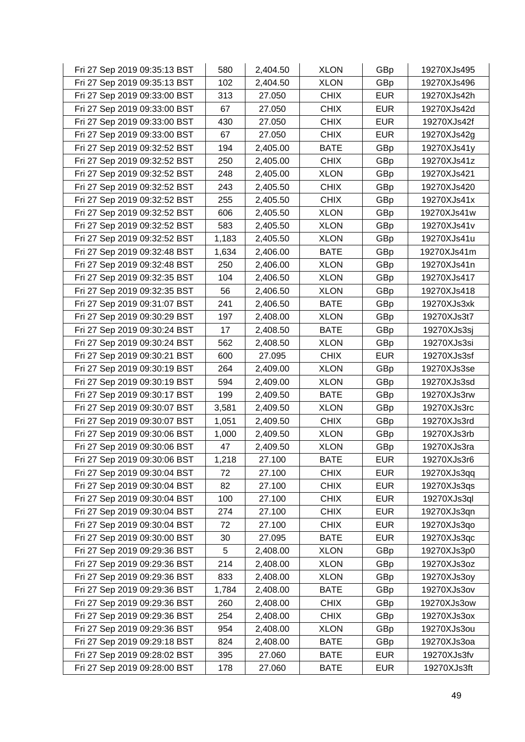| Fri 27 Sep 2019 09:35:13 BST | 580   | 2,404.50 | <b>XLON</b> | GBp        | 19270XJs495 |
|------------------------------|-------|----------|-------------|------------|-------------|
| Fri 27 Sep 2019 09:35:13 BST | 102   | 2,404.50 | <b>XLON</b> | GBp        | 19270XJs496 |
| Fri 27 Sep 2019 09:33:00 BST | 313   | 27.050   | <b>CHIX</b> | <b>EUR</b> | 19270XJs42h |
| Fri 27 Sep 2019 09:33:00 BST | 67    | 27.050   | <b>CHIX</b> | <b>EUR</b> | 19270XJs42d |
| Fri 27 Sep 2019 09:33:00 BST | 430   | 27.050   | <b>CHIX</b> | <b>EUR</b> | 19270XJs42f |
| Fri 27 Sep 2019 09:33:00 BST | 67    | 27.050   | <b>CHIX</b> | <b>EUR</b> | 19270XJs42g |
| Fri 27 Sep 2019 09:32:52 BST | 194   | 2,405.00 | <b>BATE</b> | GBp        | 19270XJs41y |
| Fri 27 Sep 2019 09:32:52 BST | 250   | 2,405.00 | <b>CHIX</b> | GBp        | 19270XJs41z |
| Fri 27 Sep 2019 09:32:52 BST | 248   | 2,405.00 | <b>XLON</b> | GBp        | 19270XJs421 |
| Fri 27 Sep 2019 09:32:52 BST | 243   | 2,405.50 | <b>CHIX</b> | GBp        | 19270XJs420 |
| Fri 27 Sep 2019 09:32:52 BST | 255   | 2,405.50 | <b>CHIX</b> | GBp        | 19270XJs41x |
| Fri 27 Sep 2019 09:32:52 BST | 606   | 2,405.50 | <b>XLON</b> | GBp        | 19270XJs41w |
| Fri 27 Sep 2019 09:32:52 BST | 583   | 2,405.50 | <b>XLON</b> | GBp        | 19270XJs41v |
| Fri 27 Sep 2019 09:32:52 BST | 1,183 | 2,405.50 | <b>XLON</b> | GBp        | 19270XJs41u |
| Fri 27 Sep 2019 09:32:48 BST | 1,634 | 2,406.00 | <b>BATE</b> | GBp        | 19270XJs41m |
| Fri 27 Sep 2019 09:32:48 BST | 250   | 2,406.00 | <b>XLON</b> | GBp        | 19270XJs41n |
| Fri 27 Sep 2019 09:32:35 BST | 104   | 2,406.50 | <b>XLON</b> | GBp        | 19270XJs417 |
| Fri 27 Sep 2019 09:32:35 BST | 56    | 2,406.50 | <b>XLON</b> | GBp        | 19270XJs418 |
| Fri 27 Sep 2019 09:31:07 BST | 241   | 2,406.50 | <b>BATE</b> | GBp        | 19270XJs3xk |
| Fri 27 Sep 2019 09:30:29 BST | 197   | 2,408.00 | <b>XLON</b> | GBp        | 19270XJs3t7 |
| Fri 27 Sep 2019 09:30:24 BST | 17    | 2,408.50 | <b>BATE</b> | GBp        | 19270XJs3sj |
| Fri 27 Sep 2019 09:30:24 BST | 562   | 2,408.50 | <b>XLON</b> | GBp        | 19270XJs3si |
| Fri 27 Sep 2019 09:30:21 BST | 600   | 27.095   | <b>CHIX</b> | <b>EUR</b> | 19270XJs3sf |
| Fri 27 Sep 2019 09:30:19 BST | 264   | 2,409.00 | <b>XLON</b> | GBp        | 19270XJs3se |
| Fri 27 Sep 2019 09:30:19 BST | 594   | 2,409.00 | <b>XLON</b> | GBp        | 19270XJs3sd |
| Fri 27 Sep 2019 09:30:17 BST | 199   | 2,409.50 | <b>BATE</b> | GBp        | 19270XJs3rw |
| Fri 27 Sep 2019 09:30:07 BST | 3,581 | 2,409.50 | <b>XLON</b> | GBp        | 19270XJs3rc |
| Fri 27 Sep 2019 09:30:07 BST | 1,051 | 2,409.50 | <b>CHIX</b> | GBp        | 19270XJs3rd |
| Fri 27 Sep 2019 09:30:06 BST | 1,000 | 2,409.50 | <b>XLON</b> | GBp        | 19270XJs3rb |
| Fri 27 Sep 2019 09:30:06 BST | 47    | 2,409.50 | <b>XLON</b> | GBp        | 19270XJs3ra |
| Fri 27 Sep 2019 09:30:06 BST | 1,218 | 27.100   | <b>BATE</b> | <b>EUR</b> | 19270XJs3r6 |
| Fri 27 Sep 2019 09:30:04 BST | 72    | 27.100   | <b>CHIX</b> | <b>EUR</b> | 19270XJs3qq |
| Fri 27 Sep 2019 09:30:04 BST | 82    | 27.100   | <b>CHIX</b> | <b>EUR</b> | 19270XJs3qs |
| Fri 27 Sep 2019 09:30:04 BST | 100   | 27.100   | <b>CHIX</b> | <b>EUR</b> | 19270XJs3ql |
| Fri 27 Sep 2019 09:30:04 BST | 274   | 27.100   | <b>CHIX</b> | <b>EUR</b> | 19270XJs3qn |
| Fri 27 Sep 2019 09:30:04 BST | 72    | 27.100   | <b>CHIX</b> | <b>EUR</b> | 19270XJs3qo |
| Fri 27 Sep 2019 09:30:00 BST | 30    | 27.095   | <b>BATE</b> | <b>EUR</b> | 19270XJs3qc |
| Fri 27 Sep 2019 09:29:36 BST | 5     | 2,408.00 | <b>XLON</b> | GBp        | 19270XJs3p0 |
| Fri 27 Sep 2019 09:29:36 BST | 214   | 2,408.00 | <b>XLON</b> | GBp        | 19270XJs3oz |
| Fri 27 Sep 2019 09:29:36 BST | 833   | 2,408.00 | <b>XLON</b> | GBp        | 19270XJs3oy |
| Fri 27 Sep 2019 09:29:36 BST | 1,784 | 2,408.00 | <b>BATE</b> | GBp        | 19270XJs3ov |
| Fri 27 Sep 2019 09:29:36 BST | 260   | 2,408.00 | <b>CHIX</b> | GBp        | 19270XJs3ow |
| Fri 27 Sep 2019 09:29:36 BST | 254   | 2,408.00 | <b>CHIX</b> | GBp        | 19270XJs3ox |
| Fri 27 Sep 2019 09:29:36 BST | 954   | 2,408.00 | <b>XLON</b> | GBp        | 19270XJs3ou |
| Fri 27 Sep 2019 09:29:18 BST | 824   | 2,408.00 | <b>BATE</b> | GBp        | 19270XJs3oa |
| Fri 27 Sep 2019 09:28:02 BST | 395   | 27.060   | <b>BATE</b> | <b>EUR</b> | 19270XJs3fv |
| Fri 27 Sep 2019 09:28:00 BST | 178   | 27.060   | <b>BATE</b> | <b>EUR</b> | 19270XJs3ft |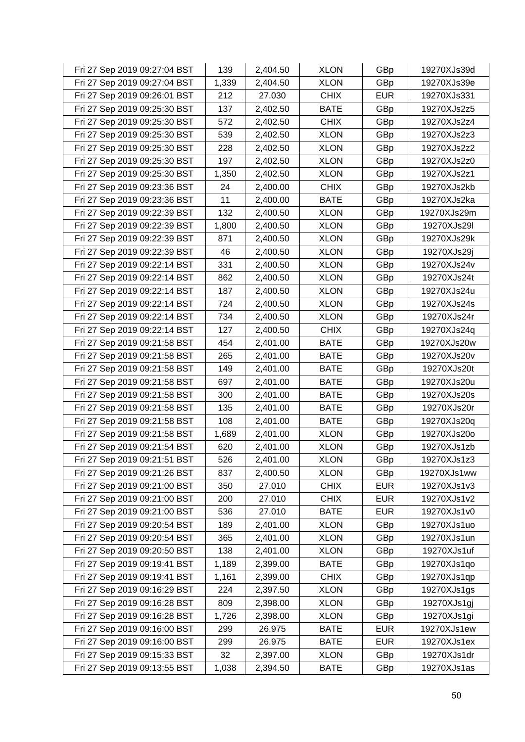| Fri 27 Sep 2019 09:27:04 BST | 139   | 2,404.50 | <b>XLON</b> | GBp        | 19270XJs39d |
|------------------------------|-------|----------|-------------|------------|-------------|
| Fri 27 Sep 2019 09:27:04 BST | 1,339 | 2,404.50 | <b>XLON</b> | GBp        | 19270XJs39e |
| Fri 27 Sep 2019 09:26:01 BST | 212   | 27.030   | <b>CHIX</b> | <b>EUR</b> | 19270XJs331 |
| Fri 27 Sep 2019 09:25:30 BST | 137   | 2,402.50 | <b>BATE</b> | GBp        | 19270XJs2z5 |
| Fri 27 Sep 2019 09:25:30 BST | 572   | 2,402.50 | <b>CHIX</b> | GBp        | 19270XJs2z4 |
| Fri 27 Sep 2019 09:25:30 BST | 539   | 2,402.50 | <b>XLON</b> | GBp        | 19270XJs2z3 |
| Fri 27 Sep 2019 09:25:30 BST | 228   | 2,402.50 | <b>XLON</b> | GBp        | 19270XJs2z2 |
| Fri 27 Sep 2019 09:25:30 BST | 197   | 2,402.50 | <b>XLON</b> | GBp        | 19270XJs2z0 |
| Fri 27 Sep 2019 09:25:30 BST | 1,350 | 2,402.50 | <b>XLON</b> | GBp        | 19270XJs2z1 |
| Fri 27 Sep 2019 09:23:36 BST | 24    | 2,400.00 | <b>CHIX</b> | GBp        | 19270XJs2kb |
| Fri 27 Sep 2019 09:23:36 BST | 11    | 2,400.00 | <b>BATE</b> | GBp        | 19270XJs2ka |
| Fri 27 Sep 2019 09:22:39 BST | 132   | 2,400.50 | <b>XLON</b> | GBp        | 19270XJs29m |
| Fri 27 Sep 2019 09:22:39 BST | 1,800 | 2,400.50 | <b>XLON</b> | GBp        | 19270XJs29I |
| Fri 27 Sep 2019 09:22:39 BST | 871   | 2,400.50 | <b>XLON</b> | GBp        | 19270XJs29k |
| Fri 27 Sep 2019 09:22:39 BST | 46    | 2,400.50 | <b>XLON</b> | GBp        | 19270XJs29j |
| Fri 27 Sep 2019 09:22:14 BST | 331   | 2,400.50 | <b>XLON</b> | GBp        | 19270XJs24v |
| Fri 27 Sep 2019 09:22:14 BST | 862   | 2,400.50 | <b>XLON</b> | GBp        | 19270XJs24t |
| Fri 27 Sep 2019 09:22:14 BST | 187   | 2,400.50 | <b>XLON</b> | GBp        | 19270XJs24u |
| Fri 27 Sep 2019 09:22:14 BST | 724   | 2,400.50 | <b>XLON</b> | GBp        | 19270XJs24s |
| Fri 27 Sep 2019 09:22:14 BST | 734   | 2,400.50 | <b>XLON</b> | GBp        | 19270XJs24r |
| Fri 27 Sep 2019 09:22:14 BST | 127   | 2,400.50 | <b>CHIX</b> | GBp        | 19270XJs24q |
| Fri 27 Sep 2019 09:21:58 BST | 454   | 2,401.00 | <b>BATE</b> | GBp        | 19270XJs20w |
| Fri 27 Sep 2019 09:21:58 BST | 265   | 2,401.00 | <b>BATE</b> | GBp        | 19270XJs20v |
| Fri 27 Sep 2019 09:21:58 BST | 149   | 2,401.00 | <b>BATE</b> | GBp        | 19270XJs20t |
| Fri 27 Sep 2019 09:21:58 BST | 697   | 2,401.00 | <b>BATE</b> | GBp        | 19270XJs20u |
| Fri 27 Sep 2019 09:21:58 BST | 300   | 2,401.00 | <b>BATE</b> | GBp        | 19270XJs20s |
| Fri 27 Sep 2019 09:21:58 BST | 135   | 2,401.00 | <b>BATE</b> | GBp        | 19270XJs20r |
| Fri 27 Sep 2019 09:21:58 BST | 108   | 2,401.00 | <b>BATE</b> | GBp        | 19270XJs20q |
| Fri 27 Sep 2019 09:21:58 BST | 1,689 | 2,401.00 | <b>XLON</b> | GBp        | 19270XJs20o |
| Fri 27 Sep 2019 09:21:54 BST | 620   | 2,401.00 | <b>XLON</b> | GBp        | 19270XJs1zb |
| Fri 27 Sep 2019 09:21:51 BST | 526   | 2,401.00 | <b>XLON</b> | GBp        | 19270XJs1z3 |
| Fri 27 Sep 2019 09:21:26 BST | 837   | 2,400.50 | <b>XLON</b> | GBp        | 19270XJs1ww |
| Fri 27 Sep 2019 09:21:00 BST | 350   | 27.010   | <b>CHIX</b> | <b>EUR</b> | 19270XJs1v3 |
| Fri 27 Sep 2019 09:21:00 BST | 200   | 27.010   | <b>CHIX</b> | <b>EUR</b> | 19270XJs1v2 |
| Fri 27 Sep 2019 09:21:00 BST | 536   | 27.010   | <b>BATE</b> | <b>EUR</b> | 19270XJs1v0 |
| Fri 27 Sep 2019 09:20:54 BST | 189   | 2,401.00 | <b>XLON</b> | GBp        | 19270XJs1uo |
| Fri 27 Sep 2019 09:20:54 BST | 365   | 2,401.00 | <b>XLON</b> | GBp        | 19270XJs1un |
| Fri 27 Sep 2019 09:20:50 BST | 138   | 2,401.00 | <b>XLON</b> | GBp        | 19270XJs1uf |
| Fri 27 Sep 2019 09:19:41 BST | 1,189 | 2,399.00 | <b>BATE</b> | GBp        | 19270XJs1qo |
| Fri 27 Sep 2019 09:19:41 BST | 1,161 | 2,399.00 | <b>CHIX</b> | GBp        | 19270XJs1qp |
| Fri 27 Sep 2019 09:16:29 BST | 224   | 2,397.50 | <b>XLON</b> | GBp        | 19270XJs1gs |
| Fri 27 Sep 2019 09:16:28 BST | 809   | 2,398.00 | <b>XLON</b> | GBp        | 19270XJs1gj |
| Fri 27 Sep 2019 09:16:28 BST | 1,726 | 2,398.00 | <b>XLON</b> | GBp        | 19270XJs1gi |
| Fri 27 Sep 2019 09:16:00 BST | 299   | 26.975   | <b>BATE</b> | <b>EUR</b> | 19270XJs1ew |
| Fri 27 Sep 2019 09:16:00 BST | 299   | 26.975   | <b>BATE</b> | <b>EUR</b> | 19270XJs1ex |
| Fri 27 Sep 2019 09:15:33 BST | 32    | 2,397.00 | <b>XLON</b> | GBp        | 19270XJs1dr |
| Fri 27 Sep 2019 09:13:55 BST | 1,038 | 2,394.50 | <b>BATE</b> | GBp        | 19270XJs1as |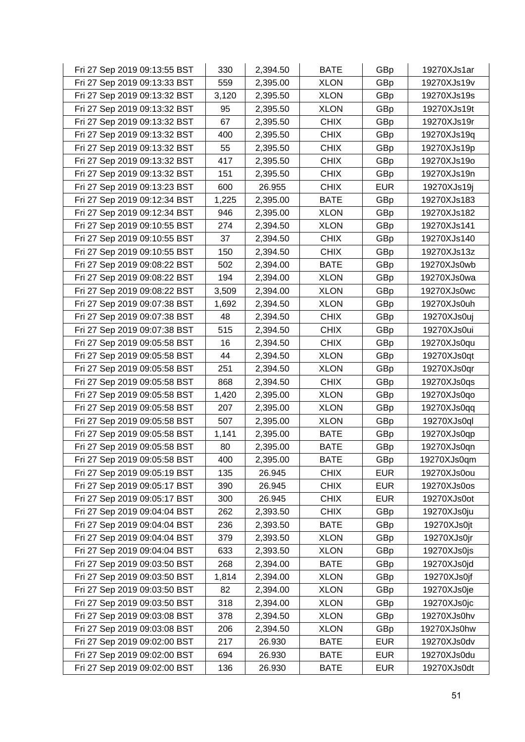| Fri 27 Sep 2019 09:13:55 BST | 330   | 2,394.50 | <b>BATE</b> | GBp        | 19270XJs1ar |
|------------------------------|-------|----------|-------------|------------|-------------|
| Fri 27 Sep 2019 09:13:33 BST | 559   | 2,395.00 | <b>XLON</b> | GBp        | 19270XJs19v |
| Fri 27 Sep 2019 09:13:32 BST | 3,120 | 2,395.50 | <b>XLON</b> | GBp        | 19270XJs19s |
| Fri 27 Sep 2019 09:13:32 BST | 95    | 2,395.50 | <b>XLON</b> | GBp        | 19270XJs19t |
| Fri 27 Sep 2019 09:13:32 BST | 67    | 2,395.50 | <b>CHIX</b> | GBp        | 19270XJs19r |
| Fri 27 Sep 2019 09:13:32 BST | 400   | 2,395.50 | <b>CHIX</b> | GBp        | 19270XJs19q |
| Fri 27 Sep 2019 09:13:32 BST | 55    | 2,395.50 | <b>CHIX</b> | GBp        | 19270XJs19p |
| Fri 27 Sep 2019 09:13:32 BST | 417   | 2,395.50 | <b>CHIX</b> | GBp        | 19270XJs19o |
| Fri 27 Sep 2019 09:13:32 BST | 151   | 2,395.50 | <b>CHIX</b> | GBp        | 19270XJs19n |
| Fri 27 Sep 2019 09:13:23 BST | 600   | 26.955   | <b>CHIX</b> | <b>EUR</b> | 19270XJs19j |
| Fri 27 Sep 2019 09:12:34 BST | 1,225 | 2,395.00 | <b>BATE</b> | GBp        | 19270XJs183 |
| Fri 27 Sep 2019 09:12:34 BST | 946   | 2,395.00 | <b>XLON</b> | GBp        | 19270XJs182 |
| Fri 27 Sep 2019 09:10:55 BST | 274   | 2,394.50 | <b>XLON</b> | GBp        | 19270XJs141 |
| Fri 27 Sep 2019 09:10:55 BST | 37    | 2,394.50 | <b>CHIX</b> | GBp        | 19270XJs140 |
| Fri 27 Sep 2019 09:10:55 BST | 150   | 2,394.50 | <b>CHIX</b> | GBp        | 19270XJs13z |
| Fri 27 Sep 2019 09:08:22 BST | 502   | 2,394.00 | <b>BATE</b> | GBp        | 19270XJs0wb |
| Fri 27 Sep 2019 09:08:22 BST | 194   | 2,394.00 | <b>XLON</b> | GBp        | 19270XJs0wa |
| Fri 27 Sep 2019 09:08:22 BST | 3,509 | 2,394.00 | <b>XLON</b> | GBp        | 19270XJs0wc |
| Fri 27 Sep 2019 09:07:38 BST | 1,692 | 2,394.50 | <b>XLON</b> | GBp        | 19270XJs0uh |
| Fri 27 Sep 2019 09:07:38 BST | 48    | 2,394.50 | <b>CHIX</b> | GBp        | 19270XJs0uj |
| Fri 27 Sep 2019 09:07:38 BST | 515   | 2,394.50 | <b>CHIX</b> | GBp        | 19270XJs0ui |
| Fri 27 Sep 2019 09:05:58 BST | 16    | 2,394.50 | <b>CHIX</b> | GBp        | 19270XJs0qu |
| Fri 27 Sep 2019 09:05:58 BST | 44    | 2,394.50 | <b>XLON</b> | GBp        | 19270XJs0qt |
| Fri 27 Sep 2019 09:05:58 BST | 251   | 2,394.50 | <b>XLON</b> | GBp        | 19270XJs0qr |
| Fri 27 Sep 2019 09:05:58 BST | 868   | 2,394.50 | <b>CHIX</b> | GBp        | 19270XJs0qs |
| Fri 27 Sep 2019 09:05:58 BST | 1,420 | 2,395.00 | <b>XLON</b> | GBp        | 19270XJs0qo |
| Fri 27 Sep 2019 09:05:58 BST | 207   | 2,395.00 | <b>XLON</b> | GBp        | 19270XJs0qq |
| Fri 27 Sep 2019 09:05:58 BST | 507   | 2,395.00 | <b>XLON</b> | GBp        | 19270XJs0ql |
| Fri 27 Sep 2019 09:05:58 BST | 1,141 | 2,395.00 | <b>BATE</b> | GBp        | 19270XJs0qp |
| Fri 27 Sep 2019 09:05:58 BST | 80    | 2,395.00 | <b>BATE</b> | GBp        | 19270XJs0qn |
| Fri 27 Sep 2019 09:05:58 BST | 400   | 2,395.00 | <b>BATE</b> | GBp        | 19270XJs0qm |
| Fri 27 Sep 2019 09:05:19 BST | 135   | 26.945   | <b>CHIX</b> | <b>EUR</b> | 19270XJs0ou |
| Fri 27 Sep 2019 09:05:17 BST | 390   | 26.945   | <b>CHIX</b> | <b>EUR</b> | 19270XJs0os |
| Fri 27 Sep 2019 09:05:17 BST | 300   | 26.945   | <b>CHIX</b> | <b>EUR</b> | 19270XJs0ot |
| Fri 27 Sep 2019 09:04:04 BST | 262   | 2,393.50 | <b>CHIX</b> | GBp        | 19270XJs0ju |
| Fri 27 Sep 2019 09:04:04 BST | 236   | 2,393.50 | <b>BATE</b> | GBp        | 19270XJs0jt |
| Fri 27 Sep 2019 09:04:04 BST | 379   | 2,393.50 | <b>XLON</b> | GBp        | 19270XJs0jr |
| Fri 27 Sep 2019 09:04:04 BST | 633   | 2,393.50 | <b>XLON</b> | GBp        | 19270XJs0js |
| Fri 27 Sep 2019 09:03:50 BST | 268   | 2,394.00 | <b>BATE</b> | GBp        | 19270XJs0jd |
| Fri 27 Sep 2019 09:03:50 BST | 1,814 | 2,394.00 | <b>XLON</b> | GBp        | 19270XJs0jf |
| Fri 27 Sep 2019 09:03:50 BST | 82    | 2,394.00 | <b>XLON</b> | GBp        | 19270XJs0je |
| Fri 27 Sep 2019 09:03:50 BST | 318   | 2,394.00 | <b>XLON</b> | GBp        | 19270XJs0jc |
| Fri 27 Sep 2019 09:03:08 BST | 378   | 2,394.50 | <b>XLON</b> | GBp        | 19270XJs0hv |
| Fri 27 Sep 2019 09:03:08 BST | 206   | 2,394.50 | <b>XLON</b> | GBp        | 19270XJs0hw |
| Fri 27 Sep 2019 09:02:00 BST | 217   | 26.930   | <b>BATE</b> | <b>EUR</b> | 19270XJs0dv |
| Fri 27 Sep 2019 09:02:00 BST | 694   | 26.930   | <b>BATE</b> | <b>EUR</b> | 19270XJs0du |
| Fri 27 Sep 2019 09:02:00 BST | 136   | 26.930   | <b>BATE</b> | <b>EUR</b> | 19270XJs0dt |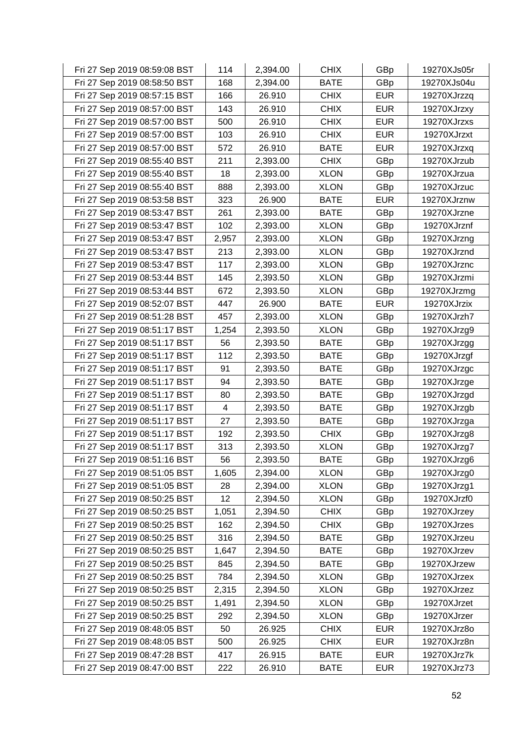| Fri 27 Sep 2019 08:59:08 BST | 114   | 2,394.00 | <b>CHIX</b> | GBp        | 19270XJs05r |
|------------------------------|-------|----------|-------------|------------|-------------|
| Fri 27 Sep 2019 08:58:50 BST | 168   | 2,394.00 | <b>BATE</b> | GBp        | 19270XJs04u |
| Fri 27 Sep 2019 08:57:15 BST | 166   | 26.910   | <b>CHIX</b> | <b>EUR</b> | 19270XJrzzq |
| Fri 27 Sep 2019 08:57:00 BST | 143   | 26.910   | <b>CHIX</b> | <b>EUR</b> | 19270XJrzxy |
| Fri 27 Sep 2019 08:57:00 BST | 500   | 26.910   | <b>CHIX</b> | <b>EUR</b> | 19270XJrzxs |
| Fri 27 Sep 2019 08:57:00 BST | 103   | 26.910   | <b>CHIX</b> | <b>EUR</b> | 19270XJrzxt |
| Fri 27 Sep 2019 08:57:00 BST | 572   | 26.910   | <b>BATE</b> | <b>EUR</b> | 19270XJrzxq |
| Fri 27 Sep 2019 08:55:40 BST | 211   | 2,393.00 | <b>CHIX</b> | GBp        | 19270XJrzub |
| Fri 27 Sep 2019 08:55:40 BST | 18    | 2,393.00 | <b>XLON</b> | GBp        | 19270XJrzua |
| Fri 27 Sep 2019 08:55:40 BST | 888   | 2,393.00 | <b>XLON</b> | GBp        | 19270XJrzuc |
| Fri 27 Sep 2019 08:53:58 BST | 323   | 26.900   | <b>BATE</b> | <b>EUR</b> | 19270XJrznw |
| Fri 27 Sep 2019 08:53:47 BST | 261   | 2,393.00 | <b>BATE</b> | GBp        | 19270XJrzne |
| Fri 27 Sep 2019 08:53:47 BST | 102   | 2,393.00 | <b>XLON</b> | GBp        | 19270XJrznf |
| Fri 27 Sep 2019 08:53:47 BST | 2,957 | 2,393.00 | <b>XLON</b> | GBp        | 19270XJrzng |
| Fri 27 Sep 2019 08:53:47 BST | 213   | 2,393.00 | <b>XLON</b> | GBp        | 19270XJrznd |
| Fri 27 Sep 2019 08:53:47 BST | 117   | 2,393.00 | <b>XLON</b> | GBp        | 19270XJrznc |
| Fri 27 Sep 2019 08:53:44 BST | 145   | 2,393.50 | <b>XLON</b> | GBp        | 19270XJrzmi |
| Fri 27 Sep 2019 08:53:44 BST | 672   | 2,393.50 | <b>XLON</b> | GBp        | 19270XJrzmg |
| Fri 27 Sep 2019 08:52:07 BST | 447   | 26.900   | <b>BATE</b> | <b>EUR</b> | 19270XJrzix |
| Fri 27 Sep 2019 08:51:28 BST | 457   | 2,393.00 | <b>XLON</b> | GBp        | 19270XJrzh7 |
| Fri 27 Sep 2019 08:51:17 BST | 1,254 | 2,393.50 | <b>XLON</b> | GBp        | 19270XJrzg9 |
| Fri 27 Sep 2019 08:51:17 BST | 56    | 2,393.50 | <b>BATE</b> | GBp        | 19270XJrzgg |
| Fri 27 Sep 2019 08:51:17 BST | 112   | 2,393.50 | <b>BATE</b> | GBp        | 19270XJrzgf |
| Fri 27 Sep 2019 08:51:17 BST | 91    | 2,393.50 | <b>BATE</b> | GBp        | 19270XJrzgc |
| Fri 27 Sep 2019 08:51:17 BST | 94    | 2,393.50 | <b>BATE</b> | GBp        | 19270XJrzge |
| Fri 27 Sep 2019 08:51:17 BST | 80    | 2,393.50 | <b>BATE</b> | GBp        | 19270XJrzgd |
| Fri 27 Sep 2019 08:51:17 BST | 4     | 2,393.50 | <b>BATE</b> | GBp        | 19270XJrzgb |
| Fri 27 Sep 2019 08:51:17 BST | 27    | 2,393.50 | <b>BATE</b> | GBp        | 19270XJrzga |
| Fri 27 Sep 2019 08:51:17 BST | 192   | 2,393.50 | <b>CHIX</b> | GBp        | 19270XJrzg8 |
| Fri 27 Sep 2019 08:51:17 BST | 313   | 2,393.50 | <b>XLON</b> | GBp        | 19270XJrzg7 |
| Fri 27 Sep 2019 08:51:16 BST | 56    | 2,393.50 | <b>BATE</b> | GBp        | 19270XJrzg6 |
| Fri 27 Sep 2019 08:51:05 BST | 1,605 | 2,394.00 | <b>XLON</b> | GBp        | 19270XJrzg0 |
| Fri 27 Sep 2019 08:51:05 BST | 28    | 2,394.00 | <b>XLON</b> | GBp        | 19270XJrzg1 |
| Fri 27 Sep 2019 08:50:25 BST | 12    | 2,394.50 | <b>XLON</b> | GBp        | 19270XJrzf0 |
| Fri 27 Sep 2019 08:50:25 BST | 1,051 | 2,394.50 | <b>CHIX</b> | GBp        | 19270XJrzey |
| Fri 27 Sep 2019 08:50:25 BST | 162   | 2,394.50 | <b>CHIX</b> | GBp        | 19270XJrzes |
| Fri 27 Sep 2019 08:50:25 BST | 316   | 2,394.50 | <b>BATE</b> | GBp        | 19270XJrzeu |
| Fri 27 Sep 2019 08:50:25 BST | 1,647 | 2,394.50 | <b>BATE</b> | GBp        | 19270XJrzev |
| Fri 27 Sep 2019 08:50:25 BST | 845   | 2,394.50 | <b>BATE</b> | GBp        | 19270XJrzew |
| Fri 27 Sep 2019 08:50:25 BST | 784   | 2,394.50 | <b>XLON</b> | GBp        | 19270XJrzex |
| Fri 27 Sep 2019 08:50:25 BST | 2,315 | 2,394.50 | <b>XLON</b> | GBp        | 19270XJrzez |
| Fri 27 Sep 2019 08:50:25 BST | 1,491 | 2,394.50 | <b>XLON</b> | GBp        | 19270XJrzet |
| Fri 27 Sep 2019 08:50:25 BST | 292   | 2,394.50 | <b>XLON</b> | GBp        | 19270XJrzer |
| Fri 27 Sep 2019 08:48:05 BST | 50    | 26.925   | <b>CHIX</b> | <b>EUR</b> | 19270XJrz8o |
| Fri 27 Sep 2019 08:48:05 BST | 500   | 26.925   | <b>CHIX</b> | <b>EUR</b> | 19270XJrz8n |
| Fri 27 Sep 2019 08:47:28 BST | 417   | 26.915   | <b>BATE</b> | <b>EUR</b> | 19270XJrz7k |
| Fri 27 Sep 2019 08:47:00 BST | 222   | 26.910   | <b>BATE</b> | <b>EUR</b> | 19270XJrz73 |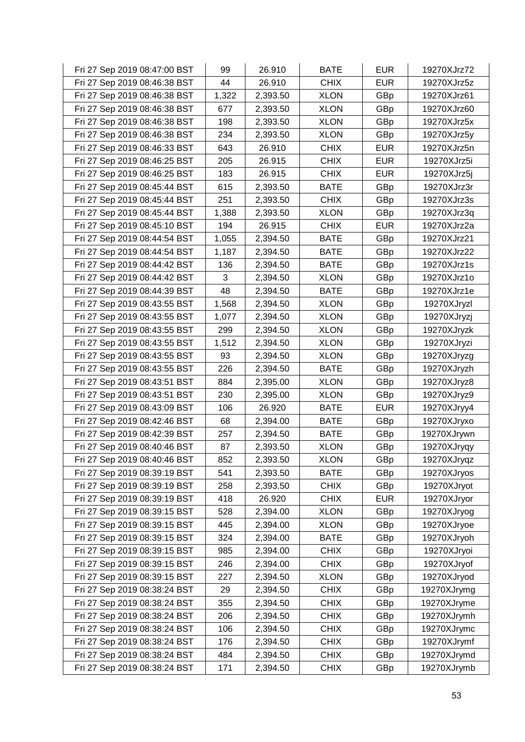| Fri 27 Sep 2019 08:47:00 BST | 99    | 26.910   | <b>BATE</b> | <b>EUR</b> | 19270XJrz72 |
|------------------------------|-------|----------|-------------|------------|-------------|
| Fri 27 Sep 2019 08:46:38 BST | 44    | 26.910   | <b>CHIX</b> | <b>EUR</b> | 19270XJrz5z |
| Fri 27 Sep 2019 08:46:38 BST | 1,322 | 2,393.50 | <b>XLON</b> | GBp        | 19270XJrz61 |
| Fri 27 Sep 2019 08:46:38 BST | 677   | 2,393.50 | <b>XLON</b> | GBp        | 19270XJrz60 |
| Fri 27 Sep 2019 08:46:38 BST | 198   | 2,393.50 | <b>XLON</b> | GBp        | 19270XJrz5x |
| Fri 27 Sep 2019 08:46:38 BST | 234   | 2,393.50 | <b>XLON</b> | GBp        | 19270XJrz5y |
| Fri 27 Sep 2019 08:46:33 BST | 643   | 26.910   | <b>CHIX</b> | <b>EUR</b> | 19270XJrz5n |
| Fri 27 Sep 2019 08:46:25 BST | 205   | 26.915   | <b>CHIX</b> | <b>EUR</b> | 19270XJrz5i |
| Fri 27 Sep 2019 08:46:25 BST | 183   | 26.915   | <b>CHIX</b> | <b>EUR</b> | 19270XJrz5j |
| Fri 27 Sep 2019 08:45:44 BST | 615   | 2,393.50 | <b>BATE</b> | GBp        | 19270XJrz3r |
| Fri 27 Sep 2019 08:45:44 BST | 251   | 2,393.50 | <b>CHIX</b> | GBp        | 19270XJrz3s |
| Fri 27 Sep 2019 08:45:44 BST | 1,388 | 2,393.50 | <b>XLON</b> | GBp        | 19270XJrz3q |
| Fri 27 Sep 2019 08:45:10 BST | 194   | 26.915   | <b>CHIX</b> | <b>EUR</b> | 19270XJrz2a |
| Fri 27 Sep 2019 08:44:54 BST | 1,055 | 2,394.50 | <b>BATE</b> | GBp        | 19270XJrz21 |
| Fri 27 Sep 2019 08:44:54 BST | 1,187 | 2,394.50 | <b>BATE</b> | GBp        | 19270XJrz22 |
| Fri 27 Sep 2019 08:44:42 BST | 136   | 2,394.50 | <b>BATE</b> | GBp        | 19270XJrz1s |
| Fri 27 Sep 2019 08:44:42 BST | 3     | 2,394.50 | <b>XLON</b> | GBp        | 19270XJrz1o |
| Fri 27 Sep 2019 08:44:39 BST | 48    | 2,394.50 | <b>BATE</b> | GBp        | 19270XJrz1e |
| Fri 27 Sep 2019 08:43:55 BST | 1,568 | 2,394.50 | <b>XLON</b> | GBp        | 19270XJryzl |
| Fri 27 Sep 2019 08:43:55 BST | 1,077 | 2,394.50 | <b>XLON</b> | GBp        | 19270XJryzj |
| Fri 27 Sep 2019 08:43:55 BST | 299   | 2,394.50 | <b>XLON</b> | GBp        | 19270XJryzk |
| Fri 27 Sep 2019 08:43:55 BST | 1,512 | 2,394.50 | <b>XLON</b> | GBp        | 19270XJryzi |
| Fri 27 Sep 2019 08:43:55 BST | 93    | 2,394.50 | <b>XLON</b> | GBp        | 19270XJryzg |
| Fri 27 Sep 2019 08:43:55 BST | 226   | 2,394.50 | <b>BATE</b> | GBp        | 19270XJryzh |
| Fri 27 Sep 2019 08:43:51 BST | 884   | 2,395.00 | <b>XLON</b> | GBp        | 19270XJryz8 |
| Fri 27 Sep 2019 08:43:51 BST | 230   | 2,395.00 | <b>XLON</b> | GBp        | 19270XJryz9 |
| Fri 27 Sep 2019 08:43:09 BST | 106   | 26.920   | <b>BATE</b> | <b>EUR</b> | 19270XJryy4 |
| Fri 27 Sep 2019 08:42:46 BST | 68    | 2,394.00 | <b>BATE</b> | GBp        | 19270XJryxo |
| Fri 27 Sep 2019 08:42:39 BST | 257   | 2,394.50 | <b>BATE</b> | GBp        | 19270XJrywn |
| Fri 27 Sep 2019 08:40:46 BST | 87    | 2,393.50 | <b>XLON</b> | GBp        | 19270XJryqy |
| Fri 27 Sep 2019 08:40:46 BST | 852   | 2,393.50 | <b>XLON</b> | GBp        | 19270XJryqz |
| Fri 27 Sep 2019 08:39:19 BST | 541   | 2,393.50 | <b>BATE</b> | GBp        | 19270XJryos |
| Fri 27 Sep 2019 08:39:19 BST | 258   | 2,393.50 | <b>CHIX</b> | GBp        | 19270XJryot |
| Fri 27 Sep 2019 08:39:19 BST | 418   | 26.920   | <b>CHIX</b> | <b>EUR</b> | 19270XJryor |
| Fri 27 Sep 2019 08:39:15 BST | 528   | 2,394.00 | <b>XLON</b> | GBp        | 19270XJryog |
| Fri 27 Sep 2019 08:39:15 BST | 445   | 2,394.00 | <b>XLON</b> | GBp        | 19270XJryoe |
| Fri 27 Sep 2019 08:39:15 BST | 324   | 2,394.00 | <b>BATE</b> | GBp        | 19270XJryoh |
| Fri 27 Sep 2019 08:39:15 BST | 985   | 2,394.00 | <b>CHIX</b> | GBp        | 19270XJryoi |
| Fri 27 Sep 2019 08:39:15 BST | 246   | 2,394.00 | <b>CHIX</b> | GBp        | 19270XJryof |
| Fri 27 Sep 2019 08:39:15 BST | 227   | 2,394.50 | <b>XLON</b> | GBp        | 19270XJryod |
| Fri 27 Sep 2019 08:38:24 BST | 29    | 2,394.50 | <b>CHIX</b> | GBp        | 19270XJrymg |
| Fri 27 Sep 2019 08:38:24 BST | 355   | 2,394.50 | <b>CHIX</b> | GBp        | 19270XJryme |
| Fri 27 Sep 2019 08:38:24 BST | 206   | 2,394.50 | <b>CHIX</b> | GBp        | 19270XJrymh |
| Fri 27 Sep 2019 08:38:24 BST | 106   | 2,394.50 | <b>CHIX</b> | GBp        | 19270XJrymc |
| Fri 27 Sep 2019 08:38:24 BST | 176   | 2,394.50 | <b>CHIX</b> | GBp        | 19270XJrymf |
| Fri 27 Sep 2019 08:38:24 BST | 484   | 2,394.50 | <b>CHIX</b> | GBp        | 19270XJrymd |
| Fri 27 Sep 2019 08:38:24 BST | 171   | 2,394.50 | <b>CHIX</b> | GBp        | 19270XJrymb |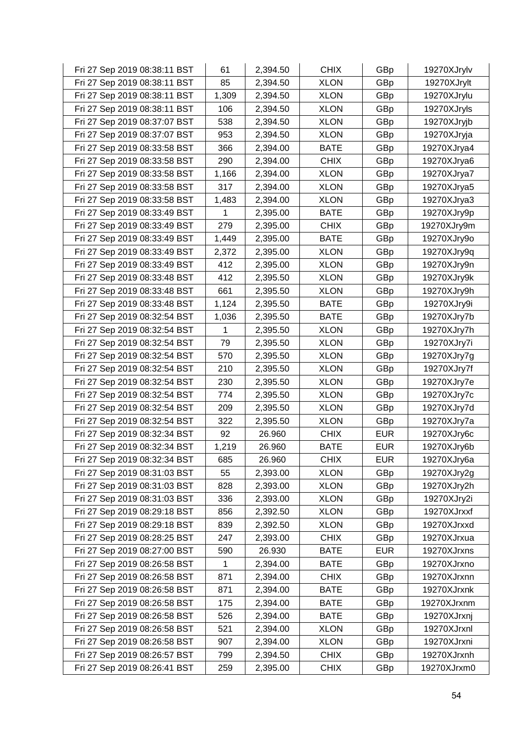| Fri 27 Sep 2019 08:38:11 BST | 61    | 2,394.50 | <b>CHIX</b> | GBp        | 19270XJrylv |
|------------------------------|-------|----------|-------------|------------|-------------|
| Fri 27 Sep 2019 08:38:11 BST | 85    | 2,394.50 | <b>XLON</b> | GBp        | 19270XJrylt |
| Fri 27 Sep 2019 08:38:11 BST | 1,309 | 2,394.50 | <b>XLON</b> | GBp        | 19270XJrylu |
| Fri 27 Sep 2019 08:38:11 BST | 106   | 2,394.50 | <b>XLON</b> | GBp        | 19270XJryls |
| Fri 27 Sep 2019 08:37:07 BST | 538   | 2,394.50 | <b>XLON</b> | GBp        | 19270XJryjb |
| Fri 27 Sep 2019 08:37:07 BST | 953   | 2,394.50 | <b>XLON</b> | GBp        | 19270XJryja |
| Fri 27 Sep 2019 08:33:58 BST | 366   | 2,394.00 | <b>BATE</b> | GBp        | 19270XJrya4 |
| Fri 27 Sep 2019 08:33:58 BST | 290   | 2,394.00 | <b>CHIX</b> | GBp        | 19270XJrya6 |
| Fri 27 Sep 2019 08:33:58 BST | 1,166 | 2,394.00 | <b>XLON</b> | GBp        | 19270XJrya7 |
| Fri 27 Sep 2019 08:33:58 BST | 317   | 2,394.00 | <b>XLON</b> | GBp        | 19270XJrya5 |
| Fri 27 Sep 2019 08:33:58 BST | 1,483 | 2,394.00 | <b>XLON</b> | GBp        | 19270XJrya3 |
| Fri 27 Sep 2019 08:33:49 BST | 1     | 2,395.00 | <b>BATE</b> | GBp        | 19270XJry9p |
| Fri 27 Sep 2019 08:33:49 BST | 279   | 2,395.00 | <b>CHIX</b> | GBp        | 19270XJry9m |
| Fri 27 Sep 2019 08:33:49 BST | 1,449 | 2,395.00 | <b>BATE</b> | GBp        | 19270XJry9o |
| Fri 27 Sep 2019 08:33:49 BST | 2,372 | 2,395.00 | <b>XLON</b> | GBp        | 19270XJry9q |
| Fri 27 Sep 2019 08:33:49 BST | 412   | 2,395.00 | <b>XLON</b> | GBp        | 19270XJry9n |
| Fri 27 Sep 2019 08:33:48 BST | 412   | 2,395.50 | <b>XLON</b> | GBp        | 19270XJry9k |
| Fri 27 Sep 2019 08:33:48 BST | 661   | 2,395.50 | <b>XLON</b> | GBp        | 19270XJry9h |
| Fri 27 Sep 2019 08:33:48 BST | 1,124 | 2,395.50 | <b>BATE</b> | GBp        | 19270XJry9i |
| Fri 27 Sep 2019 08:32:54 BST | 1,036 | 2,395.50 | <b>BATE</b> | GBp        | 19270XJry7b |
| Fri 27 Sep 2019 08:32:54 BST | 1     | 2,395.50 | <b>XLON</b> | GBp        | 19270XJry7h |
| Fri 27 Sep 2019 08:32:54 BST | 79    | 2,395.50 | <b>XLON</b> | GBp        | 19270XJry7i |
| Fri 27 Sep 2019 08:32:54 BST | 570   | 2,395.50 | <b>XLON</b> | GBp        | 19270XJry7g |
| Fri 27 Sep 2019 08:32:54 BST | 210   | 2,395.50 | <b>XLON</b> | GBp        | 19270XJry7f |
| Fri 27 Sep 2019 08:32:54 BST | 230   | 2,395.50 | <b>XLON</b> | GBp        | 19270XJry7e |
| Fri 27 Sep 2019 08:32:54 BST | 774   | 2,395.50 | <b>XLON</b> | GBp        | 19270XJry7c |
| Fri 27 Sep 2019 08:32:54 BST | 209   | 2,395.50 | <b>XLON</b> | GBp        | 19270XJry7d |
| Fri 27 Sep 2019 08:32:54 BST | 322   | 2,395.50 | <b>XLON</b> | GBp        | 19270XJry7a |
| Fri 27 Sep 2019 08:32:34 BST | 92    | 26.960   | <b>CHIX</b> | <b>EUR</b> | 19270XJry6c |
| Fri 27 Sep 2019 08:32:34 BST | 1,219 | 26.960   | <b>BATE</b> | <b>EUR</b> | 19270XJry6b |
| Fri 27 Sep 2019 08:32:34 BST | 685   | 26.960   | <b>CHIX</b> | <b>EUR</b> | 19270XJry6a |
| Fri 27 Sep 2019 08:31:03 BST | 55    | 2,393.00 | <b>XLON</b> | GBp        | 19270XJry2g |
| Fri 27 Sep 2019 08:31:03 BST | 828   | 2,393.00 | <b>XLON</b> | GBp        | 19270XJry2h |
| Fri 27 Sep 2019 08:31:03 BST | 336   | 2,393.00 | <b>XLON</b> | GBp        | 19270XJry2i |
| Fri 27 Sep 2019 08:29:18 BST | 856   | 2,392.50 | <b>XLON</b> | GBp        | 19270XJrxxf |
| Fri 27 Sep 2019 08:29:18 BST | 839   | 2,392.50 | <b>XLON</b> | GBp        | 19270XJrxxd |
| Fri 27 Sep 2019 08:28:25 BST | 247   | 2,393.00 | <b>CHIX</b> | GBp        | 19270XJrxua |
| Fri 27 Sep 2019 08:27:00 BST | 590   | 26.930   | <b>BATE</b> | <b>EUR</b> | 19270XJrxns |
| Fri 27 Sep 2019 08:26:58 BST | 1     | 2,394.00 | <b>BATE</b> | GBp        | 19270XJrxno |
| Fri 27 Sep 2019 08:26:58 BST | 871   | 2,394.00 | <b>CHIX</b> | GBp        | 19270XJrxnn |
| Fri 27 Sep 2019 08:26:58 BST | 871   | 2,394.00 | <b>BATE</b> | GBp        | 19270XJrxnk |
| Fri 27 Sep 2019 08:26:58 BST | 175   | 2,394.00 | <b>BATE</b> | GBp        | 19270XJrxnm |
| Fri 27 Sep 2019 08:26:58 BST | 526   | 2,394.00 | <b>BATE</b> | GBp        | 19270XJrxnj |
| Fri 27 Sep 2019 08:26:58 BST | 521   | 2,394.00 | <b>XLON</b> | GBp        | 19270XJrxnl |
| Fri 27 Sep 2019 08:26:58 BST | 907   | 2,394.00 | <b>XLON</b> | GBp        | 19270XJrxni |
| Fri 27 Sep 2019 08:26:57 BST | 799   | 2,394.50 | <b>CHIX</b> | GBp        | 19270XJrxnh |
| Fri 27 Sep 2019 08:26:41 BST | 259   | 2,395.00 | <b>CHIX</b> | GBp        | 19270XJrxm0 |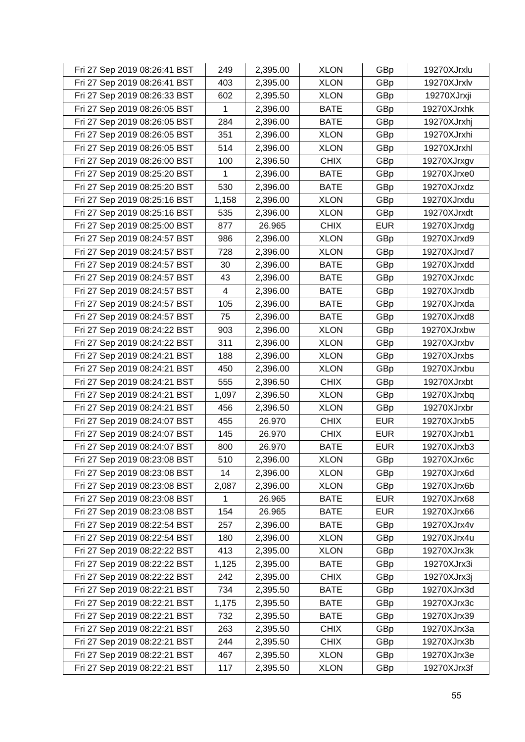| Fri 27 Sep 2019 08:26:41 BST | 249   | 2,395.00 | <b>XLON</b> | GBp        | 19270XJrxlu |
|------------------------------|-------|----------|-------------|------------|-------------|
| Fri 27 Sep 2019 08:26:41 BST | 403   | 2,395.00 | <b>XLON</b> | GBp        | 19270XJrxlv |
| Fri 27 Sep 2019 08:26:33 BST | 602   | 2,395.50 | <b>XLON</b> | GBp        | 19270XJrxji |
| Fri 27 Sep 2019 08:26:05 BST | 1     | 2,396.00 | <b>BATE</b> | GBp        | 19270XJrxhk |
| Fri 27 Sep 2019 08:26:05 BST | 284   | 2,396.00 | <b>BATE</b> | GBp        | 19270XJrxhj |
| Fri 27 Sep 2019 08:26:05 BST | 351   | 2,396.00 | <b>XLON</b> | GBp        | 19270XJrxhi |
| Fri 27 Sep 2019 08:26:05 BST | 514   | 2,396.00 | <b>XLON</b> | GBp        | 19270XJrxhl |
| Fri 27 Sep 2019 08:26:00 BST | 100   | 2,396.50 | <b>CHIX</b> | GBp        | 19270XJrxgv |
| Fri 27 Sep 2019 08:25:20 BST | 1     | 2,396.00 | <b>BATE</b> | GBp        | 19270XJrxe0 |
| Fri 27 Sep 2019 08:25:20 BST | 530   | 2,396.00 | <b>BATE</b> | GBp        | 19270XJrxdz |
| Fri 27 Sep 2019 08:25:16 BST | 1,158 | 2,396.00 | <b>XLON</b> | GBp        | 19270XJrxdu |
| Fri 27 Sep 2019 08:25:16 BST | 535   | 2,396.00 | <b>XLON</b> | GBp        | 19270XJrxdt |
| Fri 27 Sep 2019 08:25:00 BST | 877   | 26.965   | <b>CHIX</b> | <b>EUR</b> | 19270XJrxdg |
| Fri 27 Sep 2019 08:24:57 BST | 986   | 2,396.00 | <b>XLON</b> | GBp        | 19270XJrxd9 |
| Fri 27 Sep 2019 08:24:57 BST | 728   | 2,396.00 | <b>XLON</b> | GBp        | 19270XJrxd7 |
| Fri 27 Sep 2019 08:24:57 BST | 30    | 2,396.00 | <b>BATE</b> | GBp        | 19270XJrxdd |
| Fri 27 Sep 2019 08:24:57 BST | 43    | 2,396.00 | <b>BATE</b> | GBp        | 19270XJrxdc |
| Fri 27 Sep 2019 08:24:57 BST | 4     | 2,396.00 | <b>BATE</b> | GBp        | 19270XJrxdb |
| Fri 27 Sep 2019 08:24:57 BST | 105   | 2,396.00 | <b>BATE</b> | GBp        | 19270XJrxda |
| Fri 27 Sep 2019 08:24:57 BST | 75    | 2,396.00 | <b>BATE</b> | GBp        | 19270XJrxd8 |
| Fri 27 Sep 2019 08:24:22 BST | 903   | 2,396.00 | <b>XLON</b> | GBp        | 19270XJrxbw |
| Fri 27 Sep 2019 08:24:22 BST | 311   | 2,396.00 | <b>XLON</b> | GBp        | 19270XJrxbv |
| Fri 27 Sep 2019 08:24:21 BST | 188   | 2,396.00 | <b>XLON</b> | GBp        | 19270XJrxbs |
| Fri 27 Sep 2019 08:24:21 BST | 450   | 2,396.00 | <b>XLON</b> | GBp        | 19270XJrxbu |
| Fri 27 Sep 2019 08:24:21 BST | 555   | 2,396.50 | <b>CHIX</b> | GBp        | 19270XJrxbt |
| Fri 27 Sep 2019 08:24:21 BST | 1,097 | 2,396.50 | <b>XLON</b> | GBp        | 19270XJrxbq |
| Fri 27 Sep 2019 08:24:21 BST | 456   | 2,396.50 | <b>XLON</b> | GBp        | 19270XJrxbr |
| Fri 27 Sep 2019 08:24:07 BST | 455   | 26.970   | <b>CHIX</b> | <b>EUR</b> | 19270XJrxb5 |
| Fri 27 Sep 2019 08:24:07 BST | 145   | 26.970   | <b>CHIX</b> | <b>EUR</b> | 19270XJrxb1 |
| Fri 27 Sep 2019 08:24:07 BST | 800   | 26.970   | <b>BATE</b> | <b>EUR</b> | 19270XJrxb3 |
| Fri 27 Sep 2019 08:23:08 BST | 510   | 2,396.00 | <b>XLON</b> | GBp        | 19270XJrx6c |
| Fri 27 Sep 2019 08:23:08 BST | 14    | 2,396.00 | <b>XLON</b> | GBp        | 19270XJrx6d |
| Fri 27 Sep 2019 08:23:08 BST | 2,087 | 2,396.00 | <b>XLON</b> | GBp        | 19270XJrx6b |
| Fri 27 Sep 2019 08:23:08 BST | 1     | 26.965   | <b>BATE</b> | <b>EUR</b> | 19270XJrx68 |
| Fri 27 Sep 2019 08:23:08 BST | 154   | 26.965   | <b>BATE</b> | <b>EUR</b> | 19270XJrx66 |
| Fri 27 Sep 2019 08:22:54 BST | 257   | 2,396.00 | <b>BATE</b> | GBp        | 19270XJrx4v |
| Fri 27 Sep 2019 08:22:54 BST | 180   | 2,396.00 | <b>XLON</b> | GBp        | 19270XJrx4u |
| Fri 27 Sep 2019 08:22:22 BST | 413   | 2,395.00 | <b>XLON</b> | GBp        | 19270XJrx3k |
| Fri 27 Sep 2019 08:22:22 BST | 1,125 | 2,395.00 | <b>BATE</b> | GBp        | 19270XJrx3i |
| Fri 27 Sep 2019 08:22:22 BST | 242   | 2,395.00 | <b>CHIX</b> | GBp        | 19270XJrx3j |
| Fri 27 Sep 2019 08:22:21 BST | 734   | 2,395.50 | <b>BATE</b> | GBp        | 19270XJrx3d |
| Fri 27 Sep 2019 08:22:21 BST | 1,175 | 2,395.50 | <b>BATE</b> | GBp        | 19270XJrx3c |
| Fri 27 Sep 2019 08:22:21 BST | 732   | 2,395.50 | <b>BATE</b> | GBp        | 19270XJrx39 |
| Fri 27 Sep 2019 08:22:21 BST | 263   | 2,395.50 | <b>CHIX</b> | GBp        | 19270XJrx3a |
| Fri 27 Sep 2019 08:22:21 BST | 244   | 2,395.50 | <b>CHIX</b> | GBp        | 19270XJrx3b |
| Fri 27 Sep 2019 08:22:21 BST | 467   | 2,395.50 | <b>XLON</b> | GBp        | 19270XJrx3e |
| Fri 27 Sep 2019 08:22:21 BST | 117   | 2,395.50 | <b>XLON</b> | GBp        | 19270XJrx3f |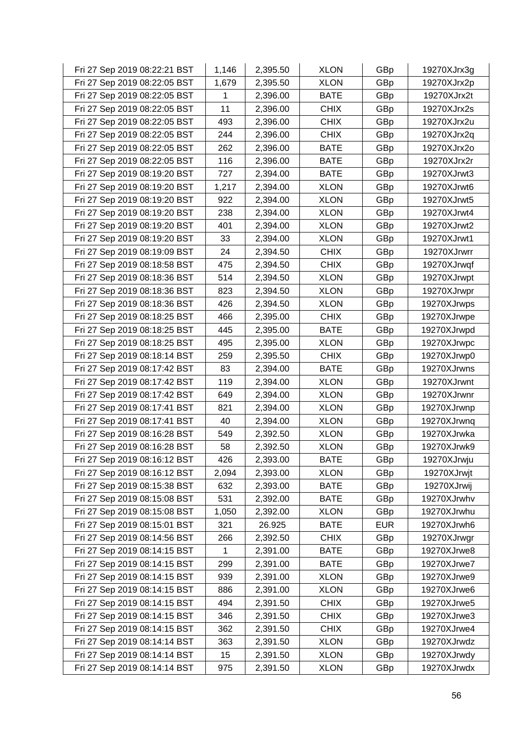| Fri 27 Sep 2019 08:22:21 BST | 1,146 | 2,395.50 | <b>XLON</b> | GBp        | 19270XJrx3g |
|------------------------------|-------|----------|-------------|------------|-------------|
| Fri 27 Sep 2019 08:22:05 BST | 1,679 | 2,395.50 | <b>XLON</b> | GBp        | 19270XJrx2p |
| Fri 27 Sep 2019 08:22:05 BST | 1     | 2,396.00 | <b>BATE</b> | GBp        | 19270XJrx2t |
| Fri 27 Sep 2019 08:22:05 BST | 11    | 2,396.00 | <b>CHIX</b> | GBp        | 19270XJrx2s |
| Fri 27 Sep 2019 08:22:05 BST | 493   | 2,396.00 | <b>CHIX</b> | GBp        | 19270XJrx2u |
| Fri 27 Sep 2019 08:22:05 BST | 244   | 2,396.00 | <b>CHIX</b> | GBp        | 19270XJrx2q |
| Fri 27 Sep 2019 08:22:05 BST | 262   | 2,396.00 | <b>BATE</b> | GBp        | 19270XJrx2o |
| Fri 27 Sep 2019 08:22:05 BST | 116   | 2,396.00 | <b>BATE</b> | GBp        | 19270XJrx2r |
| Fri 27 Sep 2019 08:19:20 BST | 727   | 2,394.00 | <b>BATE</b> | GBp        | 19270XJrwt3 |
| Fri 27 Sep 2019 08:19:20 BST | 1,217 | 2,394.00 | <b>XLON</b> | GBp        | 19270XJrwt6 |
| Fri 27 Sep 2019 08:19:20 BST | 922   | 2,394.00 | <b>XLON</b> | GBp        | 19270XJrwt5 |
| Fri 27 Sep 2019 08:19:20 BST | 238   | 2,394.00 | <b>XLON</b> | GBp        | 19270XJrwt4 |
| Fri 27 Sep 2019 08:19:20 BST | 401   | 2,394.00 | <b>XLON</b> | GBp        | 19270XJrwt2 |
| Fri 27 Sep 2019 08:19:20 BST | 33    | 2,394.00 | <b>XLON</b> | GBp        | 19270XJrwt1 |
| Fri 27 Sep 2019 08:19:09 BST | 24    | 2,394.50 | <b>CHIX</b> | GBp        | 19270XJrwrr |
| Fri 27 Sep 2019 08:18:58 BST | 475   | 2,394.50 | <b>CHIX</b> | GBp        | 19270XJrwqf |
| Fri 27 Sep 2019 08:18:36 BST | 514   | 2,394.50 | <b>XLON</b> | GBp        | 19270XJrwpt |
| Fri 27 Sep 2019 08:18:36 BST | 823   | 2,394.50 | <b>XLON</b> | GBp        | 19270XJrwpr |
| Fri 27 Sep 2019 08:18:36 BST | 426   | 2,394.50 | <b>XLON</b> | GBp        | 19270XJrwps |
| Fri 27 Sep 2019 08:18:25 BST | 466   | 2,395.00 | <b>CHIX</b> | GBp        | 19270XJrwpe |
| Fri 27 Sep 2019 08:18:25 BST | 445   | 2,395.00 | <b>BATE</b> | GBp        | 19270XJrwpd |
| Fri 27 Sep 2019 08:18:25 BST | 495   | 2,395.00 | <b>XLON</b> | GBp        | 19270XJrwpc |
| Fri 27 Sep 2019 08:18:14 BST | 259   | 2,395.50 | <b>CHIX</b> | GBp        | 19270XJrwp0 |
| Fri 27 Sep 2019 08:17:42 BST | 83    | 2,394.00 | <b>BATE</b> | GBp        | 19270XJrwns |
| Fri 27 Sep 2019 08:17:42 BST | 119   | 2,394.00 | <b>XLON</b> | GBp        | 19270XJrwnt |
| Fri 27 Sep 2019 08:17:42 BST | 649   | 2,394.00 | <b>XLON</b> | GBp        | 19270XJrwnr |
| Fri 27 Sep 2019 08:17:41 BST | 821   | 2,394.00 | <b>XLON</b> | GBp        | 19270XJrwnp |
| Fri 27 Sep 2019 08:17:41 BST | 40    | 2,394.00 | <b>XLON</b> | GBp        | 19270XJrwnq |
| Fri 27 Sep 2019 08:16:28 BST | 549   | 2,392.50 | <b>XLON</b> | GBp        | 19270XJrwka |
| Fri 27 Sep 2019 08:16:28 BST | 58    | 2,392.50 | <b>XLON</b> | GBp        | 19270XJrwk9 |
| Fri 27 Sep 2019 08:16:12 BST | 426   | 2,393.00 | <b>BATE</b> | GBp        | 19270XJrwju |
| Fri 27 Sep 2019 08:16:12 BST | 2,094 | 2,393.00 | <b>XLON</b> | GBp        | 19270XJrwjt |
| Fri 27 Sep 2019 08:15:38 BST | 632   | 2,393.00 | <b>BATE</b> | GBp        | 19270XJrwij |
| Fri 27 Sep 2019 08:15:08 BST | 531   | 2,392.00 | <b>BATE</b> | GBp        | 19270XJrwhv |
| Fri 27 Sep 2019 08:15:08 BST | 1,050 | 2,392.00 | <b>XLON</b> | GBp        | 19270XJrwhu |
| Fri 27 Sep 2019 08:15:01 BST | 321   | 26.925   | <b>BATE</b> | <b>EUR</b> | 19270XJrwh6 |
| Fri 27 Sep 2019 08:14:56 BST | 266   | 2,392.50 | <b>CHIX</b> | GBp        | 19270XJrwgr |
| Fri 27 Sep 2019 08:14:15 BST | 1     | 2,391.00 | <b>BATE</b> | GBp        | 19270XJrwe8 |
| Fri 27 Sep 2019 08:14:15 BST | 299   | 2,391.00 | <b>BATE</b> | GBp        | 19270XJrwe7 |
| Fri 27 Sep 2019 08:14:15 BST | 939   | 2,391.00 | <b>XLON</b> | GBp        | 19270XJrwe9 |
| Fri 27 Sep 2019 08:14:15 BST | 886   | 2,391.00 | <b>XLON</b> | GBp        | 19270XJrwe6 |
| Fri 27 Sep 2019 08:14:15 BST | 494   | 2,391.50 | <b>CHIX</b> | GBp        | 19270XJrwe5 |
| Fri 27 Sep 2019 08:14:15 BST | 346   | 2,391.50 | <b>CHIX</b> | GBp        | 19270XJrwe3 |
| Fri 27 Sep 2019 08:14:15 BST | 362   | 2,391.50 | <b>CHIX</b> | GBp        | 19270XJrwe4 |
| Fri 27 Sep 2019 08:14:14 BST | 363   | 2,391.50 | <b>XLON</b> | GBp        | 19270XJrwdz |
| Fri 27 Sep 2019 08:14:14 BST | 15    | 2,391.50 | <b>XLON</b> | GBp        | 19270XJrwdy |
| Fri 27 Sep 2019 08:14:14 BST | 975   | 2,391.50 | <b>XLON</b> | GBp        | 19270XJrwdx |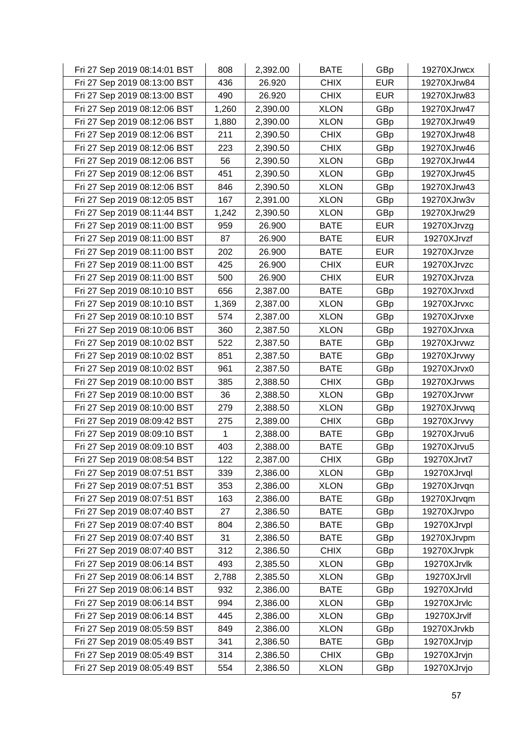| Fri 27 Sep 2019 08:14:01 BST | 808   | 2,392.00 | <b>BATE</b> | GBp        | 19270XJrwcx |
|------------------------------|-------|----------|-------------|------------|-------------|
| Fri 27 Sep 2019 08:13:00 BST | 436   | 26.920   | <b>CHIX</b> | <b>EUR</b> | 19270XJrw84 |
| Fri 27 Sep 2019 08:13:00 BST | 490   | 26.920   | <b>CHIX</b> | <b>EUR</b> | 19270XJrw83 |
| Fri 27 Sep 2019 08:12:06 BST | 1,260 | 2,390.00 | <b>XLON</b> | GBp        | 19270XJrw47 |
| Fri 27 Sep 2019 08:12:06 BST | 1,880 | 2,390.00 | <b>XLON</b> | GBp        | 19270XJrw49 |
| Fri 27 Sep 2019 08:12:06 BST | 211   | 2,390.50 | <b>CHIX</b> | GBp        | 19270XJrw48 |
| Fri 27 Sep 2019 08:12:06 BST | 223   | 2,390.50 | <b>CHIX</b> | GBp        | 19270XJrw46 |
| Fri 27 Sep 2019 08:12:06 BST | 56    | 2,390.50 | <b>XLON</b> | GBp        | 19270XJrw44 |
| Fri 27 Sep 2019 08:12:06 BST | 451   | 2,390.50 | <b>XLON</b> | GBp        | 19270XJrw45 |
| Fri 27 Sep 2019 08:12:06 BST | 846   | 2,390.50 | <b>XLON</b> | GBp        | 19270XJrw43 |
| Fri 27 Sep 2019 08:12:05 BST | 167   | 2,391.00 | <b>XLON</b> | GBp        | 19270XJrw3v |
| Fri 27 Sep 2019 08:11:44 BST | 1,242 | 2,390.50 | <b>XLON</b> | GBp        | 19270XJrw29 |
| Fri 27 Sep 2019 08:11:00 BST | 959   | 26.900   | <b>BATE</b> | <b>EUR</b> | 19270XJrvzg |
| Fri 27 Sep 2019 08:11:00 BST | 87    | 26.900   | <b>BATE</b> | <b>EUR</b> | 19270XJrvzf |
| Fri 27 Sep 2019 08:11:00 BST | 202   | 26.900   | <b>BATE</b> | <b>EUR</b> | 19270XJrvze |
| Fri 27 Sep 2019 08:11:00 BST | 425   | 26.900   | <b>CHIX</b> | <b>EUR</b> | 19270XJrvzc |
| Fri 27 Sep 2019 08:11:00 BST | 500   | 26.900   | <b>CHIX</b> | <b>EUR</b> | 19270XJrvza |
| Fri 27 Sep 2019 08:10:10 BST | 656   | 2,387.00 | <b>BATE</b> | GBp        | 19270XJrvxd |
| Fri 27 Sep 2019 08:10:10 BST | 1,369 | 2,387.00 | <b>XLON</b> | GBp        | 19270XJrvxc |
| Fri 27 Sep 2019 08:10:10 BST | 574   | 2,387.00 | <b>XLON</b> | GBp        | 19270XJrvxe |
| Fri 27 Sep 2019 08:10:06 BST | 360   | 2,387.50 | <b>XLON</b> | GBp        | 19270XJrvxa |
| Fri 27 Sep 2019 08:10:02 BST | 522   | 2,387.50 | <b>BATE</b> | GBp        | 19270XJrvwz |
| Fri 27 Sep 2019 08:10:02 BST | 851   | 2,387.50 | <b>BATE</b> | GBp        | 19270XJrvwy |
| Fri 27 Sep 2019 08:10:02 BST | 961   | 2,387.50 | <b>BATE</b> | GBp        | 19270XJrvx0 |
| Fri 27 Sep 2019 08:10:00 BST | 385   | 2,388.50 | <b>CHIX</b> | GBp        | 19270XJrvws |
| Fri 27 Sep 2019 08:10:00 BST | 36    | 2,388.50 | <b>XLON</b> | GBp        | 19270XJrvwr |
| Fri 27 Sep 2019 08:10:00 BST | 279   | 2,388.50 | <b>XLON</b> | GBp        | 19270XJrvwq |
| Fri 27 Sep 2019 08:09:42 BST | 275   | 2,389.00 | <b>CHIX</b> | GBp        | 19270XJrvvy |
| Fri 27 Sep 2019 08:09:10 BST | 1     | 2,388.00 | <b>BATE</b> | GBp        | 19270XJrvu6 |
| Fri 27 Sep 2019 08:09:10 BST | 403   | 2,388.00 | <b>BATE</b> | GBp        | 19270XJrvu5 |
| Fri 27 Sep 2019 08:08:54 BST | 122   | 2,387.00 | <b>CHIX</b> | GBp        | 19270XJrvt7 |
| Fri 27 Sep 2019 08:07:51 BST | 339   | 2,386.00 | <b>XLON</b> | GBp        | 19270XJrvql |
| Fri 27 Sep 2019 08:07:51 BST | 353   | 2,386.00 | <b>XLON</b> | GBp        | 19270XJrvqn |
| Fri 27 Sep 2019 08:07:51 BST | 163   | 2,386.00 | <b>BATE</b> | GBp        | 19270XJrvqm |
| Fri 27 Sep 2019 08:07:40 BST | 27    | 2,386.50 | <b>BATE</b> | GBp        | 19270XJrvpo |
| Fri 27 Sep 2019 08:07:40 BST | 804   | 2,386.50 | <b>BATE</b> | GBp        | 19270XJrvpl |
| Fri 27 Sep 2019 08:07:40 BST | 31    | 2,386.50 | <b>BATE</b> | GBp        | 19270XJrvpm |
| Fri 27 Sep 2019 08:07:40 BST | 312   | 2,386.50 | <b>CHIX</b> | GBp        | 19270XJrvpk |
| Fri 27 Sep 2019 08:06:14 BST | 493   | 2,385.50 | <b>XLON</b> | GBp        | 19270XJrvlk |
| Fri 27 Sep 2019 08:06:14 BST | 2,788 | 2,385.50 | <b>XLON</b> | GBp        | 19270XJrvll |
| Fri 27 Sep 2019 08:06:14 BST | 932   | 2,386.00 | <b>BATE</b> | GBp        | 19270XJrvld |
| Fri 27 Sep 2019 08:06:14 BST | 994   | 2,386.00 | <b>XLON</b> | GBp        | 19270XJrvlc |
| Fri 27 Sep 2019 08:06:14 BST | 445   | 2,386.00 | <b>XLON</b> | GBp        | 19270XJrvlf |
| Fri 27 Sep 2019 08:05:59 BST | 849   | 2,386.00 | <b>XLON</b> | GBp        | 19270XJrvkb |
| Fri 27 Sep 2019 08:05:49 BST | 341   | 2,386.50 | <b>BATE</b> | GBp        | 19270XJrvjp |
| Fri 27 Sep 2019 08:05:49 BST | 314   | 2,386.50 | <b>CHIX</b> | GBp        | 19270XJrvjn |
| Fri 27 Sep 2019 08:05:49 BST | 554   | 2,386.50 | <b>XLON</b> | GBp        | 19270XJrvjo |